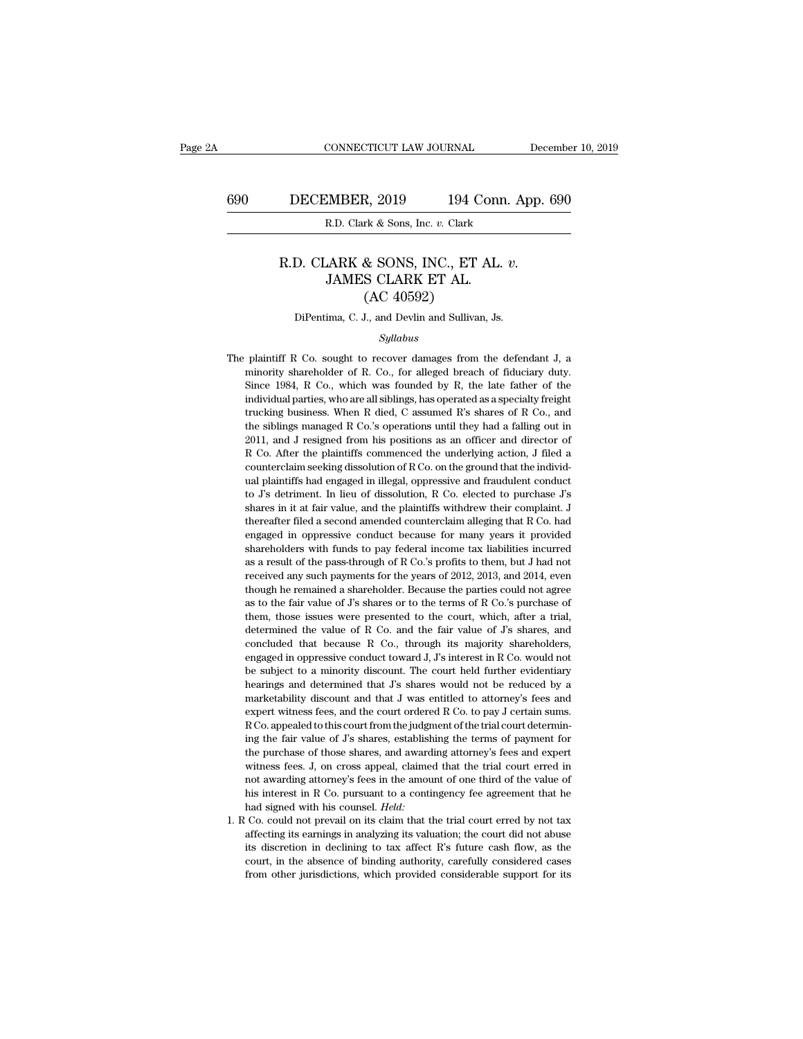#### DECEMBER, 2019 194 Conn. App. 6<br>R.D. Clark & Sons, Inc. *v.* Clark<br>R.D. CLARK & SONS, INC., ET AL. *v.*<br>JAMES CLARK ET AL. (AC 4059?) MBER, 2019 194 Conr.<br>
R.D. Clark & Sons, Inc. v. Clark<br>
JARK & SONS, INC., ET AL.<br>
JAMES CLARK ET AL. (AC 40592) (A, 2019 194 C)<br>
rk & Sons, Inc. v. Clark<br>
(AC 40592)<br>
J., and Devlin and Sullivan R.D. CLARK & SONS, INC., ET AL. *v.*<br>JAMES CLARK ET AL.<br>(AC 40592)<br>DiPentima, C. J., and Devlin and Sullivan, Js.

#### *Syllabus*

JAMES CLARK ET AL.<br>  $(AC 40592)$ <br>
DiPentima, C. J., and Devlin and Sullivan, Js.<br>  $Syllabus$ <br>
The plaintiff R Co. sought to recover damages from the defendant J, a<br>
minority shareholder of R. Co., for alleged breach of fiduciar The plaintiff R Co. sought to recover damages from the defendant J, a minority shareholder of R. Co., for alleged breach of fiduciary duty.<br>Since 1984, R Co., which was founded by R, the late father of the DiPentima, C. J., and Devlin and Sullivan, Js.<br>Syllabus<br>plaintiff R Co. sought to recover damages from the defendant J, a<br>minority shareholder of R. Co., for alleged breach of fiduciary duty.<br>Since 1984, R Co., which was f *Syllabus*<br>*Syllabus*<br>plaintiff R Co. sought to recover damages from the defendant J, a<br>minority shareholder of R. Co., for alleged breach of fiduciary duty.<br>Since 1984, R Co., which was founded by R, the late father of th *Syllabus*<br> *Syllabus*<br>
plaintiff R Co. sought to recover damages from the defendant J, a<br>
minority shareholder of R. Co., for alleged breach of fiduciary duty.<br>
Since 1984, R Co., which was founded by R, the late father o plaintiff R Co. sought to recover damages from the defendant J, a minority shareholder of R. Co., for alleged breach of fiduciary duty.<br>Since 1984, R Co., which was founded by R, the late father of the individual parties, plantar *R* co. sought to recover dangees from the determination, a minority shareholder of *R*. Co., for alleged breach of fiduciary duty. Since 1984, *R* Co., which was founded by *R*, the late father of the individual p Example 1984, R Co., which was founded by R, the late father of the individual parties, who are all siblings, has operated as a specialty freight trucking business. When R died, C assumed R's shares of R Co., and the sibl individual parties, who are all siblings, has operated as a specialty freight trucking business. When R died, C assumed R's shares of R Co., and the siblings managed R Co.'s operations until they had a falling out in 2011 marrian paracs, who are an sismigs, mas operated as appeciated region trucking business. When R died, C assumed R's shares of R Co., and the siblings managed R Co.'s operations until they had a falling out in 2011, and J r at the siblings managed R Co.'s operations until they had a falling out in 2011, and J resigned from his positions as an officer and director of R Co. After the plaintiffs commenced the underlying action, J filed a counter and a fairly manifed a control of R Co. S operations than they had a talling out in 2011, and J resigned from his positions as an officer and director of R Co. After the plaintiffs commenced the underlying action, J filed EVIT, and 9 resigned from the possistion as an order and ancestor of R Co. After the plaintiffs commenced the underlying action, J filed a counterclaim seeking dissolution of R Co. on the ground that the individual plainti engaged in oppressive conductions are different and plaintiffs had engaged in illegal, oppressive and fraudulent conduct to J's detriment. In lieu of dissolution, R Co. elected to purchase J's shares in it at fair value, a ual plaintiffs had engaged in illegal, oppressive and fraudulent conduct<br>to J's detriment. In lieu of dissolution, R Co. elected to purchase J's<br>shares in it at fair value, and the plaintiffs withdrew their complaint. J<br>th as a result of the pass-through of R Co.'s profits to them, but J had not received any such that are all the pass-through of R Co. elected to purchase J's thereafter filed a second amended counterclaim alleging that R Co. received any such payments for the years of 2012, 2013, and 2014, even though he remained a shareholders with funds to pay federal income tax liabilities incurred as a result of the pass-through of R Co.'s profits to them, shares in a at all value, and are plannins within two dien complaint. 3<br>thereafter filed a second amended counterclaim alleging that R Co. had<br>engaged in oppressive conduct because for many years it provided<br>shareholders w enceducer med a second and not because for many years it provided<br>engaged in oppressive conduct because for many years it provided<br>shareholders with funds to pay federal income tax liabilities incurred<br>as a result of the p shareholders with funds to pay federal income tax liabilities incurred<br>as a result of the pass-through of R Co.'s profits to them, but J had not<br>received any such payments for the years of 2012, 2013, and 2014, even<br>thoug determined the pass-through of R Co.'s profits to them, but J had not received any such payments for the years of 2012, 2013, and 2014, even though he remained a shareholder. Because the parties could not agree as to the f as a restated that pass allowing or R co., b profits a fact, but a received any such payments for the years of 2012, 2013, and 2014, even though he remained a shareholder. Because the parties could not agree as to the fair received any stach payments for an years of 2012, 2010, and 2011, even<br>though he remained a shareholder. Because the parties could not agree<br>as to the fair value of J's shares or to the terms of R Co.'s purchase of<br>them, t as to the fair value of J's shares or to the terms of R Co.'s purchase of them, those issues were presented to the court, which, after a trial, determined the value of R Co. and the fair value of J's shares, and concluded determined that V<sub>3</sub> shares of the court, which, after a trial, determined the value of R Co. and the fair value of *S*'s shares, and concluded that because R Co., through its majority shareholders, engaged in oppressive c determined the value of R Co. and the fair value of J's shares, and concluded that because R Co., through its majority shareholders, engaged in oppressive conduct toward J, J's interest in R Co. would not be subject to a m experiment the viata of  $R$  Co. that the can in value of  $B$  states, and concluded that because R Co., through its majority shareholders, engaged in oppressive conduct toward J, J's interest in R Co. would not be subject t ended to the subject to the subject to the subject to the subject to a minority discount. The court held further evidentiary hearings and determined that  $J$ s shares would not be reduced by a marketability discount and th ing the subject in a minority discount. The court held further evidentiary hearings and determined that  $J$ s shares would not be reduced by a marketability discount and that  $J$  was entitled to attorney's fees and expert w be stayled to a minimal discussion. The court held rather evidential, hearings and determined that J was entitled to attorney's fees and expert witness fees, and the court ordered R Co. to pay J certain sums. R Co. appeale marketability discount and that J was entitled to attorney's fees and expert witness fees, and the court ordered R Co. to pay J certain sums.<br>R Co. appealed to this court from the judgment of the trial court determining th manceasing also and and a may one third of the stationary of ecosence apert witness fees, and the court ordered R Co. to pay J certain sums.<br>R Co. appealed to this court from the judgment of the trial court determining the R Co. appealed to this court from the judgment of the trial court determining the fair value of  $J$ 's shares, establishing the terms of payment for the purchase of those shares, and awarding attorney's fees and expert wit ing the fair value of *J*'s shares, establishing the terms of payment for<br>the purchase of those shares, and awarding attorney's fees and expert<br>witness fees. *J*, on cross appeal, claimed that the trial court erred in<br>not the purchase of those shares, establishing are errits of payment for the purchase of those shares, and awarding attorney's fees and expert witness fees. J, on cross appeal, claimed that the trial court erred in not awardin are parameters of anset shares, and amatally alternate witness fees. J, on cross appeal, claimed that the trial court erred in not awarding attorney's fees in the amount of one third of the value of his interest in R Co.

is discretion in declining to tax affect R's future cash flow, as the counterfect and interest in R Co. pursuant to a contingency fee agreement that he had signed with his counsel. *Held*:<br>Co. could not prevail on its cla court, in the absence of binding authority, in the absence of the absence of his interest in R Co. pursuant to a contingency fee agreement that he had signed with his counsel. *Held*: Co. could not prevail on its claim tha 1. R Co. could not prevail on its claim that the trial court erred by not tax affecting its earnings in analyzing its valuation; the court did not abuse its discretion in declining to tax affect R's future cash flow, as t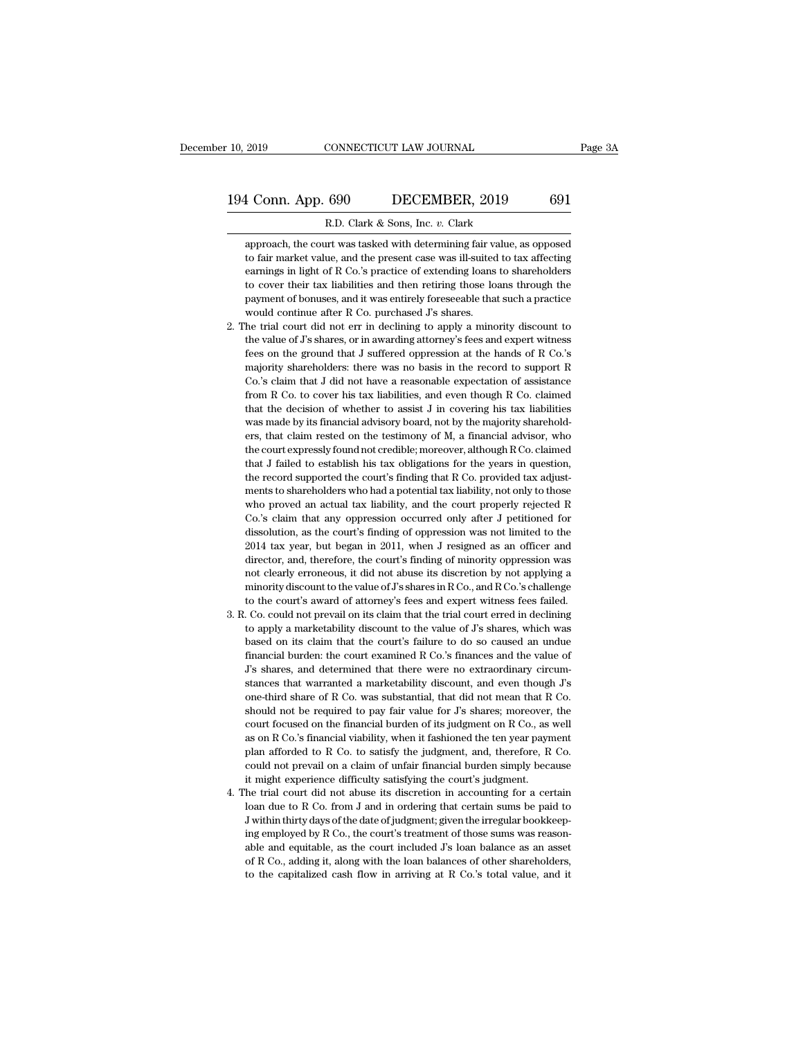# 10, 2019 CONNECTICUT LAW JOURNAL Page 3A<br>194 Conn. App. 690 DECEMBER, 2019 691<br>R.D. Clark & Sons, Inc. v. Clark R. 10, 2019 CONNECTICUT LAW JOURNAL<br>194 Conn. App. 690 DECEMBER, 2019 691<br>R.D. Clark & Sons, Inc. *v.* Clark<br>approach, the court was tasked with determining fair value, as opposed

4 Conn. App. 690 DECEMBER, 2019 691<br>R.D. Clark & Sons, Inc. v. Clark<br>approach, the court was tasked with determining fair value, as opposed<br>to fair market value, and the present case was ill-suited to tax affecting 1 Conn. App. 690 DECEMBER, 2019 691<br>
R.D. Clark & Sons, Inc. v. Clark<br>
approach, the court was tasked with determining fair value, as opposed<br>
to fair market value, and the present case was ill-suited to tax affecting<br>
ear 1 Conn. App. 690 DECEMBER, 2019 691<br>
R.D. Clark & Sons, Inc. v. Clark<br>
approach, the court was tasked with determining fair value, as opposed<br>
to fair market value, and the present case was ill-suited to tax affecting<br>
ear R.D. Clark & Sons, Inc. v. Clark<br>approach, the court was tasked with determining fair value, as opposed<br>to fair market value, and the present case was ill-suited to tax affecting<br>earnings in light of R Co.'s practice of ex R.D. Clark & Sons, Inc. v. Clark<br>approach, the court was tasked with determining fair value, as opposed<br>to fair market value, and the present case was ill-suited to tax affecting<br>earnings in light of R Co.'s practice of ex approach, the court was tasked with determining fair v:<br>to fair market value, and the present case was ill-suited<br>earnings in light of R Co.'s practice of extending loans<br>to cover their tax liabilities and then retiring th 2. The trial court did not err in declining to apply a minority discount to the value, and the present case was ill-suited to tax affecting earnings in light of R Co.'s practice of extending loans to shareholders to cover earnings in light of R Co.'s practice of extending loans to shareholders<br>to cover their tax liabilities and then retiring those loans through the<br>payment of bonuses, and it was entirely foreseeable that such a practice<br>wou

- feed to cover their tax liabilities and then retiring fose loans through the payment of bonuses, and it was entirely foreseeable that such a practice would continue after R Co. purchased J's shares.<br>The trial court did not payment of bonuses, and it was entirely foreseeable that such a practice would continue after R Co. purchased J's shares.<br>he trial court did not err in declining to apply a minority discount to the value of J's shares, or Follow that J did not have a reasonable expectation of assistance would continue after R Co. purchased J's shares.<br>The trial court did not err in declining to apply a minority discount to the value of J's shares, or in aw he trial court did not err in declining to apply a minority discount to the value of  $J$ s shares, or in awarding attorney's fees and expert witness fees on the ground that  $J$  suffered oppression at the hands of  $R$  Co.'s the value of  $J$ 's shares, or in awarding attorney's fees and expert witness<br>fees on the ground that  $J$  suffered oppression at the hands of R Co.'s<br>majority shareholders: there was no basis in the record to support R<br>Co. the value of J's shares, or in awarding attorney's fees and expert witness<br>fees on the ground that J suffered oppression at the hands of R Co.'s<br>majority shareholders: there was no basis in the record to support R<br>Co.'s c ready that the was no basis in the record to support R Co.'s claim that J did not have a reasonable expectation of assistance from R Co. to cover his tax liabilities, and even though R Co. claimed that the decision of whet the court state of the court are a reasonable expectation of assistance from R Co. to cover his tax liabilities, and even though R Co. claimed that the decision of whether to assist J in covering his tax liabilities was m from R Co. to cover his tax liabilities, and even though R Co. claimed that the decision of whether to assist J in covering his tax liabilities was made by its financial advisory board, not by the majority shareholders, t that the decision of whether to assist J in covering his tax liabilities was made by its financial advisory board, not by the majority shareholders, that claim rested on the testimony of M, a financial advisor, who the cou was made by its financial advisory board, not by the majority shareholders, that claim rested on the testimony of M, a financial advisor, who the court expressly found not credible; moreover, although R Co. claimed that J where, that claim rested on the testimony of M, a financial advisor, who the court expressly found not credible; moreover, although R Co. claimed that J failed to establish his tax obligations for the years in question, th the court expressly found not credible; moreover, although R Co. claimed<br>that J failed to establish his tax obligations for the years in question,<br>the record supported the court's finding that R Co. provided tax adjust-<br>me the discolution, as the court's finding that R Co. provided tax adjustments to shareholders who had a potential tax liability, not only to those who proved an actual tax liability, and the court properly rejected R Co.'s c the record supported the court's finding that R Co. provided tax adjust-<br>ments to shareholders who had a potential tax liability, not only to those<br>who proved an actual tax liability, and the court properly rejected R<br>Co.' ments to shareholders who had a potential tax liability, not only to those who proved an actual tax liability, and the court properly rejected R Co.'s claim that any oppression occurred only after J petitioned for dissolut who proved an actual tax liability, and the court properly rejected R Co.'s claim that any oppression occurred only after J petitioned for dissolution, as the court's finding of oppression was not limited to the 2014 tax Co.'s claim that any oppression occurred only after J petitioned for dissolution, as the court's finding of oppression was not limited to the 2014 tax year, but began in 2011, when J resigned as an officer and director, a dissolution, as the court's finding of oppression was not limited to the 2014 tax year, but began in 2011, when J resigned as an officer and director, and, therefore, the court's finding of minority oppression was not clea 2014 tax year, but began in 2011, when J resigned as an officer and director, and, therefore, the court's finding of minority oppression was not clearly erroneous, it did not abuse its discretion by not applying a minorit director, and, therefore, the court's finding of minority oppression was<br>not clearly erroneous, it did not abuse its discretion by not applying a<br>minority discount to the value of J's shares in R Co., and R Co.'s challenge
- and the court's divergence out of the value of  $J$ 's shares in RCo., and RCo.'s challenge to the court's award of attorney's fees and expert witness fees failed.<br>Co. could not prevail on its claim that the trial court err minority discount to the value of  $J$ 's shares in RCo., and RCo.'s challenge to the court's award of attorney's fees and expert witness fees failed. Co. could not prevail on its claim that the trial court erred in declini minority discount to the value of  $J$ 's shares in R Co., and R Co.'s challenge<br>to the court's award of attorney's fees and expert witness fees failed.<br>3. R. Co. could not prevail on its claim that the trial court erred in stances that warranted a marketability discount of the value of  $J$ s shares, which was based on its claim that the court's failure to do so caused an undue financial burden: the court examined R Co.'s finances and the val to apply a marketability discount to the value of  $J$ s shares, which was based on its claim that the court's failure to do so caused an undue financial burden: the court examined R Co.'s finances and the value of  $J$ s sha so apply a tis claim that the court's failure to do so caused an undue financial burden: the court examined R Co.'s finances and the value of J's shares, and determined that there were no extraordinary circumstances that w financial burden: the court examined R Co.'s finances and the value of  $J$ 's shares, and determined that there were no extraordinary circumstances that warranted a marketability discount, and even though  $J$ 's one-third s as a set of the mind of that there were no extraordinary circum-<br>stances that warranted a marketability discount, and even though  $J$ 's<br>one-third share of R Co. was substantial, that did not mean that R Co.<br>should not be between that warranted a marketability discount, and even though *J*'s one-third share of R Co. was substantial, that did not mean that R Co. should not be required to pay fair value for *J*'s shares; moreover, the court f one-third share of R Co. was substantial, that did not mean that R Co.<br>should not be required to pay fair value for J's shares; moreover, the<br>court focused on the financial burden of its judgment on R Co., as well<br>as on R should not be required to pay fair value for J's shares; moreover, the court focused on the financial burden of its judgment on R Co., as well as on R Co.'s financial viability, when it fashioned the ten year payment plan From the trial court for a certain single abuse its discretion in RCo., as well as on RCo.'s financial viability, when it fashioned the ten year payment plan afforded to RCo. to satisfy the judgment, and, therefore, RCo. as on R Co.'s financial viability, when it fashioned the ten year payment plan afforded to R Co. to satisfy the judgment, and, therefore, R Co. could not prevail on a claim of unfair financial burden simply because it mig
- plan afforded to R Co. to satisfy the judgment, and, therefore, R Co.<br>could not prevail on a claim of unfair financial burden simply because<br>it might experience difficulty satisfying the court's judgment.<br>he trial court di From the could not prevail on a claim of unfair financial burden simply because<br>it might experience difficulty satisfying the court's judgment.<br>he trial court did not abuse its discretion in accounting for a certain<br>loan it might experience difficulty satisfying the court's judgment.<br>
the trial court did not abuse its discretion in accounting for a certain<br>
loan due to R Co. from J and in ordering that certain sums be paid to<br>
J within th The trial court did not abuse its discretion in accounting for a certain<br>loan due to R Co. from J and in ordering that certain sums be paid to<br>J within thirty days of the date of judgment; given the irregular bookkeep-<br>in to the capitalized cash flow in arriving at R Co.'s total value, and it are calculated by N within thirty days of the date of judgment; given the irregular bookkeeping employed by R Co., the court's treatment of those sum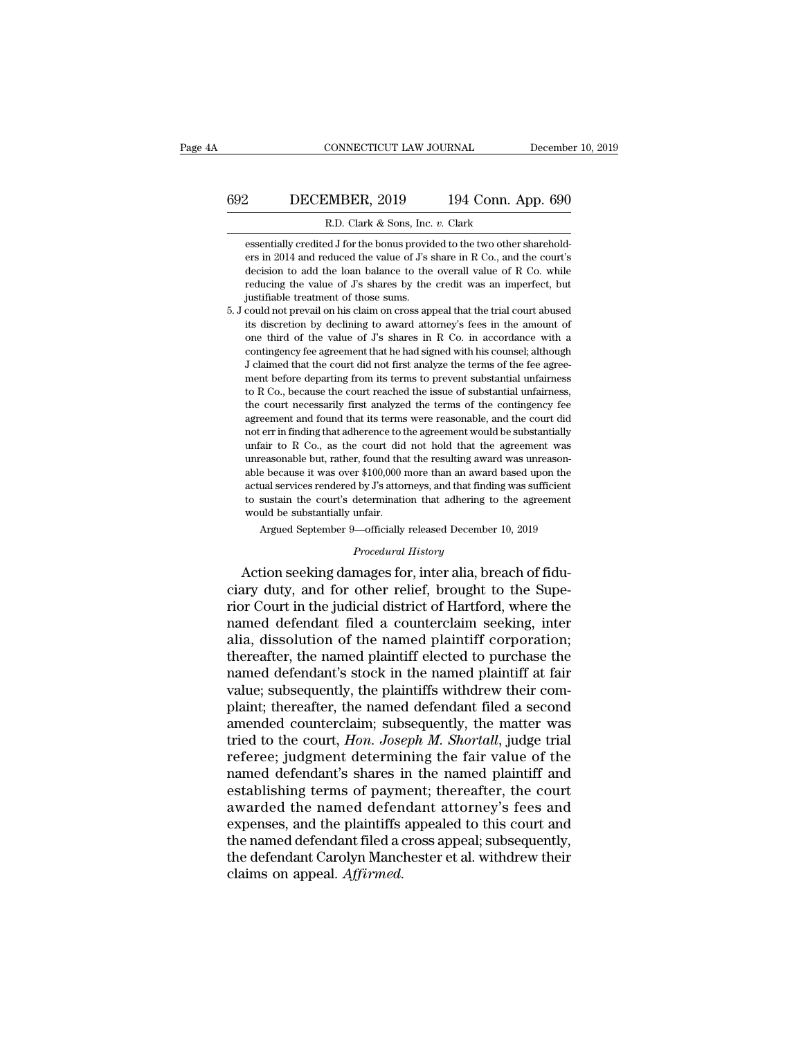# CONNECTICUT LAW JOURNAL December 10, 2019<br>692 DECEMBER, 2019 194 Conn. App. 690<br>R.D. Clark & Sons, Inc. v. Clark ECONNECTICUT LAW JOURNAL<br>2019 194 Conn. A<br>R.D. Clark & Sons, Inc. *v.* Clark<br>ed J for the bonus provided to the two other s

essentially credited J for the bonus provided to the two other sharehold-<br>ers in 2014 and reduced the value of J's share in R Co., and the court's **EXEMBER, 2019** 194 Conn. App. 690<br>R.D. Clark & Sons, Inc. v. Clark<br>essentially credited J for the bonus provided to the two other sharehold-<br>ers in 2014 and reduced the value of J's share in R Co., and the court's<br>decisio 2 DECEMBER, 2019 194 Conn. App. 690<br>
R.D. Clark & Sons, Inc. v. Clark<br>
essentially credited J for the bonus provided to the two other sharehold-<br>
ers in 2014 and reduced the value of J's share in R Co., and the court's<br>
de R.D. Clark & Sons, Inc. v. Clark<br>
R.D. Clark & Sons, Inc. v. Clark<br>
essentially credited J for the bonus provided to the two other sharehold-<br>
ers in 2014 and reduced the value of J's share in R Co., and the court's<br>
decis R.D. Clark & Sons, Inc.<br>essentially credited J for the bonus providers in 2014 and reduced the value of J's s<br>decision to add the loan balance to the<br>reducing the value of J's shares by the<br>justifiable treatment of those s essentially credited J for the bonus provided to the two other shareholders in 2014 and reduced the value of  $J$ 's share in R Co., and the court's decision to add the loan balance to the overall value of  $R$  Co. while red essentially credited 3 for the bonds provided to the two other shareholders in 2014 and reduced the value of J's share in R Co., and the court's decision to add the loan balance to the overall value of R Co. while reducing

call the value of J's shares in R Co., and are courts<br>decision to add the loan balance to the overall value of R Co. while<br>reducing the value of J's shares by the credit was an imperfect, but<br>justifiable treatment of those decision to add the baat balance to the overall value of N Co. while<br>reducing the value of J's shares by the credit was an imperfect, but<br>justifiable treatment of those sums.<br>could not prevail on his claim on cross appeal reducing the value of  $J$ 's shares by the credit was an imperfect, but justifiable treatment of those sums.<br>
5. J could not prevail on his claim on cross appeal that the trial court abused<br>
its discretion by declining to results and the trainer of alose same.<br>
could not prevail on his claim on cross appeal that the trial court abused<br>
its discretion by declining to award attorney's fees in the amount of<br>
one third of the value of  $J$ s shar to R Co., because the court reached the issue of the contingency fee agreement that he had signed with his counsel; although J claimed that the court did not first analyze the terms of the fee agreement before departing fr the court of the value of J's shares in R Co. in accordance with a contingency fee agreement that he had signed with his counsel; although J claimed that the court did not first analyze the terms of the fee agreement befor once tand of an value of  $J$   $J$   $S$  states in  $R$  co. in accordance with a contingency fee agreement that he had signed with his counsel; although J claimed that the court did not first analyze the terms of the fee agreem J claimed that the court did not first analyze the terms of the fee agreement before departing from its terms to prevent substantial unfairness to R Co., because the court reached the issue of substantial unfairness, the c a claim of that the court did not hist analyze the terms of the tect agreement before departing from its terms to prevent substantial unfairness, the court necessarily first analyzed the terms of the contingency fee agreem near ocore departing nont its terms to prevent substantial unfairness,<br>to R Co., because the court reached the issue of substantial unfairness,<br>the court necessarily first analyzed the terms of the contingency fee<br>agreemen able because it was over \$100,000 more than an award based upon the court necessarily first analyzed the terms of the contingency fee agreement and found that its terms were reasonable, and the court did not err in finding actual services rendered to the agreement would be substantially unfair to R Co., as the court did not hold that the agreement was unreasonable but, rather, found that the resulting award was unreasonable because it was ov and found that is critis were reasonable, and the court due not err in finding that adherence to the agreement would be substantially unfair to R Co., as the court did not hold that the agreement was unreasonable because i unfair to R Co., as the court did not hold that the agreement was unreasonable but, rather, found that the resulting award was unreasonable because it was over \$100,000 more than an award based upon the actual services re easonable but, rather, found that the resulting award was unreason-<br>e because it was over \$100,000 more than an award based upon the<br>ual services rendered by J's attorneys, and that finding was sufficient<br>sustain the court to sustain the court's determination that adhering to the agreement<br>would be substantially unfair.<br>Argued September 9—officially released December 10, 2019<br>*Procedural History*<br>Action seeking damages for, inter alia, breac able because it was over \$100,000 more than an award based upon the actual services rendered by J's attorneys, and that finding was sufficient to sustain the court's determination that adhering to the agreement would be su

actual services rendered by J's attorneys, and that finding was sufficient<br>to sustain the court's determination that adhering to the agreement<br>would be substantially unfair.<br>Argued September 9—officially released December to sustain the court's determination that adhering to the agreement<br>would be substantially unfair.<br>Argued September 9—officially released December 10, 2019<br>*Procedural History*<br>Action seeking damages for, inter alia, breac Argued September 9—officially released December 10, 2019<br> *Procedural History*<br>
Action seeking damages for, inter alia, breach of fidu-<br>
ciary duty, and for other relief, brought to the Supe-<br>
rior Court in the judicial di *Procedural History*<br>*Procedural History*<br>Action seeking damages for, inter alia, breach of fidu-<br>ciary duty, and for other relief, brought to the Supe-<br>rior Court in the judicial district of Hartford, where the<br>named defe *Procedural History*<br>Action seeking damages for, inter alia, breach of fidu-<br>ciary duty, and for other relief, brought to the Supe-<br>rior Court in the judicial district of Hartford, where the<br>named defendant filed a counter Action seeking damages for, inter alia, breach of fiduciary duty, and for other relief, brought to the Superior Court in the judicial district of Hartford, where the named defendant filed a counterclaim seeking, inter alia ciary duty, and for other relief, brought to the Superior Court in the judicial district of Hartford, where the named defendant filed a counterclaim seeking, inter alia, dissolution of the named plaintiff corporation; ther rior Court in the judicial district of Hartford, where the<br>named defendant filed a counterclaim seeking, inter<br>alia, dissolution of the named plaintiff corporation;<br>thereafter, the named plaintiff elected to purchase the<br>n named defendant filed a counterclaim seeking, inter<br>alia, dissolution of the named plaintiff corporation;<br>thereafter, the named plaintiff elected to purchase the<br>named defendant's stock in the named plaintiff at fair<br>value alia, dissolution of the named plaintiff corporation;<br>thereafter, the named plaintiff elected to purchase the<br>named defendant's stock in the named plaintiff at fair<br>value; subsequently, the plaintiffs withdrew their com-<br>p thereafter, the named plaintiff elected to purchase the<br>named defendant's stock in the named plaintiff at fair<br>value; subsequently, the plaintiffs withdrew their com-<br>plaint; thereafter, the named defendant filed a second<br> named defendant's stock in the named plaintiff at fair<br>value; subsequently, the plaintiffs withdrew their com-<br>plaint; thereafter, the named defendant filed a second<br>amended counterclaim; subsequently, the matter was<br>tried value; subsequently, the plaintiffs withdrew their complaint; thereafter, the named defendant filed a second amended counterclaim; subsequently, the matter was tried to the court, *Hon. Joseph M. Shortall*, judge trial ref plaint; thereafter, the named defendant filed a second<br>amended counterclaim; subsequently, the matter was<br>tried to the court, *Hon. Joseph M. Shortall*, judge trial<br>referee; judgment determining the fair value of the<br>named amended counterclaim; subsequently, the matter was<br>tried to the court, *Hon. Joseph M. Shortall*, judge trial<br>referee; judgment determining the fair value of the<br>named defendant's shares in the named plaintiff and<br>establis tried to the court, *Hon. Joseph M. Shortall*, judge trial<br>referee; judgment determining the fair value of the<br>named defendant's shares in the named plaintiff and<br>establishing terms of payment; thereafter, the court<br>awarde referee; judgment determining the fair value of the<br>named defendant's shares in the named plaintiff and<br>establishing terms of payment; thereafter, the court<br>awarded the named defendant attorney's fees and<br>expenses, and the named defendant's shares if<br>establishing terms of paym<br>awarded the named defen<br>expenses, and the plaintiffs<br>the named defendant filed a c<br>the defendant Carolyn Mancl<br>claims on appeal. *Affirmed*.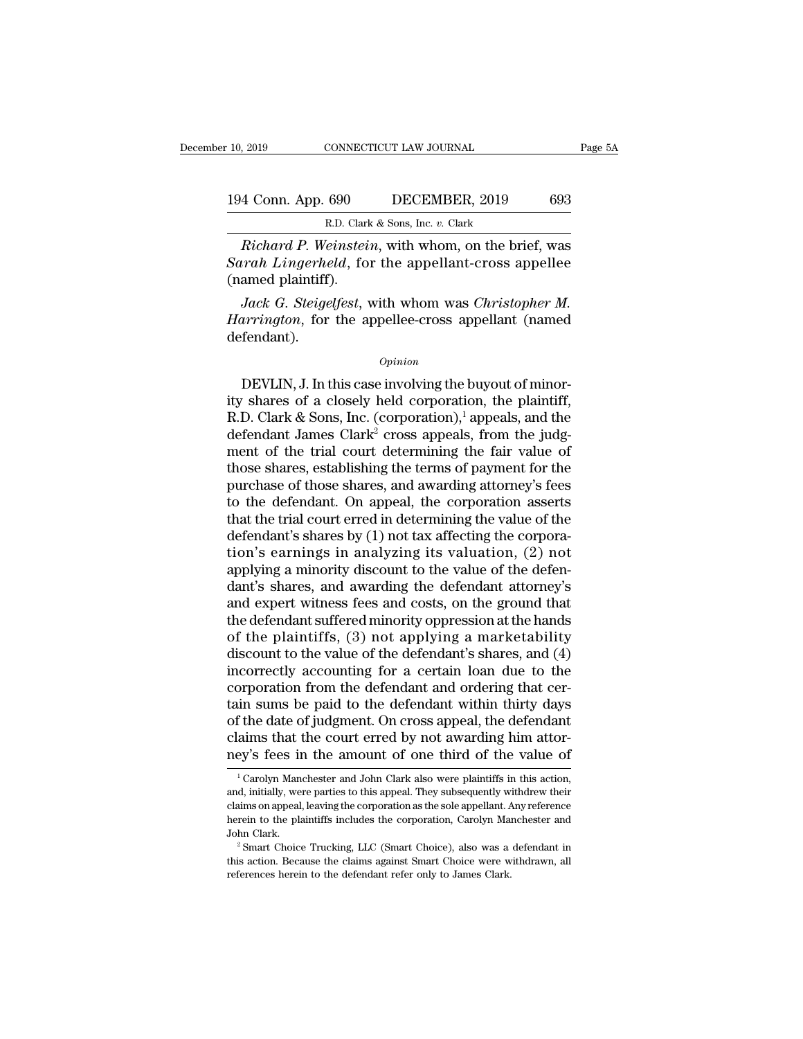# 10, 2019 CONNECTICUT LAW JOURNAL Page 5A<br>194 Conn. App. 690 DECEMBER, 2019 693<br>R.D. Clark & Sons, Inc. v. Clark R.D. Clark & Sons, Inc. *v.* Clark

<sup>2019</sup> CONNECTICUT LAW JOURNAL Page 5A<br>
4 Conn. App. 690 DECEMBER, 2019 693<br>
R.D. Clark & Sons, Inc. v. Clark<br> *Richard P. Weinstein*, with whom, on the brief, was<br> *Richard P. Weinstein*, with whom, on the brief, was<br> *Ri* **Sarah Lingerheld**, for the appellant-cross appeller (named plaintiff). 194 Conn. App. 690<br>R.D. Clarl<br>Richard P. Weinstei<br>Sarah Lingerheld, fo<br>(named plaintiff).<br>Jack G. Steigelfest, v *A* Conn. App. 690 **DECEMBER**, 2019 693<br> *R.D. Clark & Sons, Inc. v. Clark*<br> *Richard P. Weinstein*, with whom, on the brief, was<br> *P. Steigelfest*, for the appellant-cross appellee<br> *Jack G. Steigelfest*, with whom was *C* 

*R.D. Clark & Sons, Inc. v. Clark*<br> *Richard P. Weinstein, with whom, on the brief, was*<br> *Sarah Lingerheld, for the appellant-cross appellee*<br>
(named plaintiff).<br> *Jack G. Steigelfest, with whom was Christopher M.*<br> *Harr* defendant). amed plaintiff).<br>
Jack G. Steigelfest, with whom was Christopher M.<br>
urrington, for the appellee-cross appellant (named<br>
fendant).<br>
Opinion<br>
DEVLIN, J. In this case involving the buyout of minor-<br>
shares of a closely held

#### *Opinion*

*Jack G. Steigelfest*, with whom was *Christopher M.*<br> *Harrington*, for the appellee-cross appellant (named<br>
defendant).<br> *Opinion*<br>
DEVLIN, J. In this case involving the buyout of minor-<br>
ity shares of a closely held cor Harrington, for the appellee-cross appellant (named<br>defendant).<br> $opinion$ <br>DEVLIN, J. In this case involving the buyout of minor-<br>ity shares of a closely held corporation, the plaintiff,<br>R.D. Clark & Sons, Inc. (corporation),<sup>1</sup> defendant).<br>  $\begin{array}{c} \text{Option} \\ \text{DEFULIN, J. In this case involving the buoyout of minority shares of a closely held corporation, the plaintiff, R.D. Clark & Sons, Inc. (corporation),<sup>1</sup> appears, and the defendant James Clark<sup>2</sup> cross appears, from the judgment of the trial court determining the fair value of those shares, established the terms of payment for the$ opinion<br>DEVLIN, J. In this case involving the buyout of minor-<br>ity shares of a closely held corporation, the plaintiff,<br>R.D. Clark & Sons, Inc. (corporation),<sup>1</sup> appeals, and the<br>defendant James Clark<sup>2</sup> cross appeals, fr DEVLIN, J. In this case involving the buyout of minor-<br>ity shares of a closely held corporation, the plaintiff,<br>R.D. Clark & Sons, Inc. (corporation),<sup>1</sup> appeals, and the<br>defendant James Clark<sup>2</sup> cross appeals, from the j DEVLIN, J. In this case involving the buyout of minor-<br>ity shares of a closely held corporation, the plaintiff,<br>R.D. Clark & Sons, Inc. (corporation),<sup>1</sup> appeals, and the<br>defendant James Clark<sup>2</sup> cross appeals, from the j ity shares of a closely held corporation, the plaintiff,<br>R.D. Clark & Sons, Inc. (corporation),<sup>1</sup> appeals, and the<br>defendant James Clark<sup>2</sup> cross appeals, from the judg-<br>ment of the trial court determining the fair value R.D. Clark & Sons, Inc. (corporation),<sup>1</sup> appeals, and the<br>defendant James Clark<sup>2</sup> cross appeals, from the judg-<br>ment of the trial court determining the fair value of<br>those shares, establishing the terms of payment for t defendant James Clark<sup>2</sup> cross appeals, from the judgment of the trial court determining the fair value of those shares, establishing the terms of payment for the purchase of those shares, and awarding attorney's fees to t ment of the trial court determining the fair value of<br>those shares, establishing the terms of payment for the<br>purchase of those shares, and awarding attorney's fees<br>to the defendant. On appeal, the corporation asserts<br>that those shares, establishing the terms of payment for the purchase of those shares, and awarding attorney's fees<br>to the defendant. On appeal, the corporation asserts<br>that the trial court erred in determining the value of the purchase of those shares, and awarding attorney's fees<br>to the defendant. On appeal, the corporation asserts<br>that the trial court erred in determining the value of the<br>defendant's shares by (1) not tax affecting the corpora to the defendant. On appeal, the corporation asserts<br>that the trial court erred in determining the value of the<br>defendant's shares by (1) not tax affecting the corpora-<br>tion's earnings in analyzing its valuation, (2) not<br>a that the trial court erred in determining the value of the<br>defendant's shares by (1) not tax affecting the corpora-<br>tion's earnings in analyzing its valuation, (2) not<br>applying a minority discount to the value of the defen defendant's shares by (1) not tax affecting the corporation's earnings in analyzing its valuation, (2) not applying a minority discount to the value of the defendant's shares, and awarding the defendant attorney's and expe tion's earnings in analyzing its valuation, (2) not<br>applying a minority discount to the value of the defen-<br>dant's shares, and awarding the defendant attorney's<br>and expert witness fees and costs, on the ground that<br>the def applying a minority discount to the value of the defendant's shares, and awarding the defendant attorney's and expert witness fees and costs, on the ground that the defendant suffered minority oppression at the hands of th dant's shares, and awarding the defendant attorney's<br>and expert witness fees and costs, on the ground that<br>the defendant suffered minority oppression at the hands<br>of the plaintiffs, (3) not applying a marketability<br>discoun and expert witness fees and costs, on the ground that<br>the defendant suffered minority oppression at the hands<br>of the plaintiffs, (3) not applying a marketability<br>discount to the value of the defendant's shares, and (4)<br>inc the defendant suffered minority oppression at the hands<br>of the plaintiffs, (3) not applying a marketability<br>discount to the value of the defendant's shares, and (4)<br>incorrectly accounting for a certain loan due to the<br>corp of the plaintiffs, (3) not applying a marketability<br>discount to the value of the defendant's shares, and (4)<br>incorrectly accounting for a certain loan due to the<br>corporation from the defendant and ordering that cer-<br>tain s discount to the value of the defendant's shares, and (4) incorrectly accounting for a certain loan due to the corporation from the defendant and ordering that certain sums be paid to the defendant within thirty days of the in sums be paid to the defendant within thirty days<br>f the date of judgment. On cross appeal, the defendant<br>aims that the court erred by not awarding him attor-<br>ey's fees in the amount of one third of the value of<br> $\frac{1}{1}$ of the date of judgment. On cross appeal, the defendant claims that the court erred by not awarding him attorney's fees in the amount of one third of the value of  $\frac{1}{1}$ Carolyn Manchester and John Clark also were plaint

claims that the court erred by not awarding him attor-<br>ney's fees in the amount of one third of the value of<br> $\frac{1}{1}$ Carolyn Manchester and John Clark also were plaintiffs in this action,<br>and, initially, were parties to here is the amount of one third of the value of<br>
<sup>1</sup> Carolyn Manchester and John Clark also were plaintiffs in this action,<br>
and, initially, were parties to this appeal. They subsequently withdrew their<br>
claims on appeal, They STEES III Life and John Clark also were plaintiffs in this action,<br>
and, initially, were parties to this appeal. They subsequently withdrew their<br>
claims on appeal, leaving the corporation as the sole appellant. Any r and, initially, were parties to this appeal. They subsequently with<br>drew their claims on appeal, leaving the corporation as the sole appellant. Any reference<br>herein to the plaintiffs includes the corporation, Carolyn Manc claims on appeal, leaving the corporation as the sole appellant. Any reference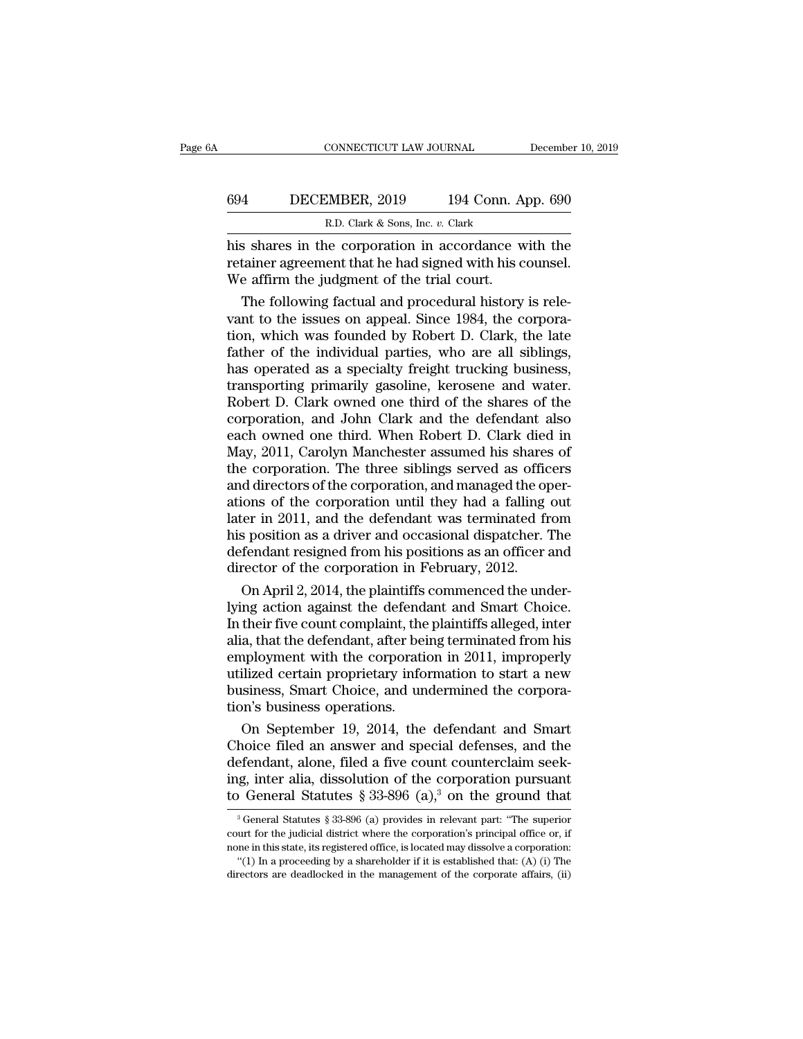# CONNECTICUT LAW JOURNAL December 10, 2019<br>694 DECEMBER, 2019 194 Conn. App. 690<br>R.D. Clark & Sons, Inc. v. Clark EXECTICUT LAW JOURNAL<br>MBER, 2019 194 Conn. A<br>R.D. Clark & Sons, Inc. *v.* Clark<br>Decornoration in accordance w

CONNECTICUT LAW JOURNAL December 10, 2019<br>
694 DECEMBER, 2019 194 Conn. App. 690<br>
R.D. Clark & Sons, Inc. v. Clark<br>
his shares in the corporation in accordance with the<br>
retainer agreement that he had signed with his couns FREE CHANGER, 2019 194 Conn. App. 690<br>R.D. Clark & Sons, Inc. v. Clark<br>his shares in the corporation in accordance with the<br>retainer agreement that he had signed with his counsel.<br>We affirm the judgment of the trial court. Media B. The Commando B. Clark & Sons, Inc. v. Clark<br>
Music Shares in the corporation in accordance wite trial court.<br>
We affirm the judgment of the trial court.<br>
The following factual and procedural history 4 DECEMBER, 2019 194 Conn. App. 690<br>
R.D. Clark & Sons, Inc.  $v$ . Clark<br>
S shares in the corporation in accordance with the<br>
tainer agreement that he had signed with his counsel.<br>
e affirm the judgment of the trial court.

R.D. Clark & Sons, Inc.  $v$ . Clark<br>his shares in the corporation in accordance with the<br>retainer agreement that he had signed with his counsel.<br>We affirm the judgment of the trial court.<br>The following factual and procedur This shares in the corporation in accordance with the<br>retainer agreement that he had signed with his counsel.<br>We affirm the judgment of the trial court.<br>The following factual and procedural history is rele-<br>vant to the iss his shares in the corporation in accordance with the<br>retainer agreement that he had signed with his counsel.<br>We affirm the judgment of the trial court.<br>The following factual and procedural history is rele-<br>vant to the issu retainer agreement that he had signed with his counsel.<br>We affirm the judgment of the trial court.<br>The following factual and procedural history is rele-<br>vant to the issues on appeal. Since 1984, the corpora-<br>tion, which wa We affirm the judgment of the trial court.<br>
The following factual and procedural history is rele-<br>
vant to the issues on appeal. Since 1984, the corpora-<br>
tion, which was founded by Robert D. Clark, the late<br>
father of the The following factual and procedural history is relevant to the issues on appeal. Since 1984, the corporation, which was founded by Robert D. Clark, the late father of the individual parties, who are all siblings, has oper vant to the issues on appeal. Since 1984, the corporation, which was founded by Robert D. Clark, the late father of the individual parties, who are all siblings, has operated as a specialty freight trucking business, trans tion, which was founded by Robert D. Clark, the late<br>father of the individual parties, who are all siblings,<br>has operated as a specialty freight trucking business,<br>transporting primarily gasoline, kerosene and water.<br>Rober father of the individual parties, who are all siblings,<br>has operated as a specialty freight trucking business,<br>transporting primarily gasoline, kerosene and water.<br>Robert D. Clark owned one third of the shares of the<br>corpo has operated as a specialty freight trucking business,<br>transporting primarily gasoline, kerosene and water.<br>Robert D. Clark owned one third of the shares of the<br>corporation, and John Clark and the defendant also<br>each owned transporting primarily gasoline, kerosene and water.<br>Robert D. Clark owned one third of the shares of the corporation, and John Clark and the defendant also<br>each owned one third. When Robert D. Clark died in<br>May, 2011, Car Robert D. Clark owned one third of the shares of the corporation, and John Clark and the defendant also each owned one third. When Robert D. Clark died in May, 2011, Carolyn Manchester assumed his shares of the corporation corporation, and John Clark and the defendant also<br>each owned one third. When Robert D. Clark died in<br>May, 2011, Carolyn Manchester assumed his shares of<br>the corporation. The three siblings served as officers<br>and directors each owned one third. When Robert D. Clark died in<br>May, 2011, Carolyn Manchester assumed his shares of<br>the corporation. The three siblings served as officers<br>and directors of the corporation, and managed the oper-<br>ations o May, 2011, Carolyn Manchester assumed his shares of<br>the corporation. The three siblings served as officers<br>and directors of the corporation, and managed the oper-<br>ations of the corporation until they had a falling out<br>late the corporation. The three siblings served as officed and directors of the corporation, and managed the opations of the corporation until they had a falling later in 2011, and the defendant was terminated from his position d directors of the corporation, and managed the oper-<br>ions of the corporation until they had a falling out<br>er in 2011, and the defendant was terminated from<br>s position as a driver and occasional dispatcher. The<br>fendant res ations of the corporation until they had a falling out<br>later in 2011, and the defendant was terminated from<br>his position as a driver and occasional dispatcher. The<br>defendant resigned from his positions as an officer and<br>di

later in 2011, and the defendant was terminated from<br>his position as a driver and occasional dispatcher. The<br>defendant resigned from his positions as an officer and<br>director of the corporation in February, 2012.<br>On April 2 his position as a driver and occasional dispatcher. The<br>defendant resigned from his positions as an officer and<br>director of the corporation in February, 2012.<br>On April 2, 2014, the plaintiffs commenced the under-<br>lying act defendant resigned from his positions as an officer and<br>director of the corporation in February, 2012.<br>On April 2, 2014, the plaintiffs commenced the under-<br>lying action against the defendant and Smart Choice.<br>In their fiv director of the corporation in February, 2012.<br>
On April 2, 2014, the plaintiffs commenced the under-<br>
lying action against the defendant and Smart Choice.<br>
In their five count complaint, the plaintiffs alleged, inter<br>
ali On April 2, 2014, the plaintiffs commenced the underlying action against the defendant and Smart Choice.<br>In their five count complaint, the plaintiffs alleged, inter alia, that the defendant, after being terminated from hi lying action against the defends<br>In their five count complaint, the<br>alia, that the defendant, after bei<br>employment with the corporation<br>utilized certain proprietary info<br>business, Smart Choice, and un<br>tion's business opera their five count complaint, the plaintiffs alleged, inter<br>a, that the defendant, after being terminated from his<br>uployment with the corporation in 2011, improperly<br>lized certain proprietary information to start a new<br>sines alia, that the defendant, after being terminated from his<br>employment with the corporation in 2011, improperly<br>utilized certain proprietary information to start a new<br>business, Smart Choice, and undermined the corpora-<br>tion

employment with the corporation in 2011, improperly<br>utilized certain proprietary information to start a new<br>business, Smart Choice, and undermined the corpora-<br>tion's business operations.<br>On September 19, 2014, the defenda utilized certain proprietary information to start a new<br>business, Smart Choice, and undermined the corpora-<br>tion's business operations.<br>On September 19, 2014, the defendant and Smart<br>Choice filed an answer and special defe business, Smart Choice, and undermined the corporation's business operations.<br>
On September 19, 2014, the defendant and Smart<br>
Choice filed an answer and special defenses, and the<br>
defendant, alone, filed a five count cou hoice filed an answer and special defenses, and the efendant, alone, filed a five count counterclaim seek-<br>g, inter alia, dissolution of the corporation pursuant<br> $\overline{O}$  General Statutes § 33-896 (a),<sup>3</sup> on the ground th defendant, alone, filed a five count counterclaim seeking, inter alia, dissolution of the corporation pursuant<br>to General Statutes § 33-896 (a),<sup>3</sup> on the ground that<br><sup>3</sup> General Statutes § 33-896 (a) provides in relevant

ing, inter alia, dissolution of the corporation pursuant<br>to General Statutes § 33-896 (a),<sup>3</sup> on the ground that<br><sup>3</sup>General Statutes § 33-896 (a) provides in relevant part: "The superior<br>court for the judicial district wh <sup>3</sup> General Statutes § 33-896 (a),<sup>3</sup> on the ground that  $\frac{3}{4}$  General statutes § 33-896 (a) provides in relevant part: "The superior wart for the judicial district where the corporation's principal office or, if me i <sup>3</sup> General Statutes § 33-896 (a) provides in relevant part: "The superior court for the judicial district where the corporation's principal office or, if none in this state, its registered office, is located may dissolve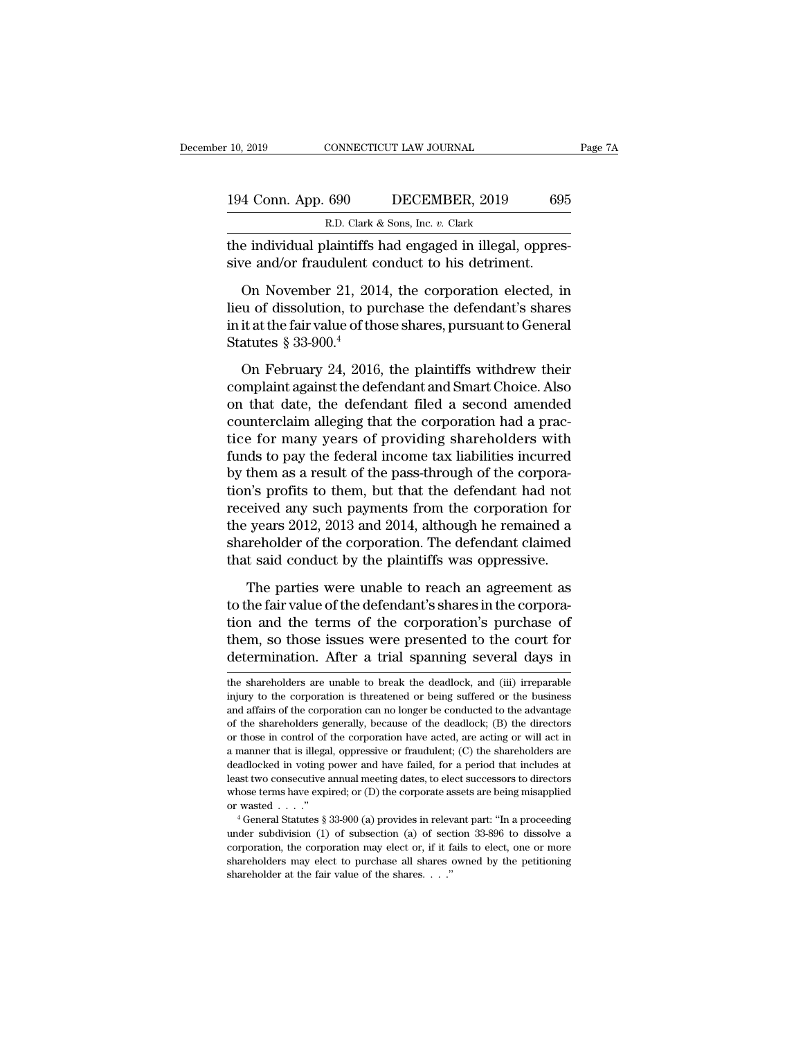| 10, 2019           | CONNECTICUT LAW JOURNAL                          |         | Page 7A |
|--------------------|--------------------------------------------------|---------|---------|
| 194 Conn. App. 690 | DECEMBER, 2019                                   | 695     |         |
|                    | R.D. Clark & Sons, Inc. v. Clark                 |         |         |
|                    | the individual plaintiffs had engaged in illegal | oppres- |         |

the individual plaintiffs had engaged in illegal, oppres-<br>individual plaintiffs had engaged in illegal, oppres-<br>sive and/or fraudulent conduct to his detriment. 194 Conn. App. 690 DECEMBER, 2019 698<br>
R.D. Clark & Sons, Inc. v. Clark<br>
the individual plaintiffs had engaged in illegal, oppres<br>
sive and/or fraudulent conduct to his detriment.<br>
On November 21, 2014, the corporation ele

4 Conn. App. 690 DECEMBER, 2019 695<br>
R.D. Clark & Sons, Inc. v. Clark<br>
e individual plaintiffs had engaged in illegal, oppres-<br>
ve and/or fraudulent conduct to his detriment.<br>
On November 21, 2014, the corporation elected 194 Conn. App. 690 DECEMBER, 2019 695<br>
R.D. Clark & Sons, Inc. v. Clark<br>
the individual plaintiffs had engaged in illegal, oppressive and/or fraudulent conduct to his detriment.<br>
On November 21, 2014, the corporation elec R.D. Clark & Sons, Inc. v. Clark<br>the individual plaintiffs had engaged in illegal, oppres-<br>sive and/or fraudulent conduct to his detriment.<br>On November 21, 2014, the corporation elected, in<br>lieu of dissolution, to purchas the individual plaintiffs l<br>sive and/or fraudulent c<br>On November 21, 201<br>lieu of dissolution, to pu<br>in it at the fair value of the<br>Statutes  $\S 33-900.^4$ <br>On February 24, 2016 ve and/or fraudulent conduct to his detriment.<br>
On November 21, 2014, the corporation elected, in<br>
u of dissolution, to purchase the defendant's shares<br>
it at the fair value of those shares, pursuant to General<br>
atutes § 3 On November 21, 2014, the corporation elected, in<br>lieu of dissolution, to purchase the defendant's shares<br>in it at the fair value of those shares, pursuant to General<br>Statutes  $\S 33-900.<sup>4</sup>$ <br>On February 24, 2016, the p

dependent of dissolution, to purchase the defendant's shares<br>in it at the fair value of those shares, pursuant to General<br>Statutes § 33-900.<sup>4</sup><br>On February 24, 2016, the plaintiffs withdrew their<br>complaint against the def Example in it at the fair value of those shares, pursuant to General<br>Statutes § 33-900.<sup>4</sup><br>On February 24, 2016, the plaintiffs withdrew their<br>complaint against the defendant and Smart Choice. Also<br>on that date, the defend Statutes  $\S 33-900.^4$ <br>On February 24, 2016, the plaintiffs withdrew their<br>complaint against the defendant and Smart Choice. Also<br>on that date, the defendant filed a second amended<br>counterclaim alleging that the corporatio on February 24, 2016, the plaintiffs withdrew their<br>complaint against the defendant and Smart Choice. Also<br>on that date, the defendant filed a second amended<br>counterclaim alleging that the corporation had a prac-<br>tice for On February 24, 2016, the plaintiffs withdrew their<br>complaint against the defendant and Smart Choice. Also<br>on that date, the defendant filed a second amended<br>counterclaim alleging that the corporation had a prac-<br>tice for complaint against the defendant and Smart Choice. Also<br>on that date, the defendant filed a second amended<br>counterclaim alleging that the corporation had a prac-<br>tice for many years of providing shareholders with<br>funds to p on that date, the defendant filed a second amended<br>counterclaim alleging that the corporation had a prac-<br>tice for many years of providing shareholders with<br>funds to pay the federal income tax liabilities incurred<br>by them counterclaim alleging that the corporation had a practice for many years of providing shareholders with<br>funds to pay the federal income tax liabilities incurred<br>by them as a result of the pass-through of the corpora-<br>tion' tice for many years of providing shareholders with<br>funds to pay the federal income tax liabilities incurred<br>by them as a result of the pass-through of the corpora-<br>tion's profits to them, but that the defendant had not<br>rec funds to pay the federal income tax liabilities incurred<br>by them as a result of the pass-through of the corpora-<br>tion's profits to them, but that the defendant had not<br>received any such payments from the corporation for<br>th n's profits to them, but that the defendant had not<br>eived any such payments from the corporation for<br>years 2012, 2013 and 2014, although he remained a<br>areholder of the corporation. The defendant claimed<br>t said conduct by t received any such payments from the corporation for<br>the years 2012, 2013 and 2014, although he remained a<br>shareholder of the corporation. The defendant claimed<br>that said conduct by the plaintiffs was oppressive.<br>The partie

the years 2012, 2013 and 2014, although he remained a<br>shareholder of the corporation. The defendant claimed<br>that said conduct by the plaintiffs was oppressive.<br>The parties were unable to reach an agreement as<br>to the fair v shareholder of the corporation. The defendant claimed<br>that said conduct by the plaintiffs was oppressive.<br>The parties were unable to reach an agreement as<br>to the fair value of the defendant's shares in the corpora-<br>tion an that said conduct by the plaintiffs was oppressive.<br>The parties were unable to reach an agreement as<br>to the fair value of the defendant's shares in the corpora-<br>tion and the terms of the corporation's purchase of<br>them, so to the fair value of the defendant s shares in the corporation<br>tion and the terms of the corporation's purchase of<br>them, so those issues were presented to the court for<br>determination. After a trial spanning several days in tion and the terms of the corporation's purchase of them, so those issues were presented to the court for determination. After a trial spanning several days in the shareholders are unable to break the deadlock, and (iii)

them, so those issues were presented to the court for determination. After a trial spanning several days in the shareholders are unable to break the deadlock, and (iii) irreparable injury to the corporation is threatened o determination. After a trial spanning several days in<br>the shareholders are unable to break the deadlock, and (iii) irreparable<br>injury to the corporation is threatened or being suffered or the business<br>and affairs of the co The shareholders are unable to break the deadlock, and (iii) irreparable injury to the corporation is threatened or being suffered or the business and affairs of the corporation can no longer be conducted to the advantage the shareholders are unable to break the deadlock, and (iii) irreparable<br>injury to the corporation is threatened or being suffered or the business<br>and affairs of the corporation can no longer be conducted to the advantage<br> deadlocked in voting power and have failed, for a period that includes at the business and affairs of the corporation can no longer be conducted to the advantage of the shareholders generally, because of the deadlock; (B) and affairs of the corporation can no longer be conducted to the advantage of the shareholders generally, because of the deadlock; (B) the directors or those in control of the corporation have acted, are acting or will ac of the shareholders generally, because of the deadlock; (B) the directors or those in control of the corporation have acted, are acting or will act in a manner that is illegal, oppressive or fraudulent; (C) the shareholde or those in control of the corporation have acted, are acting or will act in a manner that is illegal, oppressive or fraudulent; (C) the shareholders are deadlocked in voting power and have failed, for a period that inclu deadlocked in voting power and have failed, for a period that includes at least two consecutive annual meeting dates, to elect successors to directors whose terms have expired; or (D) the corporate assets are being misapp

corporation, the corporation may elect or, if it fails to elect, one or more shareholders may elect or, if it fails to elect, one or more shareholders may elect to purchase all shares owned by the petitioning under subdiv shareholders may elect to purchase all shares owned by the petitioning shareholders may elect to purchase all shares owned by the petitioning shareholders may elect to purchase all shares owned by the petitioning sharehol whose terms have expired; or (D) the corporate assets are being misapplied or wasted . . . ."<br>
"General Statutes § 33-900 (a) provides in relevant part: "In a proceeding under subdivision (1) of subsection (a) of section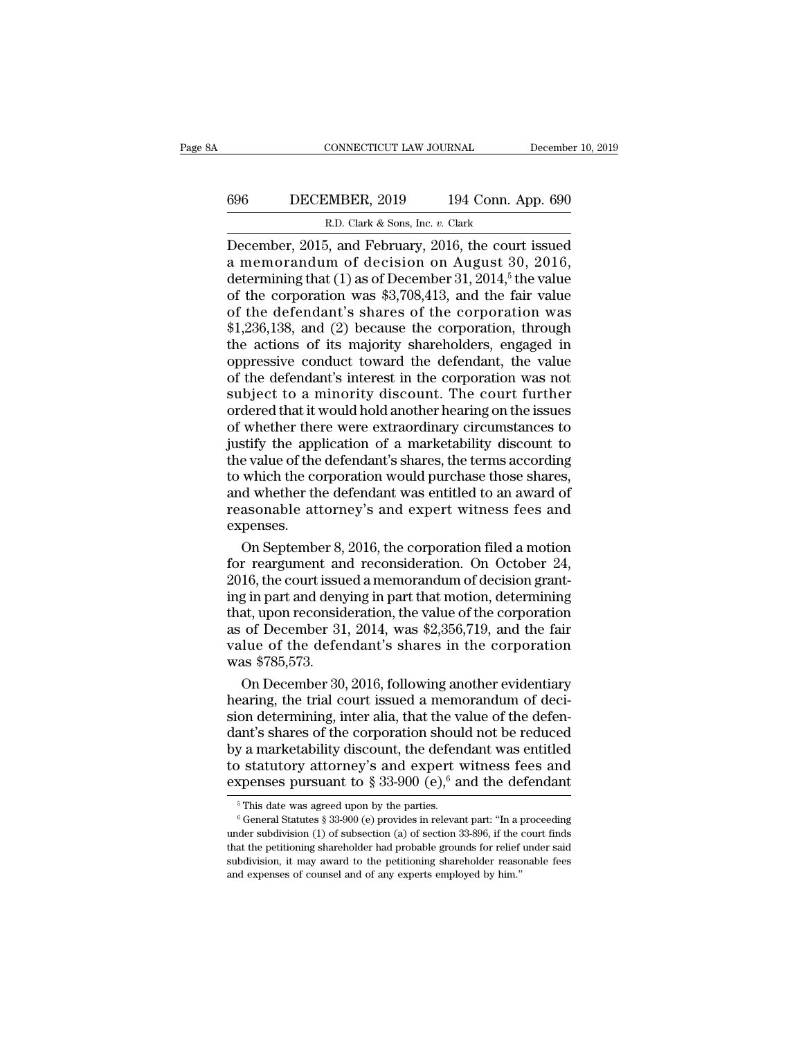# CONNECTICUT LAW JOURNAL December 10, 2019<br>696 DECEMBER, 2019 194 Conn. App. 690<br>R.D. Clark & Sons, Inc. v. Clark ECONNECTICUT LAW JOURNAL<br>2019 194 Conn. A<br>R.D. Clark & Sons, Inc. *v.* Clark<br>5 and February 2016, the court

CONNECTICUT LAW JOURNAL December 10, 2019<br>
BECEMBER, 2019 194 Conn. App. 690<br>
R.D. Clark & Sons, Inc. v. Clark<br>
December, 2015, and February, 2016, the court issued<br>
a memorandum of decision on August 30, 2016,<br>
determini 696 DECEMBER, 2019 194 Conn. App. 690<br>R.D. Clark & Sons, Inc. v. Clark<br>December, 2015, and February, 2016, the court issued<br>a memorandum of decision on August 30, 2016,<br>determining that (1) as of December 31, 2014,<sup>5</sup> the **696** DECEMBER, 2019 194 Conn. App. 690<br>
R.D. Clark & Sons, Inc. v. Clark<br>
December, 2015, and February, 2016, the court issued<br>
a memorandum of decision on August 30, 2016,<br>
determining that (1) as of December 31, 2014,<sup></sup> **696** DECEMBER, 2019 194 Conn. App. 690<br>
R.D. Clark & Sons, Inc. v. Clark<br>
December, 2015, and February, 2016, the court issued<br>
a memorandum of decision on August 30, 2016,<br>
determining that (1) as of December 31, 2014,<sup></sup> **EXEMBER, 2019** 134 Colut. App. 050<br>
R.D. Clark & Sons, Inc. v. Clark<br>
December, 2015, and February, 2016, the court issued<br>
a memorandum of decision on August 30, 2016,<br>
determining that (1) as of December 31, 2014,<sup>5</sup> t R.D. Clark & Sons, Inc. v. Clark<br>December, 2015, and February, 2016, the court issued<br>a memorandum of decision on August 30, 2016,<br>determining that (1) as of December 31, 2014,<sup>5</sup> the value<br>of the corporation was \$3,708,4 December, 2015, and February, 2016, the court issued<br>a memorandum of decision on August 30, 2016,<br>determining that (1) as of December 31, 2014,<sup>5</sup> the value<br>of the corporation was \$3,708,413, and the fair value<br>of the defe a memorandum of decision on August 30, 2016,<br>determining that (1) as of December 31, 2014,<sup>5</sup> the value<br>of the corporation was \$3,708,413, and the fair value<br>of the defendant's shares of the corporation was<br>\$1,236,138, an determining that (1) as of December 31, 2014,<sup>5</sup> the value<br>of the corporation was \$3,708,413, and the fair value<br>of the defendant's shares of the corporation was<br>\$1,236,138, and (2) because the corporation, through<br>the act of the corporation was \$3,708,413, and the fair value<br>of the defendant's shares of the corporation was<br>\$1,236,138, and (2) because the corporation, through<br>the actions of its majority shareholders, engaged in<br>oppressive co of the defendant's shares of the corporation was<br>\$1,236,138, and (2) because the corporation, through<br>the actions of its majority shareholders, engaged in<br>oppressive conduct toward the defendant, the value<br>of the defendant \$1,236,138, and (2) because the corporation, through<br>the actions of its majority shareholders, engaged in<br>oppressive conduct toward the defendant, the value<br>of the defendant's interest in the corporation was not<br>subject to the actions of its majority shareholders, engaged in<br>oppressive conduct toward the defendant, the value<br>of the defendant's interest in the corporation was not<br>subject to a minority discount. The court further<br>ordered that oppressive conduct toward the defendant, the value<br>of the defendant's interest in the corporation was not<br>subject to a minority discount. The court further<br>ordered that it would hold another hearing on the issues<br>of whethe of the defendant's interest in the corporation was not<br>subject to a minority discount. The court further<br>ordered that it would hold another hearing on the issues<br>of whether there were extraordinary circumstances to<br>justify subject to a minority discount. The court further<br>ordered that it would hold another hearing on the issues<br>of whether there were extraordinary circumstances to<br>justify the application of a marketability discount to<br>the val ordered that it would hold another hearing on the issues<br>of whether there were extraordinary circumstances to<br>justify the application of a marketability discount to<br>the value of the defendant's shares, the terms according<br> expenses. stify the application of a marketability discount to<br>e value of the defendant's shares, the terms according<br>which the corporation would purchase those shares,<br>d whether the defendant was entitled to an award of<br>asonable at the value of the defendant's shares, the terms according<br>to which the corporation would purchase those shares,<br>and whether the defendant was entitled to an award of<br>reasonable attorney's and expert witness fees and<br>expense

to which the corporation would purchase those shares,<br>and whether the defendant was entitled to an award of<br>reasonable attorney's and expert witness fees and<br>expenses.<br>On September 8, 2016, the corporation filed a motion<br>f and whether the defendant was entitled to an award of<br>reasonable attorney's and expert witness fees and<br>expenses.<br>On September 8, 2016, the corporation filed a motion<br>for reargument and reconsideration. On October 24,<br>2016 reasonable attorney's and expert witness fees and<br>expenses.<br>On September 8, 2016, the corporation filed a motion<br>for reargument and reconsideration. On October 24,<br>2016, the court issued a memorandum of decision grant-<br>ing expenses.<br>
On September 8, 2016, the corporation filed a motion<br>
for reargument and reconsideration. On October 24,<br>
2016, the court issued a memorandum of decision grant-<br>
ing in part and denying in part that motion, dete On September 8, 2016, the corporation filed a motion<br>for reargument and reconsideration. On October 24,<br>2016, the court issued a memorandum of decision grant-<br>ing in part and denying in part that motion, determining<br>that, for reargument an<br>2016, the court issue<br>ing in part and deny<br>that, upon reconsid<br>as of December 31<br>value of the defer<br>was \$785,573.<br>On December 30, 16, the court issued a memorandum of decision grant-<br>g in part and denying in part that motion, determining<br>at, upon reconsideration, the value of the corporation<br>of December 31, 2014, was \$2,356,719, and the fair<br>lue of ing in part and denying in part that motion, determining<br>that, upon reconsideration, the value of the corporation<br>as of December 31, 2014, was \$2,356,719, and the fair<br>value of the defendant's shares in the corporation<br>was

that, upon reconsideration, the value of the corporation<br>as of December 31, 2014, was \$2,356,719, and the fair<br>value of the defendant's shares in the corporation<br>was \$785,573.<br>On December 30, 2016, following another eviden as of December 31, 2014, was \$2,356,719, and the fair<br>value of the defendant's shares in the corporation<br>was \$785,573.<br>On December 30, 2016, following another evidentiary<br>hearing, the trial court issued a memorandum of dec value of the defendant's shares in the corporation<br>was \$785,573.<br>On December 30, 2016, following another evidentiary<br>hearing, the trial court issued a memorandum of deci-<br>sion determining, inter alia, that the value of th was \$785,573.<br>
On December 30, 2016, following another evidentiary<br>
hearing, the trial court issued a memorandum of deci-<br>
sion determining, inter alia, that the value of the defen-<br>
dant's shares of the corporation shoul On December 30, 2016, following another evidentiary<br>hearing, the trial court issued a memorandum of deci-<br>sion determining, inter alia, that the value of the defen-<br>dant's shares of the corporation should not be reduced<br>b dant's shares of the corporation should not be reduced<br>by a marketability discount, the defendant was entitled<br>to statutory attorney's and expert witness fees and<br>expenses pursuant to § 33-900 (e),<sup>6</sup> and the defendant<br> $\$ 

to statutory attorney's and expert witness fees and<br>expenses pursuant to § 33-900 (e),<sup>6</sup> and the defendant<br><sup>5</sup>This date was agreed upon by the parties.<br><sup>6</sup>General Statutes § 33-900 (e) provides in relevant part: "In a pr Experience in the petitioning shareholder had probable grounds for relief under subdivision (1) of subsection (a) of section 33-896, if the court finds that the petitioning shareholder had probable grounds for relief unde Experises pursuant to  $\frac{1}{8}$  33-900 (e), and the deferred and  $\frac{1}{6}$  This date was agreed upon by the parties.<br>
<sup>6</sup> General Statutes § 33-900 (e) provides in relevant part: "In a proceeding under subdivision (1) of <sup>6</sup> General Statutes § 33-900 (e) provides in relevant part: "In a proceeding under subdivision (1) of subsection (a) of section 33-896, if the court finds that the petitioning shareholder had probable grounds for relief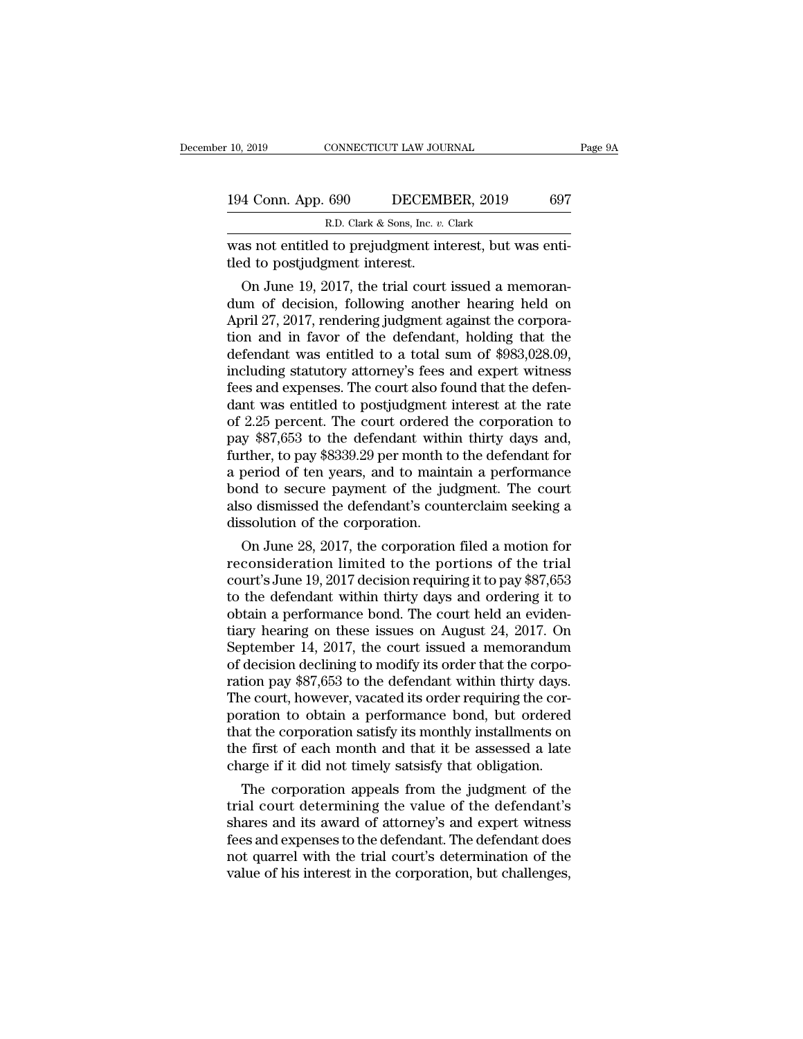| 10, 2019           | CONNECTICUT LAW JOURNAL                                | Page 9A |
|--------------------|--------------------------------------------------------|---------|
| 194 Conn. App. 690 | DECEMBER, 2019                                         | 697     |
|                    | R.D. Clark & Sons, Inc. v. Clark                       |         |
|                    | was not entitled to prejudøment interest hut was enti- |         |

10, 2019 CONNECTICUT LAW JOURNAL<br>
194 Conn. App. 690 DECEMBER, 2019 697<br>
R.D. Clark & Sons, Inc. v. Clark<br>
Was not entitled to prejudgment interest, but was enti-<br>
tled to postjudgment interest. 194 Conn. App. 690 DECEME<br>
R.D. Clark & Sons, Inc. v.<br>
was not entitled to prejudgment interest.<br>
On June 19, 2017, the trial court

4 Conn. App. 690 DECEMBER, 2019 697<br>
R.D. Clark & Sons, Inc. *v.* Clark<br>
as not entitled to prejudgment interest, but was enti-<br>
d to postjudgment interest.<br>
On June 19, 2017, the trial court issued a memoran-<br>
m of decisi 194 Conn. App. 690 DECEMBER, 2019 697<br>
R.D. Clark & Sons, Inc. v. Clark<br>
was not entitled to prejudgment interest, but was enti-<br>
tled to postjudgment interest.<br>
On June 19, 2017, the trial court issued a memoran-<br>
dum of R.D. Clark & Sons, Inc. v. Clark<br>was not entitled to prejudgment interest, but was enti-<br>tled to postjudgment interest.<br>On June 19, 2017, the trial court issued a memoran-<br>dum of decision, following another hearing held o was not entitled to prejudgment interest, but was enti-<br>tled to postjudgment interest.<br>On June 19, 2017, the trial court issued a memoran-<br>dum of decision, following another hearing held on<br>April 27, 2017, rendering judgme was not entitied to prejudgment interest, but was entitled to postjudgment interest.<br>
On June 19, 2017, the trial court issued a memoran-<br>
dum of decision, following another hearing held on<br>
April 27, 2017, rendering judgm tied to postjudgment interest.<br>
On June 19, 2017, the trial court issued a memoran-<br>
dum of decision, following another hearing held on<br>
April 27, 2017, rendering judgment against the corpora-<br>
tion and in favor of the def On June 19, 2017, the trial court issued a memorandum of decision, following another hearing held on April 27, 2017, rendering judgment against the corporation and in favor of the defendant, holding that the defendant was dum of decision, following another hearing held on<br>April 27, 2017, rendering judgment against the corpora-<br>tion and in favor of the defendant, holding that the<br>defendant was entitled to a total sum of \$983,028.09,<br>includin April 27, 2017, rendering judgment against the corporation and in favor of the defendant, holding that the defendant was entitled to a total sum of \$983,028.09, including statutory attorney's fees and expert witness fees a tion and in favor of the defendant, holding that the<br>defendant was entitled to a total sum of \$983,028.09,<br>including statutory attorney's fees and expert witness<br>fees and expenses. The court also found that the defen-<br>dant defendant was entitled to a total sum of \$983,028.09,<br>including statutory attorney's fees and expert witness<br>fees and expenses. The court also found that the defen-<br>dant was entitled to postjudgment interest at the rate<br>of including statutory attorney's fees and expert witness<br>fees and expenses. The court also found that the defen-<br>dant was entitled to postjudgment interest at the rate<br>of 2.25 percent. The court ordered the corporation to<br>pa fees and expenses. The court also found that the defen-<br>dant was entitled to postjudgment interest at the rate<br>of 2.25 percent. The court ordered the corporation to<br>pay \$87,653 to the defendant within thirty days and,<br>furt dant was entitled to postjudgment interest at the rate<br>of 2.25 percent. The court ordered the corporation to<br>pay \$87,653 to the defendant within thirty days and,<br>further, to pay \$8339.29 per month to the defendant for<br>a pe of 2.25 percent. The court ordered<br>pay \$87,653 to the defendant withi<br>further, to pay \$8339.29 per month to<br>a period of ten years, and to maint<br>bond to secure payment of the jua<br>also dismissed the defendant's cour<br>dissolut y \$87,003 to the detendant within thirty days and,<br>trher, to pay \$8339.29 per month to the defendant for<br>period of ten years, and to maintain a performance<br>md to secure payment of the judgment. The court<br>so dismissed the rurther, to pay \$8339.29 per month to the defendant for<br>a period of ten years, and to maintain a performance<br>bond to secure payment of the judgment. The court<br>also dismissed the defendant's counterclaim seeking a<br>dissoluti

a period of ten years, and to maintain a performance<br>bond to secure payment of the judgment. The court<br>also dismissed the defendant's counterclaim seeking a<br>dissolution of the corporation.<br>On June 28, 2017, the corporation from to secure payment of the judgment. The court<br>also dismissed the defendant's counterclaim seeking a<br>dissolution of the corporation.<br>On June 28, 2017, the corporation filed a motion for<br>reconsideration limited to the p also dismissed the defendant s counterclaim seeking a<br>dissolution of the corporation.<br>On June 28, 2017, the corporation filed a motion for<br>reconsideration limited to the portions of the trial<br>court's June 19, 2017 decision dissolution of the corporation.<br>
On June 28, 2017, the corporation filed a motion for<br>
reconsideration limited to the portions of the trial<br>
court's June 19, 2017 decision requiring it to pay \$87,653<br>
to the defendant with On June 28, 2017, the corporation filed a motion for<br>reconsideration limited to the portions of the trial<br>court's June 19, 2017 decision requiring it to pay \$87,653<br>to the defendant within thirty days and ordering it to<br>o reconsideration limited to the portions of the trial<br>court's June 19, 2017 decision requiring it to pay \$87,653<br>to the defendant within thirty days and ordering it to<br>obtain a performance bond. The court held an eviden-<br>ti court's June 19, 2017 decision requiring it to pay \$87,653<br>to the defendant within thirty days and ordering it to<br>obtain a performance bond. The court held an eviden-<br>tiary hearing on these issues on August 24, 2017. On<br>Se to the defendant within thirty days and ordering it to obtain a performance bond. The court held an evidentiary hearing on these issues on August 24, 2017. On September 14, 2017, the court issued a memorandum of decision d obtain a performance bond. The court held an evidentiary hearing on these issues on August 24, 2017. On<br>September 14, 2017, the court issued a memorandum<br>of decision declining to modify its order that the corpo-<br>ration pay tiary hearing on these issues on August 24, 2017. On<br>September 14, 2017, the court issued a memorandum<br>of decision declining to modify its order that the corpo-<br>ration pay \$87,653 to the defendant within thirty days.<br>The c September 14, 2017, the court issued a memorandum<br>of decision declining to modify its order that the corpo-<br>ration pay \$87,653 to the defendant within thirty days.<br>The court, however, vacated its order requiring the cor-<br>p of decision declining to modify its order that the corporation pay \$87,653 to the defendant within thirty days.<br>The court, however, vacated its order requiring the corporation to obtain a performance bond, but ordered that The court, however, vacated its order requiring the corration to obtain a performance bond, but ordered at the corporation satisfy its monthly installments on<br>e first of each month and that it be assessed a late<br>arge if it The court, nowever, vacated its order requiring the cor-<br>poration to obtain a performance bond, but ordered<br>that the corporation satisfy its monthly installments on<br>the first of each month and that it be assessed a late<br>ch

poration to obtain a performance bond, but ordered<br>that the corporation satisfy its monthly installments on<br>the first of each month and that it be assessed a late<br>charge if it did not timely satsisfy that obligation.<br>The c the first of each month and that it be assessed a late<br>charge if it did not timely satsisfy that obligation.<br>The corporation appeals from the judgment of the<br>trial court determining the value of the defendant's<br>shares and the first of each month and that it be assessed a late<br>charge if it did not timely satsisfy that obligation.<br>The corporation appeals from the judgment of the<br>trial court determining the value of the defendant's<br>shares and charge II It did not timely satsisty that obilgation.<br>The corporation appeals from the judgment of the<br>trial court determining the value of the defendant's<br>shares and its award of attorney's and expert witness<br>fees and exp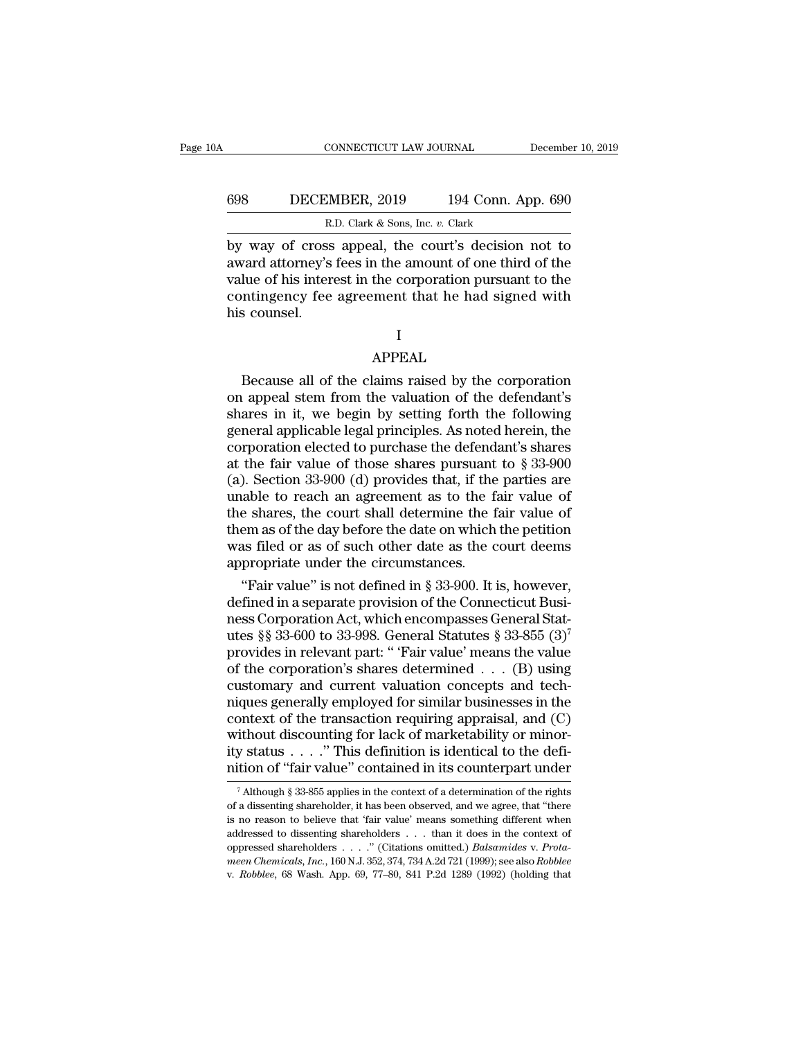# CONNECTICUT LAW JOURNAL December 10, 2019<br>698 DECEMBER, 2019 194 Conn. App. 690<br>R.D. Clark & Sons, Inc. v. Clark CONNECTICUT LAW JOURNAL<br>MBER, 2019 194 Conn. A<br>R.D. Clark & Sons, Inc. *v.* Clark<br>ss\_anneal\_the\_court's\_decision

CONNECTICUT LAW JOURNAL December 10, 2019<br>
BECEMBER, 2019 194 Conn. App. 690<br>
R.D. Clark & Sons, Inc. v. Clark<br>
by way of cross appeal, the court's decision not to<br>
award attorney's fees in the amount of one third of the<br> EDET COMBER, 2019 194 Conn. App. 690<br>
R.D. Clark & Sons, Inc. v. Clark<br>
by way of cross appeal, the court's decision not to<br>
award attorney's fees in the amount of one third of the<br>
value of his interest in the corporation EXEMBER, 2019 194 Conn. App. 690<br>
R.D. Clark & Sons, Inc. v. Clark<br>
by way of cross appeal, the court's decision not to<br>
award attorney's fees in the amount of one third of the<br>
value of his interest in the corporation pu ECEMBER, 2019 194 Conn. App. 690<br>
R.D. Clark & Sons, Inc. v. Clark<br>
by way of cross appeal, the court's decision not to<br>
award attorney's fees in the amount of one third of the<br>
value of his interest in the corporation pu here are the same of the same of the same of this inter-<br>this counsel.<br>Also counsel. lue of his interest in the corporation pursuant to the<br>ntingency fee agreement that he had signed with<br>s counsel.<br>I<br>APPEAL<br>Because all of the claims raised by the corporation<br>appeal stem from the valuation of the defendant

I

#### APPEAL

contingency fee agreement that he had signed with<br>his counsel.<br>I<br>APPEAL<br>Because all of the claims raised by the corporation<br>on appeal stem from the valuation of the defendant's<br>shares in it, we begin by setting forth the f I<br>
Shares in it, we begin by the corporation<br>
appeal stem from the valuation of the defendant's<br>
shares in it, we begin by setting forth the following<br>
general applicable legal principles. As noted herein, the<br>
corporation I<br>APPEAL<br>Because all of the claims raised by the corporation<br>on appeal stem from the valuation of the defendant's<br>shares in it, we begin by setting forth the following<br>general applicable legal principles. As noted herein, APPEAL<br>Because all of the claims raised by the corporation<br>on appeal stem from the valuation of the defendant's<br>shares in it, we begin by setting forth the following<br>general applicable legal principles. As noted herein, t APPEAL<br>Because all of the claims raised by the corporation<br>on appeal stem from the valuation of the defendant's<br>shares in it, we begin by setting forth the following<br>general applicable legal principles. As noted herein, t Because all of the claims raised by the corporation<br>on appeal stem from the valuation of the defendant's<br>shares in it, we begin by setting forth the following<br>general applicable legal principles. As noted herein, the<br>corp on appeal stem from the valuation of the defendant's<br>shares in it, we begin by setting forth the following<br>general applicable legal principles. As noted herein, the<br>corporation elected to purchase the defendant's shares<br>a shares in it, we begin by setting forth the following<br>general applicable legal principles. As noted herein, the<br>corporation elected to purchase the defendant's shares<br>at the fair value of those shares pursuant to  $\S 33-90$ general applicable legal principles. As noted herein, the<br>corporation elected to purchase the defendant's shares<br>at the fair value of those shares pursuant to § 33-900<br>(a). Section 33-900 (d) provides that, if the parties corporation elected to purchase the defendant's shares<br>at the fair value of those shares pursuant to  $\S 33-900$ <br>(a). Section 33-900 (d) provides that, if the parties are<br>unable to reach an agreement as to the fair value o at the fair value of those shares pursuant<br>(a). Section 33-900 (d) provides that, if the<br>unable to reach an agreement as to the fa<br>the shares, the court shall determine the f<br>them as of the day before the date on which<br>was ). Section 33-900 (d) provides that, if the parties are able to reach an agreement as to the fair value of e shares, the court shall determine the fair value of em as of the day before the date on which the petition as fi unable to reach an agreement as to the fair value of<br>the shares, the court shall determine the fair value of<br>them as of the day before the date on which the petition<br>was filed or as of such other date as the court deems<br>a

the shares, the court shall determine the fair value of<br>them as of the day before the date on which the petition<br>was filed or as of such other date as the court deems<br>appropriate under the circumstances.<br>"Fair value" is n them as of the day before the date on which the petition<br>was filed or as of such other date as the court deems<br>appropriate under the circumstances.<br>"Fair value" is not defined in § 33-900. It is, however,<br>defined in a sep was filed or as of such other date as the court deems<br>appropriate under the circumstances.<br>
"Fair value" is not defined in § 33-900. It is, however,<br>
defined in a separate provision of the Connecticut Busi-<br>
ness Corporat appropriate under the circumstances.<br>
"Fair value" is not defined in § 33-900. It is, however,<br>
defined in a separate provision of the Connecticut Busi-<br>
ness Corporation Act, which encompasses General Stat-<br>
utes §§ 33-6 "Fair value" is not defined in § 33-900. It is, however,<br>defined in a separate provision of the Connecticut Busi-<br>ness Corporation Act, which encompasses General Stat-<br>utes §§ 33-600 to 33-998. General Statutes § 33-855 ( defined in a separate provision of the Connecticut Busi-<br>ness Corporation Act, which encompasses General Stat-<br>utes §§ 33-600 to 33-998. General Statutes § 33-855 (3)<sup>7</sup><br>provides in relevant part: "Fair value' means the va ness Corporation Act, which encompasses General Stat-<br>utes §§ 33-600 to 33-998. General Statutes § 33-855 (3)<sup>7</sup><br>provides in relevant part: "Fair value' means the value<br>of the corporation's shares determined . . . (B) usin utes §§ 33-600 to 33-998. General Statutes § 33-855 (3)<sup>7</sup> provides in relevant part: " 'Fair value' means the value of the corporation's shares determined . . . (B) using customary and current valuation concepts and tech provides in relevant part: "Fair value' means the value<br>of the corporation's shares determined . . . (B) using<br>customary and current valuation concepts and tech-<br>niques generally employed for similar businesses in the<br>con of the corporation's shares determined . . . (B) using<br>customary and current valuation concepts and tech-<br>niques generally employed for similar businesses in the<br>context of the transaction requiring appraisal, and (C)<br>wit ontext of the transaction requiring appraisal, and (C) ithout discounting for lack of marketability or minor-<br>y status . . . ." This definition is identical to the defi-<br>tion of "fair value" contained in its counterpart u without discounting for lack of marketability or minority status . . . . " This definition is identical to the definition of "fair value" contained in its counterpart under  $\frac{7}{4}$  Although § 33-855 applies in the conte

ity status . . . . " This definition is identical to the definition of "fair value" contained in its counterpart under  $\frac{1}{4}$  Although § 33-855 applies in the context of a determination of the rights of a dissenting sh addressed to dissenting shareholders . . . . Thus defined in its counterpart under<br>This definition of "fair value" contained in its counterpart under<br>of a dissenting shareholder, it has been observed, and we agree, that " Thutoff Of Tair Vatue Contrained in its counterpart under<br>
<sup>7</sup> Although § 33-855 applies in the context of a determination of the rights<br>
of a dissenting shareholder, it has been observed, and we agree, that "there<br>
is no <sup>7</sup> Although § 33-855 applies in the context of a determination of the rights of a dissenting shareholder, it has been observed, and we agree, that "there is no reason to believe that "fair value" means something differen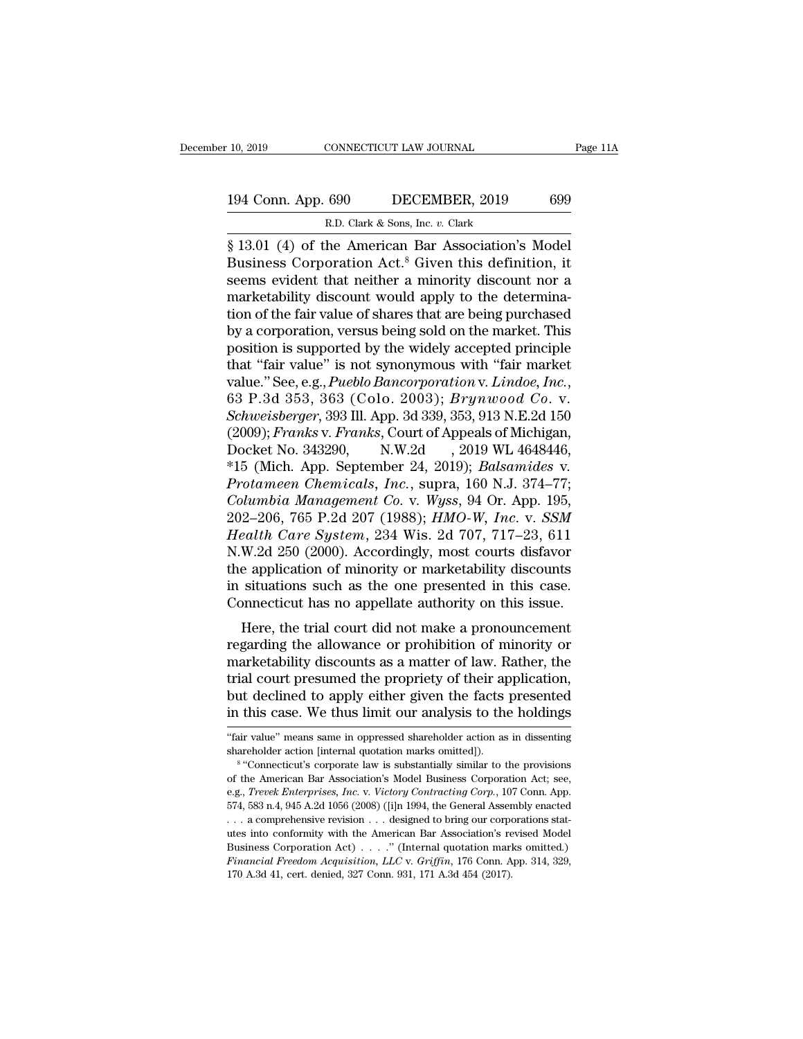# 10, 2019 CONNECTICUT LAW JOURNAL Page 11A<br>194 Conn. App. 690 DECEMBER, 2019 699<br>R.D. Clark & Sons, Inc. v. Clark CONNECTICUT LAW JOURNAL<br>
690 DECEMBER, 2019<br>
R.D. Clark & Sons, Inc. *v.* Clark<br>
he American Bar Association's

Fage 1<br>
10, 2019 CONNECTICUT LAW JOURNAL Page 1<br>
194 Conn. App. 690 DECEMBER, 2019 699<br>
R.D. Clark & Sons, Inc. v. Clark<br>
§ 13.01 (4) of the American Bar Association's Model<br>
Business Corporation Act.<sup>8</sup> Given this definit 194 Conn. App. 690 DECEMBER, 2019 699<br>
R.D. Clark & Sons, Inc. v. Clark<br>
§ 13.01 (4) of the American Bar Association's Model<br>
Business Corporation Act.<sup>8</sup> Given this definition, it<br>
seems evident that neither a minority d 194 Conn. App. 690 DECEMBER, 2019 699<br>
R.D. Clark & Sons, Inc. v. Clark<br>
§ 13.01 (4) of the American Bar Association's Model<br>
Business Corporation Act.<sup>8</sup> Given this definition, it<br>
seems evident that neither a minority d 194 Conn. App. 690 DECEMBER, 2019 699<br>
R.D. Clark & Sons, Inc. v. Clark<br>
§ 13.01 (4) of the American Bar Association's Model<br>
Business Corporation Act.<sup>8</sup> Given this definition, it<br>
seems evident that neither a minority d R.D. Clark & Sons, Inc. v. Clark<br>  $\frac{1}{2}$  13.01 (4) of the American Bar Association's Model<br>
Business Corporation Act.<sup>8</sup> Given this definition, it<br>
seems evident that neither a minority discount nor a<br>
marketability di B. Clark & Sons, lnc. v. Clark<br>
§ 13.01 (4) of the American Bar Association's Model<br>
Business Corporation Act.<sup>8</sup> Given this definition, it<br>
seems evident that neither a minority discount nor a<br>
marketability discount wou § 13.01 (4) of the American Bar Association's Model<br>Business Corporation Act.<sup>8</sup> Given this definition, it<br>seems evident that neither a minority discount nor a<br>marketability discount would apply to the determina-<br>tion of Business Corporation Act.<sup>8</sup> Given this definition, it<br>seems evident that neither a minority discount nor a<br>marketability discount would apply to the determina-<br>tion of the fair value of shares that are being purchased<br>by seems evident that neither a minority discount nor a<br>marketability discount would apply to the determina-<br>tion of the fair value of shares that are being purchased<br>by a corporation, versus being sold on the market. This<br>po by a corporation, versus being sold on the market. This<br>position is supported by the widely accepted principle<br>that "fair value" is not synonymous with "fair market<br>value." See, e.g., *Pueblo Bancorporation* v. *Lindoe*, position is supported by the widely accepted principle<br>that "fair value" is not synonymous with "fair market<br>value." See, e.g., *Pueblo Bancorporation v. Lindoe, Inc.*,<br>63 P.3d 353, 363 (Colo. 2003); *Brynwood Co. v.*<br>*Sch* that "fair value" is not synonymous with "fair market<br>value." See, e.g., *Pueblo Bancorporation* v. *Lindoe*, *Inc.*,<br>63 P.3d 353, 363 (Colo. 2003); *Brynwood Co.* v.<br>*Schweisberger*, 393 Ill. App. 3d 339, 353, 913 N.E.2d 63 P.3d 353, 363 (Colo. 2003); *Brynwood Co. v.*<br> *Schweisberger*, 393 Ill. App. 3d 339, 353, 913 N.E.2d 150<br>
(2009); *Franks v. Franks*, Court of Appeals of Michigan,<br>
Docket No. 343290, N.W.2d , 2019 WL 4648446,<br>
\*15 (Mi Schweisberger, 393 Ill. App. 3d 339, 353, 913 N.E.2d 150<br>(2009); *Franks v. Franks*, Court of Appeals of Michigan,<br>Docket No. 343290, N.W.2d , 2019 WL 4648446,<br>\*15 (Mich. App. September 24, 2019); *Balsamides v.<br>Protameen* (2009); *Franks* v. *Franks*, Court of Appeals of Michigan,<br>Docket No. 343290, N.W.2d , 2019 WL 4648446,<br>\*15 (Mich. App. September 24, 2019); *Balsamides* v.<br>*Protameen Chemicals, Inc.*, supra, 160 N.J. 374–77;<br>*Columbia M* Docket No. 343290, N.W.2d, 2019 WL 4648446,<br>
\*15 (Mich. App. September 24, 2019); *Balsamides v.*<br> *Protameen Chemicals, Inc.*, supra, 160 N.J. 374–77;<br> *Columbia Management Co. v. Wyss*, 94 Or. App. 195,<br>
202–206, 765 P.2 \*15 (Mich. App. September 24, 2019); *Balsamides v.*<br>Protameen Chemicals, Inc., supra, 160 N.J. 374–77;<br>Columbia Management Co. v. Wyss, 94 Or. App. 195,<br>202–206, 765 P.2d 207 (1988); *HMO-W, Inc. v. SSM*<br>Health Care Syst Protameen Chemicals, Inc., supra, 160 N.J. 374–77;<br>Columbia Management Co. v. Wyss, 94 Or. App. 195,<br>202–206, 765 P.2d 207 (1988); HMO-W, Inc. v. SSM<br>Health Care System, 234 Wis. 2d 707, 717–23, 611<br>N.W.2d 250 (2000). Acco Columbia Management Co. v. Wyss, 94 Or. App. 195, 202–206, 765 P.2d 207 (1988);  $HMO-W$ , Inc. v. SSM Health Care System, 234 Wis. 2d 707, 717–23, 611 N.W.2d 250 (2000). Accordingly, most courts disfavor the application of m  $Z_2$  = 200, 705 1.2d 207 (1966), *HMO-w*, *HE. V. SSM*<br>ealth *Care System*, 234 Wis. 2d 707, 717–23, 611<br>W.2d 250 (2000). Accordingly, most courts disfavor<br>e application of minority or marketability discounts<br>situations Frequence or profile allows not courts disfavor<br>the application of minority or marketability discounts<br>in situations such as the one presented in this case.<br>Connecticut has no appellate authority on this issue.<br>Here, the

marketability discounts as a marketability discounts<br>in situations such as the one presented in this case.<br>Connecticut has no appellate authority on this issue.<br>Here, the trial court did not make a pronouncement<br>regarding the application of infinitry of marketability discounts<br>in situations such as the one presented in this case.<br>Connecticut has no appellate authority on this issue.<br>Here, the trial court did not make a pronouncement<br>regardi In situations such as the one presented in this case.<br>Connecticut has no appellate authority on this issue.<br>Here, the trial court did not make a pronouncement<br>regarding the allowance or prohibition of minority or<br>marketabi Example the trial court did not make a pronouncement<br>regarding the allowance or prohibition of minority or<br>marketability discounts as a matter of law. Rather, the<br>trial court presumed the propriety of their application,<br>bu marketability discounts as a matter of law. Rather, the<br>trial court presumed the propriety of their application,<br>but declined to apply either given the facts presented<br>in this case. We thus limit our analysis to the holdin trial court presumed the propriety of their apply either given the facts<br>in this case. We thus limit our analysis to the<br>"fair value" means same in oppressed shareholder action as<br>shareholder action [internal quotation mar but declined to apply either given the facts presented<br>in this case. We thus limit our analysis to the holdings<br>"fair value" means same in oppressed shareholder action as in dissenting<br>shareholder action [internal quotatio in this case. We thus limit our analysis to the holdings

<sup>&</sup>quot;fair value" means same in oppressed shareholder action as in dissenting shareholder action [internal quotation marks omitted]).<br>
<sup>8</sup> "Connecticut's corporate law is substantially similar to the provisions of the American "fair value" means same in oppressed shareholder action as in dissenting<br>shareholder action [internal quotation marks omitted]).<br><sup>8</sup> "Connecticut's corporate law is substantially similar to the provisions<br>of the American shareholder action [internal quotation marks omitted]).<br>
<sup>8</sup> "Connecticut's corporate law is substantially similar to the provisions of the American Bar Association's Model Business Corporation Act; see, e.g., *Trevek Ente* <sup>s a</sup> "Connecticut's corporate law is substantially similar to the provisions of the American Bar Association's Model Business Corporation Act; see, e.g., *Trevek Enterprises, Inc.* v. *Victory Contracting Corp.*, 107 Con of the American Bar Association's Model Business Corporation Act; see, e.g., *Trevek Enterprises, Inc.* v. *Victory Contracting Corp.*, 107 Conn. App. 574, 583 n.4, 945 A.2d 1056 (2008) ([i]n 1994, the General Assembly en e.g., *Trevek Enterprises, Inc. v. Victory Contracting Corp.*, 107 Conn. App. 574, 583 n.4, 945 A.2d 1056 (2008) ([i]n 1994, the General Assembly enacted  $\ldots$  a comprehensive revision  $\ldots$  designed to bring our corporat 574, 583 n.4, 945 A.2d 1056 (2008) ([i]n 1994, the General Assembly enacted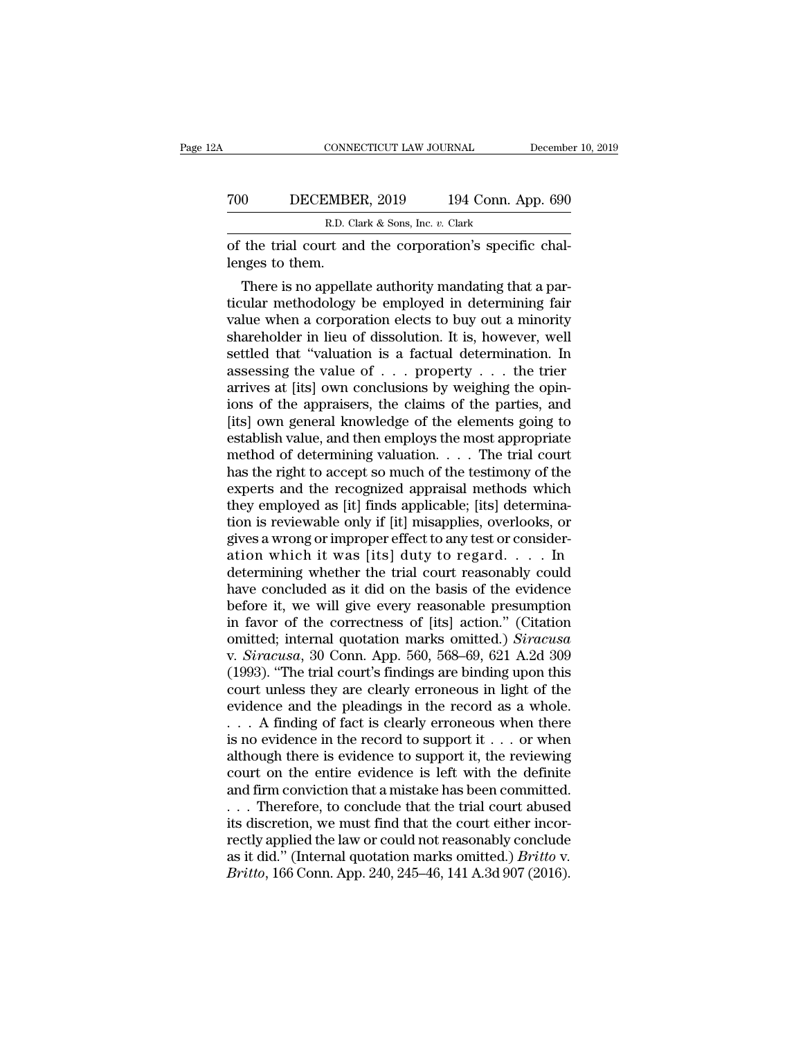|     | CONNECTICUT LAW JOURNAL                                                    | December 10, 2019  |
|-----|----------------------------------------------------------------------------|--------------------|
| 700 | DECEMBER, 2019                                                             | 194 Conn. App. 690 |
|     | R.D. Clark & Sons, Inc. v. Clark                                           |                    |
|     | of the trial court and the corporation's specific chal-<br>lenges to them. |                    |
|     | There is no appellate authority mandating that a par-                      |                    |

DECEMBER,  $2019$  194 Conn. App. 690<br>
R.D. Clark & Sons, Inc. v. Clark<br>
the trial court and the corporation's specific chal-<br>
nges to them.<br>
There is no appellate authority mandating that a par-<br>
ular methodology be employ TOO DECEMBER, 2019 194 Conn. App. 690<br>
R.D. Clark & Sons, Inc.  $v$ . Clark<br>
of the trial court and the corporation's specific chal-<br>
lenges to them.<br>
There is no appellate authority mandating that a par-<br>
ticular methodolo R.D. Clark & Sons, Inc.  $v$ . Clark<br>
of the trial court and the corporation's specific chal-<br>
lenges to them.<br>
There is no appellate authority mandating that a par-<br>
ticular methodology be employed in determining fair<br>
val of the trial court and the corporation's specific chal-<br>lenges to them.<br>There is no appellate authority mandating that a par-<br>ticular methodology be employed in determining fair<br>value when a corporation elects to buy out a or the trial court and the corporation's specific challenges to them.<br>
There is no appellate authority mandating that a particular methodology be employed in determining fair<br>
value when a corporation elects to buy out a m renges to them.<br>There is no appellate authority mandating that a particular methodology be employed in determining fair<br>value when a corporation elects to buy out a minority<br>shareholder in lieu of dissolution. It is, howev There is no appellate authority mandating that a particular methodology be employed in determining fair value when a corporation elects to buy out a minority shareholder in lieu of dissolution. It is, however, well settle ticular methodology be employed in determining fair<br>value when a corporation elects to buy out a minority<br>shareholder in lieu of dissolution. It is, however, well<br>settled that "valuation is a factual determination. In<br>asse value when a corporation elects to buy out a minority<br>shareholder in lieu of dissolution. It is, however, well<br>settled that "valuation is a factual determination. In<br>assessing the value of  $\ldots$  property  $\ldots$  the trier<br>a shareholder in lieu of dissolution. It is, however, well<br>settled that "valuation is a factual determination. In<br>assessing the value of  $\ldots$  property  $\ldots$  the trier<br>arrives at [its] own conclusions by weighing the opin-<br> settled that "valuation is a factual determination. In assessing the value of . . . property . . . the trier arrives at [its] own conclusions by weighing the opinions of the appraisers, the claims of the parties, and [its assessing the value of  $\ldots$  property  $\ldots$  the trier<br>arrives at [its] own conclusions by weighing the opin-<br>ions of the appraisers, the claims of the parties, and<br>[its] own general knowledge of the elements going to<br>esta arrives at [its] own conclusions by weighing the opin-<br>ions of the appraisers, the claims of the parties, and<br>[its] own general knowledge of the elements going to<br>establish value, and then employs the most appropriate<br>meth ions of the appraisers, the claims of the parties, and<br>[its] own general knowledge of the elements going to<br>establish value, and then employs the most appropriate<br>method of determining valuation. . . . The trial court<br>has [its] own general knowledge of the elements going to<br>establish value, and then employs the most appropriate<br>method of determining valuation. . . . The trial court<br>has the right to accept so much of the testimony of the<br>exp establish value, and then employs the most appropriate<br>method of determining valuation. . . . The trial court<br>has the right to accept so much of the testimony of the<br>experts and the recognized appraisal methods which<br>they method of determining valuation. . . . The trial court<br>has the right to accept so much of the testimony of the<br>experts and the recognized appraisal methods which<br>they employed as [it] finds applicable; [its] determina-<br>tio has the right to accept so much of the testimony of the experts and the recognized appraisal methods which<br>they employed as [it] finds applicable; [its] determina-<br>tion is reviewable only if [it] misapplies, overlooks, or<br> experts and the recognized appraisal methods which<br>they employed as [it] finds applicable; [its] determina-<br>tion is reviewable only if [it] misapplies, overlooks, or<br>gives a wrong or improper effect to any test or consider they employed as [it] finds applicable; [its] determination is reviewable only if [it] misapplies, overlooks, or gives a wrong or improper effect to any test or consideration which it was [its] duty to regard. . . . In det tion is reviewable only if [it] misapplies, overlooks, or<br>gives a wrong or improper effect to any test or consider-<br>ation which it was [its] duty to regard.... In<br>determining whether the trial court reasonably could<br>have gives a wrong or improper effect to any test or consideration which it was [its] duty to regard. . . . In<br>determining whether the trial court reasonably could<br>have concluded as it did on the basis of the evidence<br>before it ation which it was [its] duty to regard. . . . In<br>determining whether the trial court reasonably could<br>have concluded as it did on the basis of the evidence<br>before it, we will give every reasonable presumption<br>in favor of determining whether the trial court reasonably could<br>have concluded as it did on the basis of the evidence<br>before it, we will give every reasonable presumption<br>in favor of the correctness of [its] action." (Citation<br>omitte have concluded as it did on the basis of the evidence<br>before it, we will give every reasonable presumption<br>in favor of the correctness of [its] action." (Citation<br>omitted; internal quotation marks omitted.) *Siracusa*<br>v. before it, we will give every reasonable presumption<br>in favor of the correctness of [its] action." (Citation<br>omitted; internal quotation marks omitted.) *Siracusa*<br>v. *Siracusa*, 30 Conn. App. 560, 568–69, 621 A.2d 309<br>(19 in favor of the correctness of [its] action." (Citation<br>
comitted; internal quotation marks omitted.) *Siracusa*<br>
v. *Siracusa*, 30 Conn. App. 560, 568–69, 621 A.2d 309<br>
(1993). "The trial court's findings are binding upo omitted; internal quotation marks omitted.) Siracusa<br>v. Siracusa, 30 Conn. App. 560, 568–69, 621 A.2d 309<br>(1993). "The trial court's findings are binding upon this<br>court unless they are clearly erroneous in light of the<br>e v. Siracusa, 30 Conn. App. 560, 568–69, 621 A.2d 309 (1993). "The trial court's findings are binding upon this court unless they are clearly erroneous in light of the evidence and the pleadings in the record as a whole.<br> (1993). "The trial court's findings are binding upon this court unless they are clearly erroneous in light of the evidence and the pleadings in the record as a whole.<br>  $\ldots$  A finding of fact is clearly erroneous when the court unless they are clearly erroneous in light of the evidence and the pleadings in the record as a whole.<br>  $\ldots$  A finding of fact is clearly erroneous when there is no evidence in the record to support it  $\ldots$  or whe evidence and the pleadings in the record as a whole.<br>
. . . A finding of fact is clearly erroneous when there<br>
is no evidence in the record to support it . . . or when<br>
although there is evidence to support it, the review ... A finding of fact is clearly erroneous when there is no evidence in the record to support it ... or when although there is evidence to support it, the reviewing court on the entire evidence is left with the definite a is no evidence in the record to support it . . . or when<br>although there is evidence to support it, the reviewing<br>court on the entire evidence is left with the definite<br>and firm conviction that a mistake has been committed although there is evidence to support it, the reviewing<br>court on the entire evidence is left with the definite<br>and firm conviction that a mistake has been committed.<br>... Therefore, to conclude that the trial court abused<br>i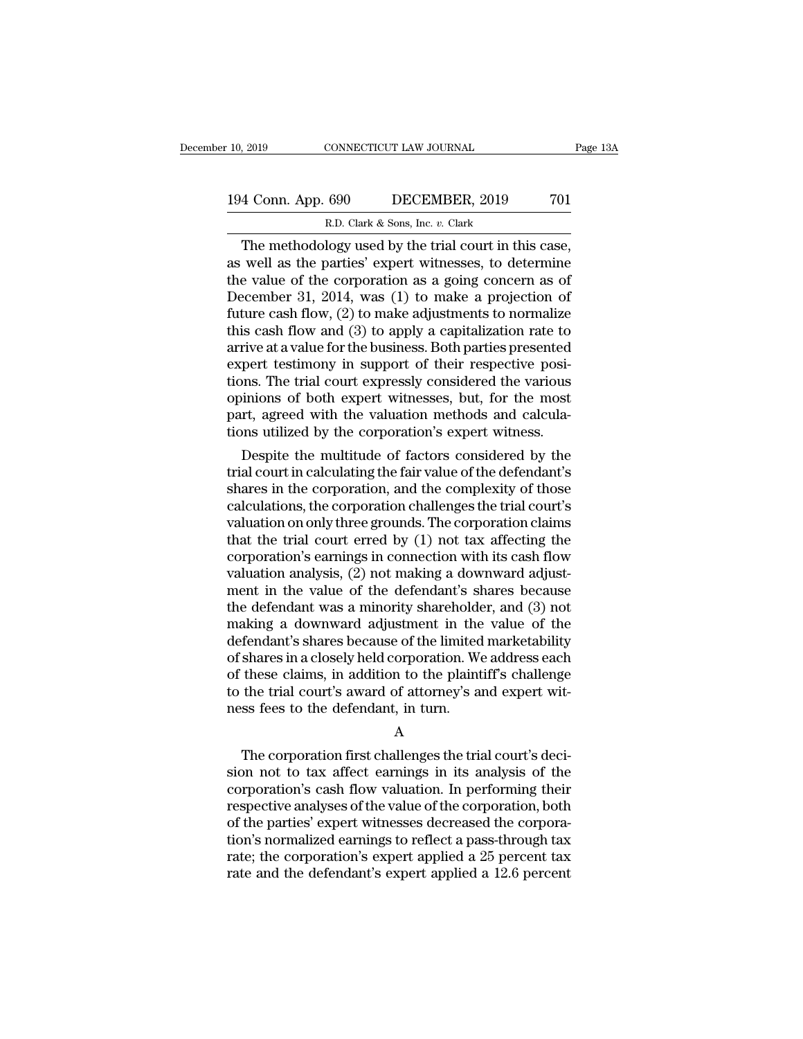# 10, 2019 CONNECTICUT LAW JOURNAL Page 13A<br>194 Conn. App. 690 DECEMBER, 2019 701<br>R.D. Clark & Sons, Inc. v. Clark R.D. Clark & Sons, Inc. *v.* Clark

The methodology used by the trial court in this case,<br>The methodology used by the trial court in this case,<br>well as the parties' expert witnesses, to determine<br>a value of the corporation as a going concern as of 194 Conn. App. 690 DECEMBER, 2019 701<br>
R.D. Clark & Sons, Inc. v. Clark<br>
The methodology used by the trial court in this case,<br>
as well as the parties' expert witnesses, to determine<br>
the value of the corporation as a goi 194 Conn. App. 690 DECEMBER, 2019 701<br>
R.D. Clark & Sons, Inc. v. Clark<br>
The methodology used by the trial court in this case,<br>
as well as the parties' expert witnesses, to determine<br>
the value of the corporation as a goi 194 Conn. App. 690 DECEMBER, 2019 701<br>
R.D. Clark & Sons, Inc. v. Clark<br>
The methodology used by the trial court in this case,<br>
as well as the parties' expert witnesses, to determine<br>
the value of the corporation as a goi R.D. Clark & Sons, Inc. v. Clark<br>
The methodology used by the trial court in this case,<br>
as well as the parties' expert witnesses, to determine<br>
the value of the corporation as a going concern as of<br>
December 31, 2014, wa R.D. Clark & Sons, lnc. v. Clark<br>
The methodology used by the trial court in this case,<br>
as well as the parties' expert witnesses, to determine<br>
the value of the corporation as a going concern as of<br>
December 31, 2014, wa The methodology used by the trial court in this case,<br>as well as the parties' expert witnesses, to determine<br>the value of the corporation as a going concern as of<br>December 31, 2014, was (1) to make a projection of<br>future c as well as the parties' expert witnesses, to determine<br>the value of the corporation as a going concern as of<br>December 31, 2014, was (1) to make a projection of<br>future cash flow, (2) to make adjustments to normalize<br>this ca the value of the corporation as a going concern as of<br>December 31, 2014, was (1) to make a projection of<br>future cash flow, (2) to make adjustments to normalize<br>this cash flow and (3) to apply a capitalization rate to<br>arriv December 31, 2014, was (1) to make a projection of<br>future cash flow, (2) to make adjustments to normalize<br>this cash flow and (3) to apply a capitalization rate to<br>arrive at a value for the business. Both parties presented<br> future cash flow,  $(2)$  to make adjustments to normalize this cash flow and  $(3)$  to apply a capitalization rate to arrive at a value for the business. Both parties presented expert testimony in support of their respectiv this cash flow and (3) to apply a capitalization rate to arrive at a value for the business. Both parties presented expert testimony in support of their respective positions. The trial court expressly considered the variou rive at a value for the business. Both parties presented<br>pert testimony in support of their respective posi-<br>ons. The trial court expressly considered the various<br>inions of both expert witnesses, but, for the most<br>rt, agre expert testimony in support of their respective posi-<br>tions. The trial court expressly considered the various<br>opinions of both expert witnesses, but, for the most<br>part, agreed with the valuation methods and calcula-<br>tions

tions. The trial court expressiy considered the various<br>opinions of both expert witnesses, but, for the most<br>part, agreed with the valuation methods and calcula-<br>tions utilized by the corporation's expert witness.<br>Despite opmions or both expert witnesses, but, for the most<br>part, agreed with the valuation methods and calcula-<br>tions utilized by the corporation's expert witness.<br>Despite the multitude of factors considered by the<br>trial court in part, agreed with the valuation methods and calcula-<br>tions utilized by the corporation's expert witness.<br>Despite the multitude of factors considered by the<br>trial court in calculating the fair value of the defendant's<br>share tions utilized by the corporation's expert witness.<br>
Despite the multitude of factors considered by the<br>
trial court in calculating the fair value of the defendant's<br>
shares in the corporation, and the complexity of those Despite the multitude of factors considered by the<br>trial court in calculating the fair value of the defendant's<br>shares in the corporation, and the complexity of those<br>calculations, the corporation challenges the trial cour trial court in calculating the fair value of the defendant's<br>shares in the corporation, and the complexity of those<br>calculations, the corporation challenges the trial court's<br>valuation on only three grounds. The corporatio shares in the corporation, and the complexity of those<br>calculations, the corporation challenges the trial court's<br>valuation on only three grounds. The corporation claims<br>that the trial court erred by (1) not tax affecting calculations, the corporation challenges the trial court's<br>valuation on only three grounds. The corporation claims<br>that the trial court erred by (1) not tax affecting the<br>corporation's earnings in connection with its cash valuation on only three grounds. The corporation claims<br>that the trial court erred by (1) not tax affecting the<br>corporation's earnings in connection with its cash flow<br>valuation analysis, (2) not making a downward adjust-<br> that the trial court erred by (1) not tax affecting the corporation's earnings in connection with its cash flow valuation analysis, (2) not making a downward adjustment in the value of the defendant's shares because the de corporation's earnings in connection with its cash flow<br>valuation analysis, (2) not making a downward adjust-<br>ment in the value of the defendant's shares because<br>the defendant was a minority shareholder, and (3) not<br>making valuation analysis, (2) not making a downward adjust-<br>ment in the value of the defendant's shares because<br>the defendant was a minority shareholder, and (3) not<br>making a downward adjustment in the value of the<br>defendant's s ment in the value of the defendant's shares because<br>the defendant was a minority shareholder, and (3) not<br>making a downward adjustment in the value of the<br>defendant's shares because of the limited marketability<br>of shares i the defendant was a minority sharehold<br>making a downward adjustment in the<br>defendant's shares because of the limited<br>of shares in a closely held corporation. We<br>of these claims, in addition to the plaint<br>to the trial court shares in a closely held corporation. We address each<br>these claims, in addition to the plaintiff's challenge<br>the trial court's award of attorney's and expert wit-<br>ss fees to the defendant, in turn.<br>A<br>The corporation first

#### A

of these claims, in addition to the plaintiff's challenge<br>to the trial court's award of attorney's and expert wit-<br>ness fees to the defendant, in turn.<br>A<br>The corporation first challenges the trial court's deci-<br>sion not to to the trial court's award of attorney's and expert wit-<br>ness fees to the defendant, in turn.<br> $A$ <br>The corporation first challenges the trial court's deci-<br>sion not to tax affect earnings in its analysis of the<br>corporation respective and the defendant, in turn.<br>
A<br>
The corporation first challenges the trial court's decision not to tax affect earnings in its analysis of the<br>
corporation's cash flow valuation. In performing their<br>
respective a  $\AA$ <br>The corporation first challenges the trial court's decision not to tax affect earnings in its analysis of the corporation's cash flow valuation. In performing their respective analyses of the value of the corporation A<br>The corporation first challenges the trial court's decision not to tax affect earnings in its analysis of the<br>corporation's cash flow valuation. In performing their<br>respective analyses of the value of the corporation, bo The corporation first challenges the trial court's decision not to tax affect earnings in its analysis of the corporation's cash flow valuation. In performing their respective analyses of the value of the corporation, both sion not to tax affect earnings in its analysis of the corporation's cash flow valuation. In performing their respective analyses of the value of the corporation, both of the parties' expert witnesses decreased the corpora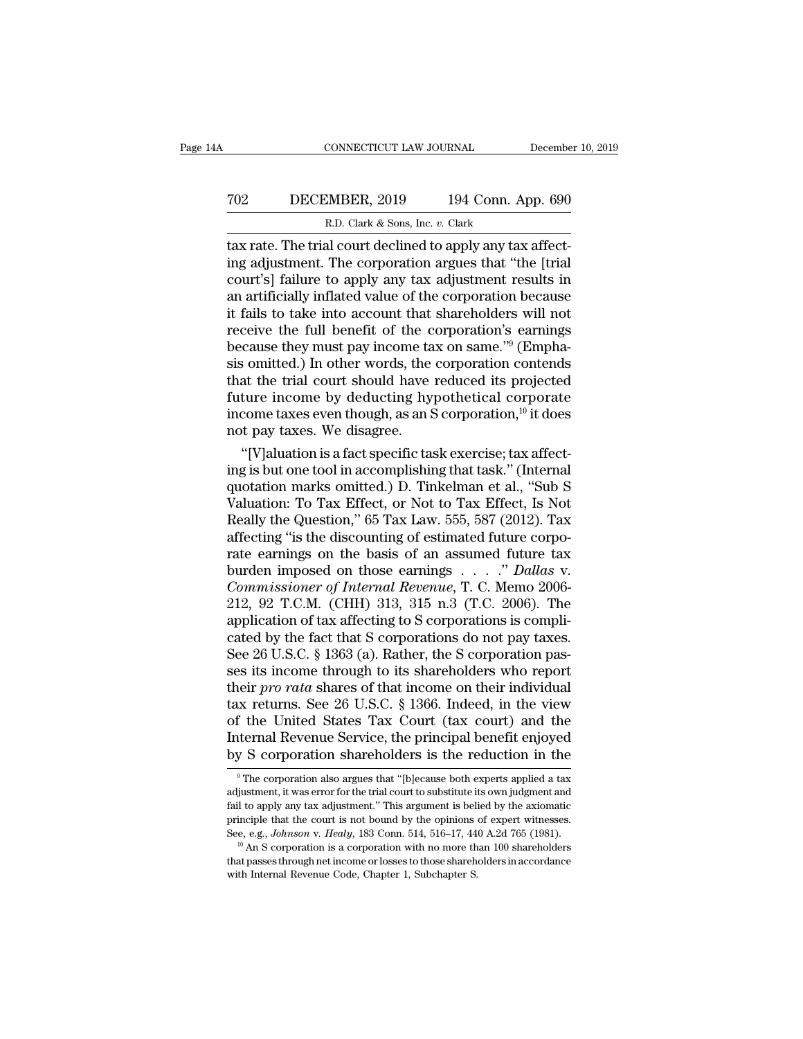# CONNECTICUT LAW JOURNAL December 10, 2019<br>
702 DECEMBER, 2019 194 Conn. App. 690<br>
R.D. Clark & Sons, Inc. v. Clark ECONNECTICUT LAW JOURNAL<br>MBER, 2019 194 Conn. A<br>R.D. Clark & Sons, Inc. *v.* Clark<br>al court declined to apply any tax

CONNECTICUT LAW JOURNAL December<br>
TO2 DECEMBER, 2019 194 Conn. App. 690<br>
R.D. Clark & Sons, Inc. v. Clark<br>
tax rate. The trial court declined to apply any tax affect-<br>
ing adjustment. The corporation argues that "the [tria TO2 DECEMBER, 2019 194 Conn. App. 690<br>R.D. Clark & Sons, Inc. v. Clark<br>tax rate. The trial court declined to apply any tax affect-<br>ing adjustment. The corporation argues that "the [trial<br>court's] failure to apply any tax a TO2 DECEMBER, 2019 194 Conn. App. 690<br>
R.D. Clark & Sons, Inc. v. Clark<br>
tax rate. The trial court declined to apply any tax affect-<br>
ing adjustment. The corporation argues that "the [trial<br>
court's] failure to apply any TO2 DECEMBER, 2019 194 Conn. App. 690<br>
R.D. Clark & Sons, Inc.  $v$ . Clark<br>
tax rate. The trial court declined to apply any tax affect-<br>
ing adjustment. The corporation argues that "the [trial<br>
court's] failure to apply an R.D. Clark & Sons, Inc. v. Clark<br>tax rate. The trial court declined to apply any tax affect-<br>ing adjustment. The corporation argues that "the [trial<br>court's] failure to apply any tax adjustment results in<br>an artificially R.D. Clark & Sons, lnc. v. Clark<br>tax rate. The trial court declined to apply any tax affect-<br>ing adjustment. The corporation argues that "the [trial<br>court's] failure to apply any tax adjustment results in<br>an artificially tax rate. The trial court declined to apply any tax affecting adjustment. The corporation argues that "the [trial court's] failure to apply any tax adjustment results in an artificially inflated value of the corporation be ing adjustment. The corporation argues that "the [trial court's] failure to apply any tax adjustment results in<br>an artificially inflated value of the corporation because<br>it fails to take into account that shareholders will court's] failure to apply any tax adjustment results in<br>an artificially inflated value of the corporation because<br>it fails to take into account that shareholders will not<br>receive the full benefit of the corporation's earn an artificially inflated value of the corporation because<br>it fails to take into account that shareholders will not<br>receive the full benefit of the corporation's earnings<br>because they must pay income tax on same."<sup>9</sup> (Emph it fails to take into account that shareholders will not<br>receive the full benefit of the corporation's earnings<br>because they must pay income tax on same."<sup>9</sup> (Empha-<br>sis omitted.) In other words, the corporation contends<br> receive the full benefit of the c<br>because they must pay income ta<br>sis omitted.) In other words, the<br>that the trial court should have<br>future income by deducting hy<br>income taxes even though, as an S<br>not pay taxes. We disagre cause they must pay income tax on same."" (Emphation is a fact specific task exercise; tax affect-<br>at the trial court should have reduced its projected<br>ture income by deducting hypothetical corporate<br>come taxes even thoug sis omitted.) In other words, the corporation contends<br>that the trial court should have reduced its projected<br>future income by deducting hypothetical corporate<br>income taxes even though, as an S corporation,<sup>10</sup> it does<br>not

that the trial court should have reduced its projected<br>future income by deducting hypothetical corporate<br>income taxes even though, as an S corporation,<sup>10</sup> it does<br>not pay taxes. We disagree.<br>"[V]aluation is a fact specif future income by deducting hypothetical corporate<br>income taxes even though, as an S corporation,<sup>10</sup> it does<br>not pay taxes. We disagree.<br>"[V]aluation is a fact specific task exercise; tax affect-<br>ing is but one tool in acc mcome taxes even though, as an S corporation," it does<br>not pay taxes. We disagree.<br>"[V]aluation is a fact specific task exercise; tax affect-<br>ing is but one tool in accomplishing that task." (Internal<br>quotation marks omit not pay taxes. We disagree.<br>
"[V]aluation is a fact specific task exercise; tax affecting is but one tool in accomplishing that task." (Internal quotation marks omitted.) D. Tinkelman et al., "Sub S Valuation: To Tax Effe "[V]aluation is a fact specific task exercise; tax affect-<br>ing is but one tool in accomplishing that task." (Internal<br>quotation marks omitted.) D. Tinkelman et al., "Sub S<br>Valuation: To Tax Effect, or Not to Tax Effect, I ing is but one tool in accomplishing that task." (Internal<br>quotation marks omitted.) D. Tinkelman et al., "Sub S<br>Valuation: To Tax Effect, or Not to Tax Effect, Is Not<br>Really the Question," 65 Tax Law. 555, 587 (2012). Tax quotation marks omitted.) D. Tinkelman et al., "Sub S<br>Valuation: To Tax Effect, or Not to Tax Effect, Is Not<br>Really the Question," 65 Tax Law. 555, 587 (2012). Tax<br>affecting "is the discounting of estimated future corpo-<br>r Valuation: To Tax Effect, or Not to Tax Effect, Is Not<br>Really the Question," 65 Tax Law. 555, 587 (2012). Tax<br>affecting "is the discounting of estimated future corpo-<br>rate earnings on the basis of an assumed future tax<br>bur Really the Question," 65 Tax Law. 555, 587 (2012). Tax<br>affecting "is the discounting of estimated future corpo-<br>rate earnings on the basis of an assumed future tax<br>burden imposed on those earnings . . . ." Dallas v.<br>*Comm* affecting "is the discounting of estimated future corporate earnings on the basis of an assumed future tax<br>burden imposed on those earnings . . . ." Dallas v.<br>Commissioner of Internal Revenue, T. C. Memo 2006-<br>212, 92 T.C. rate earnings on the basis of an assumed future tax<br>burden imposed on those earnings  $\ldots$   $\ldots$   $\ddot{\text{D}}$  Dallas v.<br>*Commissioner of Internal Revenue*, T. C. Memo 2006-<br>212, 92 T.C.M. (CHH) 313, 315 n.3 (T.C. 2006). The burden imposed on those earnings  $\ldots$  " Dallas v.<br>Commissioner of Internal Revenue, T. C. Memo 2006-<br>212, 92 T.C.M. (CHH) 313, 315 n.3 (T.C. 2006). The<br>application of tax affecting to S corporations is compli-<br>cated by t Commissioner of Internal Revenue, T. C. Memo 2006-<br>212, 92 T.C.M. (CHH) 313, 315 n.3 (T.C. 2006). The<br>application of tax affecting to S corporations is compli-<br>cated by the fact that S corporations do not pay taxes.<br>See 26 212, 92 T.C.M. (CHH) 313, 315 n.3 (T.C. 2006). The<br>application of tax affecting to S corporations is compli-<br>cated by the fact that S corporations do not pay taxes.<br>See 26 U.S.C. § 1363 (a). Rather, the S corporation pas-<br> application of tax affecting to S corporations is complicated by the fact that S corporations do not pay taxes.<br>See 26 U.S.C. § 1363 (a). Rather, the S corporation passes its income through to its shareholders who report<br>t cated by the fact that S corporations do not pay taxes.<br>See 26 U.S.C. § 1363 (a). Rather, the S corporation passes its income through to its shareholders who report<br>their *pro rata* shares of that income on their individu See 26 U.S.C. § 1363 (a). Rather, the S corporation passes its income through to its shareholders who report<br>their *pro rata* shares of that income on their individual<br>tax returns. See 26 U.S.C. § 1366. Indeed, in the vie ix returns. See 26 U.S.C. § 1366. Indeed, in the view<br>
f the United States Tax Court (tax court) and the<br>
ternal Revenue Service, the principal benefit enjoyed<br>
y S corporation shareholders is the reduction in the<br>
<sup>9</sup>The of the United States Tax Court (tax court) and the<br>Internal Revenue Service, the principal benefit enjoyed<br>by S corporation shareholders is the reduction in the<br><sup>9</sup>The corporation also argues that "[b]ecause both experts a

Internal Revenue Service, the principal benefit enjoyed<br>by S corporation shareholders is the reduction in the<br> $\frac{1}{\sqrt{2}}$ The corporation also argues that "[b]ecause both experts applied a tax<br>adjustment, it was error for by S corporation shareholders is the reduction in the  $\frac{1}{\sqrt{2}}$  The corporation also argues that "[b]ecause both experts applied a tax adjustment, it was error for the trial court to substitute its own judgment and fai by S. Corporation shareholders is the reduction in the proporation also argues that "[b]ecause both experts applied a tax adjustment, it was error for the trial court to substitute its own judgment and fail to apply any ta adjustment, it was error for the trial court to substitute its own judgment and fail to apply any tax adjustment." This argument is belied by the axiomatic principle that the court is not bound by the opinions of expert w fail to apply any tax adjustment." This argument is belied by the axiomatic principle that the court is not bound by the opinions of expert witnesses. See, e.g., *Johnson v. Healy*, 183 Conn. 514, 516–17, 440 A.2d 765 (19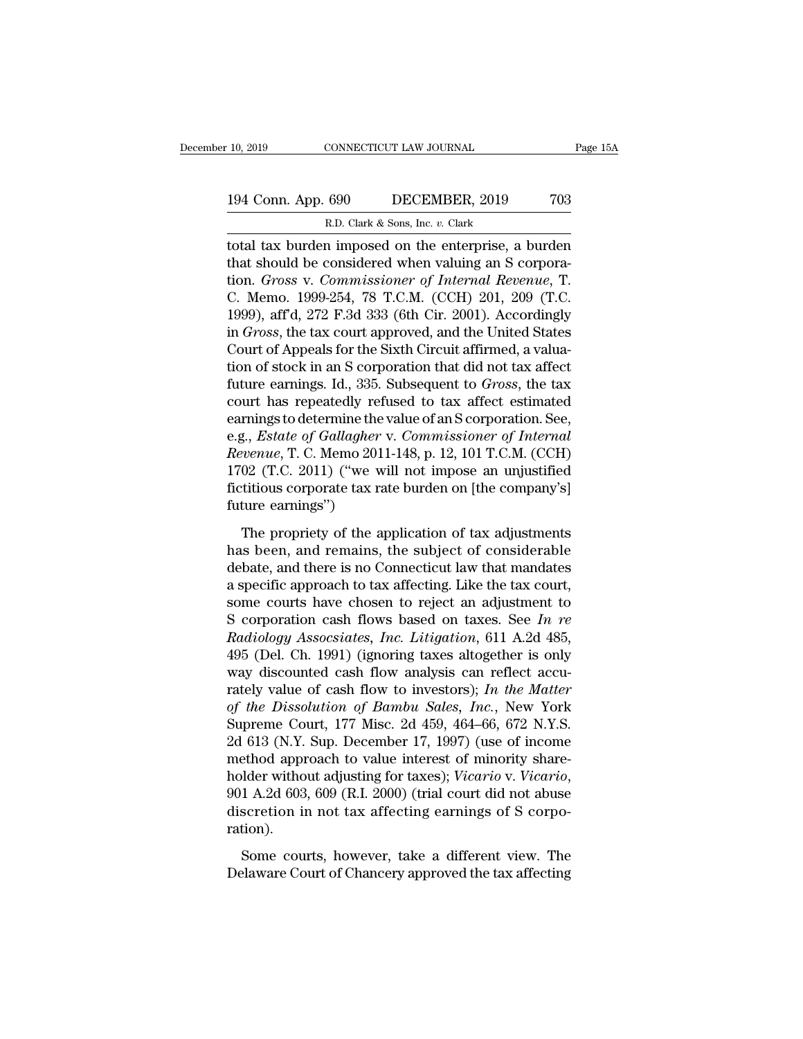# 10, 2019 CONNECTICUT LAW JOURNAL Page 15A<br>194 Conn. App. 690 DECEMBER, 2019 703<br>R.D. Clark & Sons, Inc. v. Clark

10, 2019 CONNECTICUT LAW JOURNAL<br>
R.D. Clark & Sons, Inc. *v.* Clark<br>
total tax burden imposed on the enterprise, a burden<br>
that should be considered when valuing an S corpora-<br>
tion. *Gross v. Commissioner of Internal Rev* The 10, 2019 CONNECTICUT LAW JOURNAL Page 15A<br>
194 Conn. App. 690 DECEMBER, 2019 703<br>
R.D. Clark & Sons, Inc. v. Clark<br>
10tdl tax burden imposed on the enterprise, a burden<br>
that should be considered when valuing an S corp 194 Conn. App. 690 DECEMBER, 2019 703<br>
R.D. Clark & Sons, Inc. v. Clark<br>
total tax burden imposed on the enterprise, a burden<br>
that should be considered when valuing an S corpora-<br>
tion. *Gross* v. *Commissioner of Interna* 194 Conn. App. 690 DECEMBER, 2019 703<br>
R.D. Clark & Sons, Inc. v. Clark<br>
total tax burden imposed on the enterprise, a burden<br>
that should be considered when valuing an S corpora-<br>
tion. *Gross v. Commissioner of Internal* R.D. Clark & Sons, Inc. v. Clark<br>
total tax burden imposed on the enterprise, a burden<br>
that should be considered when valuing an S corpora-<br>
tion. *Gross v. Commissioner of Internal Revenue*, T.<br>
C. Memo. 1999-254, 78 T.C in *Gark & Sons, the v. Clark*<br>total tax burden imposed on the enterprise, a burden<br>that should be considered when valuing an S corpora-<br>tion. *Gross v. Commissioner of Internal Revenue*, T.<br>C. Memo. 1999-254, 78 T.C.M. (C total tax burden imposed on the enterprise, a burden<br>that should be considered when valuing an S corpora-<br>tion. *Gross v. Commissioner of Internal Revenue*, T.<br>C. Memo. 1999-254, 78 T.C.M. (CCH) 201, 209 (T.C.<br>1999), aff'd that should be considered when valuing an S corporation. *Gross v. Commissioner of Internal Revenue*, T.<br>C. Memo. 1999-254, 78 T.C.M. (CCH) 201, 209 (T.C.<br>1999), aff<sup>d</sup>, 272 F.3d 333 (6th Cir. 2001). Accordingly<br>in *Gross* tion. *Gross* v. *Commissioner of Internal Revenue*, T.<br>C. Memo. 1999-254, 78 T.C.M. (CCH) 201, 209 (T.C.<br>1999), aff'd, 272 F.3d 333 (6th Cir. 2001). Accordingly<br>in *Gross*, the tax court approved, and the United States<br>Co C. Memo. 1999-254, 78 T.C.M. (CCH) 201, 209 (T.C.<br>1999), aff<sup>d</sup>, 272 F.3d 333 (6th Cir. 2001). Accordingly<br>in *Gross*, the tax court approved, and the United States<br>Court of Appeals for the Sixth Circuit affirmed, a valua-1999), aff'd, 272 F.3d 333 (6th Cir. 2001). Accordingly<br>in *Gross*, the tax court approved, and the United States<br>Court of Appeals for the Sixth Circuit affirmed, a valua-<br>tion of stock in an S corporation that did not ta in *Gross*, the tax court approved, and the United States<br>Court of Appeals for the Sixth Circuit affirmed, a valua-<br>tion of stock in an S corporation that did not tax affect<br>future earnings. Id., 335. Subsequent to *Gross* Court of Appeals for the Sixth Circuit affirmed, a valuation of stock in an S corporation that did not tax affect<br>future earnings. Id., 335. Subsequent to *Gross*, the tax<br>court has repeatedly refused to tax affect estimat tion of stock in an S corporation that did not tax affect<br>future earnings. Id., 335. Subsequent to *Gross*, the tax<br>court has repeatedly refused to tax affect estimated<br>earnings to determine the value of an S corporation. future earnings. Id., 335. Subsequent to *Gross*, the tax<br>court has repeatedly refused to tax affect estimated<br>earnings to determine the value of an S corporation. See,<br>e.g., *Estate of Gallagher* v. *Commissioner of Inter* court has repeatedly ref<br>earnings to determine the<br>e.g., *Estate of Gallagher<br>Revenue*, T. C. Memo 201<br>1702 (T.C. 2011) ("we w<br>fictitious corporate tax ra<br>future earnings")<br>The propriety of the ap g., *Estate of Gallagher* v. *Commissioner of Internal*<br>*venue*, T. C. Memo 2011-148, p. 12, 101 T.C.M. (CCH)<br>02 (T.C. 2011) ("we will not impose an unjustified<br>tititious corporate tax rate burden on [the company's]<br>ture e *Revenue*, T. C. Memo 2011-148, p. 12, 101 T.C.M. (CCH)<br>1702 (T.C. 2011) ("we will not impose an unjustified<br>fictitious corporate tax rate burden on [the company's]<br>future earnings")<br>The propriety of the application of tax

1702 (T.C. 2011) ("we will not impose an unjustified<br>fictitious corporate tax rate burden on [the company's]<br>future earnings")<br>The propriety of the application of tax adjustments<br>has been, and remains, the subject of cons fictitious corporate tax rate burden on [the company's]<br>future earnings")<br>The propriety of the application of tax adjustments<br>has been, and remains, the subject of considerable<br>debate, and there is no Connecticut law that future earnings")<br>The propriety of the application of tax adjustments<br>has been, and remains, the subject of considerable<br>debate, and there is no Connecticut law that mandates<br>a specific approach to tax affecting. Like the The propriety of the application of tax adjustments<br>has been, and remains, the subject of considerable<br>debate, and there is no Connecticut law that mandates<br>a specific approach to tax affecting. Like the tax court,<br>some co The propriety of the application of tax adjustments<br>has been, and remains, the subject of considerable<br>debate, and there is no Connecticut law that mandates<br>a specific approach to tax affecting. Like the tax court,<br>some co has been, and remains, the subject of considerable<br>debate, and there is no Connecticut law that mandates<br>a specific approach to tax affecting. Like the tax court,<br>some courts have chosen to reject an adjustment to<br>S corpo debate, and there is no Connecticut law that mandates<br>a specific approach to tax affecting. Like the tax court,<br>some courts have chosen to reject an adjustment to<br>S corporation cash flows based on taxes. See In re<br>Radiolo a specific approach to tax affecting. Like the tax court,<br>some courts have chosen to reject an adjustment to<br>S corporation cash flows based on taxes. See *In re*<br>Radiology Assocsiates, *Inc. Litigation*, 611 A.2d 485,<br>495 some courts have chosen to reject an adjustment to<br> *S* corporation cash flows based on taxes. See *In re*<br> *Radiology Assocsiates, Inc. Litigation*, 611 A.2d 485,<br>
495 (Del. Ch. 1991) (ignoring taxes altogether is only<br>
w S corporation cash flows based on taxes. See *In re*<br> *Radiology Assocsiates, Inc. Litigation*, 611 A.2d 485,<br>
495 (Del. Ch. 1991) (ignoring taxes altogether is only<br>
way discounted cash flow analysis can reflect accu-<br>
r Radiology Assocsiates, Inc. Litigation, 611 A.2d 485,<br>495 (Del. Ch. 1991) (ignoring taxes altogether is only<br>way discounted cash flow analysis can reflect accu-<br>rately value of cash flow to investors); In the Matter<br>of the 495 (Del. Ch. 1991) (ignoring taxes altogether is only<br>way discounted cash flow analysis can reflect accu-<br>rately value of cash flow to investors); *In the Matter*<br>of the Dissolution of Bambu Sales, *Inc.*, New York<br>Supre way discounted cash flow analysis can reflect accurately value of cash flow to investors); *In the Matter* of the Dissolution of Bambu Sales, *Inc.*, New York Supreme Court, 177 Misc. 2d 459, 464–66, 672 N.Y.S. 2d 613 (N.Y of the Dissolution of Bambu Sales, Inc., New York<br>Supreme Court, 177 Misc. 2d 459, 464–66, 672 N.Y.S.<br>2d 613 (N.Y. Sup. December 17, 1997) (use of income<br>method approach to value interest of minority share-<br>holder without ration). ethod approach to value interest of minority share-<br>lder without adjusting for taxes); *Vicario* v. *Vicario*,<br>1 A.2d 603, 609 (R.I. 2000) (trial court did not abuse<br>scretion in not tax affecting earnings of S corpo-<br>tion) holder without adjusting for taxes); *Vicario* v. *Vicario*, 901 A.2d 603, 609 (R.I. 2000) (trial court did not abuse discretion in not tax affecting earnings of S corporation).<br>Some courts, however, take a different view.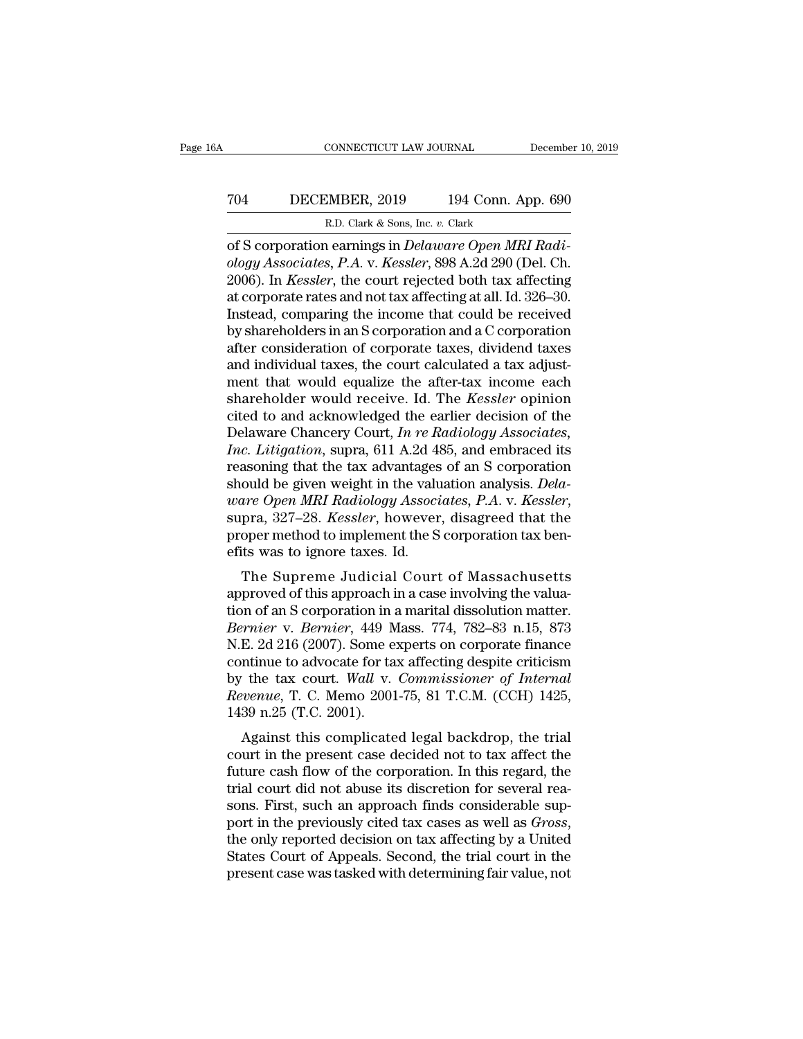# CONNECTICUT LAW JOURNAL December 10, 2019<br>
704 DECEMBER, 2019 194 Conn. App. 690<br>
R.D. Clark & Sons, Inc. v. Clark ECONNECTICUT LAW JOURNAL<br>EMBER, 2019 194 Conn. A<br>R.D. Clark & Sons, Inc. *v.* Clark<br>Learnings in *Delaware Onen MR*

CONNECTICUT LAW JOURNAL December<br>
TO4 DECEMBER, 2019 194 Conn. App. 690<br>
R.D. Clark & Sons, Inc. v. Clark<br>
of S corporation earnings in *Delaware Open MRI Radi-*<br>
ology Associates, P.A. v. Kessler, 898 A.2d 290 (Del. Ch.<br> *ology Associates, P.A. v. Kessler, 898 A.2d 290 (Del. Ch. 2006).* In *Kessler, the court rejected both tax affecting* at *corporato rates and not tax affecting* at all 1d 326 30 TO4 DECEMBER, 2019 194 Conn. App. 690<br>
R.D. Clark & Sons, Inc. v. Clark<br>
of S corporation earnings in *Delaware Open MRI Radi-*<br>
ology Associates, P.A. v. *Kessler*, 898 A.2d 290 (Del. Ch.<br>
2006). In *Kessler*, the court r TO4 DECEMBER, 2019 194 Conn. App. 690<br>
R.D. Clark & Sons, Inc. v. Clark<br>
of S corporation earnings in *Delaware Open MRI Radi-*<br>
ology Associates, P.A. v. Kessler, 898 A.2d 290 (Del. Ch.<br>
2006). In *Kessler*, the court rej R.D. Clark & Sons, Inc. v. Clark<br>
of S corporation earnings in *Delaware Open MRI Radi-*<br>
ology Associates, P.A. v. Kessler, 898 A.2d 290 (Del. Ch.<br>
2006). In *Kessler*, the court rejected both tax affecting<br>
at corporate R.D. Clark & Sons, Inc. v. Clark<br>
of S corporation earnings in *Delaware Open MRI Radi-*<br>
ology Associates, P.A. v. Kessler, 898 A.2d 290 (Del. Ch.<br>
2006). In *Kessler*, the court rejected both tax affecting<br>
at corporate of S corporation earnings in *Delaware Open MRI Radiology Associates, P.A. v. Kessler*, 898 A.2d 290 (Del. Ch. 2006). In *Kessler*, the court rejected both tax affecting at corporate rates and not tax affecting at all. Id. ology Associates, P.A. v. Kessler, 898 A.2d 290 (Del. Ch. 2006). In *Kessler*, the court rejected both tax affecting at corporate rates and not tax affecting at all. Id. 326–30. Instead, comparing the income that could be 2006). In *Kessler*, the court rejected both tax affecting<br>at corporate rates and not tax affecting at all. Id. 326–30.<br>Instead, comparing the income that could be received<br>by shareholders in an S corporation and a C corpo at corporate rates and not tax affecting at all. Id. 326–30.<br>Instead, comparing the income that could be received<br>by shareholders in an S corporation and a C corporation<br>after consideration of corporate taxes, dividend tax Instead, comparing the income that could be received<br>by shareholders in an S corporation and a C corporation<br>after consideration of corporate taxes, dividend taxes<br>and individual taxes, the court calculated a tax adjust-<br> by shareholders in an S corporation and a C corporation<br>after consideration of corporate taxes, dividend taxes<br>and individual taxes, the court calculated a tax adjust-<br>ment that would equalize the after-tax income each<br>sha after consideration of corporate taxes, dividend taxes<br>and individual taxes, the court calculated a tax adjust-<br>ment that would equalize the after-tax income each<br>shareholder would receive. Id. The *Kessler* opinion<br>cited and individual taxes, the court calculated a tax adjust-<br>ment that would equalize the after-tax income each<br>shareholder would receive. Id. The *Kessler* opinion<br>cited to and acknowledged the earlier decision of the<br>Delawa ment that would equalize the after-tax income each<br>shareholder would receive. Id. The *Kessler* opinion<br>cited to and acknowledged the earlier decision of the<br>Delaware Chancery Court, *In re Radiology Associates*,<br>*Inc. Lit* shareholder would receive. Id. The *Kessler* opinion<br>cited to and acknowledged the earlier decision of the<br>Delaware Chancery Court, *In re Radiology Associates,*<br>*Inc. Litigation*, supra, 611 A.2d 485, and embraced its<br>rea Delaware Chancery Court, *In re Radiology Associates,*<br>*Inc. Litigation*, supra, 611 A.2d 485, and embraced its<br>reasoning that the tax advantages of an S corporation<br>should be given weight in the valuation analysis. *Dela-*Inc. Litigation, supra, 611 A.2d 4<br>reasoning that the tax advantages<br>should be given weight in the valu<br>*ware Open MRI Radiology Associ*<br>supra, 327–28. *Kessler*, however<br>proper method to implement the S<br>efits was to ignor asoning that the tax advantages of an's corporation<br>ould be given weight in the valuation analysis. *Dela-*<br>are Open MRI Radiology Associates, P.A. v. Kessler,<br>pra, 327–28. Kessler, however, disagreed that the<br>oper method should be given weight in the valuation analysis. Deta-<br>
ware Open MRI Radiology Associates, P.A. v. Kessler,<br>
supra, 327–28. Kessler, however, disagreed that the<br>
proper method to implement the S corporation tax ben-<br>
ef

the open man haddowy Associates, 1.A. v. Ressler,<br>supra, 327–28. Kessler, however, disagreed that the<br>proper method to implement the S corporation tax ben-<br>efits was to ignore taxes. Id.<br>The Supreme Judicial Court of Massa *Bernier*, *Bernier*, *Bernier*, *Bernier*, *Bernier*, *Bernier*, *Bernier*, *Bernier* v. *Bernier* v. *Bernier*, 449 Mass. 774, 782–83 n.15, 873<br> *R. 2d 216 (2007). Some experts on corporate finance approved to alwaysing* proper method to implement the S corporation tax benefits was to ignore taxes. Id.<br>The Supreme Judicial Court of Massachusetts<br>approved of this approach in a case involving the valua-<br>tion of an S corporation in a marital The Supreme Judicial Court of Massachusetts<br>approved of this approach in a case involving the valua-<br>tion of an S corporation in a marital dissolution matter.<br>*Bernier* v. *Bernier*, 449 Mass. 774, 782–83 n.15, 873<br>N.E. 2d The Supreme Judicial Court of Massachusetts<br>approved of this approach in a case involving the valua-<br>tion of an S corporation in a marital dissolution matter.<br>*Bernier* v. *Bernier*, 449 Mass. 774, 782–83 n.15, 873<br>N.E. 2d approved of this approach in a case involving the valuation of an S corporation in a marital dissolution matter.<br>*Bernier* v. *Bernier*, 449 Mass. 774, 782–83 n.15, 873<br>N.E. 2d 216 (2007). Some experts on corporate finance tion of an S corporation in a<br>Bernier v. Bernier, 449 M<br>N.E. 2d 216 (2007). Some encontinue to advocate for ta<br>by the tax court. Wall v.<br>Revenue, T. C. Memo 2001<br>1439 n.25 (T.C. 2001).<br>Against this complicate Finiter V. Bernier, 449 mass.  $174$ ,  $182-83$  11.15, 813<br>E. 2d 216 (2007). Some experts on corporate finance<br>ntinue to advocate for tax affecting despite criticism<br>the tax court. Wall v. Commissioner of Internal<br>venue, T. research in the present case decided not to tax affecting despite criticism<br>by the tax court. Wall v. Commissioner of Internal<br>Revenue, T. C. Memo 2001-75, 81 T.C.M. (CCH) 1425,<br>1439 n.25 (T.C. 2001).<br>Against this complica

future to advocate for tax affecting despite criticism<br>by the tax court. Wall v. Commissioner of Internal<br>Revenue, T. C. Memo 2001-75, 81 T.C.M. (CCH) 1425,<br>1439 n.25 (T.C. 2001).<br>Against this complicated legal backdrop, t by the tax court. Want v. Commissioner of International Revenue, T. C. Memo 2001-75, 81 T.C.M. (CCH) 1425, 1439 n.25 (T.C. 2001).<br>Against this complicated legal backdrop, the trial court in the present case decided not to solution. Fig. 1. C. Mento 2001-75, 81 T.C.M. (CCIT) 1425,<br>1439 n.25 (T.C. 2001).<br>Against this complicated legal backdrop, the trial<br>court in the present case decided not to tax affect the<br>future cash flow of the corporati port in the present case decided not to tax affect the future cash flow of the corporation. In this regard, the trial court did not abuse its discretion for several reasons. First, such an approach finds considerable suppo court in the present case decided not to tax affect the<br>future cash flow of the corporation. In this regard, the<br>trial court did not abuse its discretion for several rea-<br>sons. First, such an approach finds considerable su future cash flow of the corporation. In this regard, the trial court did not abuse its discretion for several reasons. First, such an approach finds considerable support in the previously cited tax cases as well as *Gross*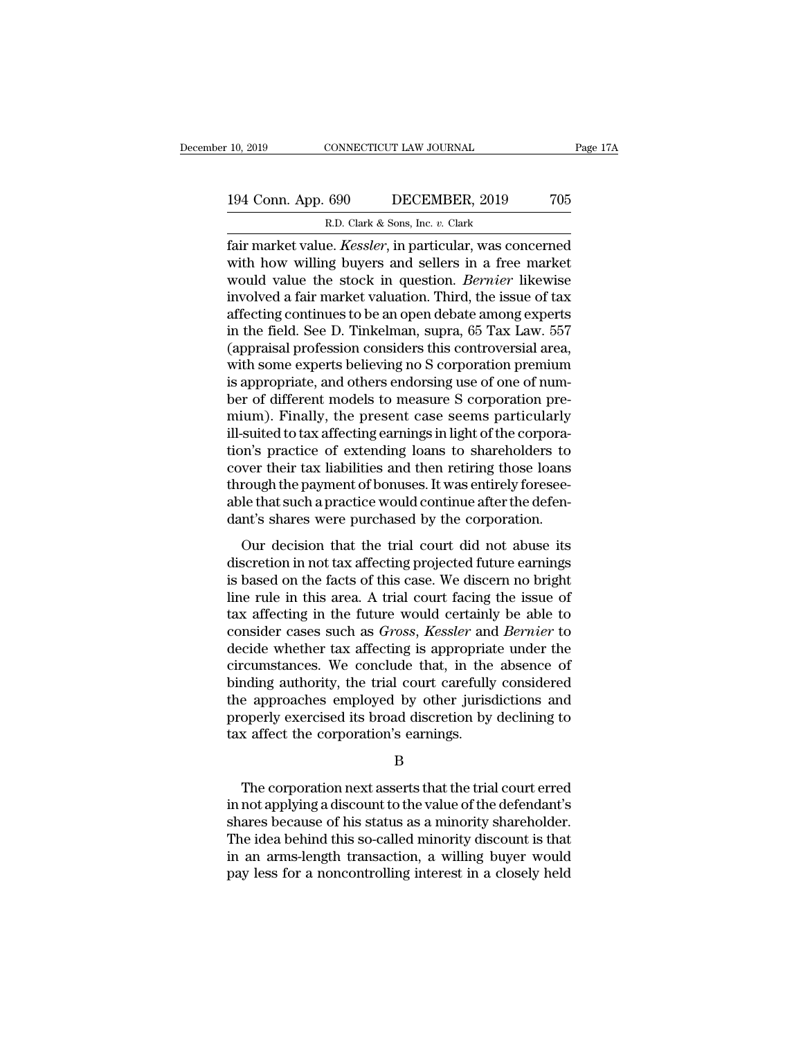R. 10, 2019 CONNECTICUT LAW JOURNAL<br>
R.D. Clark & Sons, Inc. *v.* Clark<br>
R.D. Clark & Sons, Inc. *v.* Clark<br>
Tair market value. *Kessler*, in particular, was concerned Fage 17A<br>194 Conn. App. 690 DECEMBER, 2019 705<br>R.D. Clark & Sons, Inc. v. Clark<br>fair market value. *Kessler*, in particular, was concerned<br>with how willing buyers and sellers in a free market<br>would value the steek in quest 194 Conn. App. 690 DECEMBER, 2019 705<br>
R.D. Clark & Sons, Inc. v. Clark<br>
fair market value. *Kessler*, in particular, was concerned<br>
with how willing buyers and sellers in a free market<br>
would value the stock in question. 194 Conn. App. 690 DECEMBER, 2019 705<br>
R.D. Clark & Sons, Inc. v. Clark<br>
fair market value. *Kessler*, in particular, was concerned<br>
with how willing buyers and sellers in a free market<br>
would value the stock in question. 194 Conn. App. 690 DECEMBER, 2019 705<br>
R.D. Clark & Sons, Inc. v. Clark<br>
fair market value. *Kessler*, in particular, was concerned<br>
with how willing buyers and sellers in a free market<br>
would value the stock in question. R.D. Clark & Sons, Inc. v. Clark<br>
fair market value. *Kessler*, in particular, was concerned<br>
with how willing buyers and sellers in a free market<br>
would value the stock in question. *Bernier* likewise<br>
involved a fair mar E.D. Clark & Sons, Inc. v. Clark<br>
fair market value. *Kessler*, in particular, was concerned<br>
with how willing buyers and sellers in a free market<br>
would value the stock in question. *Bernier* likewise<br>
involved a fair ma fair market value. *Kessler*, in particular, was concerned<br>with how willing buyers and sellers in a free market<br>would value the stock in question. *Bernier* likewise<br>involved a fair market valuation. Third, the issue of ta with how willing buyers and sellers in a free market<br>would value the stock in question. *Bernier* likewise<br>involved a fair market valuation. Third, the issue of tax<br>affecting continues to be an open debate among experts<br>in would value the stock in question. *Bernier* likewise<br>involved a fair market valuation. Third, the issue of tax<br>affecting continues to be an open debate among experts<br>in the field. See D. Tinkelman, supra, 65 Tax Law. 557<br> involved a fair market valuation. Third, the issue of tax<br>affecting continues to be an open debate among experts<br>in the field. See D. Tinkelman, supra, 65 Tax Law. 557<br>(appraisal profession considers this controversial are affecting continues to be an open debate among experts<br>in the field. See D. Tinkelman, supra, 65 Tax Law. 557<br>(appraisal profession considers this controversial area,<br>with some experts believing no S corporation premium<br>is in the field. See D. Tinkelman, supra, 65 Tax Law. 557<br>(appraisal profession considers this controversial area,<br>with some experts believing no S corporation premium<br>is appropriate, and others endorsing use of one of num-<br>b (appraisal profession considers this controversial area,<br>with some experts believing no S corporation premium<br>is appropriate, and others endorsing use of one of num-<br>ber of different models to measure S corporation pre-<br>mi with some experts believing no S corporation premium<br>is appropriate, and others endorsing use of one of num-<br>ber of different models to measure S corporation pre-<br>mium). Finally, the present case seems particularly<br>ill-sui is appropriate, and others endorsing use of one of num-<br>ber of different models to measure S corporation pre-<br>mium). Finally, the present case seems particularly<br>ill-suited to tax affecting earnings in light of the corpora ber of different models to measure S corporation pre-<br>mium). Finally, the present case seems particularly<br>ill-suited to tax affecting earnings in light of the corpora-<br>tion's practice of extending loans to shareholders to<br> mium). Finally, the present case seems particularly<br>ill-suited to tax affecting earnings in light of the corpora-<br>tion's practice of extending loans to shareholders to<br>cover their tax liabilities and then retiring those lo based to daractering carrings in fight of the corporation's<br>m's practice of extending loans to shareholders to<br>ver their tax liabilities and then retiring those loans<br>rough the payment of bonuses. It was entirely foresee-<br> discretive of chocking boats to shareholders to<br>cover their tax liabilities and then retiring those loans<br>through the payment of bonuses. It was entirely foresee-<br>able that such a practice would continue after the defen-<br>d

Ever all all maximizes and all realing alose ions<br>through the payment of bonuses. It was entirely foresee-<br>able that such a practice would continue after the defen-<br>dant's shares were purchased by the corporation.<br>Our deci an bagin are payment of bondses. It was entirely forece able that such a practice would continue after the defendant's shares were purchased by the corporation.<br>Our decision that the trial court did not abuse its discretio dant's shares were purchased by the corporation.<br>
Our decision that the trial court did not abuse its<br>
discretion in not tax affecting projected future earnings<br>
is based on the facts of this case. We discern no bright<br>
li Our decision that the trial court did not abuse its<br>discretion in not tax affecting projected future earnings<br>is based on the facts of this case. We discern no bright<br>line rule in this area. A trial court facing the issue Our decision that the trial court did not abuse its<br>discretion in not tax affecting projected future earnings<br>is based on the facts of this case. We discern no bright<br>line rule in this area. A trial court facing the issue discretion in not tax affecting projected future earnings<br>is based on the facts of this case. We discern no bright<br>line rule in this area. A trial court facing the issue of<br>tax affecting in the future would certainly be ab is based on the facts of this case. We discern no bright<br>line rule in this area. A trial court facing the issue of<br>tax affecting in the future would certainly be able to<br>consider cases such as *Gross*, *Kessler* and *Berni* line rule in this area. A trial court facing the issue of<br>tax affecting in the future would certainly be able to<br>consider cases such as *Gross*, *Kessler* and *Bernier* to<br>decide whether tax affecting is appropriate under tax affecting in the future would certainly be able to consider cases such as *Gross*, *Kessler* and *Bernier* to decide whether tax affecting is appropriate under the circumstances. We conclude that, in the absence of bin consider cases such as *Gross*, *Kessler* and *Bernier* to decide whether tax affecting is appropriate under the circumstances. We conclude that, in the absence of binding authority, the trial court carefully considered th nding authority, the trial court carefully considered<br>
e approaches employed by other jurisdictions and<br>
operly exercised its broad discretion by declining to<br>
x affect the corporation's earnings.<br>
B<br>
The corporation next

B

the approaches employed by other jurisdictions and<br>properly exercised its broad discretion by declining to<br>tax affect the corporation's earnings.<br>B<br>The corporation next asserts that the trial court erred<br>in not applying a properly exercised its broad discretion by declining to<br>tax affect the corporation's earnings.<br>B<br>The corporation next asserts that the trial court erred<br>in not applying a discount to the value of the defendant's<br>shares bec It as affect the corporation's earnings.<br>
B<br>
The corporation next asserts that the trial court erred<br>
in not applying a discount to the value of the defendant's<br>
shares because of his status as a minority shareholder.<br>
The B<br>
In an arms-length transaction and the trial court erred<br>
in not applying a discount to the value of the defendant's<br>
shares because of his status as a minority shareholder.<br>
The idea behind this so-called minority disco The corporation next asserts that the trial court erred<br>in not applying a discount to the value of the defendant's<br>shares because of his status as a minority shareholder.<br>The idea behind this so-called minority discount is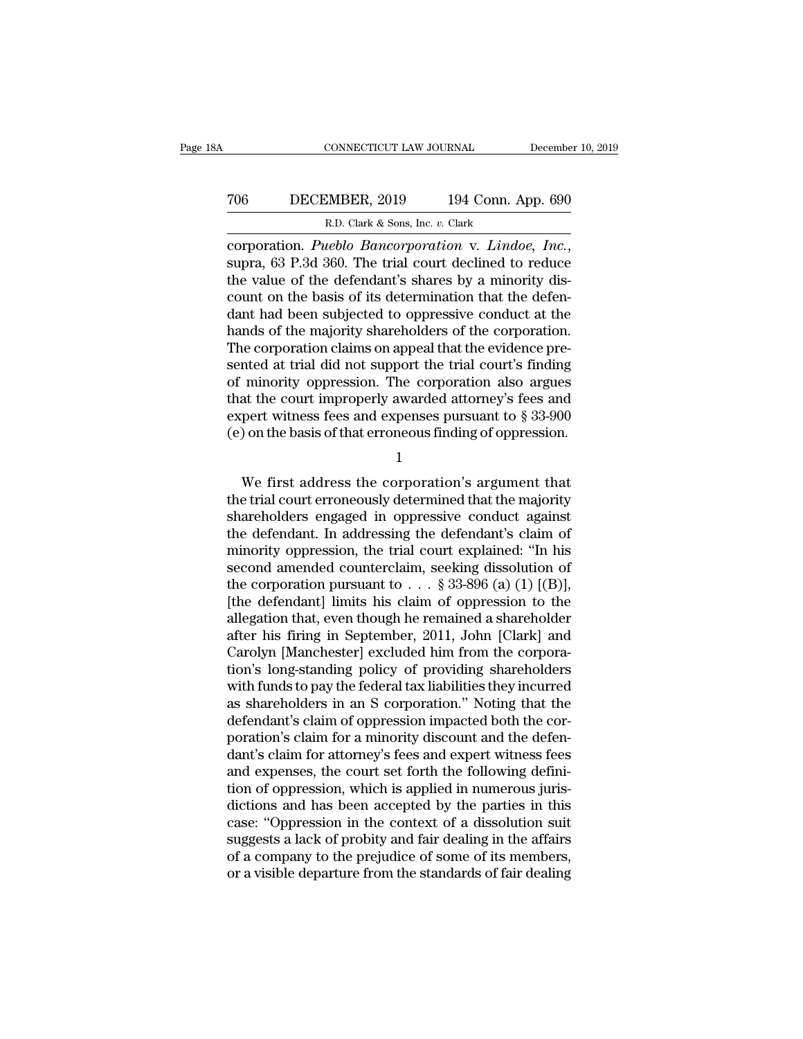# CONNECTICUT LAW JOURNAL December 10, 2019<br>
706 DECEMBER, 2019 194 Conn. App. 690<br>
R.D. Clark & Sons, Inc. v. Clark ECONNECTICUT LAW JOURNAL<br>MBER, 2019 194 Conn. A<br>R.D. Clark & Sons, Inc. *v.* Clark<br>weblo Bancornoration y Lindo

connecticut LAW JOURNAL December 10, 2019<br> **PUCCEMBER**, 2019 194 Conn. App. 690<br> **R.D. Clark & Sons**, Inc. *v.* Clark<br>
corporation. *Pueblo Bancorporation* v*. Lindoe, Inc.*,<br>
supra, 63 P.3d 360. The trial court declined t To the value of the defendant of the defendant basis of the defendant of the defendant's shares by a minority discount on the basis of its determination that the defendant had been subjected to engressive conduct at the d The CENNER, 2019 194 Conn. App. 690<br>
R.D. Clark & Sons, Inc. v. Clark<br>
corporation. *Pueblo Bancorporation* v. *Lindoe*, *Inc.*,<br>
supra, 63 P.3d 360. The trial court declined to reduce<br>
the value of the defendant's shares R.D. Clark & Sons, Inc. v. Clark<br>
corporation. *Pueblo Bancorporation* v. *Lindoe*, *Inc.*,<br>
supra, 63 P.3d 360. The trial court declined to reduce<br>
the value of the defendant's shares by a minority dis-<br>
count on the bas R.D. Clark & Sons, Inc. v. Clark<br>
corporation. *Pueblo Bancorporation* v. *Lindoe*, *Inc.*,<br>
supra, 63 P.3d 360. The trial court declined to reduce<br>
the value of the defendant's shares by a minority dis-<br>
count on the bas corporation. *Pueblo Bancorporation* v. *Lindoe*, *Inc.*, supra, 63 P.3d 360. The trial court declined to reduce the value of the defendant's shares by a minority discount on the basis of its determination that the defenda supra, 63 P.3d 360. The trial court declined to reduce<br>the value of the defendant's shares by a minority dis-<br>count on the basis of its determination that the defen-<br>dant had been subjected to oppressive conduct at the<br>han the value of the defendant's shares by a minority discount on the basis of its determination that the defendant had been subjected to oppressive conduct at the hands of the majority shareholders of the corporation.<br>The co count on the basis of its determination that the defendant had been subjected to oppressive conduct at the hands of the majority shareholders of the corporation.<br>The corporation claims on appeal that the evidence presente dant had been subjected to oppressive conduct at the<br>hands of the majority shareholders of the corporation.<br>The corporation claims on appeal that the evidence pre-<br>sented at trial did not support the trial court's finding hands of the majority shareholders of the corporation.<br>The corporation claims on appeal that the evidence presented at trial did not support the trial court's finding<br>of minority oppression. The corporation also argues<br>th minority oppression. The corporation also argues<br>at the court improperly awarded attorney's fees and<br>pert witness fees and expenses pursuant to  $\S 33-900$ <br>) on the basis of that erroneous finding of oppression.<br> $1$ <br>We fir

1

that the court improperly awarded attorney's fees and<br>expert witness fees and expenses pursuant to  $\S 33-900$ <br>(e) on the basis of that erroneous finding of oppression.<br> $1$ <br>We first address the corporation's argument that<br> beyond the basis of that erroneous finding of oppression.<br>
(e) on the basis of that erroneous finding of oppression.<br>  $1$ <br>
We first address the corporation's argument that<br>
the trial court erroneously determined that the (e) on the basis of that erroneous finding of oppression.<br>
1<br>
We first address the corporation's argument that<br>
the trial court erroneously determined that the majority<br>
shareholders engaged in oppressive conduct agains<br>
t 1<br>We first address the corporation's argument that<br>the trial court erroneously determined that the majority<br>shareholders engaged in oppressive conduct against<br>the defendant. In addressing the defendant's claim of<br>minority We first address the corporation's argument that<br>the trial court erroneously determined that the majority<br>shareholders engaged in oppressive conduct against<br>the defendant. In addressing the defendant's claim of<br>minority o We first address the corporation's argument that<br>the trial court erroneously determined that the majority<br>shareholders engaged in oppressive conduct against<br>the defendant. In addressing the defendant's claim of<br>minority o the trial court erroneously determined that the majority<br>shareholders engaged in oppressive conduct against<br>the defendant. In addressing the defendant's claim of<br>minority oppression, the trial court explained: "In his<br>sec shareholders engaged in oppressive conduct against<br>the defendant. In addressing the defendant's claim of<br>minority oppression, the trial court explained: "In his<br>second amended counterclaim, seeking dissolution of<br>the corp the defendant. In addressing the defendant's claim of<br>minority oppression, the trial court explained: "In his<br>second amended counterclaim, seeking dissolution of<br>the corporation pursuant to  $\ldots$  § 33-896 (a) (1) [(B)],<br>[ minority oppression, the trial court explained: "In his<br>second amended counterclaim, seeking dissolution of<br>the corporation pursuant to  $\ldots$  § 33-896 (a) (1) [(B)],<br>[the defendant] limits his claim of oppression to the<br>a second amended counterclaim, seeking dissolution of<br>the corporation pursuant to  $\ldots$  § 33-896 (a) (1) [(B)],<br>[the defendant] limits his claim of oppression to the<br>allegation that, even though he remained a shareholder<br>af the corporation pursuant to  $\ldots$  § 33-896 (a) (1) [(B)],<br>[the defendant] limits his claim of oppression to the<br>allegation that, even though he remained a shareholder<br>after his firing in September, 2011, John [Clark] and<br> [the defendant] limits his claim of oppression to the allegation that, even though he remained a shareholder after his firing in September, 2011, John [Clark] and Carolyn [Manchester] excluded him from the corporation's lo allegation that, even though he remained a shareholder<br>after his firing in September, 2011, John [Clark] and<br>Carolyn [Manchester] excluded him from the corpora-<br>tion's long-standing policy of providing shareholders<br>with fu after his firing in September, 2011, John [Clark] and<br>Carolyn [Manchester] excluded him from the corpora-<br>tion's long-standing policy of providing shareholders<br>with funds to pay the federal tax liabilities they incurred<br>as Carolyn [Manchester] excluded him from the corporation's long-standing policy of providing shareholders<br>with funds to pay the federal tax liabilities they incurred<br>as shareholders in an S corporation." Noting that the<br>defe tion's long-standing policy of providing shareholders<br>with funds to pay the federal tax liabilities they incurred<br>as shareholders in an S corporation." Noting that the<br>defendant's claim of oppression impacted both the corwith funds to pay the federal tax liabilities they incurred<br>as shareholders in an S corporation." Noting that the<br>defendant's claim of oppression impacted both the cor-<br>poration's claim for a minority discount and the defe as shareholders in an S corporation." Noting that the<br>defendant's claim of oppression impacted both the cor-<br>poration's claim for a minority discount and the defen-<br>dant's claim for attorney's fees and expert witness fees<br> defendant's claim of oppression impacted both the cor-<br>poration's claim for a minority discount and the defen-<br>dant's claim for attorney's fees and expert witness fees<br>and expenses, the court set forth the following defini poration's claim for a minority discount and the defendant's claim for attorney's fees and expert witness fees<br>and expenses, the court set forth the following defini-<br>tion of oppression, which is applied in numerous jurisdant's claim for attorney's fees and expert witness fees<br>and expenses, the court set forth the following defini-<br>tion of oppression, which is applied in numerous juris-<br>dictions and has been accepted by the parties in this and expenses, the court set forth the following definition of oppression, which is applied in numerous jurisdictions and has been accepted by the parties in this case: "Oppression in the context of a dissolution suit sugge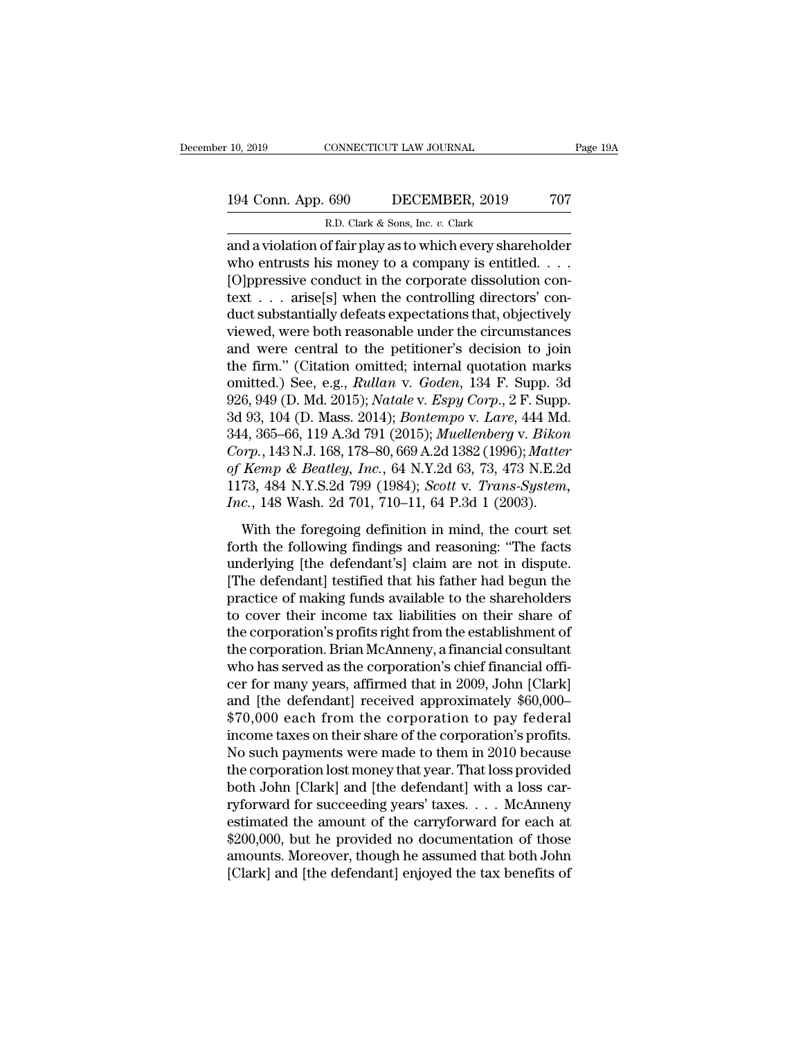# 10, 2019 CONNECTICUT LAW JOURNAL Page 19A<br>194 Conn. App. 690 DECEMBER, 2019 707<br>R.D. Clark & Sons, Inc. v. Clark R.D. Clark & Sons, Inc. *v.* Clark

10, 2019 CONNECTICUT LAW JOURNAL Page 19A<br>
194 Conn. App. 690 DECEMBER, 2019 707<br>
R.D. Clark & Sons, Inc. v. Clark<br>
and a violation of fair play as to which every shareholder<br>
who entrusts his money to a company is entitle 194 Conn. App. 690 DECEMBER, 2019 707<br>
R.D. Clark & Sons, Inc. v. Clark<br>
and a violation of fair play as to which every shareholder<br>
who entrusts his money to a company is entitled. . . .<br>
[O]ppressive conduct in the corpo 194 Conn. App. 690 DECEMBER, 2019 707<br>
R.D. Clark & Sons, Inc. v. Clark<br>
and a violation of fair play as to which every shareholder<br>
who entrusts his money to a company is entitled. . . .<br>
[O]ppressive conduct in the corp 194 Conn. App. 690 DECEMBER, 2019 707<br>
R.D. Clark & Sons, Inc. v. Clark<br>
and a violation of fair play as to which every shareholder<br>
who entrusts his money to a company is entitled. . . .<br>
[O]ppressive conduct in the corp R.D. Clark & Sons, Inc. v. Clark<br>and a violation of fair play as to which every shareholder<br>who entrusts his money to a company is entitled. . . .<br>[O]ppressive conduct in the corporate dissolution con-<br>text . . . arise[s] R.D. Clark & Sons, lnc. v. Clark<br>and a violation of fair play as to which every shareholder<br>who entrusts his money to a company is entitled. . . .<br>[O]ppressive conduct in the corporate dissolution con-<br>text . . . arise[s] and a violation of fair play as to which every shareholder<br>who entrusts his money to a company is entitled. . . .<br>[O]ppressive conduct in the corporate dissolution con-<br>text . . . arise[s] when the controlling directors' who entrusts his money to a company is entitled. . . .<br>
[O]ppressive conduct in the corporate dissolution con-<br>
text . . . arise[s] when the controlling directors' con-<br>
duct substantially defeats expectations that, objec [O]ppressive conduct in the corporate dissolution con-<br>text . . . arise[s] when the controlling directors' con-<br>duct substantially defeats expectations that, objectively<br>viewed, were both reasonable under the circumstances text . . . arise[s] when the controlling directors' conduct substantially defeats expectations that, objectively<br>viewed, were both reasonable under the circumstances<br>and were central to the petitioner's decision to join<br>th duct substantially defeats expectations that, objectively<br>viewed, were both reasonable under the circumstances<br>and were central to the petitioner's decision to join<br>the firm." (Citation omitted; internal quotation marks<br>om viewed, were both reasonable under the circumstances<br>and were central to the petitioner's decision to join<br>the firm." (Citation omitted; internal quotation marks<br>omitted.) See, e.g., *Rullan* v. *Goden*, 134 F. Supp. 3d<br>92 and were central to the petitioner's decision to join<br>the firm." (Citation omitted; internal quotation marks<br>omitted.) See, e.g., *Rullan v. Goden*, 134 F. Supp. 3d<br>926, 949 (D. Md. 2015); *Natale v. Espy Corp.*, 2 F. Supp the firm." (Citation omitted; internal quotation marks<br>
omitted.) See, e.g., *Rullan v. Goden*, 134 F. Supp. 3d<br>
926, 949 (D. Md. 2015); *Natale v. Espy Corp.*, 2 F. Supp.<br>
3d 93, 104 (D. Mass. 2014); *Bontempo v. Lare*, 4 omitted.) See, e.g., *Rullan v. Goden*, 134 F. Supp. 3d<br>926, 949 (D. Md. 2015); *Natale v. Espy Corp.*, 2 F. Supp.<br>3d 93, 104 (D. Mass. 2014); *Bontempo v. Lare*, 444 Md.<br>344, 365–66, 119 A.3d 791 (2015); *Muellenberg v. B* 926, 949 (D. Md. 2015); *Natale v. Espy Corp.*, 2 F. Supp. 3d 93, 104 (D. Mass. 2014); *Bontempo v. Lare*, 444 Md. 344, 365–66, 119 A.3d 791 (2015); *Muellenberg v. Bikon Corp.*, 143 N.J. 168, 178–80, 669 A.2d 1382 (1996); 4, 365–66, 119 A.3d 791 (2015); *Muellenberg v. Bikon*<br>4, 365–66, 119 A.3d 791 (2015); *Muellenberg v. Bikon*<br>*Pp.*, 143 N.J. 168, 178–80, 669 A.2d 1382 (1996); *Matter<br>Kemp & Beatley, Inc.*, 64 N.Y.2d 63, 73, 473 N.E.2d<br> *Corp.*, 143 N.J. 168, 178–80, 669 A.2d 1382 (1996); *Matter* of Kemp & Beatley, Inc., 64 N.Y.2d 63, 73, 473 N.E.2d 1173, 484 N.Y.S.2d 799 (1984); *Scott v. Trans-System, Inc.*, 148 Wash. 2d 701, 710–11, 64 P.3d 1 (2003).

of Kemp & Beatley, Inc., 64 N.Y.2d 63, 73, 473 N.E.2d<br>1173, 484 N.Y.S.2d 799 (1984); Scott v. Trans-System,<br>Inc., 148 Wash. 2d 701, 710–11, 64 P.3d 1 (2003).<br>With the foregoing definition in mind, the court set<br>forth the [The defendant] testified that his father had begun the practice of making funds and reasoning: "The facts underlying [the defendant's] claim are not in dispute. The defendant] testified that his father had begun the prac Fries, 182 Kirls.12a *Foo* (1893), Because Cristal Pageston,  $Inc$ , 148 Wash. 2d 701, 710–11, 64 P.3d 1 (2003).<br>With the foregoing definition in mind, the court set<br>forth the following findings and reasoning: "The facts<br>und With the foregoing definition in mind, the court set<br>forth the following findings and reasoning: "The facts<br>underlying [the defendant's] claim are not in dispute.<br>[The defendant] testified that his father had begun the<br>pr With the foregoing definition in mind, the court set<br>forth the following findings and reasoning: "The facts<br>underlying [the defendant's] claim are not in dispute.<br>[The defendant] testified that his father had begun the<br>pra forth the following findings and reasoning: "The facts<br>underlying [the defendant's] claim are not in dispute.<br>[The defendant] testified that his father had begun the<br>practice of making funds available to the shareholders<br>t underlying [the defendant's] claim are not in dispute.<br>[The defendant] testified that his father had begun the<br>practice of making funds available to the shareholders<br>to cover their income tax liabilities on their share of<br> [The defendant] testified that his father had begun the<br>practice of making funds available to the shareholders<br>to cover their income tax liabilities on their share of<br>the corporation's profits right from the establishment practice of making funds available to the shareholders<br>to cover their income tax liabilities on their share of<br>the corporation's profits right from the establishment of<br>the corporation. Brian McAnneny, a financial consulta to cover their income tax liabilities on their share of<br>the corporation's profits right from the establishment of<br>the corporation. Brian McAnneny, a financial consultant<br>who has served as the corporation's chief financial the corporation's profits right from the establishment of<br>the corporation. Brian McAnneny, a financial consultant<br>who has served as the corporation's chief financial offi-<br>cer for many years, affirmed that in 2009, John [C the corporation. Brian McAnneny, a financial consultant<br>who has served as the corporation's chief financial offi-<br>cer for many years, affirmed that in 2009, John [Clark]<br>and [the defendant] received approximately \$60,000–<br> who has served as the corporation's chief financial officer for many years, affirmed that in 2009, John [Clark]<br>and [the defendant] received approximately \$60,000–<br>\$70,000 each from the corporation to pay federal<br>income ta cer for many years, affirmed that in 2009, John [Clark]<br>and [the defendant] received approximately \$60,000–<br>\$70,000 each from the corporation to pay federal<br>income taxes on their share of the corporation's profits.<br>No such and [the defendant] received approximately \$60,000–<br>\$70,000 each from the corporation to pay federal<br>income taxes on their share of the corporation's profits.<br>No such payments were made to them in 2010 because<br>the corporat \$70,000 each from the corporation to pay federal<br>income taxes on their share of the corporation's profits.<br>No such payments were made to them in 2010 because<br>the corporation lost money that year. That loss provided<br>both Jo income taxes on their share of the corporation's profits.<br>No such payments were made to them in 2010 because<br>the corporation lost money that year. That loss provided<br>both John [Clark] and [the defendant] with a loss car-<br>r No such payments were made to them in 2010 because<br>the corporation lost money that year. That loss provided<br>both John [Clark] and [the defendant] with a loss car-<br>ryforward for succeeding years' taxes. . . . McAnneny<br>estim the corporation lost money that year. That loss provided<br>both John [Clark] and [the defendant] with a loss car-<br>ryforward for succeeding years' taxes. . . . McAnneny<br>estimated the amount of the carryforward for each at<br>\$20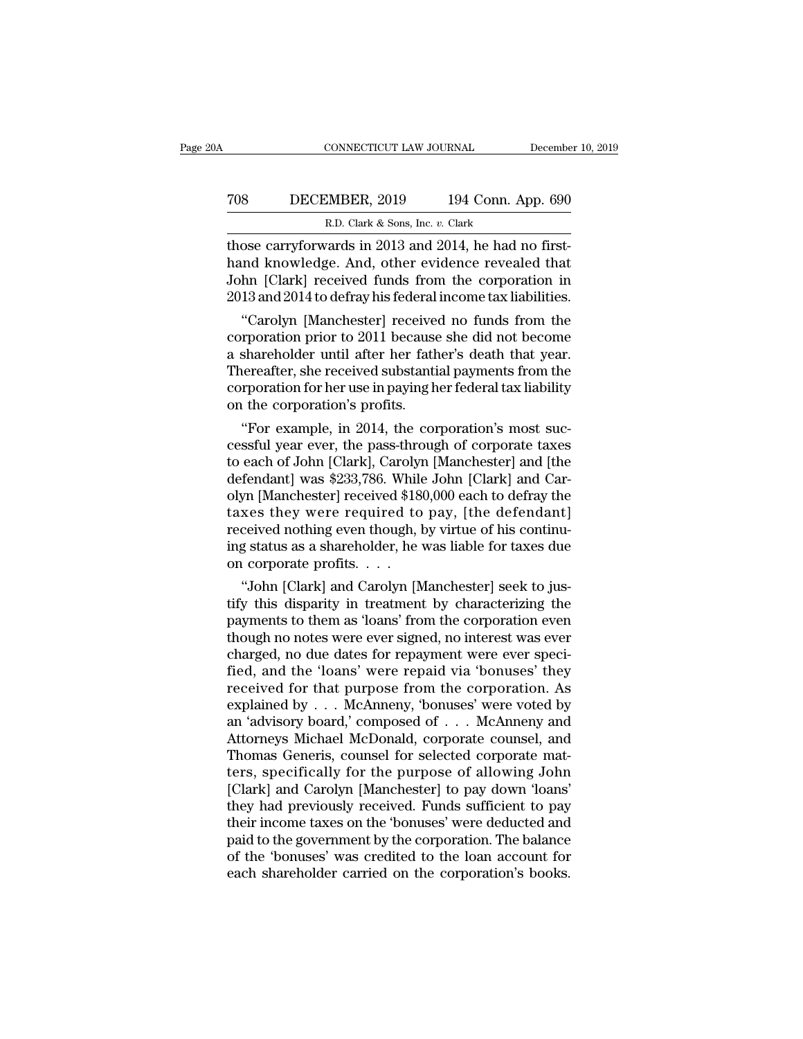# CONNECTICUT LAW JOURNAL December 10, 2019<br>
708 DECEMBER, 2019 194 Conn. App. 690<br>
R.D. Clark & Sons, Inc. v. Clark EXECTICUT LAW JOURNAL<br>MBER, 2019 194 Conn. A<br>R.D. Clark & Sons, Inc. *v.* Clark<br>gards in 2013 and 2014 be had r

CONNECTICUT LAW JOURNAL December<br>
TOS DECEMBER, 2019 194 Conn. App. 690<br>
R.D. Clark & Sons, Inc. v. Clark<br>
Those carryforwards in 2013 and 2014, he had no first-<br>
hand knowledge. And, other evidence revealed that<br>
John [Cl TOS DECEMBER, 2019 194 Conn. App. 690<br>R.D. Clark & Sons, Inc. v. Clark<br>those carryforwards in 2013 and 2014, he had no first-<br>hand knowledge. And, other evidence revealed that<br>John [Clark] received funds from the corporati TOS DECEMBER, 2019 194 Conn. App. 690<br>R.D. Clark & Sons, Inc. v. Clark<br>those carryforwards in 2013 and 2014, he had no first-<br>hand knowledge. And, other evidence revealed that<br>John [Clark] received funds from the corporati TOS DECEMBER, 2019 194 Conn. App. 690<br>
R.D. Clark & Sons, Inc. v. Clark<br>
those carryforwards in 2013 and 2014, he had no first-<br>
hand knowledge. And, other evidence revealed that<br>
John [Clark] received funds from the corpo R.D. Clark & Sons, Inc. v. Clark<br>
ose carryforwards in 2013 and 2014, he had no first-<br>
and knowledge. And, other evidence revealed that<br>
hn [Clark] received funds from the corporation in<br>
13 and 2014 to defray his federal those carryforwards in 2013 and 2014, he had no first-<br>hand knowledge. And, other evidence revealed that<br>John [Clark] received funds from the corporation in<br>2013 and 2014 to defray his federal income tax liabilities.<br>"Caro

those carryforwards in 2013 and 2014, he had no first-<br>hand knowledge. And, other evidence revealed that<br>John [Clark] received funds from the corporation in<br>2013 and 2014 to defray his federal income tax liabilities.<br>"Caro nand knowledge. And, other evidence revealed that<br>John [Clark] received funds from the corporation in<br>2013 and 2014 to defray his federal income tax liabilities.<br>"Carolyn [Manchester] received no funds from the<br>corporation John [Clark] received runds from the corporation in<br>2013 and 2014 to defray his federal income tax liabilities.<br>"Carolyn [Manchester] received no funds from the<br>corporation prior to 2011 because she did not become<br>a shareh 2013 and 2014 to derray ms rederal<br>
"Carolyn [Manchester] receive<br>
corporation prior to 2011 because<br>
a shareholder until after her fath<br>
Thereafter, she received substanti<br>
corporation for her use in paying h<br>
on the corp Carolyn [Manchester] received no funds from the<br>reporation prior to 2011 because she did not become<br>shareholder until after her father's death that year.<br>ereafter, she received substantial payments from the<br>reporation for corporation prior to 2011 because she did not become<br>a shareholder until after her father's death that year.<br>Thereafter, she received substantial payments from the<br>corporation for her use in paying her federal tax liabilit

a snareholder until after her father's death that year.<br>Thereafter, she received substantial payments from the<br>corporation for her use in paying her federal tax liability<br>on the corporation's profits.<br>"For example, in 2014 Thereatter, she received substantial payments from the<br>corporation for her use in paying her federal tax liability<br>on the corporation's profits.<br>"For example, in 2014, the corporation's most suc-<br>cessful year ever, the pas corporation for her use in paying her rederal tax hability<br>on the corporation's profits.<br>"For example, in 2014, the corporation's most suc-<br>cessful year ever, the pass-through of corporate taxes<br>to each of John [Clark], Ca on the corporation's profits.<br>
"For example, in 2014, the corporation's most successful year ever, the pass-through of corporate taxes<br>
to each of John [Clark], Carolyn [Manchester] and [the<br>
defendant] was \$233,786. While "For example, in 2014, the corporation's most successful year ever, the pass-through of corporate taxes<br>to each of John [Clark], Carolyn [Manchester] and [the<br>defendant] was \$233,786. While John [Clark] and Car-<br>olyn [Manc cessful year ever, the pass-through of corporate taxes<br>to each of John [Clark], Carolyn [Manchester] and [the<br>defendant] was \$233,786. While John [Clark] and Car-<br>olyn [Manchester] received \$180,000 each to defray the<br>taxe to each of John [Clark], Caroly<br>defendant] was \$233,786. While<br>olyn [Manchester] received \$18<br>taxes they were required to<br>received nothing even though, l<br>ing status as a shareholder, he<br>on corporate profits. . . .<br>"John [C Tendant] was \$253,780. While John [Clark] and Car-<br>yn [Manchester] received \$180,000 each to defray the<br>xes they were required to pay, [the defendant]<br>ceived nothing even though, by virtue of his continu-<br>g status as a sha olyn [Manchester] received \$180,000 each to derray the<br>taxes they were required to pay, [the defendant]<br>received nothing even though, by virtue of his continu-<br>ing status as a shareholder, he was liable for taxes due<br>on co

taxes they were required to pay, [the detendant]<br>received nothing even though, by virtue of his continu-<br>ing status as a shareholder, he was liable for taxes due<br>on corporate profits.  $\dots$ <br>"John [Clark] and Carolyn [Manch received nothing even though, by virtue of his continu-<br>ing status as a shareholder, he was liable for taxes due<br>on corporate profits. . . .<br>"John [Clark] and Carolyn [Manchester] seek to jus-<br>tify this disparity in treatm ing status as a snareholder, he was hable for taxes due<br>on corporate profits. . . .<br>"John [Clark] and Carolyn [Manchester] seek to jus-<br>tify this disparity in treatment by characterizing the<br>payments to them as 'loans' fro on corporate pronts. . . .<br>"John [Clark] and Carolyn [Manchester] seek to jus-<br>tify this disparity in treatment by characterizing the<br>payments to them as 'loans' from the corporation even<br>though no notes were ever signed, "John [Clark] and Carolyn [Manchester] seek to justify this disparity in treatment by characterizing the payments to them as 'loans' from the corporation even though no notes were ever signed, no interest was ever charged tify this disparity in treatment by characterizing the<br>payments to them as 'loans' from the corporation even<br>though no notes were ever signed, no interest was ever<br>charged, no due dates for repayment were ever speci-<br>fied, payments to them as 'loans' from the corporation even<br>though no notes were ever signed, no interest was ever<br>charged, no due dates for repayment were ever speci-<br>fied, and the 'loans' were repaid via 'bonuses' they<br>receive though no notes were ever signed, no interest was ever<br>charged, no due dates for repayment were ever speci-<br>fied, and the 'loans' were repaid via 'bonuses' they<br>received for that purpose from the corporation. As<br>explained charged, no due dates for repayment were ever specified, and the 'loans' were repaid via 'bonuses' they<br>received for that purpose from the corporation. As<br>explained by . . . McAnneny, 'bonuses' were voted by<br>an 'advisory b fied, and the 'loans' were repaid via 'bonuses' they<br>received for that purpose from the corporation. As<br>explained by . . . McAnneny, 'bonuses' were voted by<br>an 'advisory board,' composed of . . . McAnneny and<br>Attorneys Mic received for that purpose from the corporation. As<br>explained by . . . McAnneny, 'bonuses' were voted by<br>an 'advisory board,' composed of . . . McAnneny and<br>Attorneys Michael McDonald, corporate counsel, and<br>Thomas Generis, explained by . . . McAnneny, 'bonuses' were voted by<br>an 'advisory board,' composed of . . . McAnneny and<br>Attorneys Michael McDonald, corporate counsel, and<br>Thomas Generis, counsel for selected corporate mat-<br>ters, specific an 'advisory board,' composed of . . . McAnneny and<br>Attorneys Michael McDonald, corporate counsel, and<br>Thomas Generis, counsel for selected corporate mat-<br>ters, specifically for the purpose of allowing John<br>[Clark] and Car Attorneys Michael McDonald, corporate counsel, and<br>Thomas Generis, counsel for selected corporate matters, specifically for the purpose of allowing John<br>[Clark] and Carolyn [Manchester] to pay down 'loans'<br>they had previou Thomas Generis, counsel for selected corporate matters, specifically for the purpose of allowing John [Clark] and Carolyn [Manchester] to pay down 'loans' they had previously received. Funds sufficient to pay their income ters, specifically for the purpose of allowing John [Clark] and Carolyn [Manchester] to pay down 'loans'<br>they had previously received. Funds sufficient to pay<br>their income taxes on the 'bonuses' were deducted and<br>paid to t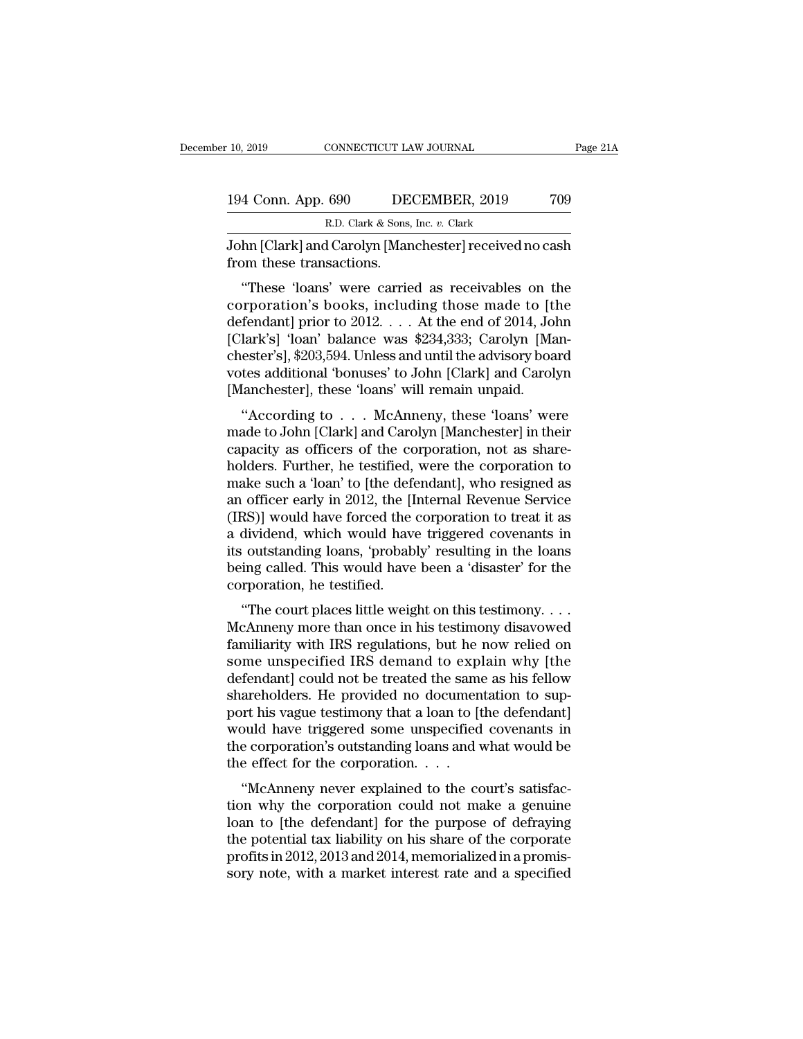| 10, 2019           | CONNECTICUT LAW JOURNAL                                 | Page 21A |
|--------------------|---------------------------------------------------------|----------|
| 194 Conn. App. 690 | DECEMBER, 2019                                          | 709      |
|                    | R.D. Clark & Sons, Inc. v. Clark                        |          |
|                    | John [Clark] and Carolyn [Manchester] received no cash. |          |

10, 2019 CONNECTICUT LAW JOURNAL Page 21A<br>
194 Conn. App. 690 DECEMBER, 2019 709<br>
R.D. Clark & Sons, Inc. v. Clark<br>
John [Clark] and Carolyn [Manchester] received no cash<br>
from these transactions. 194 Conn. App. 690 DEC<br>R.D. Clark & Sons,<br>John [Clark] and Carolyn [Man<br>from these transactions.<br>"These 'loans' were carrie

4 Conn. App. 690 DECEMBER, 2019 709<br>
R.D. Clark & Sons, Inc. v. Clark<br>
hn [Clark] and Carolyn [Manchester] received no cash<br>
om these transactions.<br>
"These 'loans' were carried as receivables on the<br>
rporation's books, inc 194 Conn. App. 690 DECEMBER, 2019 709<br>
R.D. Clark & Sons, Inc. v. Clark<br>
John [Clark] and Carolyn [Manchester] received no cash<br>
from these transactions.<br>
"These 'loans' were carried as receivables on the<br>
corporation's b R.D. Clark & Sons, Inc. v. Clark<br>John [Clark] and Carolyn [Manchester] received no cash<br>from these transactions.<br>"These 'loans' were carried as receivables on the<br>corporation's books, including those made to [the<br>defendan John [Clark] and Carolyn [Manchester] received no cash<br>from these transactions.<br>"These 'loans' were carried as receivables on the<br>corporation's books, including those made to [the<br>defendant] prior to 2012. . . . At the end From these transactions.<br>
"These 'loans' were carried as receivables on the<br>
corporation's books, including those made to [the<br>
defendant] prior to 2012. . . . At the end of 2014, John<br>
[Clark's] 'loan' balance was \$234,33 "These 'laansactions."<br>
"These 'loans' were carried as receivables on the<br>
corporation's books, including those made to [the<br>
defendant] prior to 2012.... At the end of 2014, John<br>
[Clark's] 'loan' balance was \$234,333; Ca "These 'loans' were carried as receivables on t<br>corporation's books, including those made to [t]<br>defendant] prior to 2012.... At the end of 2014, Jo<br>[Clark's] 'loan' balance was \$234,333; Carolyn [Ma<br>chester's], \$203,594. The Fendant] prior to 2012. . . . At the end of 2014, John<br>lark's] 'loan' balance was \$234,333; Carolyn [Man-<br>ester's], \$203,594. Unless and until the advisory board<br>tes additional 'bonuses' to John [Clark] and Carolyn<br>lan defendant] phot to 2012. . . . . At the end of 2014, John<br>[Clark's] 'loan' balance was \$234,333; Carolyn [Man-<br>chester's], \$203,594. Unless and until the advisory board<br>votes additional 'bonuses' to John [Clark] and Caroly

CLAR ST FOAL DATACTER WAS \$254,355, CATOLYIT [MAI-<br>chester's], \$203,594. Unless and until the advisory board<br>votes additional 'bonuses' to John [Clark] and Carolyn<br>[Manchester], these 'loans' will remain unpaid.<br>"According chester s<sub>1</sub>,  $\phi$ 200,094. Chess and durif the advisory board<br>votes additional 'bonuses' to John [Clark] and Carolyn<br>[Manchester], these 'loans' will remain unpaid.<br>"According to  $\dots$  McAnneny, these 'loans' were<br>made to Manchester], these 'loans' will remain unpaid.<br>
"According to  $\ldots$  McAnneny, these 'loans' were<br>
made to John [Clark] and Carolyn [Manchester] in their<br>
capacity as officers of the corporation, not as share-<br>
holders. Fu "According to  $\ldots$  McAnneny, these 'loans' were<br>"According to  $\ldots$  McAnneny, these 'loans' were<br>made to John [Clark] and Carolyn [Manchester] in their<br>capacity as officers of the corporation, not as share-<br>holders. Furt "According to  $\ldots$  McAnneny, these 'loans' were<br>made to John [Clark] and Carolyn [Manchester] in their<br>capacity as officers of the corporation, not as share-<br>holders. Further, he testified, were the corporation to<br>make s made to John [Clark] and Carolyn [Manchester] in their<br>capacity as officers of the corporation, not as share-<br>holders. Further, he testified, were the corporation to<br>make such a 'loan' to [the defendant], who resigned as<br>a capacity as officers of the corporation, not as shareholders. Further, he testified, were the corporation to make such a 'loan' to [the defendant], who resigned as an officer early in 2012, the [Internal Revenue Service (I holders. Further, he testified, were the corporation to<br>make such a 'loan' to [the defendant], who resigned as<br>an officer early in 2012, the [Internal Revenue Service<br>(IRS)] would have forced the corporation to treat it as make such a 'loan' to [the defe<br>an officer early in 2012, the [I<br>(IRS)] would have forced the<br>a dividend, which would have<br>its outstanding loans, 'probab<br>being called. This would have<br>corporation, he testified.<br>"The court The court places like the corporation to treat it as<br>
dividend, which would have triggered covenants in<br>
i outstanding loans, 'probably' resulting in the loans<br>
ing called. This would have been a 'disaster' for the<br>
rpora (IRS)] would have forced the corporation to treat it as<br>a dividend, which would have triggered covenants in<br>its outstanding loans, 'probably' resulting in the loans<br>being called. This would have been a 'disaster' for the<br>

a divident, which would have triggered covenants in<br>its outstanding loans, 'probably' resulting in the loans<br>being called. This would have been a 'disaster' for the<br>corporation, he testified.<br>"The court places little weigh solustanding loans, probably resulting in the loans<br>being called. This would have been a 'disaster' for the<br>corporation, he testified.<br>"The court places little weight on this testimony....<br>McAnneny more than once in his te being called. This would have been a disaster for the<br>corporation, he testified.<br>"The court places little weight on this testimony....<br>McAnneny more than once in his testimony disavowed<br>familiarity with IRS regulations, bu "The court places little weight on this testimony. . . . McAnneny more than once in his testimony disavowed familiarity with IRS regulations, but he now relied on some unspecified IRS demand to explain why [the defendant] "The court places little weight on this testimony....<br>McAnneny more than once in his testimony disavowed<br>familiarity with IRS regulations, but he now relied on<br>some unspecified IRS demand to explain why [the<br>defendant] co McAnneny more than once in his testimony disavowed<br>familiarity with IRS regulations, but he now relied on<br>some unspecified IRS demand to explain why [the<br>defendant] could not be treated the same as his fellow<br>shareholders. familiarity with IRS regulations, but he now relied on<br>some unspecified IRS demand to explain why [the<br>defendant] could not be treated the same as his fellow<br>shareholders. He provided no documentation to sup-<br>port his vag some unspecified IRS demand to explore defendant] could not be treated the same<br>shareholders. He provided no documen<br>port his vague testimony that a loan to [t]<br>would have triggered some unspecified<br>the corporation's outst Thendant] collid not be treated the same as his fellow<br>areholders. He provided no documentation to sup-<br>tr his vague testimony that a loan to [the defendant]<br>buld have triggered some unspecified covenants in<br>e corporation' state<br>flowers. The provided no documentation to support his vague testimony that a loan to [the defendant]<br>would have triggered some unspecified covenants in<br>the corporation's outstanding loans and what would be<br>the effect

port ins vague testimony that a foal to [the defendant]<br>would have triggered some unspecified covenants in<br>the corporation's outstanding loans and what would be<br>the effect for the corporation....<br>"McAnneny never explained would have triggered some dispectified covenants in<br>the corporation's outstanding loans and what would be<br>the effect for the corporation....<br>"McAnneny never explained to the court's satisfac-<br>tion why the corporation coul the effect for the corporation....<br>
"McAnneny never explained to the court's satisfaction why the corporation could not make a genuine<br>
loan to [the defendant] for the purpose of defraying<br>
the potential tax liability on h "McAnneny never explained to the court's satisfaction why the corporation could not make a genuine<br>loan to [the defendant] for the purpose of defraying<br>the potential tax liability on his share of the corporate<br>profits in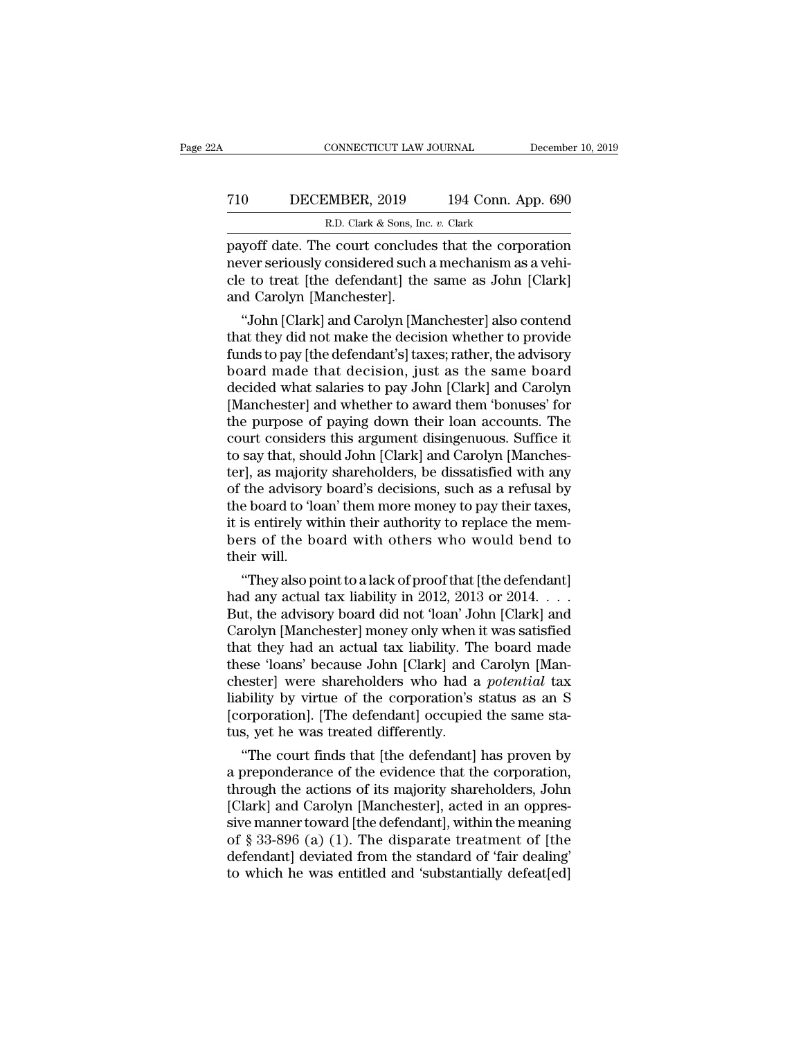# CONNECTICUT LAW JOURNAL December 10, 2019<br>
710 DECEMBER, 2019 194 Conn. App. 690<br>
R.D. Clark & Sons, Inc. v. Clark CONNECTICUT LAW JOURNAL<br>MBER, 2019 194 Conn. A<br>R.D. Clark & Sons, Inc. *v.* Clark<br>e court concludes that the corn

CONNECTICUT LAW JOURNAL December 10, 2019<br>
PECEMBER, 2019 194 Conn. App. 690<br>
R.D. Clark & Sons, Inc. v. Clark<br>
payoff date. The court concludes that the corporation<br>
never seriously considered such a mechanism as a vehi-<br> T10 DECEMBER, 2019 194 Conn. App. 690<br>R.D. Clark & Sons, Inc. v. Clark<br>payoff date. The court concludes that the corporation<br>never seriously considered such a mechanism as a vehi-<br>cle to treat [the defendant] the same as J T10 DECEMBER, 2019 194 Conn. App. 690<br>R.D. Clark & Sons, Inc. v. Clark<br>payoff date. The court concludes that the corporation<br>never seriously considered such a mechanism as a vehi-<br>cle to treat [the defendant] the same as T10 DECEMBER, 2019<br>R.D. Clark & Sons, Inc<br>payoff date. The court conclude<br>never seriously considered such<br>cle to treat [the defendant] the<br>and Carolyn [Manchester].<br>"John [Clark] and Carolyn [Ma R.D. Clark & Sons, Inc.  $v$ . Clark<br>
yoff date. The court concludes that the corporation<br>
ver seriously considered such a mechanism as a vehi-<br>
e to treat [the defendant] the same as John [Clark]<br>
d Carolyn [Manchester].<br> payoff date. The court concludes that the corporation<br>never seriously considered such a mechanism as a vehi-<br>cle to treat [the defendant] the same as John [Clark]<br>and Carolyn [Manchester].<br>"John [Clark] and Carolyn [Manche

payori date. The court concludes that the corporation<br>never seriously considered such a mechanism as a vehi-<br>cle to treat [the defendant] the same as John [Clark]<br>and Carolyn [Manchester].<br>"John [Clark] and Carolyn [Manche hower seriously considered such a mechanism as a veni-<br>cle to treat [the defendant] the same as John [Clark]<br>and Carolyn [Manchester].<br>"John [Clark] and Carolyn [Manchester] also contend<br>that they did not make the decision cie to treat [the defendant] the same as John [Clark]<br>and Carolyn [Manchester].<br>"John [Clark] and Carolyn [Manchester] also contend<br>that they did not make the decision whether to provide<br>funds to pay [the defendant's] taxe and Carolyn [Manchester].<br>
"John [Clark] and Carolyn [Manchester] also contend<br>
that they did not make the decision whether to provide<br>
funds to pay [the defendant's] taxes; rather, the advisory<br>
board made that decision, "John [Clark] and Carolyn [Manchester] also contend<br>that they did not make the decision whether to provide<br>funds to pay [the defendant's] taxes; rather, the advisory<br>board made that decision, just as the same board<br>decided that they did not make the decision whether to provide<br>funds to pay [the defendant's] taxes; rather, the advisory<br>board made that decision, just as the same board<br>decided what salaries to pay John [Clark] and Carolyn<br>[Manc funds to pay [the defendant's] taxes; rather, the advisory<br>board made that decision, just as the same board<br>decided what salaries to pay John [Clark] and Carolyn<br>[Manchester] and whether to award them 'bonuses' for<br>the pur board made that decision, just as the same board<br>decided what salaries to pay John [Clark] and Carolyn<br>[Manchester] and whether to award them 'bonuses' for<br>the purpose of paying down their loan accounts. The<br>court consider decided what salaries to pay John [Clark] and Carolyn<br>[Manchester] and whether to award them 'bonuses' for<br>the purpose of paying down their loan accounts. The<br>court considers this argument disingenuous. Suffice it<br>to say t [Manchester] and whether to award them 'bonuses' for<br>the purpose of paying down their loan accounts. The<br>court considers this argument disingenuous. Suffice it<br>to say that, should John [Clark] and Carolyn [Manches-<br>ter], a the purpose of paying down their loan accounts. The<br>court considers this argument disingenuous. Suffice it<br>to say that, should John [Clark] and Carolyn [Manches-<br>ter], as majority shareholders, be dissatisfied with any<br>of court considers this argument disingenuous. Suffice it<br>to say that, should John [Clark] and Carolyn [Manches-<br>ter], as majority shareholders, be dissatisfied with any<br>of the advisory board's decisions, such as a refusal by to say that, shoter], as majorit<br>of the advisory<br>the board to 'lo<br>it is entirely wi<br>bers of the bo<br>their will.<br>"They also po  $\epsilon$  ), as majority snareholders, be dissatisfied with any<br>the advisory board's decisions, such as a refusal by<br>e board to 'loan' them more money to pay their taxes,<br>is entirely within their authority to replace the mem-<br> or the advisory board s decisions, such as a refusal by<br>the board to 'loan' them more money to pay their taxes,<br>it is entirely within their authority to replace the mem-<br>bers of the board with others who would bend to<br>thei

the board to foan them more money to pay their taxes,<br>it is entirely within their authority to replace the mem-<br>bers of the board with others who would bend to<br>their will.<br>"They also point to a lack of proof that [the defe It is entirely within their authority to replace the members of the board with others who would bend to<br>their will.<br>"They also point to a lack of proof that [the defendant]<br>had any actual tax liability in 2012, 2013 or 201 bers of the board with others who would bend to<br>their will.<br>"They also point to a lack of proof that [the defendant]<br>had any actual tax liability in 2012, 2013 or 2014. . . .<br>But, the advisory board did not 'loan' John [Cl "They also point to a lack of proof that [the defendant]<br>had any actual tax liability in 2012, 2013 or 2014. . . .<br>But, the advisory board did not 'loan' John [Clark] and<br>Carolyn [Manchester] money only when it was satisfi "They also point to a lack of proof that [the defendant]<br>had any actual tax liability in 2012, 2013 or 2014. . . .<br>But, the advisory board did not 'loan' John [Clark] and<br>Carolyn [Manchester] money only when it was satisfi had any actual tax liability in 2012, 2013 or 2014. . . .<br>But, the advisory board did not 'loan' John [Clark] and<br>Carolyn [Manchester] money only when it was satisfied<br>that they had an actual tax liability. The board made<br> But, the advisory board did not 'loan' John [Clark] and<br>Carolyn [Manchester] money only when it was satisfied<br>that they had an actual tax liability. The board made<br>these 'loans' because John [Clark] and Carolyn [Man-<br>chest Carolyn [Manchester] money only when<br>that they had an actual tax liability. Th<br>these 'loans' because John [Clark] and<br>chester] were shareholders who had a<br>liability by virtue of the corporation's<br>[corporation]. [The defend at they had an actual tax hability. The board made<br>
ese 'loans' because John [Clark] and Carolyn [Man-<br>
ester] were shareholders who had a *potential* tax<br>
bility by virtue of the corporation's status as an S<br>
orporation]. these foans because John [Clark] and Carolyn [Manchester] were shareholders who had a *potential* tax<br>liability by virtue of the corporation's status as an S<br>[corporation]. [The defendant] occupied the same sta-<br>tus, yet h

chester] were snareholders who had a *potential* tax<br>liability by virtue of the corporation's status as an S<br>[corporation]. [The defendant] occupied the same sta-<br>tus, yet he was treated differently.<br>"The court finds that mability by virtue of the corporation's status as an S<br>[corporation]. [The defendant] occupied the same sta-<br>tus, yet he was treated differently.<br>"The court finds that [the defendant] has proven by<br>a preponderance of the proporation]. The defendant occupied the same status, yet he was treated differently.<br>
"The court finds that [the defendant] has proven by<br>
a preponderance of the evidence that the corporation,<br>
through the actions of its tus, yet ne was treated differently.<br>
"The court finds that [the defendant] has proven by<br>
a preponderance of the evidence that the corporation,<br>
through the actions of its majority shareholders, John<br>
[Clark] and Carolyn "The court finds that [the defendant] has proven by<br>a preponderance of the evidence that the corporation,<br>through the actions of its majority shareholders, John<br>[Clark] and Carolyn [Manchester], acted in an oppres-<br>sive ma a preponderance of the evidence that the corporation,<br>through the actions of its majority shareholders, John<br>[Clark] and Carolyn [Manchester], acted in an oppres-<br>sive manner toward [the defendant], within the meaning<br>of §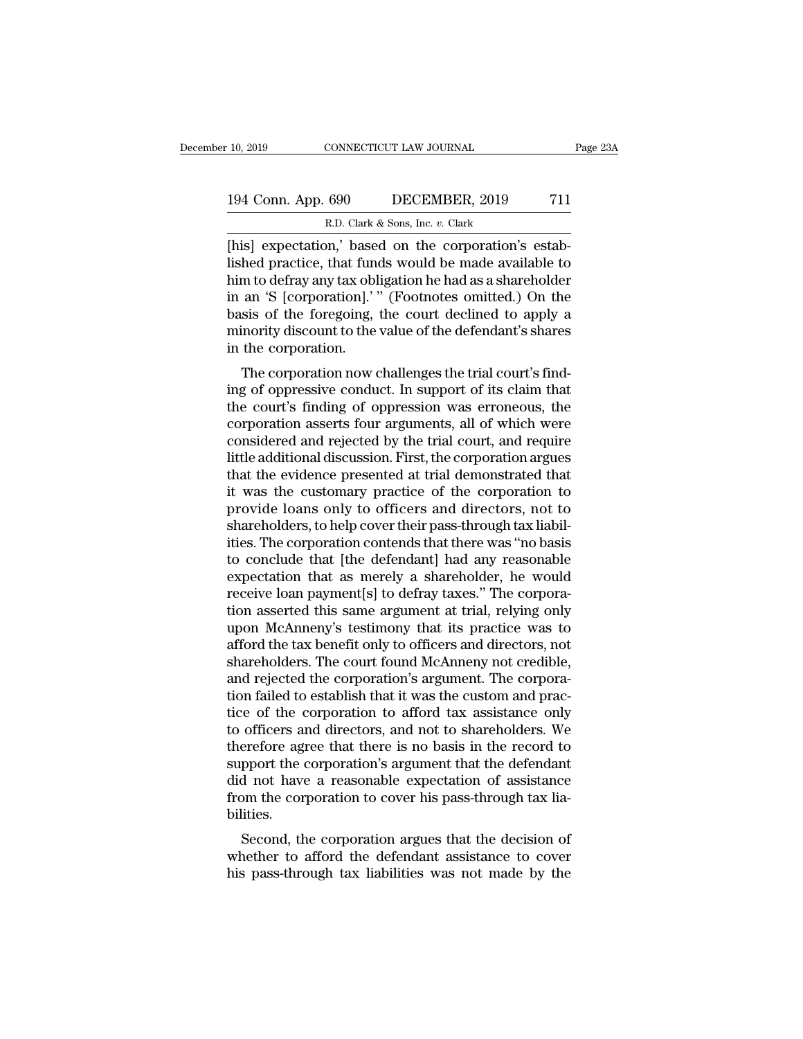# 10, 2019 CONNECTICUT LAW JOURNAL Page 23A<br>194 Conn. App. 690 DECEMBER, 2019 711<br>R.D. Clark & Sons, Inc. v. Clark EXECTICUT LAW JOURNAL<br> **EXECUTE CONDER 5 (1998)**<br>
R.D. Clark & Sons, Inc. *v.* Clark<br> **PAPE 1998** (2014)<br> **PAPE 1998** (2014)<br> **PAPE 1999** (2015)<br> **PAPE 1999** (2015)

EXERET ISLEM INTERNATE CONNECTICUT LAW JOURNAL<br>
194 Conn. App. 690 DECEMBER, 2019 711<br>
R.D. Clark & Sons, Inc. v. Clark<br>
[his] expectation,' based on the corporation's estab-<br>
lished practice, that funds would be made avai 194 Conn. App. 690 DECEMBER, 2019 711<br>
R.D. Clark & Sons, Inc. v. Clark<br>
[his] expectation,' based on the corporation's estab-<br>
lished practice, that funds would be made available to<br>
him to defray any tax obligation he ha 194 Conn. App. 690 DECEMBER, 2019 711<br>
R.D. Clark & Sons, Inc. v. Clark<br>
[his] expectation,' based on the corporation's estab-<br>
lished practice, that funds would be made available to<br>
him to defray any tax obligation he h 194 Conn. App. 690 DECEMBER, 2019 711<br>
R.D. Clark & Sons, Inc. v. Clark<br>
[his] expectation,' based on the corporation's estab-<br>
lished practice, that funds would be made available to<br>
him to defray any tax obligation he h R.D. Clark & Sons, Inc. v. Clark<br>
[his] expectation,' based on the corporation's estab-<br>
lished practice, that funds would be made available to<br>
him to defray any tax obligation he had as a shareholder<br>
in an 'S [corporat R.D. Clark & Sons, lnc.  $v$ . Clark<br>[his] expectation,' based on the corporation's estab-<br>lished practice, that funds would be made available to<br>him to defray any tax obligation he had as a shareholder<br>in an 'S [corporatio [his] expectation,' base<br>lished practice, that fun<br>him to defray any tax obl<br>in an 'S [corporation].''<br>basis of the foregoing,<br>minority discount to the<br>in the corporation.<br>The corporation now o The corporation now challenges the trial court's find-<br>The corporation is a shareholder an 'S [corporation].'" (Footnotes omitted.) On the<br>sis of the foregoing, the court declined to apply a<br>inority discount to the value o full to defray any tax obigation he had as a shareholder<br>in an 'S [corporation].'" (Footnotes omitted.) On the<br>basis of the foregoing, the court declined to apply a<br>minority discount to the value of the defendant's shares<br>

In an 3 [corporation]. (Footnotes onlitted.) On the<br>basis of the foregoing, the court declined to apply a<br>minority discount to the value of the defendant's shares<br>in the corporation.<br>The corporation now challenges the tria basis of the foregoing, the court decimed to apply a<br>minority discount to the value of the defendant's shares<br>in the corporation now challenges the trial court's find-<br>ing of oppressive conduct. In support of its claim tha minority discount to the value of the defendant s shares<br>in the corporation.<br>The corporation now challenges the trial court's find-<br>ing of oppressive conduct. In support of its claim that<br>the court's finding of oppression In the corporation.<br>The corporation now challenges the trial court's find-<br>ing of oppressive conduct. In support of its claim that<br>the court's finding of oppression was erroneous, the<br>corporation asserts four arguments, al The corporation now challenges the trial court's find-<br>ing of oppressive conduct. In support of its claim that<br>the court's finding of oppression was erroneous, the<br>corporation asserts four arguments, all of which were<br>cons ing of oppressive conduct. In support of its claim that<br>the court's finding of oppression was erroneous, the<br>corporation asserts four arguments, all of which were<br>considered and rejected by the trial court, and require<br>lit the court's finding of oppression was erroneous, the corporation asserts four arguments, all of which were considered and rejected by the trial court, and require little additional discussion. First, the corporation argues corporation asserts four arguments, all of which were considered and rejected by the trial court, and require little additional discussion. First, the corporation argues that the evidence presented at trial demonstrated th considered and rejected by the trial court, and require<br>little additional discussion. First, the corporation argues<br>that the evidence presented at trial demonstrated that<br>it was the customary practice of the corporation to little additional discussion. First, the corporation argues<br>that the evidence presented at trial demonstrated that<br>it was the customary practice of the corporation to<br>provide loans only to officers and directors, not to<br>sh that the evidence presented at trial demonstrated that<br>it was the customary practice of the corporation to<br>provide loans only to officers and directors, not to<br>shareholders, to help cover their pass-through tax liabil-<br>iti it was the customary practice of the corporation to<br>provide loans only to officers and directors, not to<br>shareholders, to help cover their pass-through tax liabil-<br>ities. The corporation contends that there was "no basis<br>t provide loans only to officers and directors, not to<br>shareholders, to help cover their pass-through tax liabil-<br>ities. The corporation contends that there was "no basis<br>to conclude that [the defendant] had any reasonable<br>e shareholders, to help cover their pass-through tax liabil-<br>ities. The corporation contends that there was "no basis<br>to conclude that [the defendant] had any reasonable<br>expectation that as merely a shareholder, he would<br>rec ities. The corporation contends that there was "no basis<br>to conclude that [the defendant] had any reasonable<br>expectation that as merely a shareholder, he would<br>receive loan payment[s] to defray taxes." The corpora-<br>tion as to conclude that [the defendant] had any reasonable<br>expectation that as merely a shareholder, he would<br>receive loan payment[s] to defray taxes." The corpora-<br>tion asserted this same argument at trial, relying only<br>upon McA expectation that as merely a shareholder, he would<br>receive loan payment[s] to defray taxes." The corpora-<br>tion asserted this same argument at trial, relying only<br>upon McAnneny's testimony that its practice was to<br>afford th receive loan payment[s] to defray taxes." The corporation asserted this same argument at trial, relying only upon McAnneny's testimony that its practice was to afford the tax benefit only to officers and directors, not sha tion asserted this same argument at trial, relying only<br>upon McAnneny's testimony that its practice was to<br>afford the tax benefit only to officers and directors, not<br>shareholders. The court found McAnneny not credible,<br>and upon McAnneny's testimony that its practice was to<br>afford the tax benefit only to officers and directors, not<br>shareholders. The court found McAnneny not credible,<br>and rejected the corporation's argument. The corpora-<br>tion afford the tax benefit only to officers and directors, not<br>shareholders. The court found McAnneny not credible,<br>and rejected the corporation's argument. The corpora-<br>tion failed to establish that it was the custom and prac shareholders. The court found McAnneny not credible,<br>and rejected the corporation's argument. The corpora-<br>tion failed to establish that it was the custom and prac-<br>tice of the corporation to afford tax assistance only<br>to and rejected the corporation's argument. The corporation failed to establish that it was the custom and practice of the corporation to afford tax assistance only to officers and directors, and not to shareholders. We there tion failed to establish that it was the custom and practice of the corporation to afford tax assistance only to officers and directors, and not to shareholders. We therefore agree that there is no basis in the record to s bilities. omcers and directors, and not to snareholders. We<br>erefore agree that there is no basis in the record to<br>pport the corporation's argument that the defendant<br>d not have a reasonable expectation of assistance<br>om the corporati merefore agree that there is no basis in the record to<br>support the corporation's argument that the defendant<br>did not have a reasonable expectation of assistance<br>from the corporation to cover his pass-through tax lia-<br>bilit support the corporation's argument that the defendant<br>did not have a reasonable expectation of assistance<br>from the corporation to cover his pass-through tax lia-<br>bilities.<br>Second, the corporation argues that the decision o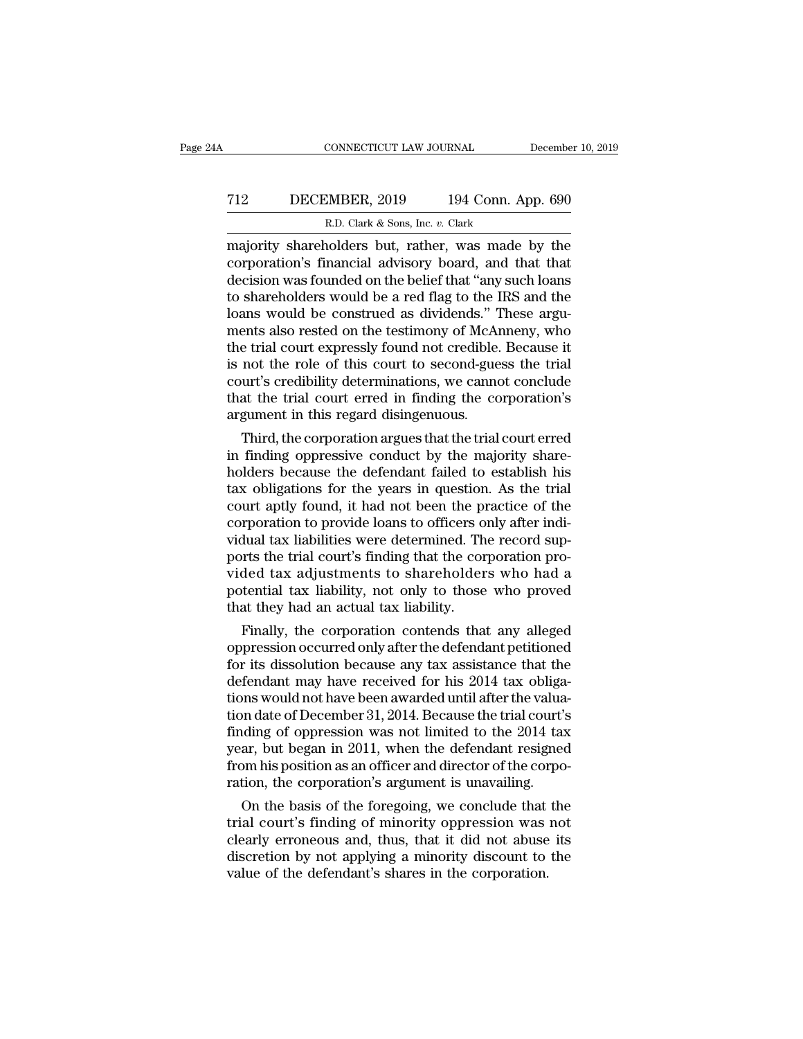# CONNECTICUT LAW JOURNAL December 10, 2019<br>
T12 DECEMBER, 2019 194 Conn. App. 690<br>
R.D. Clark & Sons, Inc. v. Clark EXECTICUT LAW JOURNAL<br>MBER, 2019 194 Conn. A<br>R.D. Clark & Sons, Inc. *v.* Clark<br>nolders but rather was made

CONNECTICUT LAW JOURNAL December 10, 2019<br>
T12 DECEMBER, 2019 194 Conn. App. 690<br>
R.D. Clark & Sons, Inc. v. Clark<br>
majority shareholders but, rather, was made by the<br>
corporation's financial advisory board, and that that<br> T12 DECEMBER, 2019 194 Conn. App. 690<br>R.D. Clark & Sons, Inc. v. Clark<br>majority shareholders but, rather, was made by the<br>corporation's financial advisory board, and that that<br>decision was founded on the belief that "any T12 DECEMBER, 2019 194 Conn. App. 690<br>
R.D. Clark & Sons, Inc. v. Clark<br>
majority shareholders but, rather, was made by the<br>
corporation's financial advisory board, and that that<br>
decision was founded on the belief that " T12 DECEMBER, 2019 194 Conn. App. 690<br>
R.D. Clark & Sons, Inc. v. Clark<br>
majority shareholders but, rather, was made by the<br>
corporation's financial advisory board, and that that<br>
decision was founded on the belief that " R.D. Clark & Sons, Inc. v. Clark<br>
majority shareholders but, rather, was made by the<br>
corporation's financial advisory board, and that that<br>
decision was founded on the belief that "any such loans<br>
to shareholders would be R.D. Clark & Sons, lnc. v. Clark<br>majority shareholders but, rather, was made by the<br>corporation's financial advisory board, and that that<br>decision was founded on the belief that "any such loans<br>to shareholders would be a r majority shareholders but, rather, was made by the corporation's financial advisory board, and that that decision was founded on the belief that "any such loans to shareholders would be a red flag to the IRS and the loans corporation's financial advisory board, and that that<br>decision was founded on the belief that "any such loans<br>to shareholders would be a red flag to the IRS and the<br>loans would be construed as dividends." These argu-<br>ments decision was founded on the belief that "any such loans<br>to shareholders would be a red flag to the IRS and the<br>loans would be construed as dividends." These argu-<br>ments also rested on the testimony of McAnneny, who<br>the tri to shareholders would be a red flag to the IRS and the loans would be construed as dividends." These arguments also rested on the testimony of McAnneny, who the trial court expressly found not credible. Because it is not t loans would be construed as dividends." I<br>ments also rested on the testimony of McAu<br>the trial court expressly found not credible.<br>is not the role of this court to second-gue<br>court's credibility determinations, we canne<br>th e trial court expressly found not credible. Because it<br>not the role of this court to second-guess the trial<br>urt's credibility determinations, we cannot conclude<br>at the trial court erred in finding the corporation's<br>gument the trial court expressive round not credible. Because it<br>is not the role of this court to second-guess the trial<br>court's credibility determinations, we cannot conclude<br>that the trial court erred in finding the corporation

is not the role of this court to second-guess the trial<br>court's credibility determinations, we cannot conclude<br>that the trial court erred in finding the corporation's<br>argument in this regard disingenuous.<br>Third, the corpor court's creationtly determinations, we cannot conclude<br>that the trial court erred in finding the corporation's<br>argument in this regard disingenuous.<br>Third, the corporation argues that the trial court erred<br>in finding oppre that the trial court erred in finding the corporation's<br>argument in this regard disingenuous.<br>Third, the corporation argues that the trial court erred<br>in finding oppressive conduct by the majority share-<br>holders because th argument in this regard disingentious.<br>Third, the corporation argues that the trial court erred<br>in finding oppressive conduct by the majority share-<br>holders because the defendant failed to establish his<br>tax obligations for Third, the corporation argues that the trial court erred<br>in finding oppressive conduct by the majority share-<br>holders because the defendant failed to establish his<br>tax obligations for the years in question. As the trial<br>co in finding oppressive conduct by the majority shareholders because the defendant failed to establish his tax obligations for the years in question. As the trial court aptly found, it had not been the practice of the corpor holders because the defendant failed to establish his<br>tax obligations for the years in question. As the trial<br>court aptly found, it had not been the practice of the<br>corporation to provide loans to officers only after inditax obligations for the years in question. As the trial<br>court aptly found, it had not been the practice of the<br>corporation to provide loans to officers only after indi-<br>vidual tax liabilities were determined. The record su court aptly found, it had not been the proporation to provide loans to officers of vidual tax liabilities were determined. The ports the trial court's finding that the corporation vided tax adjustments to shareholder poten reporation to provide loans to omcers only after mai-<br>thual tax liabilities were determined. The record sup-<br>rts the trial court's finding that the corporation pro-<br>ded tax adjustments to shareholders who had a<br>tential tax vidual tax habilities were determined. The record sup-<br>ports the trial court's finding that the corporation pro-<br>vided tax adjustments to shareholders who had a<br>potential tax liability, not only to those who proved<br>that th

ports the trial court's imaing that the corporation provided tax adjustments to shareholders who had a potential tax liability, not only to those who proved that they had an actual tax liability.<br>Finally, the corporation c vided tax adjustments to snareholders who had a<br>potential tax liability, not only to those who proved<br>that they had an actual tax liability.<br>Finally, the corporation contends that any alleged<br>oppression occurred only after potential tax hability, not only to those who proved<br>that they had an actual tax liability.<br>Finally, the corporation contends that any alleged<br>oppression occurred only after the defendant petitioned<br>for its dissolution bec Finally, the corporation contends that any alleged<br>oppression occurred only after the defendant petitioned<br>for its dissolution because any tax assistance that the<br>defendant may have received for his 2014 tax obliga-<br>tions Finally, the corporation contends that any alleged<br>oppression occurred only after the defendant petitioned<br>for its dissolution because any tax assistance that the<br>defendant may have received for his 2014 tax obliga-<br>tions oppression occurred only after the defendant petitioned<br>for its dissolution because any tax assistance that the<br>defendant may have received for his 2014 tax obliga-<br>tions would not have been awarded until after the valua-<br> for its dissolution because any tax assistance that the defendant may have received for his 2014 tax obligations would not have been awarded until after the valuation date of December 31, 2014. Because the trial court's fi defendant may have received for his 2014 tax obligations would not have been awarded until after the valuation date of December 31, 2014. Because the trial court's finding of oppression was not limited to the 2014 tax year on date of December 31, 2014. Because the trial court's<br>ding of oppression was not limited to the 2014 tax<br>ar, but began in 2011, when the defendant resigned<br>om his position as an officer and director of the corpo-<br>tion, t tion date of December 31, 2014. Because the trial court's<br>finding of oppression was not limited to the 2014 tax<br>year, but began in 2011, when the defendant resigned<br>from his position as an officer and director of the corpo

maing or oppression was not imited to the 2014 tax<br>year, but began in 2011, when the defendant resigned<br>from his position as an officer and director of the corpo-<br>ration, the corporation's argument is unavailing.<br>On the ba year, but began in 2011, when the detendant resigned<br>from his position as an officer and director of the corpo-<br>ration, the corporation's argument is unavailing.<br>On the basis of the foregoing, we conclude that the<br>trial co from his position as an officer and director of the corration, the corporation's argument is unavailing.<br>On the basis of the foregoing, we conclude that<br>trial court's finding of minority oppression was<br>clearly erroneous an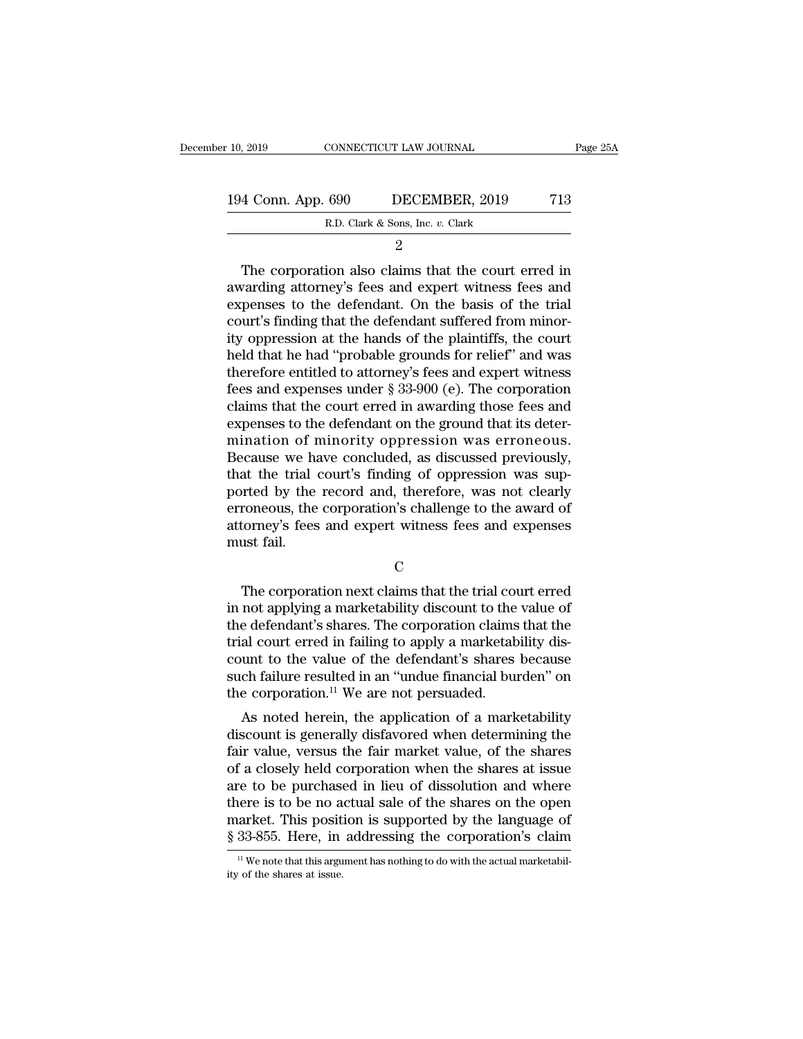| 10, 2019           | CONNECTICUT LAW JOURNAL                            | Page 25A |
|--------------------|----------------------------------------------------|----------|
|                    |                                                    |          |
| 194 Conn. App. 690 | DECEMBER, 2019<br>R.D. Clark & Sons, Inc. v. Clark | 713      |
|                    |                                                    |          |

2

4 Conn. App. 690 DECEMBER, 2019 713<br>
R.D. Clark & Sons, Inc. v. Clark<br>
2<br>
The corporation also claims that the court erred in<br>
varding attorney's fees and expert witness fees and<br>
monsos to the defendant. On the basis of t 194 Conn. App. 690 DECEMBER, 2019 713<br>
R.D. Clark & Sons, Inc. v. Clark<br>
2<br>
The corporation also claims that the court erred in<br>
awarding attorney's fees and expert witness fees and<br>
expenses to the defendant. On the basi 194 Conn. App. 690 DECEMBER, 2019 713<br>
R.D. Clark & Sons, Inc. v. Clark<br>
2<br>
The corporation also claims that the court erred in<br>
awarding attorney's fees and expert witness fees and<br>
expenses to the defendant. On the basi R.D. Clark & Sons, Inc.  $v$ . Clark<br>  $2$ <br>
The corporation also claims that the court erred in<br>
awarding attorney's fees and expert witness fees and<br>
expenses to the defendant. On the basis of the trial<br>
court's finding tha <sup>2</sup><br>
The corporation also claims that the court erred in<br>
awarding attorney's fees and expert witness fees and<br>
expenses to the defendant. On the basis of the trial<br>
court's finding that the defendant suffered from minor-<br> The corporation also claims that the court erred in<br>awarding attorney's fees and expert witness fees and<br>expenses to the defendant. On the basis of the trial<br>court's finding that the defendant suffered from minor-<br>ity opp The corporation also claims that the court erred in<br>awarding attorney's fees and expert witness fees and<br>expenses to the defendant. On the basis of the trial<br>court's finding that the defendant suffered from minor-<br>ity opp awarding attorney's fees and expert witness fees and<br>expenses to the defendant. On the basis of the trial<br>court's finding that the defendant suffered from minor-<br>ity oppression at the hands of the plaintiffs, the court<br>hel expenses to the defendant. On the basis of the trial<br>court's finding that the defendant suffered from minor-<br>ity oppression at the hands of the plaintiffs, the court<br>held that he had "probable grounds for relief" and was<br>t court's finding that the defendant suffered from minority oppression at the hands of the plaintiffs, the court<br>held that he had "probable grounds for relief" and was<br>therefore entitled to attorney's fees and expert witness ity oppression at the hands of the plaintiffs, the court<br>held that he had "probable grounds for relief" and was<br>therefore entitled to attorney's fees and expert witness<br>fees and expenses under § 33-900 (e). The corporation held that he had "probable grounds for relief" and was<br>therefore entitled to attorney's fees and expert witness<br>fees and expenses under § 33-900 (e). The corporation<br>claims that the court erred in awarding those fees and<br>e therefore entitled to attorney's fees and expert witness<br>fees and expenses under § 33-900 (e). The corporation<br>claims that the court erred in awarding those fees and<br>expenses to the defendant on the ground that its deter-<br> fees and expenses under § 33-900 (e). The corporation<br>claims that the court erred in awarding those fees and<br>expenses to the defendant on the ground that its deter-<br>mination of minority oppression was erroneous.<br>Because we claims that the court erred in awarding those fees and<br>expenses to the defendant on the ground that its deter-<br>mination of minority oppression was erroneous.<br>Because we have concluded, as discussed previously,<br>that the tri expenses to the defendant on the ground that its deter-<br>mination of minority oppression was erroneous.<br>Because we have concluded, as discussed previously,<br>that the trial court's finding of oppression was sup-<br>ported by the mination of r<br>Because we hat<br>that the trial<br>ported by the<br>erroneous, the<br>attorney's fees<br>must fail. orted by the record and, therefore, was not clearly<br>proneous, the corporation's challenge to the award of<br>torney's fees and expert witness fees and expenses<br>ust fail.<br>C<br>The corporation next claims that the trial court erre

C<sub>c</sub>

erroneous, the corporation's challenge to the award of<br>attorney's fees and expert witness fees and expenses<br>must fail.<br>C<br>The corporation next claims that the trial court erred<br>in not applying a marketability discount to th attorney's fees and expert witness fees and expenses<br>must fail.<br>C<br>The corporation next claims that the trial court erred<br>in not applying a marketability discount to the value of<br>the defendant's shares. The corporation clai The corporation next claims that the trial court erred<br>in not applying a marketability discount to the value of<br>the defendant's shares. The corporation claims that the<br>trial court erred in failing to apply a marketability C<br>
The corporation next claims that the trial court erred<br>
in not applying a marketability discount to the value of<br>
the defendant's shares. The corporation claims that the<br>
trial court erred in failing to apply a marketa The corporation next claims that the trial court erred<br>in not applying a marketability discount to the value of<br>the defendant's shares. The corporation claims that the<br>trial court erred in failing to apply a marketability The corporation next claims that the trial count in not applying a marketability discount to the the defendant's shares. The corporation claims trial court erred in failing to apply a marketab count to the value of the de not applying a marketability discount to the value of<br>e defendant's shares. The corporation claims that the<br>al court erred in failing to apply a marketability dis-<br>unt to the value of the defendant's shares because<br>ch fail trial court erred in failing to apply a marketability discount to the value of the defendant's shares because<br>such failure resulted in an "undue financial burden" on<br>the corporation.<sup>11</sup> We are not persuaded.<br>As noted here

Fair value of the defendant's shares because<br>such failure resulted in an "undue financial burden" on<br>the corporation.<sup>11</sup> We are not persuaded.<br>As noted herein, the application of a marketability<br>discount is generally disf count to the value of the defendant s shares because<br>such failure resulted in an "undue financial burden" on<br>the corporation.<sup>11</sup> We are not persuaded.<br>As noted herein, the application of a marketability<br>discount is genera such ranue resulted in an unique miancial burdent on<br>the corporation.<sup>11</sup> We are not persuaded.<br>As noted herein, the application of a marketability<br>discount is generally disfavored when determining the<br>fair value, versus t the corporation. We are not persuated.<br>
As noted herein, the application of a marketability<br>
discount is generally disfavored when determining the<br>
fair value, versus the fair market value, of the shares<br>
of a closely held As noted herein, the application of a marketability<br>discount is generally disfavored when determining the<br>fair value, versus the fair market value, of the shares<br>of a closely held corporation when the shares at issue<br>are discount is generally disfavored when determining the<br>fair value, versus the fair market value, of the shares<br>of a closely held corporation when the shares at issue<br>are to be purchased in lieu of dissolution and where<br>ther The to be purchased in lieu of dissolution and where there is to be no actual sale of the shares on the open arket. This position is supported by the language of  $33-855$ . Here, in addressing the corporation's claim  $\frac{1$ there is to be no a<br>market. This posit<br> $\frac{8}{33}$ -855. Here, in<br> $\frac{1}{11}$  We note that this arguity of the shares at issue.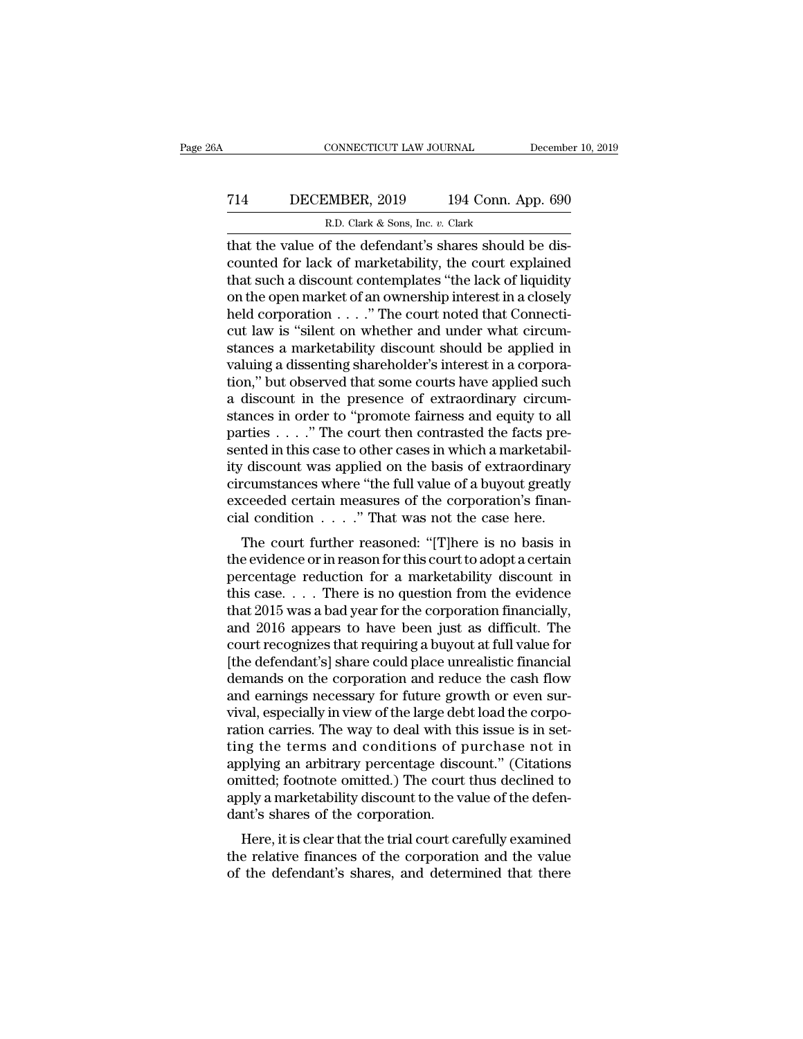# CONNECTICUT LAW JOURNAL December 10, 2019<br>
714 DECEMBER, 2019 194 Conn. App. 690<br>
R.D. Clark & Sons, Inc. v. Clark CONNECTICUT LAW JOURNAL<br>MBER, 2019 194 Conn. A<br>R.D. Clark & Sons, Inc. *v.* Clark<br>of the defendant's shares should

CONNECTICUT LAW JOURNAL December<br>
T14 DECEMBER, 2019 194 Conn. App. 690<br>
R.D. Clark & Sons, Inc. v. Clark<br>
that the value of the defendant's shares should be dis-<br>
counted for lack of marketability, the court explained<br>
th T14 DECEMBER, 2019 194 Conn. App. 690<br>R.D. Clark & Sons, Inc. v. Clark<br>that the value of the defendant's shares should be discounted for lack of marketability, the court explained<br>that such a discount contemplates "the la T14 DECEMBER, 2019 194 Conn. App. 690<br>
R.D. Clark & Sons, Inc. v. Clark<br>
that the value of the defendant's shares should be dis-<br>
counted for lack of marketability, the court explained<br>
that such a discount contemplates " T14 DECEMBER, 2019 194 Conn. App. 690<br>
R.D. Clark & Sons, Inc. v. Clark<br>
that the value of the defendant's shares should be dis-<br>
counted for lack of marketability, the court explained<br>
that such a discount contemplates " R.D. Clark & Sons, Inc. v. Clark<br>
that the value of the defendant's shares should be dis-<br>
counted for lack of marketability, the court explained<br>
that such a discount contemplates "the lack of liquidity<br>
on the open mark E.D. Clark & Sons, Inc.  $v$ . Clark<br>that the value of the defendant's shares should be dis-<br>counted for lack of marketability, the court explained<br>that such a discount contemplates "the lack of liquidity<br>on the open market that the value of the defendant's shares should be discounted for lack of marketability, the court explained<br>that such a discount contemplates "the lack of liquidity<br>on the open market of an ownership interest in a closely counted for lack of marketability, the court explained<br>that such a discount contemplates "the lack of liquidity<br>on the open market of an ownership interest in a closely<br>held corporation . . . . " The court noted that Conne that such a discount contemplates "the lack of liquidity<br>on the open market of an ownership interest in a closely<br>held corporation . . . . " The court noted that Connecti-<br>cut law is "silent on whether and under what circu % on the open market of an ownership interest in a closely<br>held corporation  $\dots$ ." The court noted that Connecti-<br>cut law is "silent on whether and under what circum-<br>stances a marketability discount should be applied in<br> held corporation . . . . " The court noted that Connecticut law is "silent on whether and under what circumstances a marketability discount should be applied in valuing a dissenting shareholder's interest in a corporation, cut law is "silent on whether and under what circum-<br>stances a marketability discount should be applied in<br>valuing a dissenting shareholder's interest in a corpora-<br>tion," but observed that some courts have applied such<br>a stances a marketability discount should be applied in valuing a dissenting shareholder's interest in a corporation," but observed that some courts have applied such a discount in the presence of extraordinary circumstances valuing a dissenting shareholder's interest in a corporation," but observed that some courts have applied such<br>a discount in the presence of extraordinary circumstances in order to "promote fairness and equity to all<br>parti tion," but observed that some courts have applied such<br>a discount in the presence of extraordinary circum-<br>stances in order to "promote fairness and equity to all<br>parties  $\dots$ ." The court then contrasted the facts pre-<br>se a discount in the presence of extraordinary circum-<br>stances in order to "promote fairness and equity to all<br>parties . . . ." The court then contrasted the facts pre-<br>sented in this case to other cases in which a marketabi stances in order to "promote fairness and equity to all parties . . . ." The court then contrasted the facts presented in this case to other cases in which a marketability discount was applied on the basis of extraordinar The court further contrasted the racts pre-<br>
read in this case to other cases in which a marketabil-<br>
discount was applied on the basis of extraordinary<br>
reumstances where "the full value of a buyout greatly<br>
ceeded certa sented in this case to other cases in which a marketability<br>tilty discount was applied on the basis of extraordinary<br>circumstances where "the full value of a buyout greatly<br>exceeded certain measures of the corporation's fi

ry discount was applied on the basis of extraordinary<br>circumstances where "the full value of a buyout greatly<br>exceeded certain measures of the corporation's finan-<br>cial condition  $\ldots$ ." That was not the case here.<br>The co exceeded certain measures of the corporation's financial condition  $\ldots$ ." That was not the case here.<br>The court further reasoned: "[T]here is no basis in<br>the evidence or in reason for this court to adopt a certain<br>percen exceeded certain measures of the corporation's mian-<br>cial condition  $\ldots$ ." That was not the case here.<br>The court further reasoned: "[T]here is no basis in<br>the evidence or in reason for this court to adopt a certain<br>perce The court further reasoned: "[T]here is no basis in<br>the evidence or in reason for this court to adopt a certain<br>percentage reduction for a marketability discount in<br>this case. . . . There is no question from the evidence<br> The court further reasoned: "[T]here is no basis in<br>the evidence or in reason for this court to adopt a certain<br>percentage reduction for a marketability discount in<br>this case.... There is no question from the evidence<br>tha the evidence or in reason for this court to adopt a certain<br>percentage reduction for a marketability discount in<br>this case.... There is no question from the evidence<br>that 2015 was a bad year for the corporation financiall percentage reduction for a marketability discount in<br>this case. . . . There is no question from the evidence<br>that 2015 was a bad year for the corporation financially,<br>and 2016 appears to have been just as difficult. The<br>co this case. . . . There is no question from the evidence<br>that 2015 was a bad year for the corporation financially,<br>and 2016 appears to have been just as difficult. The<br>court recognizes that requiring a buyout at full value that 2015 was a bad year for the corporation financially,<br>and 2016 appears to have been just as difficult. The<br>court recognizes that requiring a buyout at full value for<br>[the defendant's] share could place unrealistic fina and 2016 appears to have been just as difficult. The court recognizes that requiring a buyout at full value for<br>[the defendant's] share could place unrealistic financial<br>demands on the corporation and reduce the cash flow<br> court recognizes that requiring a buyout at full value for<br>[the defendant's] share could place unrealistic financial<br>demands on the corporation and reduce the cash flow<br>and earnings necessary for future growth or even sur-[the defendant's] share could place unrealistic financial<br>demands on the corporation and reduce the cash flow<br>and earnings necessary for future growth or even sur-<br>vival, especially in view of the large debt load the corpo demands on the corporation and reduce the cash flow<br>and earnings necessary for future growth or even sur-<br>vival, especially in view of the large debt load the corpo-<br>ration carries. The way to deal with this issue is in se and earnings necessary for future growth or even survival, especially in view of the large debt load the corporation carries. The way to deal with this issue is in setting the terms and conditions of purchase not in applyi vival, especially in view of the large det<br>ration carries. The way to deal with th<br>ting the terms and conditions of p<br>applying an arbitrary percentage disco<br>omitted; footnote omitted.) The court<br>apply a marketability disco The terms and conditions of purchase is in set-<br>ig the terms and conditions of purchase not in<br>plying an arbitrary percentage discount." (Citations<br>aitted; footnote omitted.) The court thus declined to<br>ply a marketability the relative finance of purchase not in<br>applying an arbitrary percentage discount." (Citations<br>omitted; footnote omitted.) The court thus declined to<br>apply a marketability discount to the value of the defen-<br>dant's shares applying an arbitrary percentage uscount. (Chations<br>omitted; footnote omitted.) The court thus declined to<br>apply a marketability discount to the value of the defen-<br>dant's shares of the corporation.<br>Here, it is clear that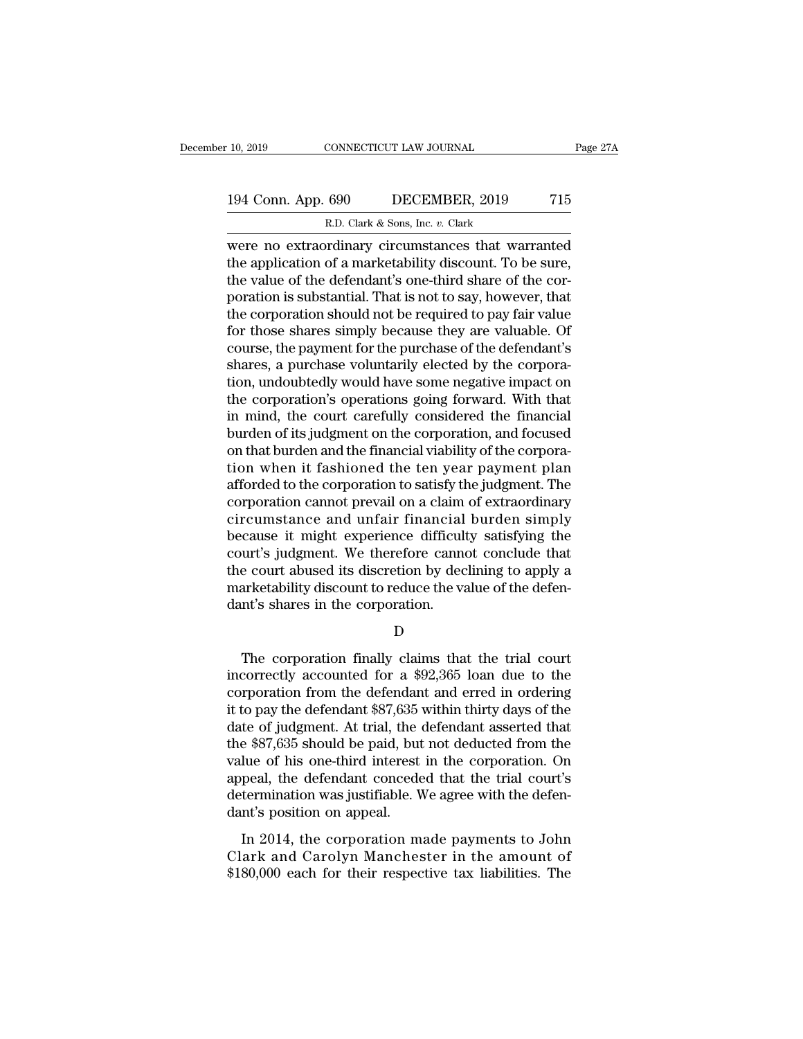# 10, 2019 CONNECTICUT LAW JOURNAL Page 27A<br>194 Conn. App. 690 DECEMBER, 2019 715<br>R.D. Clark & Sons, Inc. v. Clark R.D. Clark & Sons, Inc. *v.* Clark

10, 2019 CONNECTICUT LAW JOURNAL Page 27A<br>
194 Conn. App. 690 DECEMBER, 2019 715<br>
R.D. Clark & Sons, Inc. v. Clark<br>
were no extraordinary circumstances that warranted<br>
the application of a marketability discount. To be sur 194 Conn. App. 690 DECEMBER, 2019 715<br>
R.D. Clark & Sons, Inc. v. Clark<br>
were no extraordinary circumstances that warranted<br>
the application of a marketability discount. To be sure,<br>
the value of the defendant's one-third 194 Conn. App. 690 DECEMBER, 2019 715<br>
R.D. Clark & Sons, Inc. v. Clark<br>
were no extraordinary circumstances that warranted<br>
the application of a marketability discount. To be sure,<br>
the value of the defendant's one-third 194 Conn. App. 690 DECEMBER, 2019 715<br>
R.D. Clark & Sons, Inc. v. Clark<br>
were no extraordinary circumstances that warranted<br>
the application of a marketability discount. To be sure,<br>
the value of the defendant's one-third R.D. Clark & Sons, Inc. v. Clark<br>were no extraordinary circumstances that warranted<br>the application of a marketability discount. To be sure,<br>the value of the defendant's one-third share of the cor-<br>poration is substantial  $F.D. Clark$  & Sons, lnc.  $v$ . Clark<br>were no extraordinary circumstances that warranted<br>the application of a marketability discount. To be sure,<br>the value of the defendant's one-third share of the cor-<br>poration is substantial. were no extraordinary circumstances that warranted<br>the application of a marketability discount. To be sure,<br>the value of the defendant's one-third share of the cor-<br>poration is substantial. That is not to say, however, tha the application of a marketability discount. To be sure,<br>the value of the defendant's one-third share of the cor-<br>poration is substantial. That is not to say, however, that<br>the corporation should not be required to pay fai the value of the defendant's one-third share of the cor-<br>poration is substantial. That is not to say, however, that<br>the corporation should not be required to pay fair value<br>for those shares simply because they are valuable poration is substantial. That is not to say, however, that<br>the corporation should not be required to pay fair value<br>for those shares simply because they are valuable. Of<br>course, the payment for the purchase of the defendan the corporation should not be required to pay fair value<br>for those shares simply because they are valuable. Of<br>course, the payment for the purchase of the defendant's<br>shares, a purchase voluntarily elected by the corpora-<br> for those shares simply because they are valuable. Of<br>course, the payment for the purchase of the defendant's<br>shares, a purchase voluntarily elected by the corpora-<br>tion, undoubtedly would have some negative impact on<br>the course, the payment for the purchase of the defendant's shares, a purchase voluntarily elected by the corporation, undoubtedly would have some negative impact on the corporation's operations going forward. With that in min shares, a purchase voluntarily elected by the corporation, undoubtedly would have some negative impact on<br>the corporation's operations going forward. With that<br>in mind, the court carefully considered the financial<br>burden o tion, undoubtedly would have some negative impact on<br>the corporation's operations going forward. With that<br>in mind, the court carefully considered the financial<br>burden of its judgment on the corporation, and focused<br>on tha the corporation's operations going forward. With that<br>in mind, the court carefully considered the financial<br>burden of its judgment on the corporation, and focused<br>on that burden and the financial viability of the corpora-<br> in mind, the court carefully considered the financial<br>burden of its judgment on the corporation, and focused<br>on that burden and the financial viability of the corpora-<br>tion when it fashioned the ten year payment plan<br>affor burden of its judgment on the corporation, and focused<br>on that burden and the financial viability of the corpora-<br>tion when it fashioned the ten year payment plan<br>afforded to the corporation to satisfy the judgment. The<br>co on that burden and the financial viability of the corporation when it fashioned the ten year payment plan<br>afforded to the corporation to satisfy the judgment. The<br>corporation cannot prevail on a claim of extraordinary<br>circ tion when it fashioned the ten year payment plan<br>afforded to the corporation to satisfy the judgment. The<br>corporation cannot prevail on a claim of extraordinary<br>circumstance and unfair financial burden simply<br>because it mi afforded to the corporation to satisfy the judgment. The corporation cannot prevail on a claim of extraordinary circumstance and unfair financial burden simply because it might experience difficulty satisfying the court's corporation cannot prevail on a claim<br>circumstance and unfair financial<br>because it might experience difficul<br>court's judgment. We therefore canno<br>the court abused its discretion by dec<br>marketability discount to reduce the urt's judgment. We therefore cannot conclude that<br>
e court abused its discretion by declining to apply a<br>
arketability discount to reduce the value of the defen-<br>
nt's shares in the corporation.<br>
D<br>
The corporation finally

D<sub>D</sub>

the court abused its discretion by declining to apply a<br>marketability discount to reduce the value of the defen-<br>dant's shares in the corporation.<br> $D$ <br>The corporation finally claims that the trial court<br>incorrectly accoun marketability discount to reduce the value of the defen-<br>dant's shares in the corporation.<br>D<br>The corporation finally claims that the trial court<br>incorrectly accounted for a \$92,365 loan due to the<br>corporation from the defe dant's shares in the corporation.<br>
D<br>
The corporation finally claims that the trial court<br>
incorrectly accounted for a \$92,365 loan due to the<br>
corporation from the defendant and erred in ordering<br>
it to pay the defendant D<br>
The corporation finally claims that the trial court<br>
incorrectly accounted for a \$92,365 loan due to the<br>
corporation from the defendant and erred in ordering<br>
it to pay the defendant \$87,635 within thirty days of the<br> The corporation finally claims that the trial court<br>incorrectly accounted for a \$92,365 loan due to the<br>corporation from the defendant and erred in ordering<br>it to pay the defendant \$87,635 within thirty days of the<br>date o The corporation finally claims that the trial court<br>incorrectly accounted for a \$92,365 loan due to the<br>corporation from the defendant and erred in ordering<br>it to pay the defendant \$87,635 within thirty days of the<br>date of incorrectly accounted for a \$92,365 loan due to the<br>corporation from the defendant and erred in ordering<br>it to pay the defendant \$87,635 within thirty days of the<br>date of judgment. At trial, the defendant asserted that<br>the corporation from the defendant and erred in ordering<br>it to pay the defendant \$87,635 within thirty days of the<br>date of judgment. At trial, the defendant asserted that<br>the \$87,635 should be paid, but not deducted from the<br>v it to pay the defendant \$87,635<br>date of judgment. At trial, the<br>the \$87,635 should be paid, but<br>value of his one-third interest<br>appeal, the defendant concede<br>determination was justifiable. V<br>dant's position on appeal.<br>In 2 Example of Judgments. The dial, the determination disserted dials<br>
e \$87,635 should be paid, but not deducted from the<br>
lue of his one-third interest in the corporation. On<br>
peal, the defendant conceded that the trial cour are  $40$ , 388 should be plant, but not deducted from the value of his one-third interest in the corporation. On appeal, the defendant conceded that the trial court's determination was justifiable. We agree with the defenda Alter of this one and merics in the corporation. On<br>appeal, the defendant conceded that the trial court's<br>determination was justifiable. We agree with the defen-<br>dant's position on appeal.<br>In 2014, the corporation made pay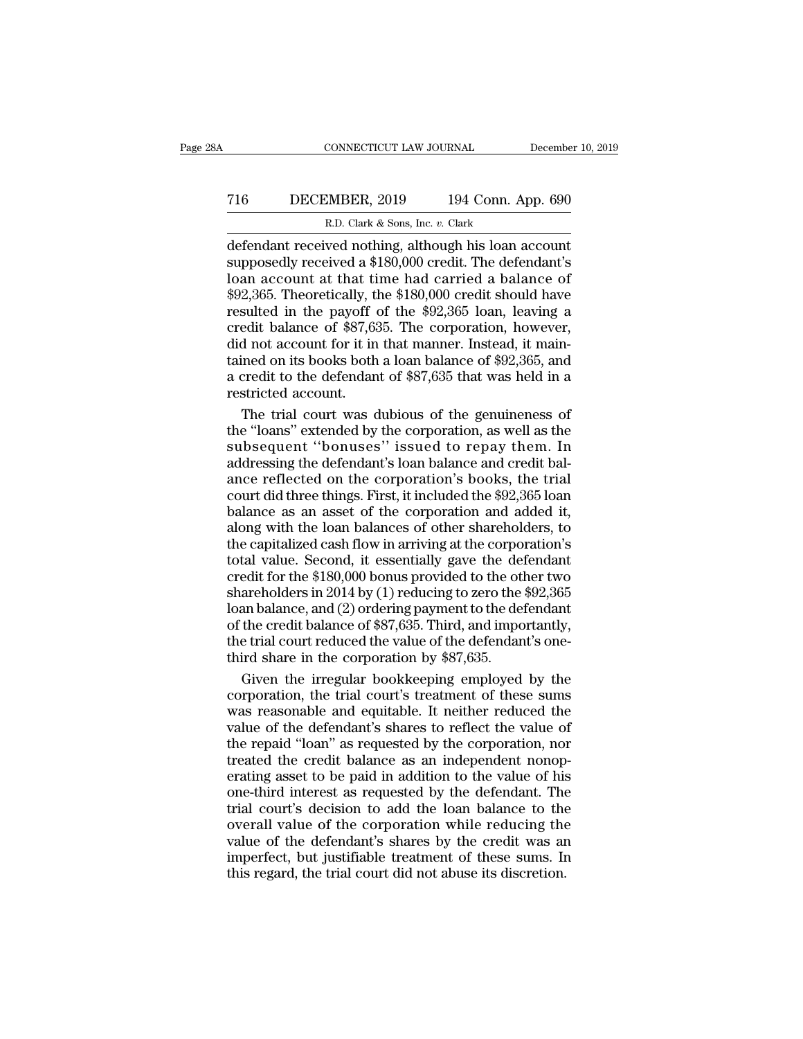CONNECTICUT LAW JOURNAL December 10, 2019<br>
T16 DECEMBER, 2019 194 Conn. App. 690<br>
R.D. Clark & Sons, Inc. v. Clark<br>
defendant received nothing, although his loan account<br>
supposedly received a \$180,000 credit. The defendan T16 DECEMBER, 2019 194 Conn. App. 690<br>R.D. Clark & Sons, Inc. v. Clark<br>defendant received nothing, although his loan account<br>supposedly received a \$180,000 credit. The defendant's<br>loan account at that time had carried a ba T16 DECEMBER, 2019 194 Conn. App. 690<br>
R.D. Clark & Sons, Inc. v. Clark<br>
defendant received nothing, although his loan account<br>
supposedly received a \$180,000 credit. The defendant's<br>
loan account at that time had carried T16 DECEMBER, 2019 194 Conn. App. 690<br>
R.D. Clark & Sons, Inc. v. Clark<br>
defendant received nothing, although his loan account<br>
supposedly received a \$180,000 credit. The defendant's<br>
loan account at that time had carried R.D. Clark & Sons, Inc. v. Clark<br>
defendant received nothing, although his loan account<br>
supposedly received a \$180,000 credit. The defendant's<br>
loan account at that time had carried a balance of<br>
\$92,365. Theoretically, R.D. Clark & Sons, Inc. v. Clark<br>defendant received nothing, although his loan account<br>supposedly received a \$180,000 credit. The defendant's<br>loan account at that time had carried a balance of<br>\$92,365. Theoretically, the defendant received nothing, although his loan account<br>supposedly received a \$180,000 credit. The defendant's<br>loan account at that time had carried a balance of<br>\$92,365. Theoretically, the \$180,000 credit should have<br>result supposedly received a \$180,000 credit. The defendant's<br>loan account at that time had carried a balance of<br>\$92,365. Theoretically, the \$180,000 credit should have<br>resulted in the payoff of the \$92,365 loan, leaving a<br>credit loan account at that time had carried a balance of \$92,365. Theoretically, the \$180,000 credit should have resulted in the payoff of the \$92,365 loan, leaving a credit balance of \$87,635. The corporation, however, did not \$92,365. Theoretically, the resulted in the payoff credit balance of \$87,65 did not account for it in tained on its books both a credit to the defendancestricted account. The trial court was defined as sulted in the payoff of the \$92,365 loan, leaving a<br>edit balance of \$87,635. The corporation, however,<br>d not account for it in that manner. Instead, it main-<br>ined on its books both a loan balance of \$92,365, and<br>credit to credit balance of \$87,635. The corporation, however,<br>
did not account for it in that manner. Instead, it main-<br>
tained on its books both a loan balance of \$92,365, and<br>
a credit to the defendant of \$87,635 that was held in

did not account for it in that manner. Instead, it maintained on its books both a loan balance of \$92,365, and<br>a credit to the defendant of \$87,635 that was held in a<br>restricted account.<br>The trial court was dubious of the tained on its books both a loan balance of \$92,365, and<br>a credit to the defendant of \$87,635 that was held in a<br>restricted account.<br>The trial court was dubious of the genuineness of<br>the "loans" extended by the corporation, a credit to the defendant of \$87,635 that was held in a<br>restricted account.<br>The trial court was dubious of the genuineness of<br>the "loans" extended by the corporation, as well as the<br>subsequent ''bonuses'' issued to repay t restricted account.<br>
The trial court was dubious of the genuineness of<br>
the "loans" extended by the corporation, as well as the<br>
subsequent ''bonuses'' issued to repay them. In<br>
addressing the defendant's loan balance and The trial court was dubious of the genuineness of<br>the "loans" extended by the corporation, as well as the<br>subsequent "bonuses" issued to repay them. In<br>addressing the defendant's loan balance and credit bal-<br>ance reflected Fractional of the "loans" extended by the corporation, as well as the subsequent "bonuses" issued to repay them. In addressing the defendant's loan balance and credit balance reflected on the corporation's books, the trial subsequent "bonuses" issued to repay them. In<br>addressing the defendant's loan balance and credit bal-<br>ance reflected on the corporation's books, the trial<br>court did three things. First, it included the \$92,365 loan<br>balance addressing the defendant's loan balance and credit bal-<br>ance reflected on the corporation's books, the trial<br>court did three things. First, it included the \$92,365 loan<br>balance as an asset of the corporation and added it, and estate of the corporation's books, the trial<br>ance reflected on the corporation's books, the trial<br>court did three things. First, it included the \$92,365 loan<br>balance as an asset of the corporation and added it,<br>along w share out did three things. First, it included the \$92,365 loan<br>court did three things. First, it included the \$92,365 loan<br>balance as an asset of the corporation and added it,<br>along with the loan balances of other shareho balance as an asset of the corporation and added it,<br>along with the loan balances of other shareholders, to<br>the capitalized cash flow in arriving at the corporation's<br>total value. Second, it essentially gave the defendant stating with the loan balances of other shareholders, to<br>the capitalized cash flow in arriving at the corporation's<br>total value. Second, it essentially gave the defendant<br>credit for the \$180,000 bonus provided to the othe the capitalized cash flow in arriving at the corporation's<br>total value. Second, it essentially gave the defendant<br>credit for the \$180,000 bonus provided to the other two<br>shareholders in 2014 by (1) reducing to zero the \$92 total value. Second, it essentially gave the decredit for the \$180,000 bonus provided to the otics credit for the \$180,000 bonus provided to the otics shareholders in 2014 by (1) reducing to zero the loan balance, and (2) edit for the \$180,000 bonus provided to the other two<br>areholders in 2014 by (1) reducing to zero the \$92,365<br>an balance, and (2) ordering payment to the defendant<br>the credit balance of \$87,635. Third, and importantly,<br>e tr shareholders in 2014 by (1) reducing to zero the \$92,365<br>loan balance, and (2) ordering payment to the defendant<br>of the credit balance of \$87,635. Third, and importantly,<br>the trial court reduced the value of the defendant'

loan balance, and (2) ordering payment to the defendant<br>of the credit balance of \$87,635. Third, and importantly,<br>the trial court reduced the value of the defendant's one-<br>third share in the corporation by \$87,635.<br>Given t of the credit balance of \$87,635. Third, and importantly,<br>the trial court reduced the value of the defendant's one-<br>third share in the corporation by \$87,635.<br>Given the irregular bookkeeping employed by the<br>corporation, th the trial court reduced the value of the defendant's one-<br>third share in the corporation by \$87,635.<br>Given the irregular bookkeeping employed by the<br>corporation, the trial court's treatment of these sums<br>was reasonable and third share in the corporation by \$87,635.<br>Given the irregular bookkeeping employed by the<br>corporation, the trial court's treatment of these sums<br>was reasonable and equitable. It neither reduced the<br>value of the defendant' Given the irregular bookkeeping employed by the corporation, the trial court's treatment of these sums was reasonable and equitable. It neither reduced the value of the defendant's shares to reflect the value of the repaid corporation, the trial court's treatment of these sums<br>was reasonable and equitable. It neither reduced the<br>value of the defendant's shares to reflect the value of<br>the repaid "loan" as requested by the corporation, nor<br>tre Example and equitable. It neither reduced the<br>value of the defendant's shares to reflect the value of<br>the repaid "loan" as requested by the corporation, nor<br>treated the credit balance as an independent nonop-<br>erating asset The corporation of the defendant's shares to reflect the value of the repaid "loan" as requested by the corporation, nor treated the credit balance as an independent nonoperating asset to be paid in addition to the value o value of the repaid "loan" as requested by the corporation, nor<br>treated the credit balance as an independent nonop-<br>erating asset to be paid in addition to the value of his<br>one-third interest as requested by the defendant. Interated the credit balance as an independent nonoperating asset to be paid in addition to the value of his one-third interest as requested by the defendant. The trial court's decision to add the loan balance to the overa erating asset to be paid in addition to the value of his<br>one-third interest as requested by the defendant. The<br>trial court's decision to add the loan balance to the<br>overall value of the corporation while reducing the<br>value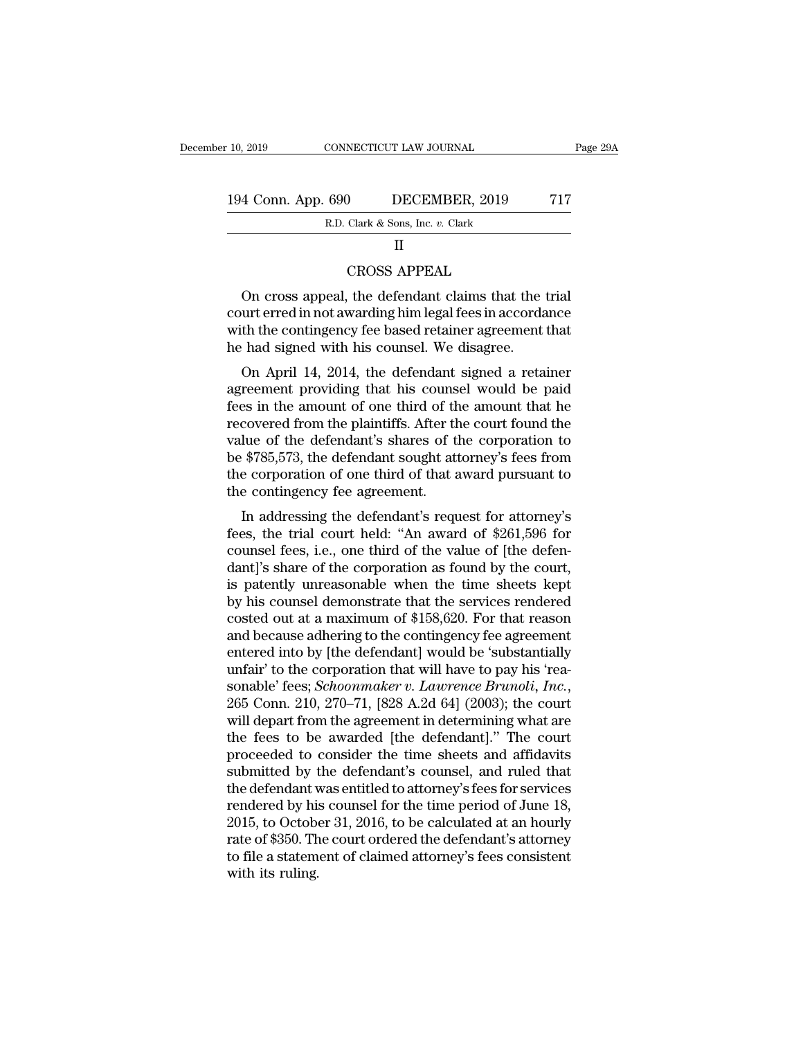| : 10, 2019         | CONNECTICUT LAW JOURNAL          | Page 29A |
|--------------------|----------------------------------|----------|
|                    |                                  |          |
| 194 Conn. App. 690 | DECEMBER, 2019                   | 717      |
|                    | R.D. Clark & Sons, Inc. v. Clark |          |
|                    |                                  |          |

#### II

Clark & Sons, Inc. v. Clark<br>
Clark & Sons, Inc. v. Clark<br>
II<br>
CROSS APPEAL<br>
the defendant claims that t 4 Conn. App. 690 DECEMBER, 2019 717<br>
R.D. Clark & Sons, Inc. v. Clark<br>
II<br>
CROSS APPEAL<br>
On cross appeal, the defendant claims that the trial<br>
urt erred in not awarding him legal fees in accordance<br>
th the contingency foo EXECUTE ERREGALATE RED. Clark & Sons, Inc. v. Clark<br>
II<br>
CROSS APPEAL<br>
On cross appeal, the defendant claims that the trial<br>
court erred in not awarding him legal fees in accordance<br>
with the contingency fee based retaine R.D. Clark & Sons, Inc.  $v$ . Clark<br>
II<br>
CROSS APPEAL<br>
On cross appeal, the defendant claims that the trial<br>
court erred in not awarding him legal fees in accordance<br>
with the contingency fee based retainer agreement that<br> II<br>CROSS APPEAL<br>On cross appeal, the defendant claims that the<br>court erred in not awarding him legal fees in accorda<br>with the contingency fee based retainer agreement<br>he had signed with his counsel. We disagree.<br>On April 1 CROSS APPEAL<br>On cross appeal, the defendant claims that the trial<br>urt erred in not awarding him legal fees in accordance<br>th the contingency fee based retainer agreement that<br>had signed with his counsel. We disagree.<br>On Apr On cross appeal, the defendant claims that the trial<br>court erred in not awarding him legal fees in accordance<br>with the contingency fee based retainer agreement that<br>he had signed with his counsel. We disagree.<br>On April 14,

on cross appear, the defendant claims that the that<br>court erred in not awarding him legal fees in accordance<br>with the contingency fee based retainer agreement that<br>he had signed with his counsel. We disagree.<br>On April 14, recourt effect in not awarding finit regal rees in accordance<br>with the contingency fee based retainer agreement that<br>he had signed with his counsel. We disagree.<br>On April 14, 2014, the defendant signed a retainer<br>agreement with the contingency ree based retainer agreement that<br>he had signed with his counsel. We disagree.<br>On April 14, 2014, the defendant signed a retainer<br>agreement providing that his counsel would be paid<br>fees in the amount o the had signed whit his counsel. We usagree.<br>
On April 14, 2014, the defendant signed a retainer<br>
agreement providing that his counsel would be paid<br>
fees in the amount of one third of the amount that he<br>
recovered from th On April 14, 2014, the defendant signed a retainer<br>agreement providing that his counsel would be paid<br>fees in the amount of one third of the amount that he<br>recovered from the plaintiffs. After the court found the<br>value of agreement providing that his couns<br>fees in the amount of one third of th<br>recovered from the plaintiffs. After th<br>value of the defendant's shares of t<br>be \$785,573, the defendant sought at<br>the corporation of one third of tha Es in the amount of one time of the amount that he<br>covered from the plaintiffs. After the court found the<br>lue of the defendant's shares of the corporation to<br> $$785,573$ , the defendant sought attorney's fees from<br>e corporat recovered from the plannins. Enter the court found the<br>value of the defendant's shares of the corporation to<br>be \$785,573, the defendant sought attorney's fees from<br>the corporation of one third of that award pursuant to<br>the

value of the defendant s shares of the corporation to<br>be \$785,573, the defendant sought attorney's fees from<br>the contingency fee agreement.<br>In addressing the defendant's request for attorney's<br>fees, the trial court held: " be  $\psi$ 100,010, the defendant solght attorney's rees from<br>the corporation of one third of that award pursuant to<br>the contingency fee agreement.<br>In addressing the defendant's request for attorney's<br>fees, the trial court he the conformation of one time of that award pursuant to<br>the contingency fee agreement.<br>In addressing the defendant's request for attorney's<br>fees, the trial court held: "An award of \$261,596 for<br>counsel fees, i.e., one third In addressing the defendant's request for attorney's<br>fees, the trial court held: "An award of \$261,596 for<br>counsel fees, i.e., one third of the value of [the defen-<br>dant]'s share of the corporation as found by the court,<br> In addressing the defendant's request for attorney's<br>fees, the trial court held: "An award of \$261,596 for<br>counsel fees, i.e., one third of the value of [the defen-<br>dant]'s share of the corporation as found by the court,<br> fees, the trial court held: "An award of \$261,596 for<br>counsel fees, i.e., one third of the value of [the defen-<br>dant]'s share of the corporation as found by the court,<br>is patently unreasonable when the time sheets kept<br>by counsel fees, i.e., one third of the value of [the defendant]'s share of the corporation as found by the court,<br>is patently unreasonable when the time sheets kept<br>by his counsel demonstrate that the services rendered<br>coste dant]'s share of the corporation as found by the court,<br>is patently unreasonable when the time sheets kept<br>by his counsel demonstrate that the services rendered<br>costed out at a maximum of \$158,620. For that reason<br>and bec is patently unreasonable when the time sheets kept<br>by his counsel demonstrate that the services rendered<br>costed out at a maximum of \$158,620. For that reason<br>and because adhering to the contingency fee agreement<br>entered in costed out at a maximum of \$158,620. For that reason<br>and because adhering to the contingency fee agreement<br>entered into by [the defendant] would be 'substantially<br>unfair' to the corporation that will have to pay his 'rea-<br> and because adhering to the contingency fee agreement<br>entered into by [the defendant] would be 'substantially<br>unfair' to the corporation that will have to pay his 'rea-<br>sonable' fees; *Schoonmaker v. Lawrence Brunoli, Inc.* entered into by [the defendant] would be 'substantially<br>unfair' to the corporation that will have to pay his 'rea-<br>sonable' fees; *Schoonmaker v. Lawrence Brunoli, Inc.*,<br>265 Conn. 210, 270–71, [828 A.2d 64] (2003); the co unfair' to the corporation that will have to pay his 'reasonable' fees; *Schoonmaker v. Lawrence Brunoli, Inc.*, 265 Conn. 210, 270–71, [828 A.2d 64] (2003); the court will depart from the agreement in determining what are sonable' fees; *Schoonmaker v. Lawrence Brunoli, Inc.*, 265 Conn. 210, 270–71, [828 A.2d 64] (2003); the court will depart from the agreement in determining what are the fees to be awarded [the defendant]." The court proc 265 Conn. 210, 270–71, [828 A.2d 64] (2003); the court<br>will depart from the agreement in determining what are<br>the fees to be awarded [the defendant]." The court<br>proceeded to consider the time sheets and affidavits<br>submitte will depart from the agreement in determining what are<br>the fees to be awarded [the defendant]." The court<br>proceeded to consider the time sheets and affidavits<br>submitted by the defendant's counsel, and ruled that<br>the defend the fees to be awarded [the defendant]." The court<br>proceeded to consider the time sheets and affidavits<br>submitted by the defendant's counsel, and ruled that<br>the defendant was entitled to attorney's fees for services<br>render proceeded to consider the time sheets and affidavits<br>submitted by the defendant's counsel, and ruled that<br>the defendant was entitled to attorney's fees for services<br>rendered by his counsel for the time period of June 18,<br>2 submitted by t<br>the defendant v<br>rendered by hi:<br>2015, to Octobe<br>rate of \$350. Th<br>to file a statem<br>with its ruling.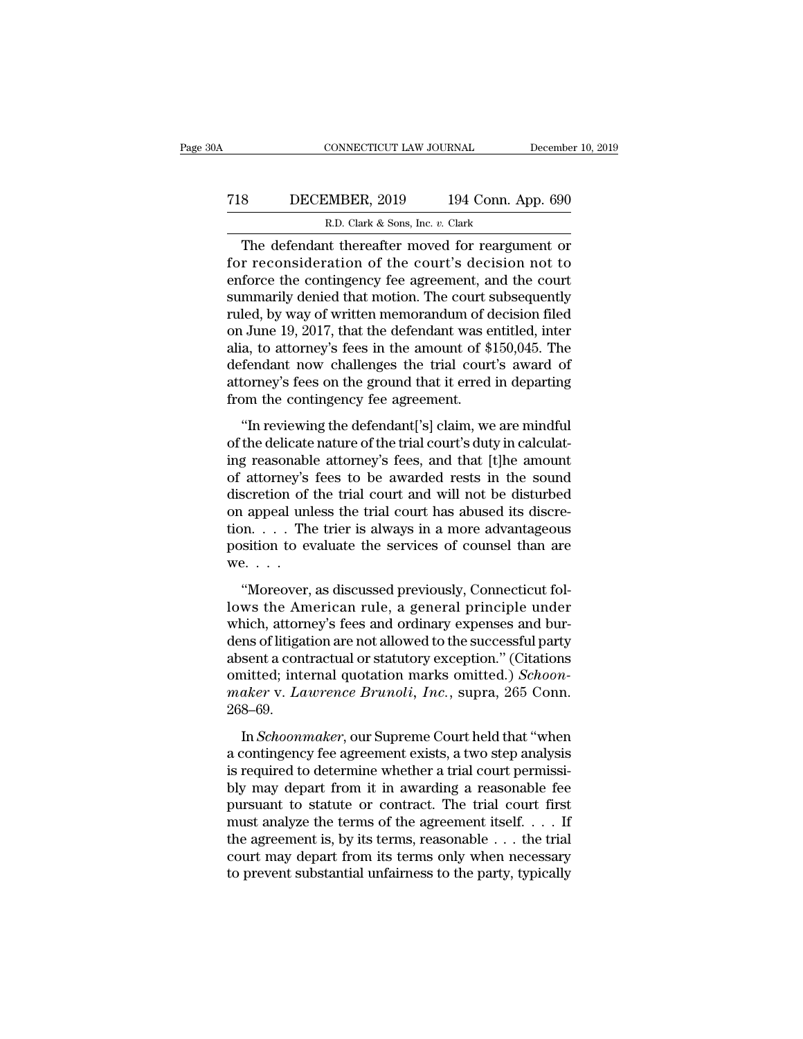# CONNECTICUT LAW JOURNAL December 10, 2019<br>
718 DECEMBER, 2019 194 Conn. App. 690<br>
R.D. Clark & Sons, Inc. v. Clark ECONNECTICUT LAW JOURNAL<br>MBER, 2019 194 Conn. A<br>R.D. Clark & Sons, Inc. *v.* Clark<br>at thereafter moved for reargun

CONNECTICUT LAW JOURNAL December 10, 2019<br>
S DECEMBER, 2019 194 Conn. App. 690<br>
R.D. Clark & Sons, Inc. v. Clark<br>
The defendant thereafter moved for reargument or<br>
r reconsideration of the court's decision not to<br>
force th For all the court subsequently<br>about the court's decision of the court's decision not to<br>the consideration of the court's decision not to<br>enforce the contingency fee agreement, and the court<br>summarily dougd that motion. Th T18 DECEMBER, 2019 194 Conn. App. 690<br>
R.D. Clark & Sons, Inc. v. Clark<br>
The defendant thereafter moved for reargument or<br>
for reconsideration of the court's decision not to<br>
enforce the contingency fee agreement, and the T18 DECEMBER, 2019 194 Conn. App. 690<br>
R.D. Clark & Sons, Inc. v. Clark<br>
The defendant thereafter moved for reargument or<br>
for reconsideration of the court's decision not to<br>
enforce the contingency fee agreement, and the R.D. Clark & Sons, Inc. v. Clark<br>The defendant thereafter moved for reargument or<br>for reconsideration of the court's decision not to<br>enforce the contingency fee agreement, and the court<br>summarily denied that motion. The c R.D. Clark & Sons, Inc.  $v$ . Clark<br>
The defendant thereafter moved for reargument or<br>
for reconsideration of the court's decision not to<br>
enforce the contingency fee agreement, and the court<br>
summarily denied that motion. The defendant thereafter moved for reargument or<br>for reconsideration of the court's decision not to<br>enforce the contingency fee agreement, and the court<br>summarily denied that motion. The court subsequently<br>ruled, by way of for reconsideration of the court's decision not to<br>enforce the contingency fee agreement, and the court<br>summarily denied that motion. The court subsequently<br>ruled, by way of written memorandum of decision filed<br>on June 19, enforce the contingency fee agreement, and the court<br>summarily denied that motion. The court subsequently<br>ruled, by way of written memorandum of decision filed<br>on June 19, 2017, that the defendant was entitled, inter<br>alia, summarily denied that motion. The court s<br>ruled, by way of written memorandum of d<br>on June 19, 2017, that the defendant was e<br>alia, to attorney's fees in the amount of \$<br>defendant now challenges the trial court<br>attorney's Exactly by way of white internotation of decision fried<br>
I June 19, 2017, that the defendant was entitled, inter<br>
a, to attorney's fees in the amount of \$150,045. The<br>
fendant now challenges the trial court's award of<br>
tor of the delicate nature of the amount of \$150,045. The<br>defendant now challenges the trial court's award of<br>attorney's fees on the ground that it erred in departing<br>from the contingency fee agreement.<br>"In reviewing the defen

defendant now challenges the trial court's award of attorney's fees on the ground that it erred in departing<br>from the contingency fee agreement.<br>"In reviewing the defendant['s] claim, we are mindful<br>of the delicate nature attorney's fees on the ground that it erred in departing<br>attorney's fees on the ground that it erred in departing<br>from the contingency fee agreement.<br>"In reviewing the defendant['s] claim, we are mindful<br>of the delicate na discribe) 5 rees on the ground that it cried in deptating<br>from the contingency fee agreement.<br>"In reviewing the defendant['s] claim, we are mindful<br>of the delicate nature of the trial court's duty in calculat-<br>ing reasonab "In reviewing the defendant['s] claim, we are mindful<br>of the delicate nature of the trial court's duty in calculat-<br>ing reasonable attorney's fees, and that [t]he amount<br>of attorney's fees to be awarded rests in the sound "In reviewing the defendant['s] claim, we are mindful<br>of the delicate nature of the trial court's duty in calculat-<br>ing reasonable attorney's fees, and that [t]he amount<br>of attorney's fees to be awarded rests in the sound of the delicate nature of the trial court's duty in calculating reasonable attorney's fees, and that [t]he amount of attorney's fees to be awarded rests in the sound discretion of the trial court and will not be disturbed ing reasonabl<br>of attorney's<br>discretion of<br>on appeal unl<br>tion....The<br>position to ev<br>we....<br>"Moreover, Example 1 and the trial court and will not be disturbed<br>
appeal unless the trial court has abused its discre-<br>
on. . . . The trier is always in a more advantageous<br>
sition to evaluate the services of counsel than are<br>  $P^$ discretion of the that coart and will not be also<br>also an appeal unless the trial court has abused its discre-<br>tion.... The trier is always in a more advantageous<br>position to evaluate the services of counsel than are<br>we...

on appear ands one that coard has assased as absention.  $\dots$  The trier is always in a more advantageous position to evaluate the services of counsel than are we.  $\dots$  "Moreover, as discussed previously, Connecticut follow position to evaluate the services of counsel than are<br>we....<br>"Moreover, as discussed previously, Connecticut fol-<br>lows the American rule, a general principle under<br>which, attorney's fees and ordinary expenses and bur-<br>den we. . . .<br>
"Moreover, as discussed previously, Connecticut fol-<br>
lows the American rule, a general principle under<br>
which, attorney's fees and ordinary expenses and bur-<br>
dens of litigation are not allowed to the successf "Moreover, as discussed previously, Connecticut follows the American rule, a general principle under which, attorney's fees and ordinary expenses and burdens of litigation are not allowed to the successful party absent a c "Moreover, as discussed previously, Connecticut follows the American rule, a general principle under which, attorney's fees and ordinary expenses and burdens of litigation are not allowed to the successful party absent a c 268–69. In *Schoonmaker*, and School and Schoon<br>ins of litigation are not allowed to the successful party<br>sent a contractual or statutory exception." (Citations<br>initted; internal quotation marks omitted.) *Schoon-<br>aker* v. *Lawren* absent a contractual or statutory exception." (Citations<br>
omitted; internal quotation marks omitted.) *Schoon-<br>
maker* v. *Lawrence Brunoli*, *Inc.*, supra, 265 Conn.<br>
268–69.<br>
In *Schoonmaker*, our Supreme Court held that

is required to determine marks omitted.) *Schoon-maker* v. *Lawrence Brunoli*, *Inc.*, supra, 265 Conn.<br>268–69.<br>In *Schoonmaker*, our Supreme Court held that "when<br>a contingency fee agreement exists, a two step analysis<br>is blacker v. Lawrence Brunoli, Inc., supra, 265 Conn.<br>268–69.<br>In *Schoonmaker*, our Supreme Court held that "when<br>a contingency fee agreement exists, a two step analysis<br>is required to determine whether a trial court permis pursuant to statute or contract. The trial court first<br>pursuant to statute or contract is required to determine whether a trial court permissi-<br>bly may depart from it in awarding a reasonable fee<br>pursuant to statute or co In *Schoonmaker*, our Supreme Court held that "when<br>a contingency fee agreement exists, a two step analysis<br>is required to determine whether a trial court permissi-<br>bly may depart from it in awarding a reasonable fee<br>purs In *Schoonmaker*, our Supreme Court held that "when<br>a contingency fee agreement exists, a two step analysis<br>is required to determine whether a trial court permissi-<br>bly may depart from it in awarding a reasonable fee<br>purs a contingency fee agreement exists, a two step analysis<br>is required to determine whether a trial court permissi-<br>bly may depart from it in awarding a reasonable fee<br>pursuant to statute or contract. The trial court first<br>mu is required to determine whether a trial court permissibly may depart from it in awarding a reasonable fee pursuant to statute or contract. The trial court first must analyze the terms of the agreement itself.  $\dots$  If the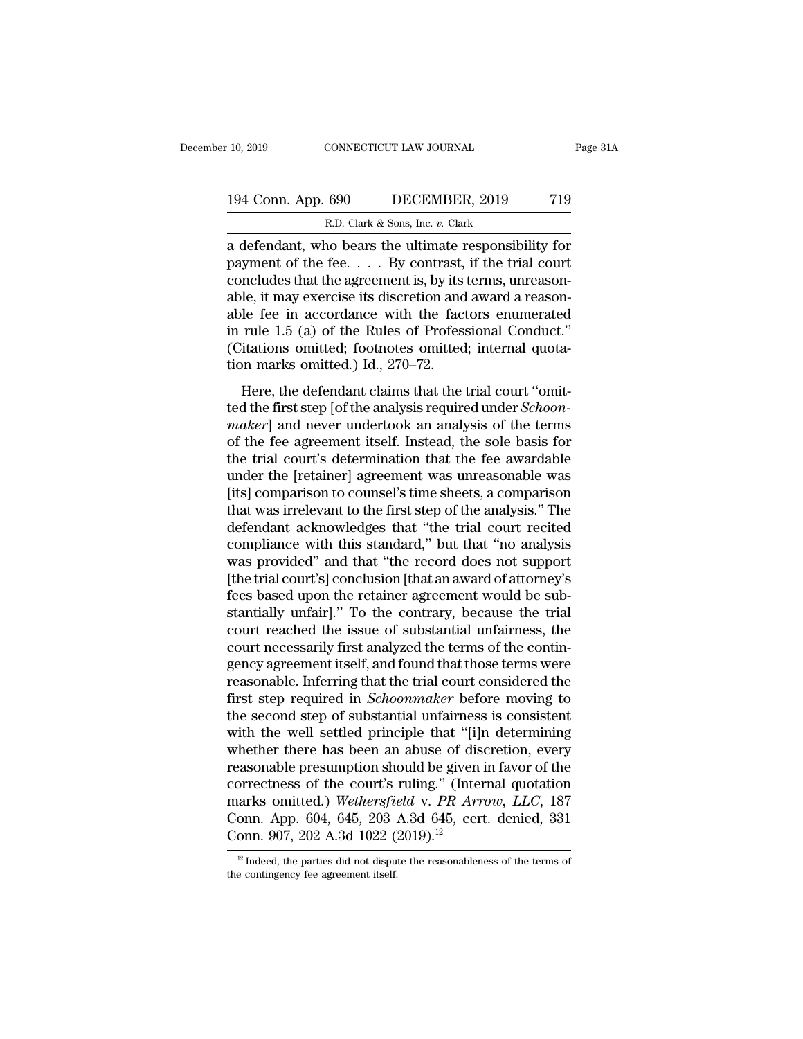# 10, 2019 CONNECTICUT LAW JOURNAL Page 31A<br>194 Conn. App. 690 DECEMBER, 2019 719<br>R.D. Clark & Sons, Inc. v. Clark R.D. Clark & Sons, Inc. *v.* Clark

10, 2019 CONNECTICUT LAW JOURNAL Page 31A<br>
194 Conn. App. 690 DECEMBER, 2019 719<br>
R.D. Clark & Sons, Inc. v. Clark<br>
a defendant, who bears the ultimate responsibility for<br>
payment of the fee. . . . By contrast, if the tria 194 Conn. App. 690 DECEMBER, 2019 719<br>
R.D. Clark & Sons, Inc. v. Clark<br>
a defendant, who bears the ultimate responsibility for<br>
payment of the fee. . . . By contrast, if the trial court<br>
concludes that the agreement is, b 194 Conn. App. 690 DECEMBER, 2019 719<br>
R.D. Clark & Sons, Inc. v. Clark<br>
a defendant, who bears the ultimate responsibility for<br>
payment of the fee. . . . By contrast, if the trial court<br>
concludes that the agreement is, 194 Conn. App. 690 DECEMBER, 2019 719<br>
R.D. Clark & Sons, Inc. v. Clark<br>
a defendant, who bears the ultimate responsibility for<br>
payment of the fee. . . . By contrast, if the trial court<br>
concludes that the agreement is, R.D. Clark & Sons, Inc. v. Clark<br>
a defendant, who bears the ultimate responsibility for<br>
payment of the fee.... By contrast, if the trial court<br>
concludes that the agreement is, by its terms, unreason-<br>
able, it may exer E.D. Clark & Sons, Inc. v. Clark<br>
a defendant, who bears the ultimate responsibility for<br>
payment of the fee.... By contrast, if the trial court<br>
concludes that the agreement is, by its terms, unreason-<br>
able, it may exer a defendant, who bears the ultimate responsibility for<br>payment of the fee. . . . By contrast, if the trial court<br>concludes that the agreement is, by its terms, unreason-<br>able, it may exercise its discretion and award a re payment of the fee. . . . By contrast, concludes that the agreement is, by its able, it may exercise its discretion and able fee in accordance with the fact in rule 1.5 (a) of the Rules of Profess (Citations omitted; foot Here, it may exercise its discretion and award a reason-<br>le, it may exercise its discretion and award a reason-<br>le fee in accordance with the factors enumerated<br>rule 1.5 (a) of the Rules of Professional Conduct."<br>itations able fee in accordance with the factors enumerated<br>in rule 1.5 (a) of the Rules of Professional Conduct."<br>(Citations omitted; footnotes omitted; internal quota-<br>tion marks omitted.) Id., 270–72.<br>Here, the defendant claims

*able* Tee in accordance with the factors endinerated<br>in rule 1.5 (a) of the Rules of Professional Conduct."<br>(Citations omitted, footnotes omitted; internal quota-<br>tion marks omitted.) Id., 270–72.<br>Here, the defendant clai In Tute 1.5 (a) of the futes of Trotessional conduct.<br>
(Citations omitted; footnotes omitted; internal quotation marks omitted.) Id., 270–72.<br>
Here, the defendant claims that the trial court "omit-<br>
ted the first step [of (changes omitted, 100<br>and tion marks omitted.) Id., 270–72.<br>Here, the defendant claims that the trial court "omit-<br>ted the first step [of the analysis required under *Schoon-<br>maker*] and never undertook an analysis of the Here, the defendant claims that the trial court "omit-<br>ted the first step [of the analysis required under *Schoon-<br>maker*] and never undertook an analysis of the terms<br>of the fee agreement itself. Instead, the sole basis Here, the defendant claims that the trial court "omit-<br>ted the first step [of the analysis required under *Schoon-<br>maker*] and never undertook an analysis of the terms<br>of the fee agreement itself. Instead, the sole basis f ted the first step [of the analysis required under *Schoon-maker*] and never undertook an analysis of the terms<br>of the fee agreement itself. Instead, the sole basis for<br>the trial court's determination that the fee awardabl maker] and never undertook an analysis of the terms<br>of the fee agreement itself. Instead, the sole basis for<br>the trial court's determination that the fee awardable<br>under the [retainer] agreement was unreasonable was<br>[its] of the fee agreement itself. Instead, the sole basis for<br>the trial court's determination that the fee awardable<br>under the [retainer] agreement was unreasonable was<br>[its] comparison to counsel's time sheets, a comparison<br>th the trial court's determination that the fee awardable<br>under the [retainer] agreement was unreasonable was<br>[its] comparison to counsel's time sheets, a comparison<br>that was irrelevant to the first step of the analysis." The under the [retainer] agreement was unreasonable was<br>[its] comparison to counsel's time sheets, a comparison<br>that was irrelevant to the first step of the analysis." The<br>defendant acknowledges that "the trial court recited<br>c [its] comparison to counsel's time sheets, a comparison<br>that was irrelevant to the first step of the analysis." The<br>defendant acknowledges that "the trial court recited<br>compliance with this standard," but that "no analysis that was irrelevant to the first step of the analysis." The defendant acknowledges that "the trial court recited compliance with this standard," but that "no analysis was provided" and that "the record does not support [th defendant acknowledges that "the trial court recited<br>compliance with this standard," but that "no analysis<br>was provided" and that "the record does not support<br>[the trial court's] conclusion [that an award of attorney's<br>fee compliance with this standard," but that "no analysis<br>was provided" and that "the record does not support<br>[the trial court's] conclusion [that an award of attorney's<br>fees based upon the retainer agreement would be sub-<br>sta was provided" and that "the record does not support<br>[the trial court's] conclusion [that an award of attorney's<br>fees based upon the retainer agreement would be sub-<br>stantially unfair]." To the contrary, because the trial<br>c [the trial court's] conclusion [that an award of attorney's<br>fees based upon the retainer agreement would be sub-<br>stantially unfair]." To the contrary, because the trial<br>court reached the issue of substantial unfairness, th fees based upon the retainer agreement would be substantially unfair]." To the contrary, because the trial<br>court reached the issue of substantial unfairness, the<br>court necessarily first analyzed the terms of the contin-<br>ge stantially unfair]." To the contrary, because the trial<br>court reached the issue of substantial unfairness, the<br>court necessarily first analyzed the terms of the contin-<br>gency agreement itself, and found that those terms we court reached the issue of substantial unfairness, the<br>court necessarily first analyzed the terms of the contin-<br>gency agreement itself, and found that those terms were<br>reasonable. Inferring that the trial court considered court necessarily first analyzed the terms of the contingency agreement itself, and found that those terms were<br>reasonable. Inferring that the trial court considered the<br>first step required in *Schoonmaker* before moving t gency agreement itself, and found that those terms were<br>reasonable. Inferring that the trial court considered the<br>first step required in *Schoonmaker* before moving to<br>the second step of substantial unfairness is consisten reasonable. Inferring that the trial court considered the<br>first step required in *Schoonmaker* before moving to<br>the second step of substantial unfairness is consistent<br>with the well settled principle that "[i]n determining first step required in *Schoonmaker* before moving to<br>the second step of substantial unfairness is consistent<br>with the well settled principle that "[i]n determining<br>whether there has been an abuse of discretion, every<br>reas the second step of substantial unfairness is consistent<br>with the well settled principle that "[i]n determining<br>whether there has been an abuse of discretion, every<br>reasonable presumption should be given in favor of the<br>cor with the well settled principle that "[i]:<br>whether there has been an abuse of dis<br>reasonable presumption should be given<br>correctness of the court's ruling." (Inter<br>marks omitted.) Wethersfield v. PR Arr<br>Conn. App. 604, 64 correctness of the court's ruling." (Internal quotation marks omitted.) Wethersfield v. PR Arrow, LLC, 187 Conn. App. 604, 645, 203 A.3d 645, cert. denied, 331 Conn. 907, 202 A.3d 1022 (2019).<sup>12</sup><br><sup>12</sup> Indeed, the parties Conn. 907, 202 A.3d 1022 (2019).<sup>12</sup>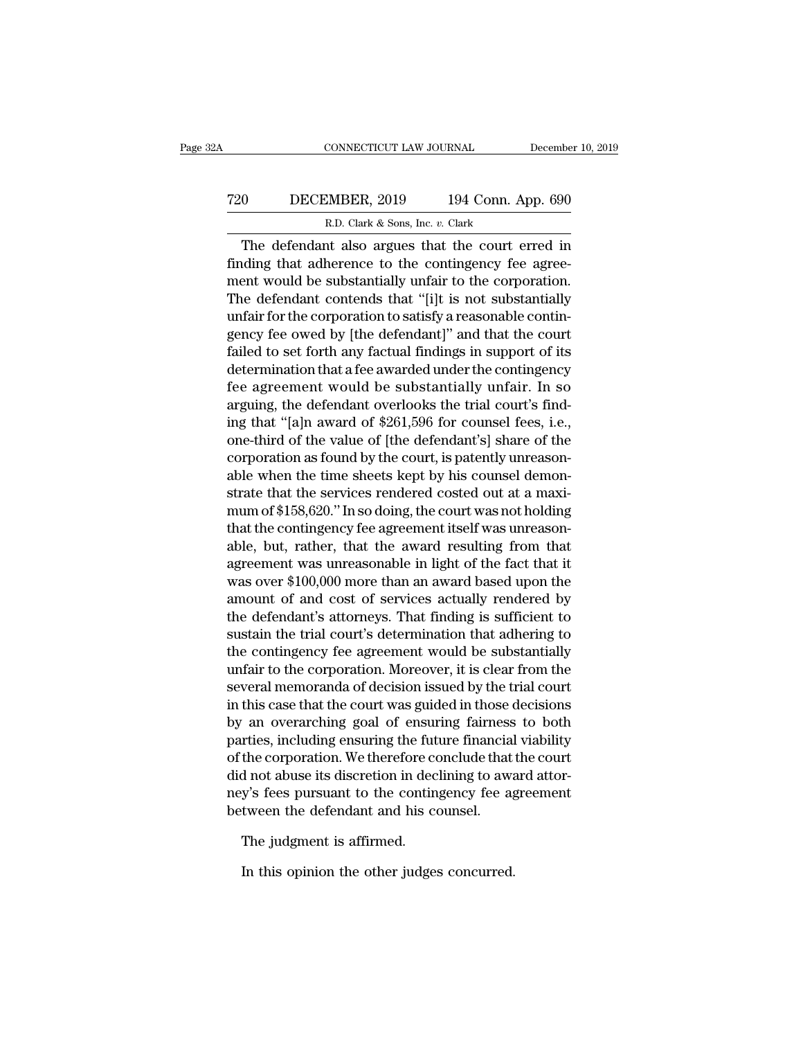# CONNECTICUT LAW JOURNAL December 10, 2019<br>
720 DECEMBER, 2019 194 Conn. App. 690<br>
R.D. Clark & Sons, Inc. v. Clark EXECTICUT LAW JOURNAL<br>MBER, 2019 194 Conn. A<br>R.D. Clark & Sons, Inc. *v.* Clark<br>at also argues that the court e

CONNECTICUT LAW JOURNAL December 10, 2019<br>
0 DECEMBER, 2019 194 Conn. App. 690<br>
R.D. Clark & Sons, Inc. v. Clark<br>
The defendant also argues that the court erred in<br>
inding that adherence to the contingency fee agree-Finding that adherence to the contingency fee agreement would be substantially unfair to the corporation.<br>The defendant also argues that the court erred in finding that adherence to the contingency fee agreement would be T20 DECEMBER, 2019 194 Conn. App. 690<br>
R.D. Clark & Sons, Inc. v. Clark<br>
The defendant also argues that the court erred in<br>
finding that adherence to the contingency fee agree-<br>
ment would be substantially unfair to the c The defendant contends that ''[i]t is not substantially<br>
The defendant also argues that the court erred in<br>
finding that adherence to the contingency fee agreement<br>
would be substantially unfair to the corporation.<br>
The d R.D. Clark & Sons, Inc.  $v$ . Clark<br>The defendant also argues that the court erred in<br>finding that adherence to the contingency fee agree-<br>ment would be substantially unfair to the corporation.<br>The defendant contends that The defendant also argues that the court erred in<br>finding that adherence to the contingency fee agree-<br>ment would be substantially unfair to the corporation.<br>The defendant contends that "[i]t is not substantially<br>unfair fo The defendant also argues that the court erred in<br>finding that adherence to the contingency fee agree-<br>ment would be substantially unfair to the corporation.<br>The defendant contends that "[i]t is not substantially<br>unfair fo finding that adherence to the contingency fee agreement would be substantially unfair to the corporation.<br>The defendant contends that "[i]t is not substantially unfair for the corporation to satisfy a reasonable contingenc ment would be substantially unfair to the corporation.<br>The defendant contends that "[i]t is not substantially<br>unfair for the corporation to satisfy a reasonable contin-<br>gency fee owed by [the defendant]" and that the court The defendant contends that "[1]t is not substantially<br>unfair for the corporation to satisfy a reasonable contingency fee owed by [the defendant]" and that the court<br>failed to set forth any factual findings in support of unfair for the corporation to satisfy a reasonable contingency fee owed by [the defendant]" and that the court<br>failed to set forth any factual findings in support of its<br>determination that a fee awarded under the contingen gency fee owed by [the defendant]" and that the court<br>failed to set forth any factual findings in support of its<br>determination that a fee awarded under the contingency<br>fee agreement would be substantially unfair. In so<br>arg failed to set forth any factual findings in support of its<br>determination that a fee awarded under the contingency<br>fee agreement would be substantially unfair. In so<br>arguing, the defendant overlooks the trial court's find-<br> determination that a fee awarded under the contingency<br>fee agreement would be substantially unfair. In so<br>arguing, the defendant overlooks the trial court's find-<br>ing that "[a]n award of \$261,596 for counsel fees, i.e.,<br>on fee agreement would be substantially unfair. In so<br>arguing, the defendant overlooks the trial court's find-<br>ing that "[a]n award of \$261,596 for counsel fees, i.e.,<br>one-third of the value of [the defendant's] share of the<br> arguing, the defendant overlooks the trial court's find-<br>ing that "[a]n award of \$261,596 for counsel fees, i.e.,<br>one-third of the value of [the defendant's] share of the<br>corporation as found by the court, is patently unre ing that "[a]n award of \$261,596 for counsel fees, i.e., one-third of the value of [the defendant's] share of the corporation as found by the court, is patently unreason-<br>able when the time sheets kept by his counsel demon one-third of the value of [the defendant's] share of the<br>corporation as found by the court, is patently unreason-<br>able when the time sheets kept by his counsel demon-<br>strate that the services rendered costed out at a maxicorporation as found by the court, is patently unreasonable when the time sheets kept by his counsel demonstrate that the services rendered costed out at a maximum of \$158,620." In so doing, the court was not holding that able when the time sheets kept by his counsel demonstrate that the services rendered costed out at a maximum of \$158,620." In so doing, the court was not holding that the contingency fee agreement itself was unreasonable, strate that the services rendered costed out at a maxi-<br>mum of \$158,620." In so doing, the court was not holding<br>that the contingency fee agreement itself was unreason-<br>able, but, rather, that the award resulting from that mum of \$158,620." In so doing, the court was not holding<br>that the contingency fee agreement itself was unreason-<br>able, but, rather, that the award resulting from that<br>agreement was unreasonable in light of the fact that it that the contingency fee agreement itself was unreason-<br>able, but, rather, that the award resulting from that<br>agreement was unreasonable in light of the fact that it<br>was over \$100,000 more than an award based upon the<br>amou able, but, rather, that the award resulting from that<br>agreement was unreasonable in light of the fact that it<br>was over \$100,000 more than an award based upon the<br>amount of and cost of services actually rendered by<br>the defe agreement was unreasonable in light of the fact that it<br>was over \$100,000 more than an award based upon the<br>amount of and cost of services actually rendered by<br>the defendant's attorneys. That finding is sufficient to<br>susta was over \$100,000 more than an award based upon the<br>amount of and cost of services actually rendered by<br>the defendant's attorneys. That finding is sufficient to<br>sustain the trial court's determination that adhering to<br>the amount of and cost of services actually rendered by<br>the defendant's attorneys. That finding is sufficient to<br>sustain the trial court's determination that adhering to<br>the contingency fee agreement would be substantially<br>unf the defendant's attorneys. That finding is sufficient to<br>sustain the trial court's determination that adhering to<br>the contingency fee agreement would be substantially<br>unfair to the corporation. Moreover, it is clear from t sustain the trial court's determination that adhering to<br>the contingency fee agreement would be substantially<br>unfair to the corporation. Moreover, it is clear from the<br>several memoranda of decision issued by the trial cour the contingency fee agreement would be substantially<br>unfair to the corporation. Moreover, it is clear from the<br>several memoranda of decision issued by the trial court<br>in this case that the court was guided in those decisio unfair to the corporation. Moreover, it is clear from the<br>several memoranda of decision issued by the trial court<br>in this case that the court was guided in those decisions<br>by an overarching goal of ensuring fairness to bot several memoranda of decision issued by the trial court<br>in this case that the court was guided in those decisions<br>by an overarching goal of ensuring fairness to both<br>parties, including ensuring the future financial viabili In this case that the court was guided in those by an overarching goal of ensuring fairness parties, including ensuring the future financia of the corporation. We therefore conclude that did not abuse its discretion in de rties, including ensuring the fut<br>the corporation. We therefore contracted not abuse its discretion in dec<br>y's fees pursuant to the contin<br>tween the defendant and his contraction<br>The judgment is affirmed.<br>In this opinion t In this opinion in declining to away's fees pursuant to the contingency fee age tween the defendant and his counsel.<br>The judgment is affirmed.<br>In this opinion the other judges concurred.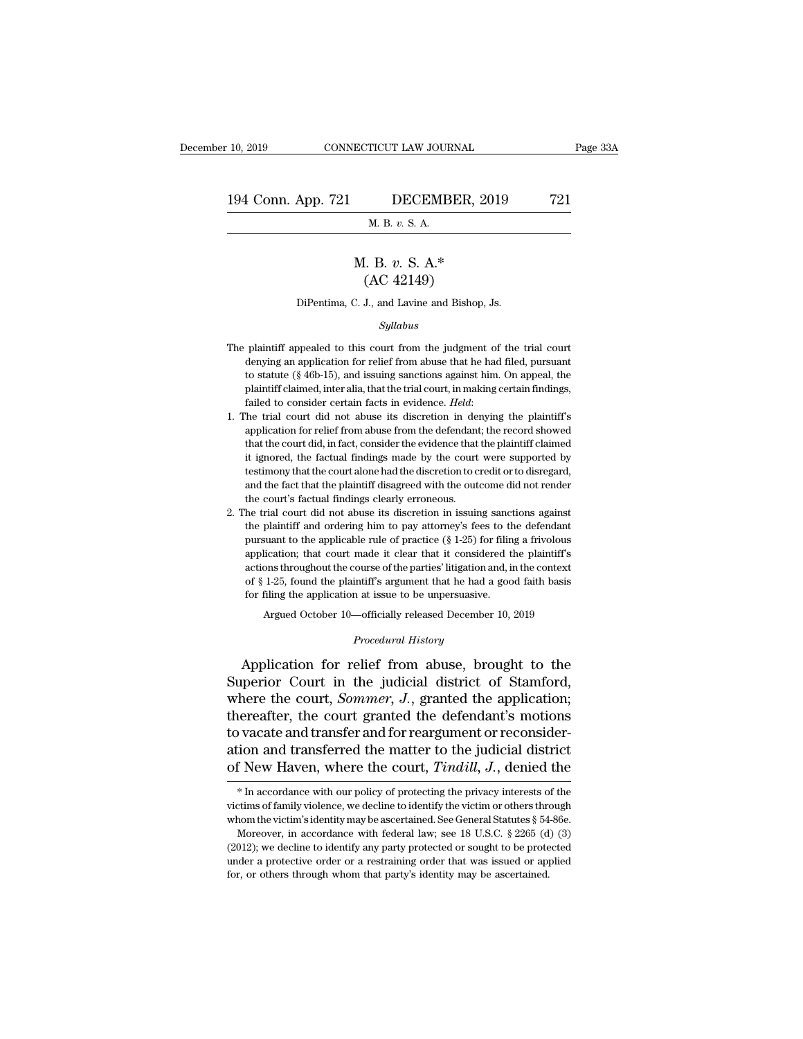#### 10, 2019 CONNECTICUT LAW JOURNAL Page 33A<br>194 Conn. App. 721 DECEMBER, 2019 721<br>M. B. v. S. A. **TICUT LAW JOUR<br>DECEMB**<br>M. B. *v.* S. A. **DECEMBER, 201**<br> **M. B.** *v.* **S. A.<br>
<b>M. B.** *v.* S. A.\*<br>
(AC 42149)

#### DECEMBER,  $2$ <br>
M. B. v. S. A.<br>
[. B. v. S. A.\*<br>
(AC 42149)<br>
J., and Lavine and Bishop, M. B.  $v$ . S. A.<br>
M. B.  $v$ . S. A.\*<br>
(AC 42149)<br>
DiPentima, C. J., and Lavine and Bishop, Js.

#### *Syllabus*

- $(AC 42149)$ <br>DiPentima, C. J., and Lavine and Bishop, Js.<br> $Syllabus$ <br>The plaintiff appealed to this court from the judgment of the trial court<br>denying an application for relief from abuse that he had filed, pursuant DiPentima, C. J., and Lavine and Bishop, Js.<br>Syllabus<br>plaintiff appealed to this court from the judgment of the trial court<br>denying an application for relief from abuse that he had filed, pursuant<br>to statute (§ 46b-15), a DiPentima, C. J., and Lavine and Bishop, Js.<br>
Syllabus<br>
plaintiff appealed to this court from the judgment of the trial court<br>
denying an application for relief from abuse that he had filed, pursuant<br>
to statute (§ 46b-15) *Syllabus*<br>
plaintiff appealed to this court from the judgment of the trial court<br>
denying an application for relief from abuse that he had filed, pursuant<br>
to statute (§ 46b-15), and issuing sanctions against him. On app *Syllabus*<br>The plaintiff appealed to this court from the judgment of the trial court<br>denying an application for relief from abuse that he had filed, pursuant<br>to statute (§ 46b-15), and issuing sanctions against him. On app denying an application for relief from abuse that he had filed, pursuant to statute (§ 46b-15), and issuing sanctions against him. On appeal, the plaintiff claimed, inter alia, that the trial court, in making certain find
- to statute (§ 46b-15), and issuing sanctions against him. On appeal, the plaintiff claimed, inter alia, that the trial court, in making certain findings, failed to consider certain facts in evidence. *Held*:<br>The trial cou plaintiff claimed, inter alia, that the trial court, in making certain findings, failed to consider certain facts in evidence. *Held*:<br>The trial court did not abuse its discretion in denying the plaintiff's application for Failed to consider certain facts in evidence. *Held*:<br>The trial court did not abuse its discretion in denying the plaintiff's<br>application for relief from abuse from the defendant; the record showed<br>that the court did, in f The trial court did not abuse its discretion in denying the plaintiff's<br>application for relief from abuse from the defendant; the record showed<br>that the court did, in fact, consider the evidence that the plaintiff claimed<br> %1 1. The trial court did not abuse its discretion in denying the plaintiff's application for relief from abuse from the defendant; the record showed that the court did, in fact, consider the evidence that the plaintiff c 4. The trial court did, in fact, consider the evidence that the plaintiff claimed<br>it ignored, the factual findings made by the court were supported by<br>testimony that the court alone had the discretion to credit or to disre It is<br>photod, the factual findings made by the court were supported by<br>testimony that the court alone had the discretion to credit or to disregard,<br>and the fact that the plaintiff disagreed with the outcome did not render
- is testimony that the court alone had the discretion to credit or to disregard, and the fact that the plaintiff disagreed with the outcome did not render the court's factual findings clearly erroneous.<br>he trial court did and the fact that the plaintiff disagreed with the outcome did not render the court's factual findings clearly erroneous.<br>
he trial court did not abuse its discretion in issuing sanctions against the plaintiff and orderin the court's factual findings clearly erroneous.<br>
the court's factual findings clearly erroneous.<br>
the trial court did not abuse its discretion in issuing sanctions against<br>
the plaintiff and ordering him to pay attorney's the trial court did not abuse its discretion in issuing sanctions against<br>the plaintiff and ordering him to pay attorney's fees to the defendant<br>pursuant to the applicable rule of practice ( $\S$  1-25) for filing a frivolou for the plaintiff and ordering him to pay attorney's fees to the plaintiff and ordering him to pay attorney's fees to the pursuant to the applicable rule of practice  $(\S 1-25)$  for filin application; that court made it cl % application; that court made it clear that it considered the plaint<br>iff's actions throughout the course of the parties' litigation and, in the context<br>of § 1-25, found the plaintiff's argument that he had a good faith b Application, that course of the parties' litigation and, in the context<br>of § 1-25, found the plaintiff's argument that he had a good faith basis<br>for filing the application at issue to be unpersuasive.<br>Argued October 10—of

Argued October 10—officially released December 10, 2019<br>*Procedural History*<br>Application for relief from abuse, brought to the of § 1-25, found the plaintiff's argument that he had a good faith basis<br>for filing the application at issue to be unpersuasive.<br>Argued October 10—officially released December 10, 2019<br>*Procedural History*<br>Application for for filing the application at issue to be unpersuasive.<br>
Argued October 10—officially released December 10, 2019<br>
Procedural History<br>
Application for relief from abuse, brought to the<br>
Superior Court in the judicial distri Argued October 10—officially released December 10, 2019<br>
Procedural History<br>
Application for relief from abuse, brought to the<br>
Superior Court in the judicial district of Stamford,<br>
where the court, Sommer, J., granted the *Procedural History*<br>Application for relief from abuse, brought to the<br>Superior Court in the judicial district of Stamford,<br>where the court, *Sommer*, *J*., granted the application;<br>thereafter, the court granted the defend Application for relief from abuse, brought to the<br>Superior Court in the judicial district of Stamford,<br>where the court, *Sommer*, *J*., granted the application;<br>thereafter, the court granted the defendant's motions<br>to vaca Application for relief from abuse, brought to the<br>Superior Court in the judicial district of Stamford,<br>where the court, *Sommer*, *J*., granted the application;<br>thereafter, the court granted the defendant's motions<br>to vaca is of and transferred the defendant's motions<br>ovacate and transferred the matter to the judicial district<br>f New Haven, where the court,  $Tindil, J$ , denied the<br> $*$  In accordance with our policy of protecting the privacy inter to vacate and transfer and for reargument or reconsideration and transferred the matter to the judicial district of New Haven, where the court, *Tindill*, *J*., denied the  $*$  In accordance with our policy of protecting t

ation and transferred the matter to the judicial district<br>of New Haven, where the court, *Tindill*, *J*., denied the<br> $*$  In accordance with our policy of protecting the privacy interests of the<br>victims of family violence, F New Haven, where the court, *Tindill*, *J*., denied the  $*$  In accordance with our policy of protecting the privacy interests of the  $*$  In accordance with our policy of protecting the victim or others through nom the v

<sup>(2012);</sup> we decline to identify any party protecting the privacy interests of the victims of family violence, we decline to identify the victim or others through whom the victim's identity may be ascertained. See General S \* In accordance with our policy of protecting the privacy interests of the victims of family violence, we decline to identify the victim or others through whom the victim's identity may be ascertained. See General Statute victims of family violence, we decline to identify the victim or others through whom the victim's identity may be ascertained. See General Statutes  $\S$  54-86e.<br>Moreover, in accordance with federal law; see 18 U.S.C.  $\S$  2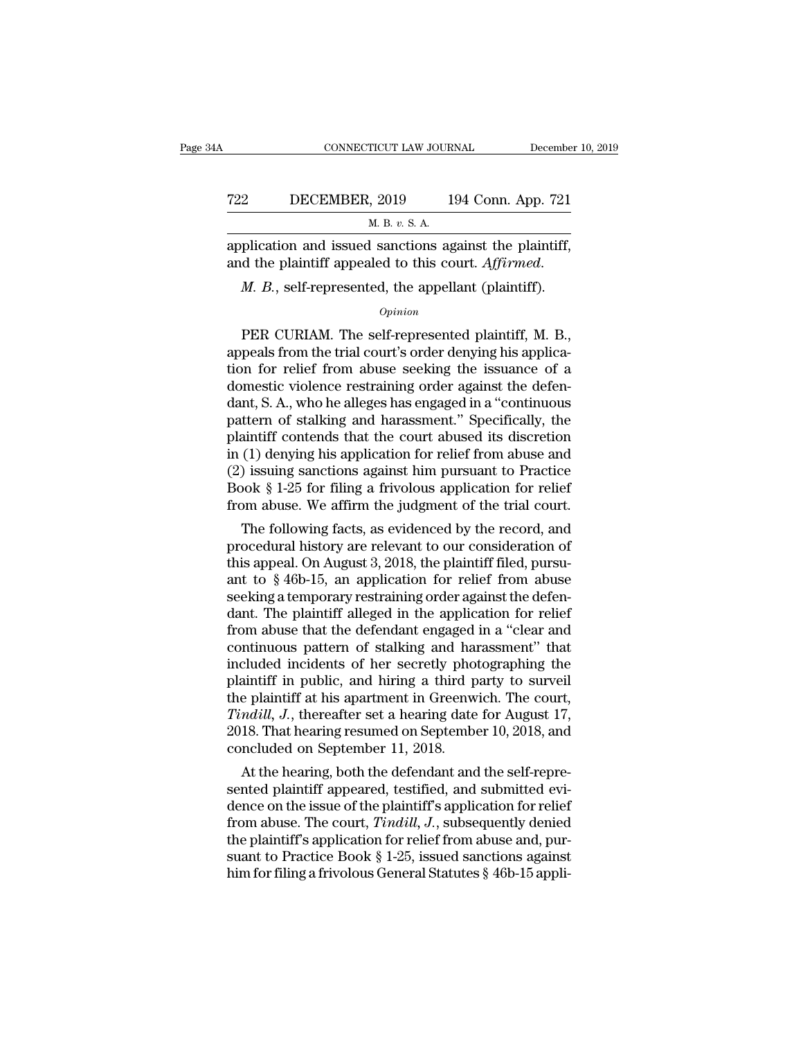|     | CONNECTICUT LAW JOURNAL                                                                                        | December 10, 2019  |
|-----|----------------------------------------------------------------------------------------------------------------|--------------------|
| 722 | DECEMBER, 2019                                                                                                 | 194 Conn. App. 721 |
|     | M. B. v. S. A.                                                                                                 |                    |
|     | application and issued sanctions against the plaintiff.<br>and the plaintiff appealed to this court. Affirmed. |                    |
|     | <i>M. B.</i> , self-represented, the appellant (plaintiff).                                                    |                    |
|     | $\it Opinion$                                                                                                  |                    |

#### *Opinion*

Polication and issued sanctions against the plaintiff,<br>d the plaintiff appealed to this court. Affirmed.<br>M. B., self-represented, the appellant (plaintiff).<br> $opinion$ <br>PER CURIAM. The self-represented plaintiff, M. B.,<br>peals fr application and issued sanctions against the plaintiff,<br>
and the plaintiff appealed to this court. Affirmed.<br>  $M. B.,$  self-represented, the appellant (plaintiff).<br>  $o_{pinion}$ <br>
PER CURIAM. The self-represented plaintiff, M. B. and the plaintiff appealed to this court. Affirmed.<br>  $M. B.$ , self-represented, the appellant (plaintiff).<br>  $\frac{Opinion}{1}$ <br>
PER CURIAM. The self-represented plaintiff, M. B.,<br>
appeals from the trial court's order denying his *M. B.*, self-represented, the appellant (plaintiff).<br>  $\frac{opinion}{}$ <br>
PER CURIAM. The self-represented plaintiff, M. B., appeals from the trial court's order denying his application for relief from abuse seeking the issuance *Opinion*<br> *Opinion*<br>
PER CURIAM. The self-represented plaintiff, M. B.,<br>
appeals from the trial court's order denying his applica-<br>
tion for relief from abuse seeking the issuance of a<br>
domestic violence restraining order *Opmion*<br>
PER CURIAM. The self-represented plaintiff, M. B.,<br>
appeals from the trial court's order denying his applica-<br>
tion for relief from abuse seeking the issuance of a<br>
domestic violence restraining order against the PER CURIAM. The self-represented plaintiff, M. B.,<br>appeals from the trial court's order denying his applica-<br>tion for relief from abuse seeking the issuance of a<br>domestic violence restraining order against the defen-<br>dant, appeals from the trial court's order denying his application for relief from abuse seeking the issuance of a domestic violence restraining order against the defendant, S. A., who he alleges has engaged in a "continuous pat tion for relief from abuse seeking the issuance of a<br>domestic violence restraining order against the defen-<br>dant, S. A., who he alleges has engaged in a "continuous<br>pattern of stalking and harassment." Specifically, the<br>pl domestic violence restraining order against the defen-<br>dant, S. A., who he alleges has engaged in a "continuous<br>pattern of stalking and harassment." Specifically, the<br>plaintiff contends that the court abused its discretion dant, S. A., who he alleges has engaged in a "continuous<br>pattern of stalking and harassment." Specifically, the<br>plaintiff contends that the court abused its discretion<br>in (1) denying his application for relief from abuse a tuern of standing and narassment. Specifically, the<br>aintiff contends that the court abused its discretion<br>(1) denying his application for relief from abuse and<br>) issuing sanctions against him pursuant to Practice<br>look § 1praintin' contends that the court abused its discretion<br>in (1) denying his application for relief from abuse and<br>(2) issuing sanctions against him pursuant to Practice<br>Book § 1-25 for filing a frivolous application for re

In (1) derlying his application for reflet from abuse and<br>
(2) issuing sanctions against him pursuant to Practice<br>
Book § 1-25 for filing a frivolous application for relief<br>
from abuse. We affirm the judgment of the trial ( $2$ ) issume sanctions against rinn pursuant to Practice<br>Book § 1-25 for filing a frivolous application for relief<br>from abuse. We affirm the judgment of the trial court.<br>The following facts, as evidenced by the record, an section abuse. We affirm the judgment of the trial court.<br>The following facts, as evidenced by the record, and<br>procedural history are relevant to our consideration of<br>this appeal. On August 3, 2018, the plaintiff filed, p Trom abuse. We attirm the judgment of the trial court.<br>The following facts, as evidenced by the record, and<br>procedural history are relevant to our consideration of<br>this appeal. On August 3, 2018, the plaintiff filed, purs The following facts, as evidenced by the record, and<br>procedural history are relevant to our consideration of<br>this appeal. On August 3, 2018, the plaintiff filed, pursu-<br>ant to § 46b-15, an application for relief from abuse procedural history are relevant to our consideration of<br>this appeal. On August 3, 2018, the plaintiff filed, pursu-<br>ant to §46b-15, an application for relief from abuse<br>seeking a temporary restraining order against the def this appeal. On August 3, 2018, the plaintiff filed, pursu-<br>ant to § 46b-15, an application for relief from abuse<br>seeking a temporary restraining order against the defen-<br>dant. The plaintiff alleged in the application for ant to  $\S$  46b-15, an application for relief from abuse<br>seeking a temporary restraining order against the defen-<br>dant. The plaintiff alleged in the application for relief<br>from abuse that the defendant engaged in a "clear seeking a temporary restraining order against the defendant. The plaintiff alleged in the application for relief from abuse that the defendant engaged in a "clear and continuous pattern of stalking and harassment" that inc dant. The plaintiff alleged in the application for relief<br>from abuse that the defendant engaged in a "clear and<br>continuous pattern of stalking and harassment" that<br>included incidents of her secretly photographing the<br>plain from abuse that the defendant engaged in a "clear and<br>continuous pattern of stalking and harassment" that<br>included incidents of her secretly photographing the<br>plaintiff in public, and hiring a third party to surveil<br>the pl continuous pattern of stalking and hain<br>cluded incidents of her secretly phore plaintiff in public, and hiring a third p<br>the plaintiff at his apartment in Greenw<br>*Tindill*, *J*., thereafter set a hearing date<br>2018. That he Euded Incidents of her secretly photographing the<br>aintiff in public, and hiring a third party to surveil<br>e plaintiff at his apartment in Greenwich. The court,<br>*ndill*, J., thereafter set a hearing date for August 17,<br>18. T plaintiff at his apartment in Greenwich. The court,<br>the plaintiff at his apartment in Greenwich. The court,<br>*Tindill*, J., thereafter set a hearing date for August 17,<br>2018. That hearing resumed on September 10, 2018, and

the plaintiff at his apartment in Greenwich. The court,<br>
Tindill, J., thereafter set a hearing date for August 17,<br>
2018. That hearing resumed on September 10, 2018, and<br>
concluded on September 11, 2018.<br>
At the hearing, b From abuse. The court, Timdill, J., thereafter set a nearing date for August 17, 2018. That hearing resumed on September 10, 2018, and concluded on September 11, 2018.<br>At the hearing, both the defendant and the self-repres 2018. That nearing resumed on September 10, 2018, and<br>concluded on September 11, 2018.<br>At the hearing, both the defendant and the self-repre-<br>sented plaintiff appeared, testified, and submitted evi-<br>dence on the issue of concluded on september 11, 2018.<br>
At the hearing, both the defendant and the self-repre-<br>
sented plaintiff appeared, testified, and submitted evi-<br>
dence on the issue of the plaintiff's application for relief<br>
from abuse. At the hearing, both the defendant and the self-represented plaintiff appeared, testified, and submitted evidence on the issue of the plaintiff's application for relief from abuse. The court, *Tindill*, *J*., subsequently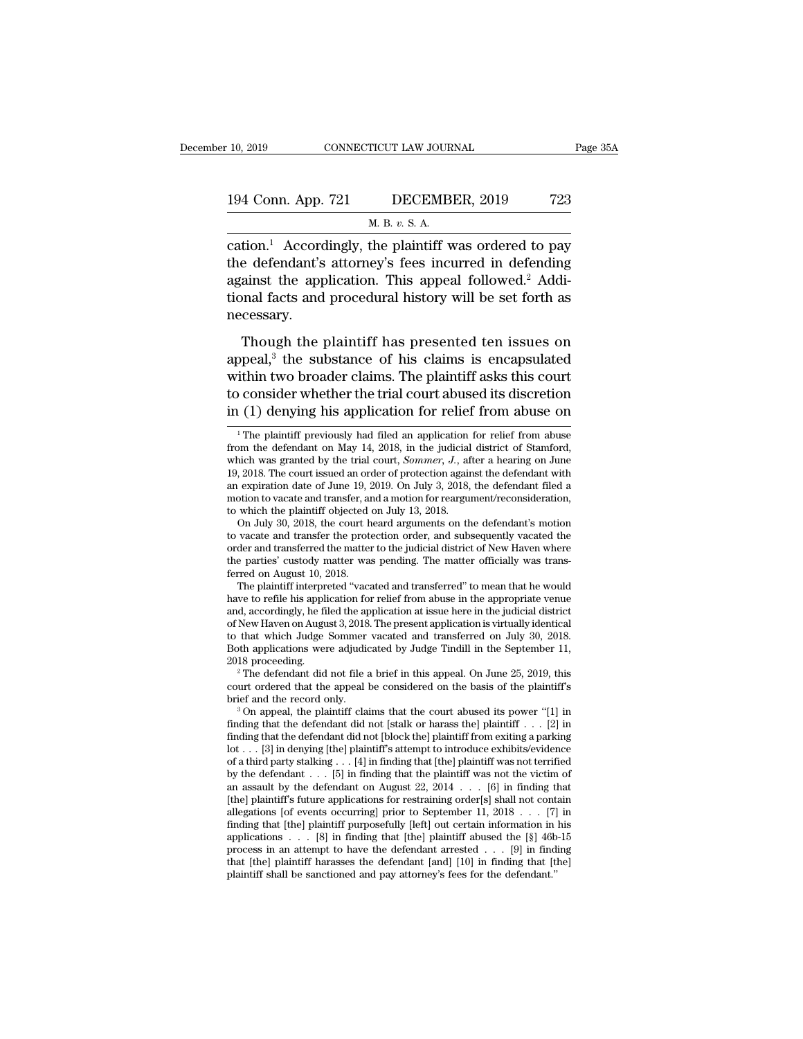| 10, 2019           | CONNECTICUT LAW JOURNAL                                           | Page 35A |
|--------------------|-------------------------------------------------------------------|----------|
| 194 Conn. App. 721 | DECEMBER, 2019                                                    | 723      |
|                    | M. B. v. S. A.                                                    |          |
|                    | cation $\frac{1}{2}$ Accordingly the plaintiff was ordered to pay |          |

10, 2019 CONNECTICUT LAW JOURNAL Page 35A<br>
194 Conn. App. 721 DECEMBER, 2019 723<br>
M. B. v. S. A.<br>
cation.<sup>1</sup> Accordingly, the plaintiff was ordered to pay<br>
the defendant's attorney's fees incurred in defending<br>
assinct th 194 Conn. App. 721 DECEMBER, 2019 723<br>
M. B. v. S. A.<br>
cation.<sup>1</sup> Accordingly, the plaintiff was ordered to pay<br>
the defendant's attorney's fees incurred in defending<br>
against the application. This appeal followed.<sup>2</sup> Add 194 Conn. App. 721 DECEMBER, 2019 723<br>
M. B. v. S. A.<br>
cation.<sup>1</sup> Accordingly, the plaintiff was ordered to pay<br>
the defendant's attorney's fees incurred in defending<br>
against the application. This appeal followed.<sup>2</sup> Add 194 Conn. App. 721 DECEMBER, 2019 723<br>
M. B. v. S. A.<br>
cation.<sup>1</sup> Accordingly, the plaintiff was ordered to pay<br>
the defendant's attorney's fees incurred in defending<br>
against the application. This appeal followed.<sup>2</sup> Add necessary. tion.<sup>1</sup> Accordingly, the plaintiff was ordered to pay<br>e defendant's attorney's fees incurred in defending<br>ainst the application. This appeal followed.<sup>2</sup> Addi-<br>onal facts and procedural history will be set forth as<br>cessa the defendant's attorney's fees incurred in defending<br>against the application. This appeal followed.<sup>2</sup> Addi-<br>tional facts and procedural history will be set forth as<br>necessary.<br>Though the plaintiff has presented ten issu

against the application. This appeal followed.<sup>2</sup> Additional facts and procedural history will be set forth as<br>necessary.<br>Though the plaintiff has presented ten issues on<br>appeal,<sup>3</sup> the substance of his claims is encapsula tional facts and procedural history will be set forth as<br>necessary.<br>Though the plaintiff has presented ten issues on<br>appeal,<sup>3</sup> the substance of his claims is encapsulated<br>within two broader claims. The plaintiff asks thi mecessary.<br>
Though the plaintiff has presented ten issues on<br>
appeal,<sup>3</sup> the substance of his claims is encapsulated<br>
within two broader claims. The plaintiff asks this court<br>
to consider whether the trial court abused its ppeal,<sup>3</sup> the substance of his claims is encapsulated<br>ithin two broader claims. The plaintiff asks this court<br> $\alpha$  consider whether the trial court abused its discretion<br> $(1)$  denying his application for relief from abuse within two broader claims. The plaintiff asks this court<br>to consider whether the trial court abused its discretion<br>in (1) denying his application for relief from abuse on<br> $\frac{1}{1}$  The plaintiff previously had filed an ap

have to refile his application for relief from abuse in the appropriate venue to vacate and transfer the protection order, and subsequently vacated the order and transferred the matter to the judicial district of New Haven where the parties' custody matter was pending. The matter officially was tran order and transferred the matter to the judicial district of New Haven where<br>the parties' custody matter was pending. The matter officially was trans-<br>ferred on August 10, 2018.<br>The plaintiff interpreted "vacated and trans the parties' custody matter was pending. The matter officially was transferred on August 10, 2018.<br>The plaintiff interpreted "vacated and transferred" to mean that he would<br>have to refile his application for relief from ab ferred on August 10, 2018.<br>
The plaintiff interpreted "vacated and transferred" to mean that he would<br>
have to refile his application for relief from abuse in the appropriate venue<br>
and, accordingly, he filed the applicati The plaintiff interpreted "vacated and transferred" to mean that he would<br>have to refile his application for relief from abuse in the appropriate venue<br>and, accordingly, he filed the application at issue here in the judic % of New Haven on August 3, 2018. The present application is virtually identical<br>to that which Judge Sommer vacated and transferred on July 30, 2018.<br>Both applications were adjudicated by Judge Tindill in the September 11 % of New Haven on August 3, 2018. The present application is virtually identical<br>to that which Judge Sommer vacated and transferred on July 30, 2018.<br>Both applications were adjudicated by Judge Tindill in the September 11

to consider whether the trial court abused its discretion<br>in (1) denying his application for relief from abuse on<br> $\frac{1}{1}$  The plaintiff previously had filed an application for relief from abuse<br>from the defendant on May to consider whether the trial court abused its discretion<br>in (1) denying his application for relief from abuse on<br> $\frac{1}{1}$  The plaintiff previously had filed an application for relief from abuse<br>from the defendant on May in (1) denying his application for relief from abuse on<br>
<sup>1</sup>The plaintiff previously had filed an application for relief from abuse<br>
from the defendant on May 14, 2018, in the judicial district of Stamford,<br>
which was gra <sup>1</sup> The plaintiff previously had filed an application for relief from abuse<br>from the defendant on May 14, 2018, in the judicial district of Stamford,<br>which was granted by the trial court, *Sommer*, *J*., after a hearing o <sup>1</sup> The plaintiff previously had filed an application from the defendant on May 14, 2018, in the judicial which was granted by the trial court, *Sommer*, *J*., af 19, 2018. The court issued an order of protection again an om the defendant on May 14, 2018, in the judicial district of Stamford,<br>nich was granted by the trial court, *Sommer*, *J*., after a hearing on June<br>, 2018. The court issued an order of protection against the defendant wi which was granted by the trial court, *Sommer*, *J.*, after a hearing on June 19, 2018. The court issued an order of protection against the defendant with an expiration date of June 19, 2019. On July 3, 2018, the defendan

<sup>19, 2018.</sup> The court issued an order of protection against the defendant with<br>an expiration date of June 19, 2019. On July 3, 2018, the defendant filed a<br>motion to vacate and transfer, and a motion for reargument/reconside an expiration date of June 19, 2019. On July 3, 2018, the defendant filed a<br>motion to vacate and transfer, and a motion for reargument/reconsideration,<br>to which the plaintiff objected on July 13, 2018.<br>On July 30, 2018, th to which the plaintiff objected on July 13, 2018.<br>
On July 30, 2018, the court heard arguments on the defendant's motion<br>
to vacate and transferr the protection order, and subsequently vacated the<br>
order and transferred th On July 30, 2018, the court heard arguments on the defendant's motion<br>to vacate and transfer the protection order, and subsequently vacated the<br>order and transferred the matter to the judicial district of New Haven where<br>t

Both applications were adjudicated by Judge Tindill in the September 11,<br>2018 proceeding.<br><sup>2</sup> The defendant did not file a brief in this appeal. On June 25, 2019, this<br>court ordered that the appeal be considered on the ba 2018 proceeding.<br>
<sup>2</sup> The defendant did not file a brief in this appeal. On June 25, 2019, this<br>
court ordered that the appeal be considered on the basis of the plaintiff's<br>
brief and the record only.<br>
<sup>3</sup> On appeal, the <sup>2</sup> The defendant did not file a brief in this appeal. On June 25, 2019, this court ordered that the appeal be considered on the basis of the plaintiff's brief and the record only.<br><sup>3</sup> On appeal, the plaintiff claims that court ordered that the appeal be considered on the basis of the plaintiff's<br>brief and the record only.<br><sup>3</sup> On appeal, the plaintiff claims that the court abused its power "[1] in<br>finding that the defendant did not [stalk brief and the record only.<br>
<sup>3</sup> On appeal, the plaintiff claims that the court abused its power "[1] in finding that the defendant did not [stalk or harass the] plaintiff . . . [2] in finding that the defendant did not [b <sup>3</sup> On appeal, the plaintiff claims that the court abused its power "[1] in finding that the defendant did not [stalk or harass the] plaintiff . . . [2] in finding that the defendant did not [block the] plaintiff from exi finding that the defendant did not [stalk or harass the] plaintiff  $\ldots$  [2] in finding that the defendant did not [block the] plaintiff from exiting a parking lot  $\ldots$  [3] in denying [the] plaintiff's attempt to introdu finding that the defendant did not [block the] plaintiff from exiting a parking<br>lot . . . [3] in denying [the] plaintiff's attempt to introduce exhibits/evidence<br>of a third party stalking . . . [4] in finding that [the] p lot . . . [3] in denying [the] plaintiff's attempt to introduce exhibits/evidence<br>of a third party stalking . . . [4] in finding that [the] plaintiff was not terrified<br>by the defendant . . . [5] in finding that the plaint of a third party stalking . . . [4] in finding that [the] plaintiff was not terrified<br>by the defendant . . . [5] in finding that the plaintiff was not the victim of<br>an assault by the defendant on August 22, 2014 . . . [6] by the defendant  $\ldots$  [5] in finding that the plaintiff was not the victim of<br>an assault by the defendant on August 22, 2014  $\ldots$  [6] in finding that<br>[the] plaintiff's future applications for restraining order[s] shall an assault by the defendant on August 22, 2014 . . . [6] in finding that [the] plaintiff's future applications for restraining order[s] shall not contain allegations [of events occurring] prior to September 11, 2018 . . . allegations [of events occurring] prior to September 11, 2018 . . . [7] in finding that [the] plaintiff purposefully [left] out certain information in his applications . . . [8] in finding that [the] plaintiff abused the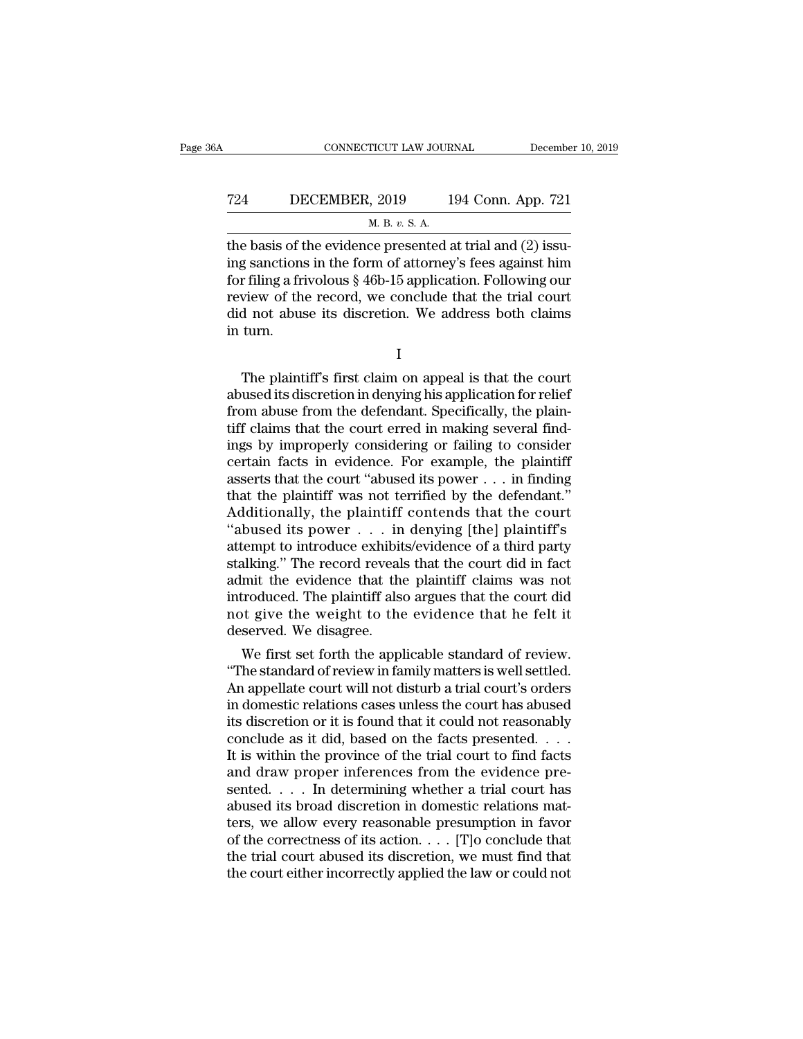# CONNECTICUT LAW JOURNAL December 10, 2019<br>
724 DECEMBER, 2019 194 Conn. App. 721<br>
M. B. v. S. A. <u>TICUT LAW JOURNEY DURNEY NET</u><br>
1, 2019<br>
<u>M. B. v. S. A.</u><br>
20 presented a

CONNECTICUT LAW JOURNAL December<br>
T24 DECEMBER, 2019 194 Conn. App. 721<br>
M. B. v. S. A.<br>
the basis of the evidence presented at trial and (2) issu-<br>
ing sanctions in the form of attorney's fees against him T24 DECEMBER, 2019 194 Conn. App. 721<br>
M. B. v. S. A.<br>
the basis of the evidence presented at trial and (2) issu-<br>
ing sanctions in the form of attorney's fees against him<br>
for filing a frivolous § 46b-15 application. Fol For Filippe BECEMBER, 2019 194 Conn. App. 721<br>
M. B. v. S. A.<br>
the basis of the evidence presented at trial and (2) issu-<br>
ing sanctions in the form of attorney's fees against him<br>
for filing a frivolous § 46b-15 applicat T24 DECEMBER, 2019 194 Conn. App. 721<br>
M. B. v. S. A.<br>
the basis of the evidence presented at trial and (2) issuing sanctions in the form of attorney's fees against him<br>
for filing a frivolous § 46b-15 application. Follow M. B. v. S. A.<br>
the basis of the evidence presented at trial and (2) issu-<br>
ing sanctions in the form of attorney's fees against him<br>
for filing a frivolous § 46b-15 application. Following our<br>
review of the record, we co The basis of t<br>ing sanctions<br>for filing a fri<br>review of the<br>did not abus<br>in turn. The plaintiff's first claim on appeal is that the court<br>wiew of the record, we conclude that the trial court<br>d not abuse its discretion. We address both claims<br>turn.<br> $I$ <br>The plaintiff's first claim on appeal is that the c

review of the record, we conclude that the trial court<br>did not abuse its discretion. We address both claims<br>in turn.<br>I<br>The plaintiff's first claim on appeal is that the court<br>abused its discretion in denying his applicatio did not abuse its discretion. We address both claims<br>in turn.<br>I<br>The plaintiff's first claim on appeal is that the court<br>abused its discretion in denying his application for relief<br>from abuse from the defendant. Specificall I<br>I<br>The plaintiff's first claim on appeal is that the court<br>abused its discretion in denying his application for relief<br>from abuse from the defendant. Specifically, the plain-<br>tiff claims that the court erred in making sev I<br>
I<br>
The plaintiff's first claim on appeal is that the court<br>
abused its discretion in denying his application for relief<br>
from abuse from the defendant. Specifically, the plain-<br>
tiff claims that the court erred in makin The plaintiff's first claim on appeal is that the court<br>abused its discretion in denying his application for relief<br>from abuse from the defendant. Specifically, the plain-<br>tiff claims that the court erred in making severa The plaintiff's first claim on appeal is that the court<br>abused its discretion in denying his application for relief<br>from abuse from the defendant. Specifically, the plain-<br>tiff claims that the court erred in making severa abused its discretion in denying his application for relief<br>from abuse from the defendant. Specifically, the plain-<br>tiff claims that the court erred in making several find-<br>ings by improperly considering or failing to cons from abuse from the defendant. Specifically, the plaintiff claims that the court erred in making several findings by improperly considering or failing to consider certain facts in evidence. For example, the plaintiff asse tiff claims that the court erred in making several findings by improperly considering or failing to consider<br>
certain facts in evidence. For example, the plaintiff<br>
asserts that the court "abused its power . . . in finding ings by improperly considering or failing to consider<br>certain facts in evidence. For example, the plaintiff<br>asserts that the court "abused its power  $\dots$  in finding<br>that the plaintiff was not terrified by the defendant."<br> certain facts in evidence. For example, the plaintiff<br>asserts that the court "abused its power  $\dots$  in finding<br>that the plaintiff was not terrified by the defendant."<br>Additionally, the plaintiff contends that the court<br>"a asserts that the court "abused its power . . . in finding<br>that the plaintiff was not terrified by the defendant."<br>Additionally, the plaintiff contends that the court<br>"abused its power . . . in denying [the] plaintiff's<br>at that the plaintiff was not terrified by the defendant."<br>Additionally, the plaintiff contends that the court<br>"abused its power  $\dots$  in denying [the] plaintiff's<br>attempt to introduce exhibits/evidence of a third party<br>stalk Additionally, the plaintiff contends that the court<br>"abused its power  $\dots$  in denying [the] plaintiff's<br>attempt to introduce exhibits/evidence of a third party<br>stalking." The record reveals that the court did in fact<br>admi "abused its power . . . in<br>attempt to introduce exhibit<br>stalking." The record reveals<br>admit the evidence that the<br>introduced. The plaintiff also<br>not give the weight to the<br>deserved. We disagree.<br>We first set forth the app Empt to introduce exhibits/evidence or a third party<br>alking." The record reveals that the court did in fact<br>mit the evidence that the plaintiff claims was not<br>troduced. The plaintiff also argues that the court did<br>of t giv staiking." The record reveals that the court did in fact<br>admit the evidence that the plaintiff claims was not<br>introduced. The plaintiff also argues that the court did<br>not give the weight to the evidence that he felt it<br>des

aamit the evidence that the plaintiff claims was not<br>introduced. The plaintiff also argues that the court did<br>not give the weight to the evidence that he felt it<br>deserved. We disagree.<br>We first set forth the applicable sta introduced. The plaintiff also argues that the court did<br>not give the weight to the evidence that he felt it<br>deserved. We disagree.<br>We first set forth the applicable standard of review.<br>"The standard of review in family ma not give the weight to the evidence that he felt it<br>deserved. We disagree.<br>We first set forth the applicable standard of review.<br>"The standard of review in family matters is well settled.<br>An appellate court will not distur deserved. We disagree.<br>
We first set forth the applicable standard of review.<br>
"The standard of review in family matters is well settled.<br>
An appellate court will not disturb a trial court's orders<br>
in domestic relations c We first set forth the applicable standard of review.<br>
"The standard of review in family matters is well settled.<br>
An appellate court will not disturb a trial court's orders<br>
in domestic relations cases unless the court ha "The standard of review in family matters is well settled.<br>An appellate court will not disturb a trial court's orders<br>in domestic relations cases unless the court has abused<br>its discretion or it is found that it could not An appellate court will not disturb a trial court's orders<br>in domestic relations cases unless the court has abused<br>its discretion or it is found that it could not reasonably<br>conclude as it did, based on the facts presente in domestic relations cases unless the court has abused<br>its discretion or it is found that it could not reasonably<br>conclude as it did, based on the facts presented.  $\dots$ <br>It is within the province of the trial court to fin its discretion or it is found that it could not reasonably<br>conclude as it did, based on the facts presented. . . .<br>It is within the province of the trial court to find facts<br>and draw proper inferences from the evidence pr conclude as it did, based on the facts presented. . . . It is within the province of the trial court to find facts<br>and draw proper inferences from the evidence presented. . . . In determining whether a trial court has<br>abu It is within the province of the trial court to find facts<br>and draw proper inferences from the evidence pre-<br>sented. . . . In determining whether a trial court has<br>abused its broad discretion in domestic relations mat-<br>te and draw proper inferences from the evidence presented. . . . In determining whether a trial court has abused its broad discretion in domestic relations matters, we allow every reasonable presumption in favor of the corre

I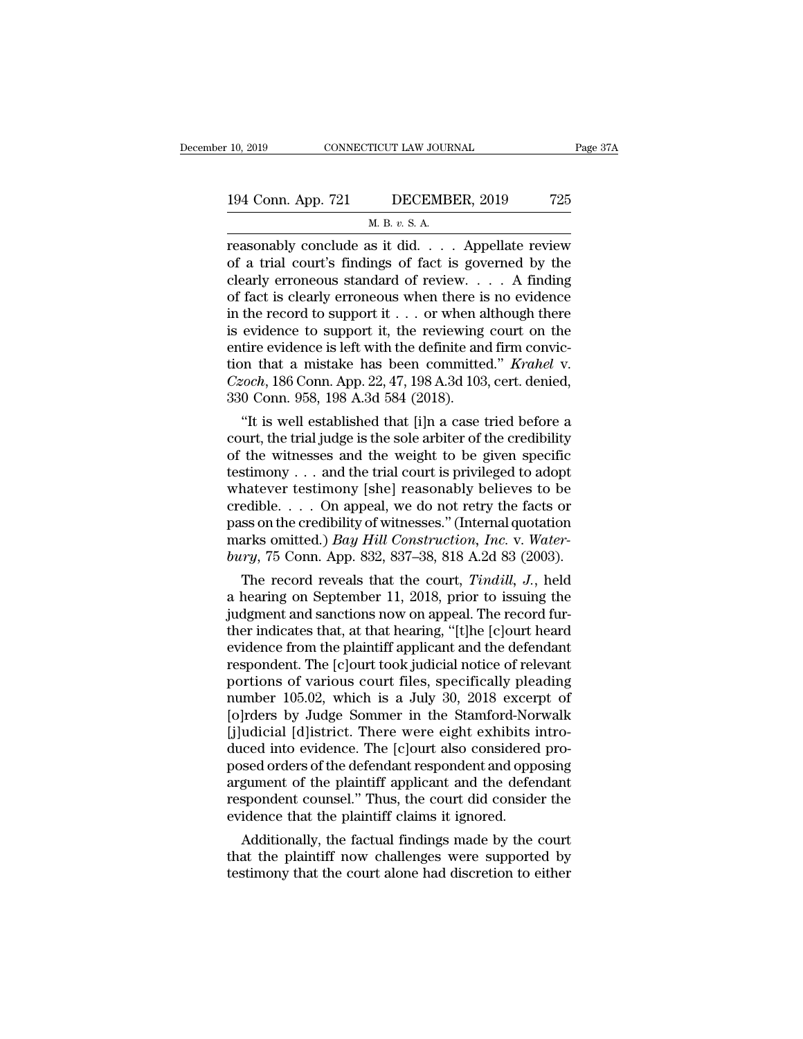# 10, 2019 CONNECTICUT LAW JOURNAL Page 37A<br>194 Conn. App. 721 DECEMBER, 2019 725<br>M. B. v. S. A. TICUT LAW JOUR<br>DECEMB<br>M. B. *v*. S. A.<br>1s. it. did

reasonably conclude as it did. . . . Appellate review<br>
reasonably conclude as it did. . . . Appellate review<br>
of a trial court's findings of fact is governed by the<br>
closely erronoous standard of review<br>
of a trial court's 194 Conn. App. 721 DECEMBER, 2019 725<br>
M. B. v. S. A.<br>
Teasonably conclude as it did. . . . Appellate review<br>
of a trial court's findings of fact is governed by the<br>
clearly erroneous standard of review. . . . A finding<br> 194 Conn. App. 721 DECEMBER, 2019 725<br>
M. B. v. S. A.<br>
reasonably conclude as it did. . . . Appellate review<br>
of a trial court's findings of fact is governed by the<br>
clearly erroneous standard of review. . . . A finding<br> 194 Conn. App. 721 DECEMBER, 2019 725<br>
M. B. v. S. A.<br>
reasonably conclude as it did. . . . Appellate review<br>
of a trial court's findings of fact is governed by the<br>
clearly erroneous standard of review. . . . A finding<br> M. B. v. S. A.<br>
The reasonably conclude as it did. . . . Appellate review<br>
of a trial court's findings of fact is governed by the<br>
clearly erroneous standard of review. . . . A finding<br>
of fact is clearly erroneous when t M. B. v. S. A.<br>
reasonably conclude as it did. . . . Appellate review<br>
of a trial court's findings of fact is governed by the<br>
clearly erroneous standard of review. . . . A finding<br>
of fact is clearly erroneous when there reasonably conclude as it did. . . . Appellate review<br>of a trial court's findings of fact is governed by the<br>clearly erroneous standard of review. . . . A finding<br>of fact is clearly erroneous when there is no evidence<br>in of a trial court's findings of fact is governed by the<br>clearly erroneous standard of review. . . . A finding<br>of fact is clearly erroneous when there is no evidence<br>in the record to support it . . . or when although there<br>i clearly erroneous standard of review. . . . . A finding<br>of fact is clearly erroneous when there is no evidence<br>in the record to support it . . . or when although there<br>is evidence to support it, the reviewing court on the<br> % of fact is clearly erroneous when there is<br>in the record to support it . . . or when a<br>is evidence to support it, the reviewing<br>entire evidence is left with the definite and<br>tion that a mistake has been committe<br> $Czoch$ , the record to support it  $\ldots$  or when although there evidence to support it, the reviewing court on the tire evidence is left with the definite and firm conviction that a mistake has been committed." *Krahel* v. *soch*, is evidence to support it, the reviewing court on the<br>entire evidence is left with the definite and firm convic-<br>tion that a mistake has been committed." *Krahel* v.<br> $Czoch$ , 186 Conn. App. 22, 47, 198 A.3d 103, cert. denie

entire evidence is fert with the definite and firm conviction that a mistake has been committed." *Krahel* v.<br> *Czoch*, 186 Conn. App. 22, 47, 198 A.3d 103, cert. denied,<br>
330 Conn. 958, 198 A.3d 584 (2018).<br>
"It is well tion that a mistake has been commuted. Arahet v.<br>Czoch, 186 Conn. App. 22, 47, 198 A.3d 103, cert. denied,<br>330 Conn. 958, 198 A.3d 584 (2018).<br>"It is well established that [i]n a case tried before a<br>court, the trial judge Czoch, 186 Conn. App. 22, 47, 198 A.3d 103, cert. denied,<br>330 Conn. 958, 198 A.3d 584 (2018).<br>"It is well established that [i]n a case tried before a<br>court, the trial judge is the sole arbiter of the credibility<br>of the wi 330 Conn. 958, 198 A.3d 384 (2018).<br>
"It is well established that [i]n a case tried before a<br>
court, the trial judge is the sole arbiter of the credibility<br>
of the witnesses and the weight to be given specific<br>
testimony "It is well established that [i]n a case tried before a<br>court, the trial judge is the sole arbiter of the credibility<br>of the witnesses and the weight to be given specific<br>testimony . . . and the trial court is privileged court, the trial judge is the sole arbiter of the credibility<br>of the witnesses and the weight to be given specific<br>testimony . . . and the trial court is privileged to adopt<br>whatever testimony [she] reasonably believes to of the witnesses and the weight to be given specific<br>testimony . . . and the trial court is privileged to adopt<br>whatever testimony [she] reasonably believes to be<br>credible. . . . On appeal, we do not retry the facts or<br>pas stimony . . . and the trial court is privileged to adopt<br>hatever testimony [she] reasonably believes to be<br>edible. . . . On appeal, we do not retry the facts or<br>ss on the credibility of witnesses." (Internal quotation<br>arks whatever testimony [she] reasonably believes to be<br>credible.... On appeal, we do not retry the facts or<br>pass on the credibility of witnesses." (Internal quotation<br>marks omitted.) *Bay Hill Construction*, *Inc.* v. *Water-*

creancie.  $\ldots$  On appeal, we do not retry the racts or pass on the credibility of witnesses." (Internal quotation marks omitted.) *Bay Hill Construction, Inc.* v. *Water-bury,* 75 Conn. App. 832, 837–38, 818 A.2d 83 (200 pass on the credibity of witnesses. (Internal quotation<br>marks omitted.) *Bay Hill Construction, Inc.* v. Water-<br>bury, 75 Conn. App. 832, 837–38, 818 A.2d 83 (2003).<br>The record reveals that the court, *Tindill*, *J.*, held marks omitted.) *Bay Hut Construction, Inc. v. water-*<br>bury, 75 Conn. App. 832, 837–38, 818 A.2d 83 (2003).<br>The record reveals that the court, *Tindill, J.*, held<br>a hearing on September 11, 2018, prior to issuing the<br>judgm bury, (3 Conn. App. 832, 837–38, 818 A.2d 83 (2003).<br>The record reveals that the court, *Tindill*, *J*., held<br>a hearing on September 11, 2018, prior to issuing the<br>judgment and sanctions now on appeal. The record fur-<br>the The record reveals that the court, *Tindill*, *J.*, held<br>a hearing on September 11, 2018, prior to issuing the<br>judgment and sanctions now on appeal. The record fur-<br>ther indicates that, at that hearing, "[t]he [c]ourt hear a hearing on September 11, 2018, prior to issuing the<br>judgment and sanctions now on appeal. The record fur-<br>ther indicates that, at that hearing, "[t]he [c]ourt heard<br>evidence from the plaintiff applicant and the defendant judgment and sanctions now on appeal. The record fur-<br>ther indicates that, at that hearing, "[t]he [c]ourt heard<br>evidence from the plaintiff applicant and the defendant<br>respondent. The [c]ourt took judicial notice of relev ther indicates that, at that hearing, "[t]he [c]ourt heard<br>evidence from the plaintiff applicant and the defendant<br>respondent. The [c]ourt took judicial notice of relevant<br>portions of various court files, specifically plea evidence from the plaintiff applicant and the defendant<br>respondent. The [c]ourt took judicial notice of relevant<br>portions of various court files, specifically pleading<br>number 105.02, which is a July 30, 2018 excerpt of<br>[o] respondent. The [c]ourt took judicial notice of relevant<br>portions of various court files, specifically pleading<br>number 105.02, which is a July 30, 2018 excerpt of<br>[o]rders by Judge Sommer in the Stamford-Norwalk<br>[j]udicial portions of various court files, specifically pleading<br>number 105.02, which is a July 30, 2018 excerpt of<br>[o]rders by Judge Sommer in the Stamford-Norwalk<br>[j]udicial [d]istrict. There were eight exhibits intro-<br>duced into number 105.02, which is a July 30, 2018 excerpt of<br>[o]rders by Judge Sommer in the Stamford-Norwalk<br>[j]udicial [d]istrict. There were eight exhibits intro-<br>duced into evidence. The [c]ourt also considered pro-<br>posed orders [o]rders by Judge Sommer in the Stamford-Nore [j]udicial [d]istrict. There were eight exhibits if duced into evidence. The [c]ourt also considered posed orders of the defendant respondent and oppargument of the plaintiff a ualcial [d]Istrict. There were eight exhibits intro-<br>loced into evidence. The [c]ourt also considered pro-<br>sed orders of the defendant respondent and opposing<br>gument of the plaintiff applicant and the defendant<br>spondent co duced into evidence. The [c]ourt also considered pro-<br>posed orders of the defendant respondent and opposing<br>argument of the plaintiff applicant and the defendant<br>respondent counsel." Thus, the court did consider the<br>eviden posed orders of the defendant respondent and opposing<br>argument of the plaintiff applicant and the defendant<br>respondent counsel." Thus, the court did consider the<br>evidence that the plaintiff claims it ignored.<br>Additionally,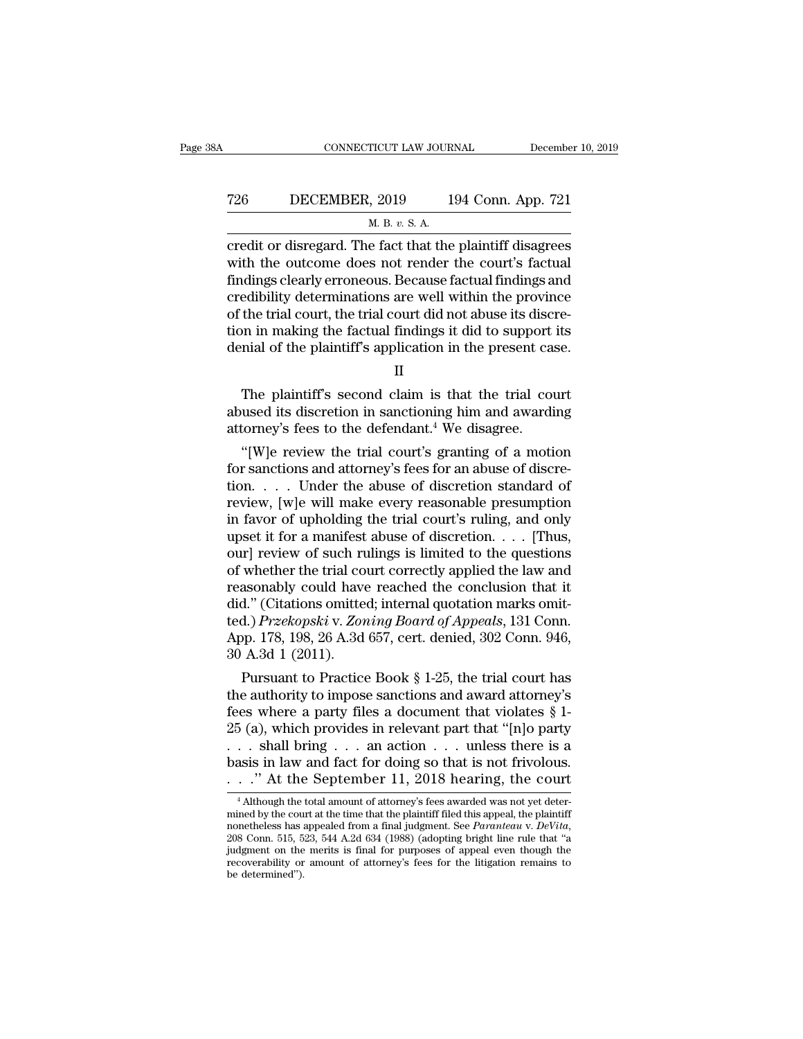## CONNECTICUT LAW JOURNAL December 10, 2019<br>
726 DECEMBER, 2019 194 Conn. App. 721<br>
M. B. v. S. A. <u>TICUT LAW JOUR<br>, 2019 1<br>М. В.  $v.$  S. A.<br>e fact that the</u>

CONNECTICUT LAW JOURNAL December 10, 2019<br>
T26 DECEMBER, 2019 194 Conn. App. 721<br>
M. B. v. S. A.<br>
Credit or disregard. The fact that the plaintiff disagrees<br>
with the outcome does not render the court's factual<br>
findings c T26 DECEMBER, 2019 194 Conn. App. 721<br>
M. B. v. S. A.<br>
Credit or disregard. The fact that the plaintiff disagrees<br>
with the outcome does not render the court's factual<br>
findings clearly erroneous. Because factual findings Findings clearly erroneous. Because factual findings clearly erroneous. Because factual findings clearly erroneous. Because factual findings and credibility determinations are well within the province of the trial court, T26 DECEMBER, 2019 194 Conn. App. 721<br>
M. B. v. S. A.<br>
credit or disregard. The fact that the plaintiff disagrees<br>
with the outcome does not render the court's factual<br>
findings clearly erroneous. Because factual findings M. B.  $v$ . S. A.<br>
oredit or disregard. The fact that the plaintiff disagrees<br>
with the outcome does not render the court's factual<br>
findings clearly erroneous. Because factual findings and<br>
credibility determinations are  $\overline{\text{m.s. v. s. A}}$ <br>
credit or disregard. The fact that the plaintiff disagrees<br>
with the outcome does not render the court's factual<br>
findings clearly erroneous. Because factual findings and<br>
credibility determinations are credit or disregard. The fact that the plaintiff disagrees<br>with the outcome does not render the court's factual<br>findings clearly erroneous. Because factual findings and<br>credibility determinations are well within the provin edibility determinations are well within the province<br>the trial court, the trial court did not abuse its discre-<br>on in making the factual findings it did to support its<br>mial of the plaintiff's application in the present ca of the trial court, the trial court did not abuse its discretion in making the factual findings it did to support its<br>denial of the plaintiff's application in the present case.<br>II<br>The plaintiff's second claim is that the t

II

it to in making the factual findings it did to support<br>denial of the plaintiff's application in the present cannonlary in the defendant.<sup>4</sup> We disagree.<br>The plaintiff's second claim is that the trial cou<br>abused its discret mial of the plaintiff's application in the present case.<br>
II<br>
The plaintiff's second claim is that the trial court<br>
used its discretion in sanctioning him and awarding<br>
torney's fees to the defendant.<sup>4</sup> We disagree.<br>
"[W]

II<br>
The plaintiff's second claim is that the trial court<br>
abused its discretion in sanctioning him and awarding<br>
attorney's fees to the defendant.<sup>4</sup> We disagree.<br>
"[W]e review the trial court's granting of a motion<br>
for s The plaintiff's second claim is that the trial court<br>abused its discretion in sanctioning him and awarding<br>attorney's fees to the defendant.<sup>4</sup> We disagree.<br>"[W]e review the trial court's granting of a motion<br>for sanction Ine plaintiff second claim is that the trial court<br>abused its discretion in sanctioning him and awarding<br>attorney's fees to the defendant.<sup>4</sup> We disagree.<br>"[W]e review the trial court's granting of a motion<br>for sanctions a abused its discretion in sanctioning nim and awarding<br>attorney's fees to the defendant.<sup>4</sup> We disagree.<br>"[W]e review the trial court's granting of a motion<br>for sanctions and attorney's fees for an abuse of discre-<br>tion... attorney s rees to the detendant. We disagree.<br>
"[W]e review the trial court's granting of a motion<br>
for sanctions and attorney's fees for an abuse of discre-<br>
tion. . . . . Under the abuse of discretion standard of<br>
revi "[W]e review the trial court's granting of a motion<br>for sanctions and attorney's fees for an abuse of discre-<br>tion. . . . . Under the abuse of discretion standard of<br>review, [w]e will make every reasonable presumption<br>in for sanctions and attorney's fees for an abuse of discretion. . . . . Under the abuse of discretion standard of review, [w]e will make every reasonable presumption in favor of upholding the trial court's ruling, and only tion. . . . Under the abuse of discretion standard of<br>review, [w]e will make every reasonable presumption<br>in favor of upholding the trial court's ruling, and only<br>upset it for a manifest abuse of discretion. . . . [Thus,<br> review, [w]e will make every reasonable presumption<br>in favor of upholding the trial court's ruling, and only<br>upset it for a manifest abuse of discretion. . . . . [Thus,<br>our] review of such rulings is limited to the questi in favor of upholding the trial court's ruling, and only<br>upset it for a manifest abuse of discretion. . . . . [Thus,<br>our] review of such rulings is limited to the questions<br>of whether the trial court correctly applied the upset it for a manifest abuse of discretion. . . . . [Thus,<br>our] review of such rulings is limited to the questions<br>of whether the trial court correctly applied the law and<br>reasonably could have reached the conclusion that our] review of such rulings is limited to the questions<br>of whether the trial court correctly applied the law and<br>reasonably could have reached the conclusion that it<br>did." (Citations omitted; internal quotation marks omit whether the trial court correctly applied the law and<br>asonably could have reached the conclusion that it<br>d." (Citations omitted; internal quotation marks omit-<br>d.) *Przekopski* v. Zoning Board of Appeals, 131 Conn.<br>p. 178 reasonably could have reached the conclusion that it<br>did." (Citations omitted; internal quotation marks omit-<br>ted.) *Przekopski* v. Zoning Board of Appeals, 131 Conn.<br>App. 178, 198, 26 A.3d 657, cert. denied, 302 Conn. 94

and. (Citations omitted; internal quotation marks omitted.) *Przekopski* v. Zoning Board of Appeals, 131 Conn.<br>App. 178, 198, 26 A.3d 657, cert. denied, 302 Conn. 946,<br>30 A.3d 1 (2011).<br>Pursuant to Practice Book § 1-25, t Lea.) Przekopski v. Zoning Boara of Appeais, 131 Conn.<br>
App. 178, 198, 26 A.3d 657, cert. denied, 302 Conn. 946,<br>
30 A.3d 1 (2011).<br>
Pursuant to Practice Book § 1-25, the trial court has<br>
the authority to impose sanctions App. 178, 198, 20 A.3d 057, cert. denied, 302 Conn. 940,<br>
30 A.3d 1 (2011).<br>
Pursuant to Practice Book § 1-25, the trial court has<br>
the authority to impose sanctions and award attorney's<br>
fees where a party files a docume  $30$  A.3d 1 (2011).<br>Pursuant to Practice Book § 1-25, the trial court has<br>the authority to impose sanctions and award attorney's<br>fees where a party files a document that violates § 1-<br> $25$  (a), which provides in relevant Pursuant to Practice Book § 1-25, the trial court has<br>the authority to impose sanctions and award attorney's<br>fees where a party files a document that violates § 1-<br>25 (a), which provides in relevant part that "[n]o party<br> 5 (a), which provides in relevant part that "[n]o party . . . shall bring . . . an action . . . unless there is a asis in law and fact for doing so that is not frivolous. . ." At the September 11, 2018 hearing, the court ... shall bring ... an action ... unless there is a<br>basis in law and fact for doing so that is not frivolous.<br>..." At the September 11, 2018 hearing, the court<br><sup>4</sup> Although the total amount of attorney's fees awarded was

nonetheless has appealed from a final judgment. See *Paranteau* v. *DeVita*, 208 Conn. 515, 523, 544 A.2d 634 (1988) (adopting bright line rule that "a judgment. See *Paranteau* v. *DeVita*, 208 Conn. 515, 523, 544 A.2d 63 judgment on the merits is final for purposes of appeal even though the <sup>4</sup> Although the total amount of attorney's fees awarded was not yet determined by the court at the time that the plaintiff filed this appeal, the plaintiff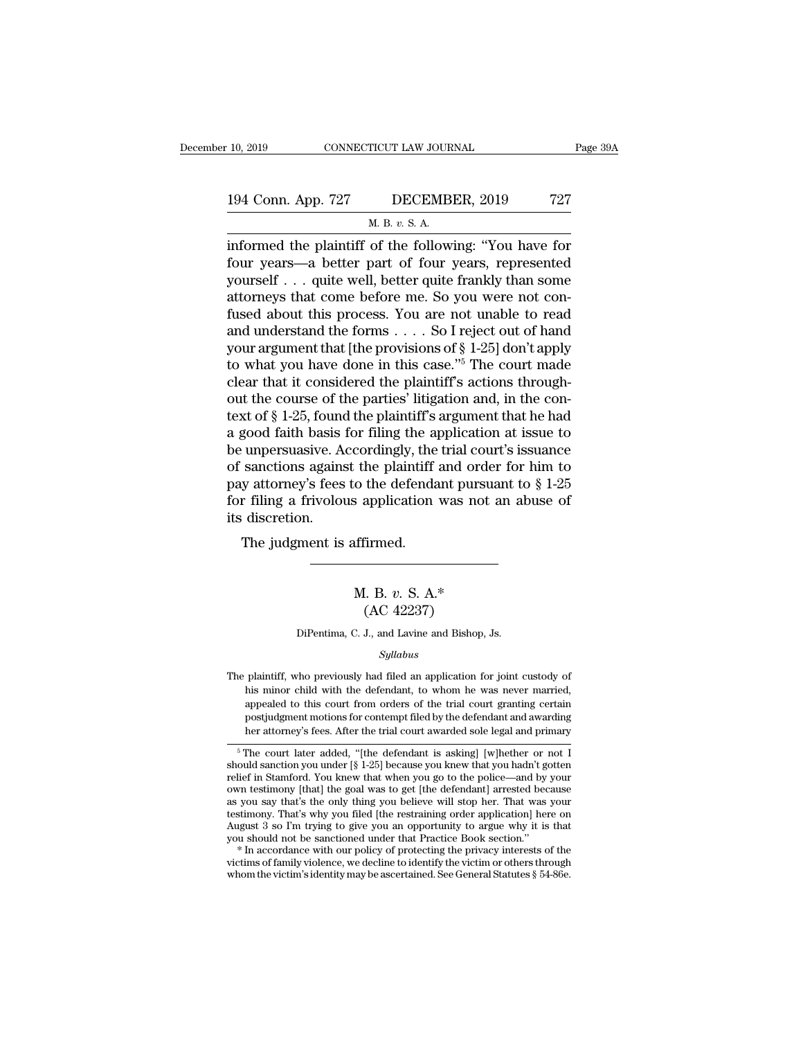## 10, 2019 CONNECTICUT LAW JOURNAL Page 39A<br>194 Conn. App. 727 DECEMBER, 2019 727<br>M. B. v. S. A. TICUT LAW JOUR<br>DECEMB<br>M. B. *v.* S. A.<br>of the follow

<sup>10, 2019</sup> CONNECTICUT LAW JOURNAL Page 39A<br>
194 Conn. App. 727 DECEMBER, 2019 727<br>
<sup>M. B. v. S. A.<br>
informed the plaintiff of the following: "You have for<br>
four years—a better part of four years, represented<br>
wourself qui</sup> 194 Conn. App. 727 DECEMBER, 2019 727<br>
M. B. v. S. A.<br>
informed the plaintiff of the following: "You have for<br>
four years—a better part of four years, represented<br>
yourself . . . quite well, better quite frankly than some<br> 194 Conn. App. 727 DECEMBER, 2019 727<br>
M. B. v. S. A.<br>
informed the plaintiff of the following: "You have for<br>
four years—a better part of four years, represented<br>
yourself . . . quite well, better quite frankly than some 194 Conn. App. 727 DECEMBER, 2019 727<br>
M. B. v. S. A.<br>
informed the plaintiff of the following: "You have for<br>
four years—a better part of four years, represented<br>
yourself . . . quite well, better quite frankly than some M. B. v. S. A.<br>
informed the plaintiff of the following: "You have for<br>
four years—a better part of four years, represented<br>
yourself . . . quite well, better quite frankly than some<br>
attorneys that come before me. So you m. B. v. S. A.<br>
informed the plaintiff of the following: "You have for<br>
four years—a better part of four years, represented<br>
yourself . . . quite well, better quite frankly than some<br>
attorneys that come before me. So you informed the plaintiff of the following: "You have for<br>four years—a better part of four years, represented<br>yourself . . . quite well, better quite frankly than some<br>attorneys that come before me. So you were not con-<br>fuse four years—a better part of four years, represented<br>yourself . . . quite well, better quite frankly than some<br>attorneys that come before me. So you were not con-<br>fused about this process. You are not unable to read<br>and un yourself . . . quite well, better quite frankly than some attorneys that come before me. So you were not confused about this process. You are not unable to read and understand the forms . . . . So I reject out of hand you attorneys that come before me. So you were not confused about this process. You are not unable to read<br>and understand the forms  $\dots$  So I reject out of hand<br>your argument that [the provisions of § 1-25] don't apply<br>to wha fused about this process. You are not unable to read<br>and understand the forms  $\dots$  So I reject out of hand<br>your argument that [the provisions of § 1-25] don't apply<br>to what you have done in this case."<sup>5</sup> The court made<br>c and understand the forms . . . . So I reject out of hand<br>your argument that [the provisions of  $\S$  1-25] don't apply<br>to what you have done in this case."<sup>5</sup> The court made<br>clear that it considered the plaintiff's actions your argument that [the provisions of § 1-25] don't apply<br>to what you have done in this case."<sup>5</sup> The court made<br>clear that it considered the plaintiff's actions through-<br>out the course of the parties' litigation and, in to what you have done in this case."<sup>5</sup> The court made<br>clear that it considered the plaintiff's actions through-<br>out the course of the parties' litigation and, in the con-<br>text of § 1-25, found the plaintiff's argument th clear that it considered the plaintiff's actions through-<br>out the course of the parties' litigation and, in the con-<br>text of  $\S$  1-25, found the plaintiff's argument that he had<br>a good faith basis for filing the applicati out the course of the parties' litigation and, in the con-<br>text of  $\S$  1-25, found the plaintiff's argument that he had<br>a good faith basis for filing the application at issue to<br>be unpersuasive. Accordingly, the trial cou text of § 1-25, found<br>a good faith basis<br>be unpersuasive. A<br>of sanctions agains<br>pay attorney's fees<br>for filing a frivolou<br>its discretion.<br>The judgment is good fault basis for filing the a<br>
unpersuasive. Accordingly, the<br>
sanctions against the plaintiff<br>
y attorney's fees to the defenda<br>
r filing a frivolous application<br>
discretion.<br>
The judgment is affirmed. o the defendant pulsual<br>s application was not a<br>ffirmed.<br>M. B. *v.* S. A.\*<br>(AC 42237)  $\begin{align*} \text{firmed.} \ \text{L. B. v. S. A.*} \ \text{(AC 42237)} \ \text{J., and Lavine and Bishop,} \end{align*}$ 

M. B. v. S. A.\*<br>(AC 42237)<br>DiPentima, C. J., and Lavine and Bishop, Js.

*Syllabus*

The plaintiff, who previously had filed an application for joint custody of his minor child with the defendant, to whom he was never married,  $(AC 42257)$ <br>DiPentima, C. J., and Lavine and Bishop, Js.<br> $Syllabus$ <br>plaintiff, who previously had filed an application for joint custody of<br>his minor child with the defendant, to whom he was never married,<br>appealed to this cou DiPentima, C. J., and Lavine and Bishop, Js.<br>
Syllabus<br>
plaintiff, who previously had filed an application for joint custody of<br>
his minor child with the defendant, to whom he was never married,<br>
appealed to this court fro Syllabus<br>plaintiff, who previously had filed an application for joint custody of<br>his minor child with the defendant, to whom he was never married,<br>appealed to this court from orders of the trial court granting certain<br>post *Syllabus*<br>plaintiff, who previously had filed an application for joint custody of<br>his minor child with the defendant, to whom he was never married,<br>appealed to this court from orders of the trial court granting certain<br>po The plaintiff, who previously had filed an application for joint custody of<br>his minor child with the defendant, to whom he was never married,<br>appealed to this court from orders of the trial court granting certain<br>postjudg his minor child with the defendant, to whom he was never married,<br>appealed to this court from orders of the trial court granting certain<br>postjudgment motions for contempt filed by the defendant and awarding<br>her attorney's

appealed to this court from orders of the trial court granting certain<br>postjudgment motions for contempt filed by the defendant and awarding<br>her attorney's fees. After the trial court awarded sole legal and primary<br> $\frac{1}{$ postjudgment motions for contempt filed by the defendant and awarding<br>her attorney's fees. After the trial court awarded sole legal and primary<br> $\frac{1}{\sqrt{2}}$ <br>from court later added, "[the defendant is asking] [w]hether or her attorney's fees. After the trial court awarded sole legal and primary<br>  $\frac{1}{\sqrt{2}}$  The court later added, "[the defendant is asking] [w]hether or not I<br>
should sanction you under [§ 1-25] because you knew that you ha The court later added, "[the defendant is asking] [w]hether or not I should sanction you under [§ 1-25] because you knew that you hadn't gotten relief in Stamford. You knew that when you go to the police—and by your own te <sup>5</sup> The court later added, "[the defendant is asking] [w]hether or not I should sanction you under [§ 1-25] because you knew that you hadn't gotten relief in Stamford. You knew that when you go to the police—and by your o should sanction you under [§ 1-25] because you knew that you hadn't gotten<br>relief in Stamford. You knew that when you go to the police—and by your<br>own testimony [that] the goal was to get [the defendant] arrested because<br> own testimony [that] the goal was to get [the defendant] arrested because<br>as you say that's the only thing you believe will stop her. That was your<br>testimony. That's why you filed [the restraining order application] here o as you say that's the only thing you believe will stop her. That was your testimony. That's why you filed [the restraining order application] here on August 3 so I'm trying to give you an opportunity to argue why it is th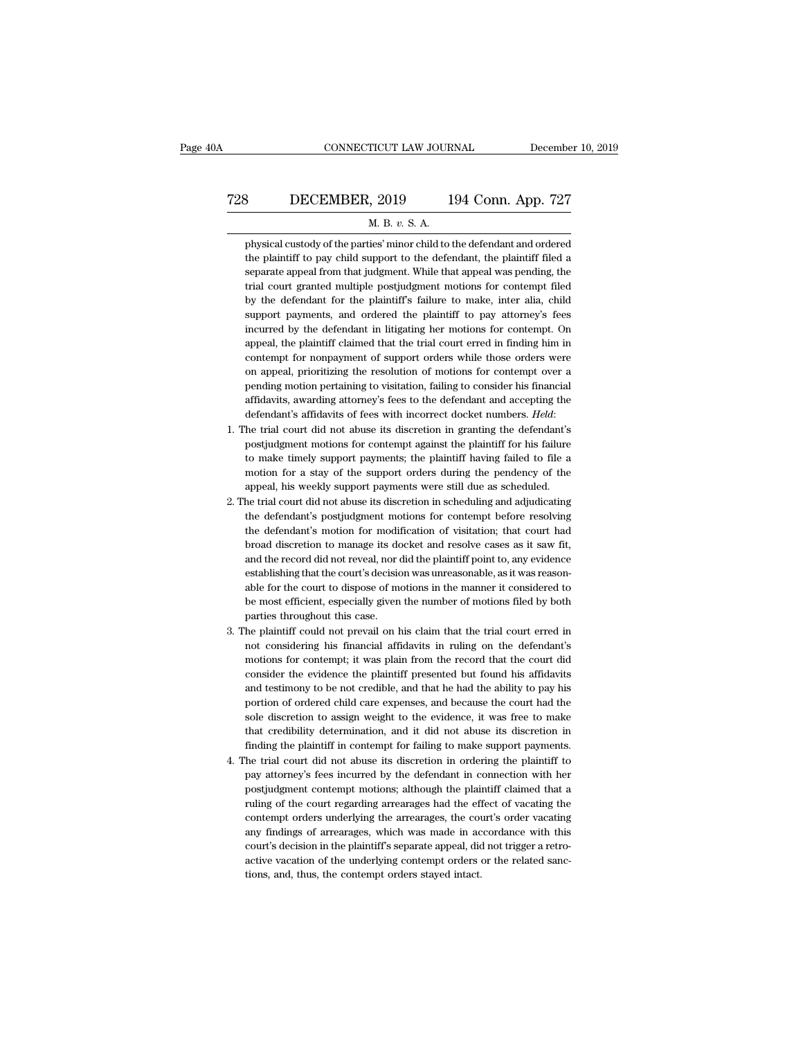## CONNECTICUT LAW JOURNAL December 10, 2019<br>
728 DECEMBER, 2019 194 Conn. App. 727<br>
M. B. v. S. A. CONNECTICUT LAW JOURNAL Decembe<br>B. *DECEMBER*, 2019 194 Conn. App. 727<br>*M. B. v. S. A.* physical custody of the parties' minor child to the defendant and ordered

BECEMBER, 2019 194 Conn. App. 727<br>
M. B. v. S. A.<br>
physical custody of the parties' minor child to the defendant and ordered<br>
the plaintiff to pay child support to the defendant, the plaintiff filed a The plantiff to pay child support to the defendant and ordered<br>the plaintiff to pay child support to the defendant, the plaintiff filed a<br>separate appeal from that judgment. While that appeal was pending, the Separate appeal from the parties' minor child to the defendant and ordered<br>the plaintiff to pay child support to the defendant, the plaintiff filed a<br>separate appeal from that judgment. While that appeal was pending, the<br>t M. B. v. S. A.<br>
physical custody of the parties' minor child to the defendant and ordered<br>
the plaintiff to pay child support to the defendant, the plaintiff filed a<br>
separate appeal from that judgment. While that appeal w M. B. v. S. A.<br>
physical custody of the parties' minor child to the defendant and ordered<br>
the plaintiff to pay child support to the defendant, the plaintiff filed a<br>
separate appeal from that judgment. While that appeal w physical custody of the parties' minor child to the defendant and ordered<br>the plaintiff to pay child support to the defendant, the plaintiff filed a<br>separate appeal from that judgment. While that appeal was pending, the<br>tr the plaintiff to pay child support to the defendant, the plaintiff filed a separate appeal from that judgment. While that appeal was pending, the trial court granted multiple postjudgment motions for contempt filed by the separate appeal from that judgment. While that appeal was pending, the trial court granted multiple postjudgment motions for contempt filed by the defendant for the plaintiff's failure to make, inter alia, child support pa trial court granted multiple postjudgment motions for contempt filed<br>by the defendant for the plaintiff's failure to make, inter alia, child<br>support payments, and ordered the plaintiff to pay attorney's fees<br>incurred by th by the defendant for the plaintiff's failure to make, inter alia, child support payments, and ordered the plaintiff to pay attorney's fees incurred by the defendant in litigating her motions for contempt. On appeal, the pl support payments, and ordered the plaintiff to pay attorney's fees<br>incurred by the defendant in litigating her motions for contempt. On<br>appeal, the plaintiff claimed that the trial court erred in finding him in<br>contempt fo incurred by the defendant in litigating her motions for contempt. On appeal, the plaintiff claimed that the trial court erred in finding him in contempt for nonpayment of support orders while those orders were on appeal, p appeal, the plaintiff claimed that the trial court erred in finding him in contempt for nonpayment of support orders while those orders were on appeal, prioritizing the resolution of motions for contempt over a pending mot on appeal, prioritizing the resolution of motions for contempt over a pending motion pertaining to visitation, failing to consider his financial affidavits, awarding attorney's fees to the defendant and accepting the defen

- pending motion pertaining to visitation, failing to consider his financial affidavits, awarding attorney's fees to the defendant and accepting the defendant's affidavits of fees with incorrect docket numbers. *Held*: he tr affidavits, awarding attorney's fees to the defendant and accepting the defendant's affidavits of fees with incorrect docket numbers. *Held*: he trial court did not abuse its discretion in granting the defendant's postjudg defendant's affidavits of fees with incorrect docket numbers. *Held*:<br>1. The trial court did not abuse its discretion in granting the defendant's<br>postjudgment motions for contempt against the plaintiff for his failure<br>to m 2. The trial court did not abuse its discretion in granting the defendant's postjudgment motions for contempt against the plaintiff for his failure to make timely support payments; the plaintiff having failed to file a mot postjudgment motions for contempt against the plaintiff for his failure<br>to make timely support payments; the plaintiff having failed to file a<br>motion for a stay of the support orders during the pendency of the<br>appeal, his
- to make timely support payments; the plaintiff having failed to file a motion for a stay of the support orders during the pendency of the appeal, his weekly support payments were still due as scheduled.<br>he trial court did motion for a stay of the support orders during the pendency of the appeal, his weekly support payments were still due as scheduled.<br>he trial court did not abuse its discretion in scheduling and adjudicating the defendant's appeal, his weekly support payments were still due as scheduled.<br>he trial court did not abuse its discretion in scheduling and adjudicating<br>the defendant's postjudgment motions for contempt before resolving<br>the defendant's he trial court did not abuse its discretion in scheduling and adjudicating<br>the defendant's postjudgment motions for contempt before resolving<br>the defendant's motion for modification of visitation; that court had<br>broad disc the defendant's postjudgment motions for contempt before resolving<br>the defendant's motion for modification of visitation; that court had<br>broad discretion to manage its docket and resolve cases as it saw fit,<br>and the record the defendant's motion for modification of visitation; that court had<br>broad discretion to manage its docket and resolve cases as it saw fit,<br>and the record did not reveal, nor did the plaintiff point to, any evidence<br>estab broad discretion to manage its do<br>and the record did not reveal, nor establishing that the court's decisio<br>able for the court to dispose of m<br>be most efficient, especially given<br>parties throughout this case.<br>he plaintiff c and the record did not reveal, nor did the plaintiff point to, any evidence establishing that the court's decision was unreasonable, as it was reasonable for the court to dispose of motions in the manner it considered to b establishing that the court's decision was unreasonable, as it was reasonable for the court to dispose of motions in the manner it considered to be most efficient, especially given the number of motions filed by both parti
- able for the court to dispose of motions in the manner it considered to<br>be most efficient, especially given the number of motions filed by both<br>parties throughout this case.<br>he plaintiff could not prevail on his claim that be most efficient, especially given the number of motions filed by both parties throughout this case.<br>he plaintiff could not prevail on his claim that the trial court erred in<br>not considering his financial affidavits in ru parties throughout this case.<br>
he plaintiff could not prevail on his claim that the trial court erred in<br>
not considering his financial affidavits in ruling on the defendant's<br>
motions for contempt; it was plain from the r he plaintiff could not prevail on his claim that the trial court erred in not considering his financial affidavits in ruling on the defendant's motions for contempt; it was plain from the record that the court did consider not considering his financial affidavits in ruling on the defendant's<br>motions for contempt; it was plain from the record that the court did<br>consider the evidence the plaintiff presented but found his affidavits<br>and testimo motions for contempt; it was plain from the record that the court did<br>consider the evidence the plaintiff presented but found his affidavits<br>and testimony to be not credible, and that he had the ability to pay his<br>portion consider the evidence the plaintiff presented but found his affidavits<br>and testimony to be not credible, and that he had the ability to pay his<br>portion of ordered child care expenses, and because the court had the<br>sole dis and testimony to be not credible, and that he had the ability to pay his portion of ordered child care expenses, and because the court had the sole discretion to assign weight to the evidence, it was free to make that cred portion of ordered child care expenses, and because the court had the sole discretion to assign weight to the evidence, it was free to make that credibility determination, and it did not abuse its discretion in finding the
- sole discretion to assign weight to the evidence, it was free to make<br>that credibility determination, and it did not abuse its discretion in<br>finding the plaintiff in contempt for failing to make support payments.<br>he trial that credibility determination, and it did not abuse its discretion in finding the plaintiff in contempt for failing to make support payments.<br>he trial court did not abuse its discretion in ordering the plaintiff to pay at finding the plaintiff in contempt for failing to make support payments.<br>he trial court did not abuse its discretion in ordering the plaintiff to<br>pay attorney's fees incurred by the defendant in connection with her<br>postjudg he trial court did not abuse its discretion in ordering the plaintiff to pay attorney's fees incurred by the defendant in connection with her postjudgment contempt motions; although the plaintiff claimed that a ruling of t pay attorney's fees incurred by the defendant in connection with her postjudgment contempt motions; although the plaintiff claimed that a ruling of the court regarding arrearages had the effect of vacating the contempt ord postjudgment contempt motions; although the plaintiff claimed that a<br>ruling of the court regarding arrearages had the effect of vacating the<br>contempt orders underlying the arrearages, the court's order vacating<br>any finding ruling of the court regarding arrearages had the eff<br>contempt orders underlying the arrearages, the covary findings of arrearages, which was made in ac<br>court's decision in the plaintiff's separate appeal, diactive vacation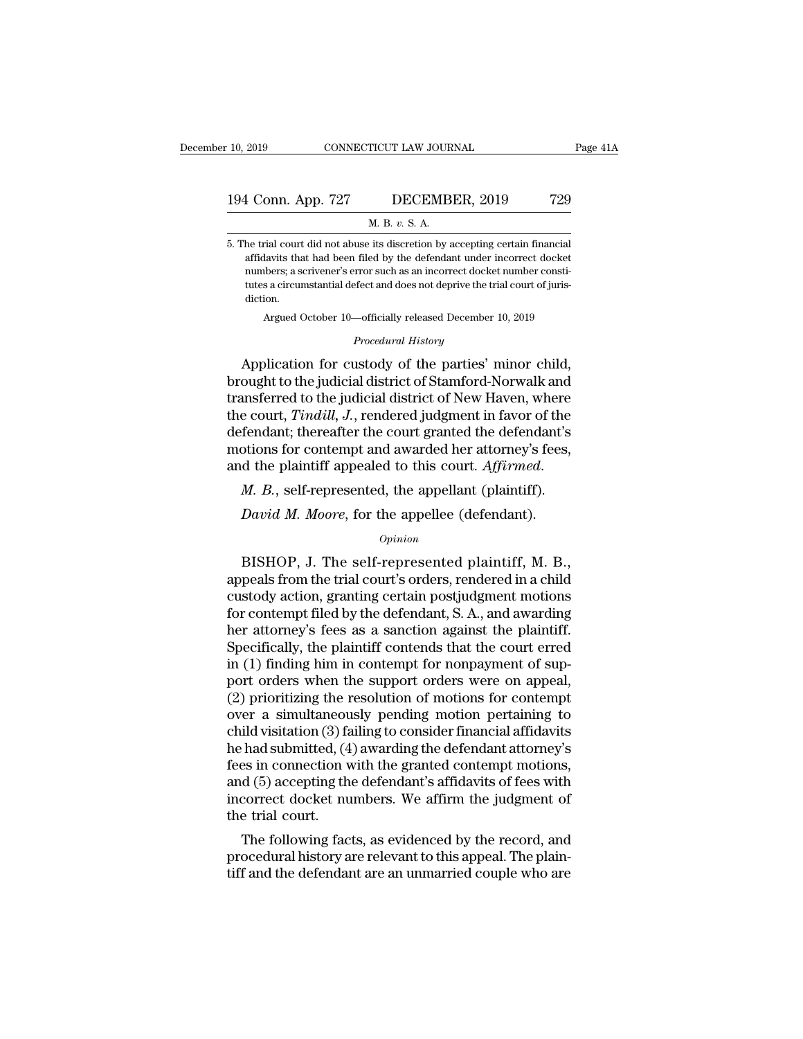## 10, 2019 CONNECTICUT LAW JOURNAL Page 41A<br>194 Conn. App. 727 DECEMBER, 2019 729<br>M. B. v. S. A. TICUT LAW JOUR<br>DECEMB<br>M. B. *v*. S. A.<br>its discretion by a

194 Conn. App. 727 DECEMBER, 2019 729<br>
M. B. v. S. A.<br>
5. The trial court did not abuse its discretion by accepting certain financial<br>
affidavits that had been filed by the defendant under incorrect docket 1 Conn. App. 727 DECEMBER, 2019 729<br>
M. B. v. S. A.<br>
the trial court did not abuse its discretion by accepting certain financial<br>
affidavits that had been filed by the defendant under incorrect docket<br>
numbers; a scrivener 1 Conn. App. 727 DECEMBER, 2019 729<br>
M. B. v. S. A.<br>
the trial court did not abuse its discretion by accepting certain financial<br>
affidavits that had been filed by the defendant under incorrect docket<br>
numbers; a scrivener  $\overline{H}$  and  $\overline{H}$  are trial court did not abuse its discretion by accepting certain financial affidavits that had been filed by the defendant under incorrect docket numbers; a scrivener's error such as an incorrect do diction. rial court did not abuse its discretion by accepting certain financial<br>lavits that had been filed by the defendant under incorrect docket<br>hbers; a scrivener's error such as an incorrect docket number consti-<br>s a circumstan affidavits that had been filed by the defendant under incorrect docket<br>numbers; a scrivener's error such as an incorrect docket number consti-<br>tutes a circumstantial defect and does not deprive the trial court of juris-<br>di affidavits that had been filed by the defendant under incorrect docket<br>numbers; a scrivener's error such as an incorrect docket number consti-<br>tutes a circumstantial defect and does not deprive the trial court of juris-<br>di

humbers, a scrivener serior such as an incorrect docket number constructes a circumstantial defect and does not deprive the trial court of jurisdiction.<br>Argued October 10—officially released December 10, 2019<br>*Procedural H* transferred to the judicial district of New Haven, where<br>the control of the parties are interesting to the procedural History<br>Application for custody of the parties' minor child,<br>brought to the judicial district of Stamfor Argued October 10—officially released December 10, 2019<br> *Procedural History*<br> **Application for custody of the parties' minor child,**<br>
brought to the judicial district of Stamford-Norwalk and<br>
transferred to the judicial d *Procedural History*<br>Application for custody of the parties' minor child,<br>brought to the judicial district of Stamford-Norwalk and<br>transferred to the judicial district of New Haven, where<br>the court, *Tindill*, *J*., render Frocedural History<br>Application for custody of the parties' minor child,<br>brought to the judicial district of Stamford-Norwalk and<br>transferred to the judicial district of New Haven, where<br>the court, *Tindill*, *J*., rendered Application for custody of the parties' minor child, brought to the judicial district of Stamford-Norwalk and transferred to the judicial district of New Haven, where the court, *Tindill*, *J*., rendered judgment in favor e court, *Tindill*, *J*., rendered judgment in favor of the fendant; thereafter the court granted the defendant's otions for contempt and awarded her attorney's fees, d the plaintiff appealed to this court. *Affirmed.*<br>*M.* 

#### *Opinion*

of the plaintiff appealed to this court. Affirmed.<br>
M. B., self-represented, the appellant (plaintiff).<br>
David M. Moore, for the appellee (defendant).<br>  $\frac{Opinion}{P}$ <br>
BISHOP, J. The self-represented plaintiff, M. B., peals *M. B.*, self-represented, the appellant (plaintiff).<br> *David M. Moore*, for the appellee (defendant).<br> *Opinion*<br>
BISHOP, J. The self-represented plaintiff, M. B.,<br>
appeals from the trial court's orders, rendered in a ch *M. B.*, self-represented, the appellant (plaintiff).<br> *David M. Moore*, for the appellee (defendant).<br> *Opinion*<br>
BISHOP, J. The self-represented plaintiff, M. B.,<br>
appeals from the trial court's orders, rendered in a ch David M. Moore, for the appellee (defendant).<br>
opinion<br>
BISHOP, J. The self-represented plaintiff, M. B.,<br>
appeals from the trial court's orders, rendered in a child<br>
custody action, granting certain postjudgment motions<br> opinion<br>
DISHOP, J. The self-represented plaintiff, M. B.,<br>
appeals from the trial court's orders, rendered in a child<br>
custody action, granting certain postjudgment motions<br>
for contempt filed by the defendant, S. A., and *Opmon*<br>BISHOP, J. The self-represented plaintiff, M. B.,<br>appeals from the trial court's orders, rendered in a child<br>custody action, granting certain postjudgment motions<br>for contempt filed by the defendant, S. A., and awa BISHOP, J. The self-represented plaintiff, M. B.,<br>appeals from the trial court's orders, rendered in a child<br>custody action, granting certain postjudgment motions<br>for contempt filed by the defendant, S. A., and awarding<br>he appeals from the trial court's orders, rendered in a child<br>custody action, granting certain postjudgment motions<br>for contempt filed by the defendant, S. A., and awarding<br>her attorney's fees as a sanction against the plaint custody action, granting certain postjudgment motions<br>for contempt filed by the defendant, S. A., and awarding<br>her attorney's fees as a sanction against the plaintiff.<br>Specifically, the plaintiff contends that the court er for contempt filed by the defendant, S. A., and awarding<br>her attorney's fees as a sanction against the plaintiff.<br>Specifically, the plaintiff contends that the court erred<br>in (1) finding him in contempt for nonpayment of s her attorney's fees as a sanction against the plaintiff.<br>Specifically, the plaintiff contends that the court erred<br>in (1) finding him in contempt for nonpayment of sup-<br>port orders when the support orders were on appeal,<br>( Specifically, the plaintiff contends that the court erred<br>in (1) finding him in contempt for nonpayment of sup-<br>port orders when the support orders were on appeal,<br>(2) prioritizing the resolution of motions for contempt<br>ov in (1) finding him in contempt for nonpayment of support orders when the support orders were on appeal,<br>(2) prioritizing the resolution of motions for contempt<br>over a simultaneously pending motion pertaining to<br>child visi port orders when the support orders were on appeal,<br>(2) prioritizing the resolution of motions for contempt<br>over a simultaneously pending motion pertaining to<br>child visitation (3) failing to consider financial affidavits<br>h (2) prioritizing the resolution of motions for contempt<br>over a simultaneously pending motion pertaining to<br>child visitation (3) failing to consider financial affidavits<br>he had submitted, (4) awarding the defendant attorne over a simultaneou<br>child visitation (3) fa<br>he had submitted, (4<br>fees in connection v<br>and (5) accepting th<br>incorrect docket nu<br>the trial court.<br>The following fac Ind visitation (3) falling to consider imancial amdavits<br>had submitted, (4) awarding the defendant attorney's<br>es in connection with the granted contempt motions,<br>d (5) accepting the defendant's affidavits of fees with<br>cor ne nad submitted, (4) awarding the defendant attorney s<br>fees in connection with the granted contempt motions,<br>and (5) accepting the defendant's affidavits of fees with<br>incorrect docket numbers. We affirm the judgment of<br>th tees in connection with the granted contempt motions,<br>and (5) accepting the defendant's affidavits of fees with<br>incorrect docket numbers. We affirm the judgment of<br>the trial court.<br>The following facts, as evidenced by the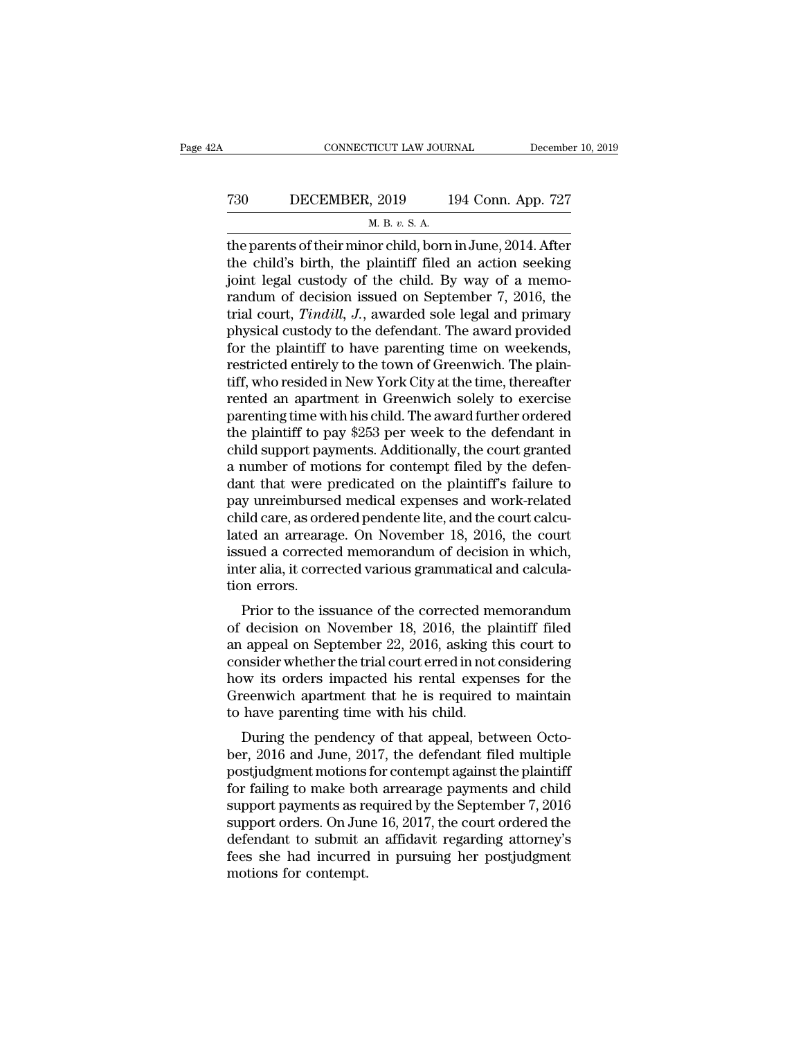## CONNECTICUT LAW JOURNAL December 10, 2019<br>
730 DECEMBER, 2019 194 Conn. App. 727<br>
M. B. v. S. A. <u>ricut Law Jour<br>, 2019 1<br>M. B. v. S. A.<br>or child born</u>

CONNECTICUT LAW JOURNAL December 10, 2019<br>
T30 DECEMBER, 2019 194 Conn. App. 727<br>
M. B. v. S. A.<br>
the parents of their minor child, born in June, 2014. After<br>
the child's birth, the plaintiff filed an action seeking<br>
joint T30 DECEMBER, 2019 194 Conn. App. 727<br>
M. B. v. S. A.<br>
the parents of their minor child, born in June, 2014. After<br>
the child's birth, the plaintiff filed an action seeking<br>
joint legal custody of the child. By way of a m T30 DECEMBER, 2019 194 Conn. App. 727<br>
M. B. v. S. A.<br>
the parents of their minor child, born in June, 2014. After<br>
the child's birth, the plaintiff filed an action seeking<br>
joint legal custody of the child. By way of a m T30 DECEMBER, 2019 194 Conn. App. 727<br>
M. B. v. S. A.<br>
the parents of their minor child, born in June, 2014. After<br>
the child's birth, the plaintiff filed an action seeking<br>
joint legal custody of the child. By way of a m M. B. v. S. A.<br>
The parents of their minor child, born in June, 2014. After<br>
the child's birth, the plaintiff filed an action seeking<br>
joint legal custody of the child. By way of a memo-<br>
randum of decision issued on Sept m. B. v. s. A.<br>the parents of their minor child, born in June, 2014. After<br>the child's birth, the plaintiff filed an action seeking<br>joint legal custody of the child. By way of a memo-<br>randum of decision issued on Septembe the parents of their minor child, born in June, 2014. After<br>the child's birth, the plaintiff filed an action seeking<br>joint legal custody of the child. By way of a memo-<br>randum of decision issued on September 7, 2016, the<br>t the child's birth, the plaintiff filed an action seeking<br>joint legal custody of the child. By way of a memo-<br>randum of decision issued on September 7, 2016, the<br>trial court, *Tindill*, *J.*, awarded sole legal and primary<br> joint legal custody of the child. By way of a memo-<br>randum of decision issued on September 7, 2016, the<br>trial court, *Tindill*, *J*., awarded sole legal and primary<br>physical custody to the defendant. The award provided<br>for randum of decision issued on September 7, 2016, the<br>trial court, *Tindill*, *J*., awarded sole legal and primary<br>physical custody to the defendant. The award provided<br>for the plaintiff to have parenting time on weekends,<br> trial court, *Tindill*, *J*., awarded sole legal and primary<br>physical custody to the defendant. The award provided<br>for the plaintiff to have parenting time on weekends,<br>restricted entirely to the town of Greenwich. The pla physical custody to the defendant. The award provided<br>for the plaintiff to have parenting time on weekends,<br>restricted entirely to the town of Greenwich. The plain-<br>tiff, who resided in New York City at the time, thereafte for the plaintiff to have parenting time on weekends,<br>restricted entirely to the town of Greenwich. The plain-<br>tiff, who resided in New York City at the time, thereafter<br>rented an apartment in Greenwich solely to exercise<br> restricted entirely to the town of Greenwich. The plain-<br>tiff, who resided in New York City at the time, thereafter<br>rented an apartment in Greenwich solely to exercise<br>parenting time with his child. The award further order tiff, who resided in New York City at the time, thereafter<br>rented an apartment in Greenwich solely to exercise<br>parenting time with his child. The award further ordered<br>the plaintiff to pay \$253 per week to the defendant in rented an apartment in Greenwich solely to exercise<br>parenting time with his child. The award further ordered<br>the plaintiff to pay \$253 per week to the defendant in<br>child support payments. Additionally, the court granted<br>a parenting time with his child. The award further ordered<br>the plaintiff to pay \$253 per week to the defendant in<br>child support payments. Additionally, the court granted<br>a number of motions for contempt filed by the defen-<br>d the plaintiff to pay \$253 per week to the defendant in<br>child support payments. Additionally, the court granted<br>a number of motions for contempt filed by the defen-<br>dant that were predicated on the plaintiff's failure to<br>pa child support payments. Additionally, the court granted<br>a number of motions for contempt filed by the defen-<br>dant that were predicated on the plaintiff's failure to<br>pay unreimbursed medical expenses and work-related<br>child a number of motions for contempt filed by the defendant that were predicated on the plaintiff's failure to pay unreimbursed medical expenses and work-related child care, as ordered pendente lite, and the court calculated a dant that were p<br>pay unreimburse<br>child care, as ord<br>lated an arreara<br>issued a correct<br>inter alia, it corre<br>tion errors.<br>Prior to the is: y unfembursed medical expenses and work-related<br>ild care, as ordered pendente lite, and the court calcu-<br>red an arrearage. On November 18, 2016, the court<br>sued a corrected memorandum of decision in which,<br>ter alia, it corr child care, as ordered pendente life, and the court carculated<br>lated an arrearage. On November 18, 2016, the court<br>issued a corrected memorandum of decision in which,<br>inter alia, it corrected various grammatical and calcul

rated an ariearage. On November 18, 2010, the court<br>issued a corrected memorandum of decision in which,<br>inter alia, it corrected various grammatical and calcula-<br>tion errors.<br>Prior to the issuance of the corrected memorand issued a corrected memorandum or decision in which,<br>inter alia, it corrected various grammatical and calcula-<br>tion errors.<br>Prior to the issuance of the corrected memorandum<br>of decision on November 18, 2016, the plaintiff f meer ana, it corrected various grammatical and calculation errors.<br>
Prior to the issuance of the corrected memorandum<br>
of decision on November 18, 2016, the plaintiff filed<br>
an appeal on September 22, 2016, asking this cou Frior to the issuance of the corrected memorandum<br>of decision on November 18, 2016, the plaintiff filed<br>an appeal on September 22, 2016, asking this court to<br>consider whether the trial court erred in not considering<br>how it Prior to the issuance of the corrected me<br>of decision on November 18, 2016, the pl<br>an appeal on September 22, 2016, asking tl<br>consider whether the trial court erred in not<br>how its orders impacted his rental expen<br>Greenwich decision on November 18, 2010, the plantin med<br>appeal on September 22, 2016, asking this court to<br>msider whether the trial court erred in not considering<br>w its orders impacted his rental expenses for the<br>reenwich apartment an appear on september 22, 2010, asking this court to<br>consider whether the trial court erred in not considering<br>how its orders impacted his rental expenses for the<br>Greenwich apartment that he is required to maintain<br>to hav

posture whether the trial court erred in not considering<br>how its orders impacted his rental expenses for the<br>Greenwich apartment that he is required to maintain<br>to have parenting time with his child.<br>During the pendency of for failing to make both arrearage payments and child<br>support apartment that he is required to maintain<br>to have parenting time with his child.<br>During the pendency of that appeal, between Octo-<br>ber, 2016 and June, 2017, the orient wich apartment that the is required to manufant<br>to have parenting time with his child.<br>During the pendency of that appeal, between Octo-<br>ber, 2016 and June, 2017, the defendant filed multiple<br>postjudgment motions fo b have parenting time with its child.<br>During the pendency of that appeal, between Octo-<br>ber, 2016 and June, 2017, the defendant filed multiple<br>postjudgment motions for contempt against the plaintiff<br>for failing to make bot During the pendency of that appeal, between October, 2016 and June, 2017, the defendant filed multiple<br>postjudgment motions for contempt against the plaintiff<br>for failing to make both arrearage payments and child<br>support p ber, 2016 and June, 2017, the defendant filed multiple<br>postjudgment motions for contempt against the plaintiff<br>for failing to make both arrearage payments and child<br>support payments as required by the September 7, 2016<br>sup postjudgment motions<br>for failing to make bot<br>support payments as re<br>support orders. On Jun<br>defendant to submit a<br>fees she had incurred<br>motions for contempt.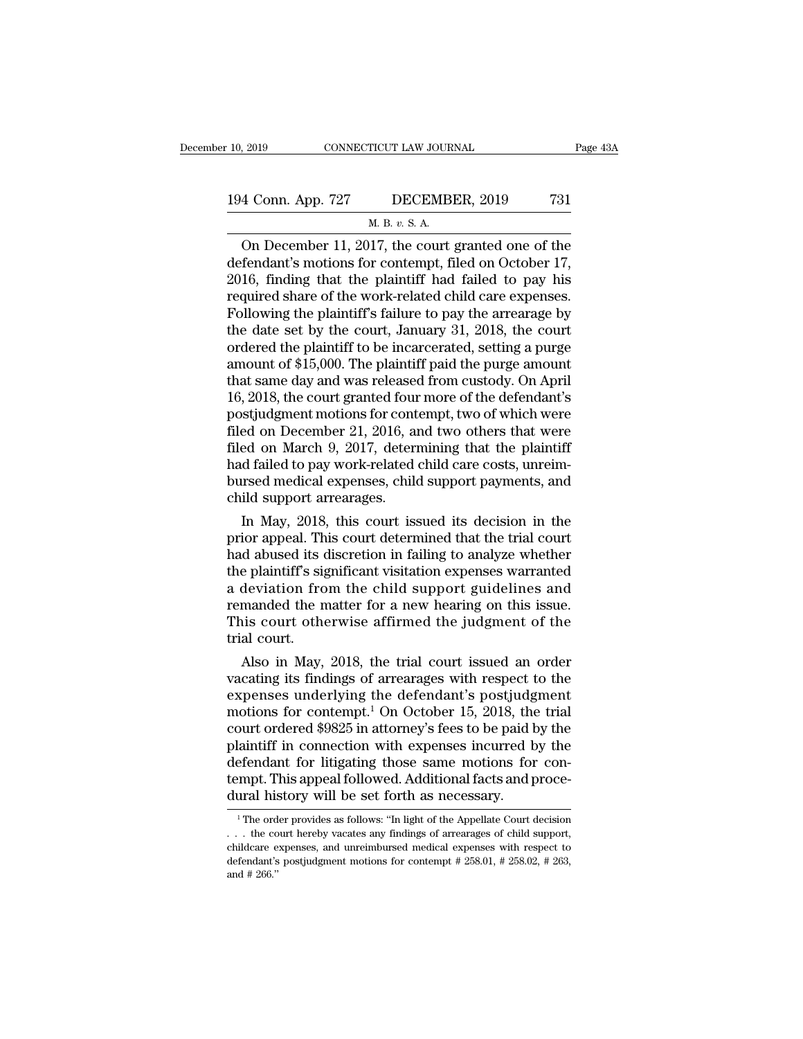## 10, 2019 CONNECTICUT LAW JOURNAL Page 43A<br>194 Conn. App. 727 DECEMBER, 2019 731<br>M. B. v. S. A. TICUT LAW JOUR<br>DECEMB<br>M. B. *v.* S. A.<br>117 the court

Page 43A<br>  $\frac{4 \text{ Conn. App. 727}}{4 \text{ Conn. App. 727}}$  DECEMBER, 2019 731<br>  $\frac{M. B. v. S. A.}{2 \text{ On December 11, 2017, the court granted one of the  
fendant's motions for content, filed on October 17, 16, finding that the plaintiff had failed to pay his$ 194 Conn. App. 727 DECEMBER, 2019 731<br>
M. B. v. S. A.<br>
On December 11, 2017, the court granted one of the<br>
defendant's motions for contempt, filed on October 17,<br>
2016, finding that the plaintiff had failed to pay his<br>
req 194 Conn. App. 727 DECEMBER, 2019 731<br>
M. B. v. S. A.<br>
On December 11, 2017, the court granted one of the<br>
defendant's motions for contempt, filed on October 17,<br>
2016, finding that the plaintiff had failed to pay his<br>
re 194 Conn. App. 727 DECEMBER, 2019 731<br>
M. B. v. S. A.<br>
On December 11, 2017, the court granted one of the<br>
defendant's motions for contempt, filed on October 17,<br>
2016, finding that the plaintiff had failed to pay his<br>
re M. B. v. S. A.<br>
On December 11, 2017, the court granted one of the<br>
defendant's motions for contempt, filed on October 17,<br>
2016, finding that the plaintiff had failed to pay his<br>
required share of the work-related child M. B. v. S. A.<br>
On December 11, 2017, the court granted one of the<br>
defendant's motions for contempt, filed on October 17,<br>
2016, finding that the plaintiff had failed to pay his<br>
required share of the work-related child On December 11, 2017, the court granted one of the<br>defendant's motions for contempt, filed on October 17,<br>2016, finding that the plaintiff had failed to pay his<br>required share of the work-related child care expenses.<br>Foll defendant's motions for contempt, filed on October 17,<br>2016, finding that the plaintiff had failed to pay his<br>required share of the work-related child care expenses.<br>Following the plaintiff's failure to pay the arrearage b 2016, finding that the plaintiff had failed to pay his<br>required share of the work-related child care expenses.<br>Following the plaintiff's failure to pay the arrearage by<br>the date set by the court, January 31, 2018, the cour required share of the work-related child care expenses.<br>Following the plaintiff's failure to pay the arrearage by<br>the date set by the court, January 31, 2018, the court<br>ordered the plaintiff to be incarcerated, setting a p Following the plaintiff's failure to pay the arrearage by<br>the date set by the court, January 31, 2018, the court<br>ordered the plaintiff to be incarcerated, setting a purge<br>amount of \$15,000. The plaintiff paid the purge am the date set by the court, January 31, 2018, the court<br>ordered the plaintiff to be incarcerated, setting a purge<br>amount of \$15,000. The plaintiff paid the purge amount<br>that same day and was released from custody. On April<br> ordered the plaintiff to be incarcerated, setting a purge<br>amount of \$15,000. The plaintiff paid the purge amount<br>that same day and was released from custody. On April<br>16, 2018, the court granted four more of the defendant' amount of \$15,000. The plaintiff paid the purge amount<br>that same day and was released from custody. On April<br>16, 2018, the court granted four more of the defendant's<br>postjudgment motions for contempt, two of which were<br>fil that same day and was released from custody. On April 16, 2018, the court granted four more of the defendant's postjudgment motions for contempt, two of which were filed on December 21, 2016, and two others that were filed 16, 2018, the court granted four<br>postjudgment motions for cont<br>filed on December 21, 2016, an<br>filed on March 9, 2017, detern<br>had failed to pay work-related<br>bursed medical expenses, chile<br>child support arrearages.<br>In May, 2 In May, 2018, this court issued its decision in the plaintiff d shused its decision in the plaintiff d failed to pay work-related child care costs, unreimmed medical expenses, child support payments, and ild support arrear filed on December 21, 2016, and two others that were<br>filed on March 9, 2017, determining that the plaintiff<br>had failed to pay work-related child care costs, unreim-<br>bursed medical expenses, child support payments, and<br>chil

filed on March 9, 2017, determining that the plaintiff<br>had failed to pay work-related child care costs, unreim-<br>bursed medical expenses, child support payments, and<br>child support arrearages.<br>In May, 2018, this court issued had failed to pay work-related child care costs, unrem-<br>bursed medical expenses, child support payments, and<br>child support arrearages.<br>In May, 2018, this court issued its decision in the<br>prior appeal. This court determined bursed medical expenses, child support payments, and<br>child support arrearages.<br>In May, 2018, this court issued its decision in the<br>prior appeal. This court determined that the trial court<br>had abused its discretion in faili child support arrearages.<br>
In May, 2018, this court issued its decision in the<br>
prior appeal. This court determined that the trial court<br>
had abused its discretion in failing to analyze whether<br>
the plaintiff's significant In May, 2018, this court issued its decision in the<br>prior appeal. This court determined that the trial court<br>had abused its discretion in failing to analyze whether<br>the plaintiff's significant visitation expenses warranted prior appeal. Th<br>had abused its the plaintiff's signal<br>a deviation from<br>remanded the n<br>This court other trial court.<br>Also in May, A abused its discretion in failing to analyze whether<br>e plaintiff's significant visitation expenses warranted<br>deviation from the child support guidelines and<br>manded the matter for a new hearing on this issue.<br>is court othe the plantiff s significant visitation expenses warranted<br>a deviation from the child support guidelines and<br>remanded the matter for a new hearing on this issue.<br>This court otherwise affirmed the judgment of the<br>trial court

a deviation from the child support guidelines and<br>remanded the matter for a new hearing on this issue.<br>This court otherwise affirmed the judgment of the<br>trial court.<br>Also in May, 2018, the trial court issued an order<br>vacat remanded the matter for a new hearing on this issue.<br>This court otherwise affirmed the judgment of the<br>trial court.<br>Also in May, 2018, the trial court issued an order<br>vacating its findings of arrearages with respect to the This court otherwise aritimed the judgment of the<br>trial court.<br>Also in May, 2018, the trial court issued an order<br>vacating its findings of arrearages with respect to the<br>expenses underlying the defendant's postjudgment<br>mo trial court.<br>
Also in May, 2018, the trial court issued an order<br>
vacating its findings of arrearages with respect to the<br>
expenses underlying the defendant's postjudgment<br>
motions for contempt.<sup>1</sup> On October 15, 2018, th Also in May, 2018, the trial court issued an order vacating its findings of arrearages with respect to the expenses underlying the defendant's postjudgment motions for contempt.<sup>1</sup> On October 15, 2018, the trial court ord vacating its findings of arrearages with respect to the expenses underlying the defendant's postjudgment motions for contempt.<sup>1</sup> On October 15, 2018, the trial court ordered \$9825 in attorney's fees to be paid by the plai expenses underlying the defendant's postjudg<br>motions for contempt.<sup>1</sup> On October 15, 2018, the<br>court ordered \$9825 in attorney's fees to be paid b<br>plaintiff in connection with expenses incurred b<br>defendant for litigating t laintiff in connection with expenses incurred by the<br>efendant for litigating those same motions for con-<br>mpt. This appeal followed. Additional facts and proce-<br>ural history will be set forth as necessary.<br><sup>1</sup>The order prov defendant for litigating those same motions for con-<br>tempt. This appeal followed. Additional facts and proce-<br>dural history will be set forth as necessary.<br><sup>1</sup>The order provides as follows: "In light of the Appellate Court

tempt. This appeal followed. Additional facts and proce-<br>dural history will be set forth as necessary.<br>The order provides as follows: "In light of the Appellate Court decision<br>... the court hereby vacates any findings of dural history will be set forth as necessary.<br> $\frac{1}{1}$  The order provides as follows: "In light of the Appellate Court decision<br> $\ldots$  the court hereby vacates any findings of arrearages of child support,<br>childcare expens ... the court hereby vacates any findings of arrearages of child support,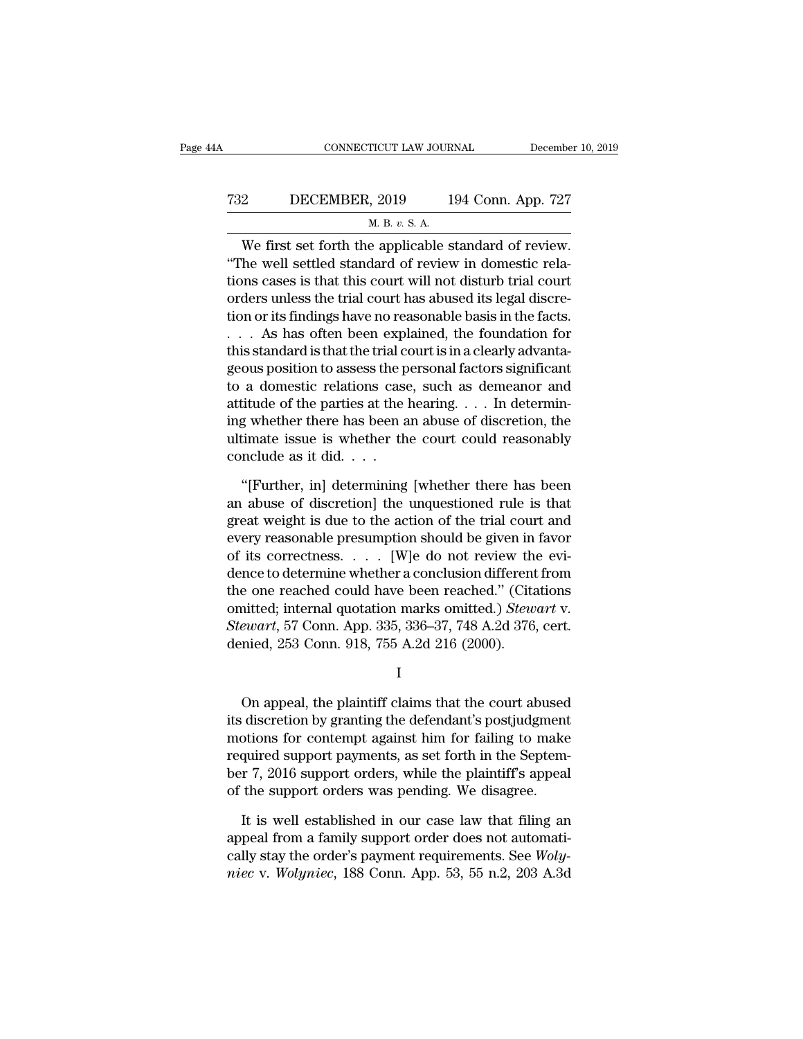## CONNECTICUT LAW JOURNAL December 10, 2019<br>
732 DECEMBER, 2019 194 Conn. App. 727<br>
M. B. v. S. A. <u>TICUT LAW JOURNEY DURNEY NET</u><br>
1, 2019<br>
<u>M. B. v. S. A.</u><br>
1 annlicable s

CONNECTICUT LAW JOURNAL December 10, 2<br>
2 DECEMBER, 2019 194 Conn. App. 727<br>
M. B. v. S. A.<br>
We first set forth the applicable standard of review.<br>
The well settled standard of review in domestic rela-THE THE WARD THE WARD THE WARD THE WARD SETTLED WARD THE WELL SETTLED WARD THE WELL settled standard of review in domestic rela-<br>tions cases is that this court will not disturb trial court orders where the trial court beg T32 DECEMBER, 2019 194 Conn. App. 727<br>
M. B. v. S. A.<br>
We first set forth the applicable standard of review.<br>
"The well settled standard of review in domestic rela-<br>
tions cases is that this court will not disturb trial c T32 DECEMBER, 2019 194 Conn. App. 727<br>  $\mu$ . B. v. S. A.<br>
We first set forth the applicable standard of review.<br>
"The well settled standard of review in domestic rela-<br>
tions cases is that this court will not disturb tria M. B.  $v$ . S. A.<br>We first set forth the applicable standard of review.<br>"The well settled standard of review in domestic rela-<br>tions cases is that this court will not disturb trial court<br>orders unless the trial court has a We first set forth the applicable standard of review.<br>
"The well settled standard of review in domestic rela-<br>
tions cases is that this court will not disturb trial court<br>
orders unless the trial court has abused its lega We first set forth the applicable standard of review.<br>
"The well settled standard of review in domestic rela-<br>
tions cases is that this court will not disturb trial court<br>
orders unless the trial court has abused its lega "The well settled standard of review in domestic rela-<br>tions cases is that this court will not disturb trial court<br>orders unless the trial court has abused its legal discre-<br>tion or its findings have no reasonable basis i tions cases is that this court will not disturb trial court<br>orders unless the trial court has abused its legal discre-<br>tion or its findings have no reasonable basis in the facts.<br> $\ldots$  As has often been explained, the fou orders unless the trial court has abused its legal discretion or its findings have no reasonable basis in the facts.<br>
. . . As has often been explained, the foundation for this standard is that the trial court is in a cle tion or its findings have no reasonable basis in the facts.<br>  $\ldots$  As has often been explained, the foundation for<br>
this standard is that the trial court is in a clearly advanta-<br>
geous position to assess the personal fac ... As has often been explained, the foundation for<br>this standard is that the trial court is in a clearly advanta-<br>geous position to assess the personal factors significant<br>to a domestic relations case, such as demeanor a this standard is that the trial composes the p<br>geous position to assess the p<br>to a domestic relations case<br>attitude of the parties at the l<br>ing whether there has been a<br>ultimate issue is whether th<br>conclude as it did. . . a domestic relations case, such as demeanor and<br>titude of the parties at the hearing.... In determin-<br>g whether there has been an abuse of discretion, the<br>timate issue is whether the court could reasonably<br>nclude as it di attitude of the parties at the hearing. . . . In determining whether there has been an abuse of discretion, the ultimate issue is whether the court could reasonably conclude as it did. . . .<br>"[Further, in] determining [wh

ing whether there has been an abuse of discretion, the<br>ultimate issue is whether the court could reasonably<br>conclude as it did. . . .<br>"[Further, in] determining [whether there has been<br>an abuse of discretion] the unquesti ultimate issue is whether the court could reasonably<br>conclude as it did. . . .<br>"[Further, in] determining [whether there has been<br>an abuse of discretion] the unquestioned rule is that<br>great weight is due to the action of t conclude as it did. . . .<br>
"[Further, in] determining [whether there has been<br>
an abuse of discretion] the unquestioned rule is that<br>
great weight is due to the action of the trial court and<br>
every reasonable presumption "[Further, in] determining [whether there has been<br>an abuse of discretion] the unquestioned rule is that<br>great weight is due to the action of the trial court and<br>every reasonable presumption should be given in favor<br>of it "[Further, in] determining [whether there has been<br>an abuse of discretion] the unquestioned rule is that<br>great weight is due to the action of the trial court and<br>every reasonable presumption should be given in favor<br>of it an abuse of discretion] the unquestioned rule is that<br>great weight is due to the action of the trial court and<br>every reasonable presumption should be given in favor<br>of its correctness. . . . . [W]e do not review the evi-<br>d great weight is due to the action of the trial court and<br>every reasonable presumption should be given in favor<br>of its correctness. . . . [W]e do not review the evi-<br>dence to determine whether a conclusion different from<br>th every reasonable presumption should be given in<br>of its correctness.  $\dots$  [W]e do not review the<br>dence to determine whether a conclusion different<br>the one reached could have been reached." (Citz<br>omitted; internal quotation inted; internal quotation marks omitted.) *Stewart* v.<br> *ewart*, 57 Conn. App. 335, 336–37, 748 A.2d 376, cert.<br>
mied, 253 Conn. 918, 755 A.2d 216 (2000).<br>
I<br>
On appeal, the plaintiff claims that the court abused<br>
discreti

I

Stewart, 57 Conn. App. 335, 336–37, 748 A.2d 376, cert.<br>
denied, 253 Conn. 918, 755 A.2d 216 (2000).<br>
I<br>
On appeal, the plaintiff claims that the court abused<br>
its discretion by granting the defendant's postjudgment<br>
moti denied, 253 Conn. 918, 755 A.2d 216 (2000).<br>
I<br>
On appeal, the plaintiff claims that the court abused<br>
its discretion by granting the defendant's postjudgment<br>
motions for contempt against him for failing to make<br>
require I<br>I<br>On appeal, the plaintiff claims that the court abused<br>its discretion by granting the defendant's postjudgment<br>motions for contempt against him for failing to make<br>required support payments, as set forth in the Septem-<br> I<br>
On appeal, the plaintiff claims that the court abused<br>
its discretion by granting the defendant's postjudgment<br>
motions for contempt against him for failing to make<br>
required support payments, as set forth in the Septem On appeal, the plaintiff claims that the court abused<br>its discretion by granting the defendant's postjudgment<br>motions for contempt against him for failing to make<br>required support payments, as set forth in the Septem-<br>ber It is discretion by granting the defendant's postjudgment<br>otions for contempt against him for failing to make<br>quired support payments, as set forth in the Septem-<br> $r$  7, 2016 support orders, while the plaintiff's appeal<br>t motions for contempt against him for failing to make<br>required support payments, as set forth in the Septem-<br>ber 7, 2016 support orders, while the plaintiff's appeal<br>of the support orders was pending. We disagree.<br>It is we

required support payments, as set forth in the September 7, 2016 support orders, while the plaintiff's appeal<br>of the support orders was pending. We disagree.<br>It is well established in our case law that filing an<br>appeal fro ber 7, 2016 support orders, while the plaintiff's appeal<br>of the support orders was pending. We disagree.<br>It is well established in our case law that filing an<br>appeal from a family support order does not automati-<br>cally sta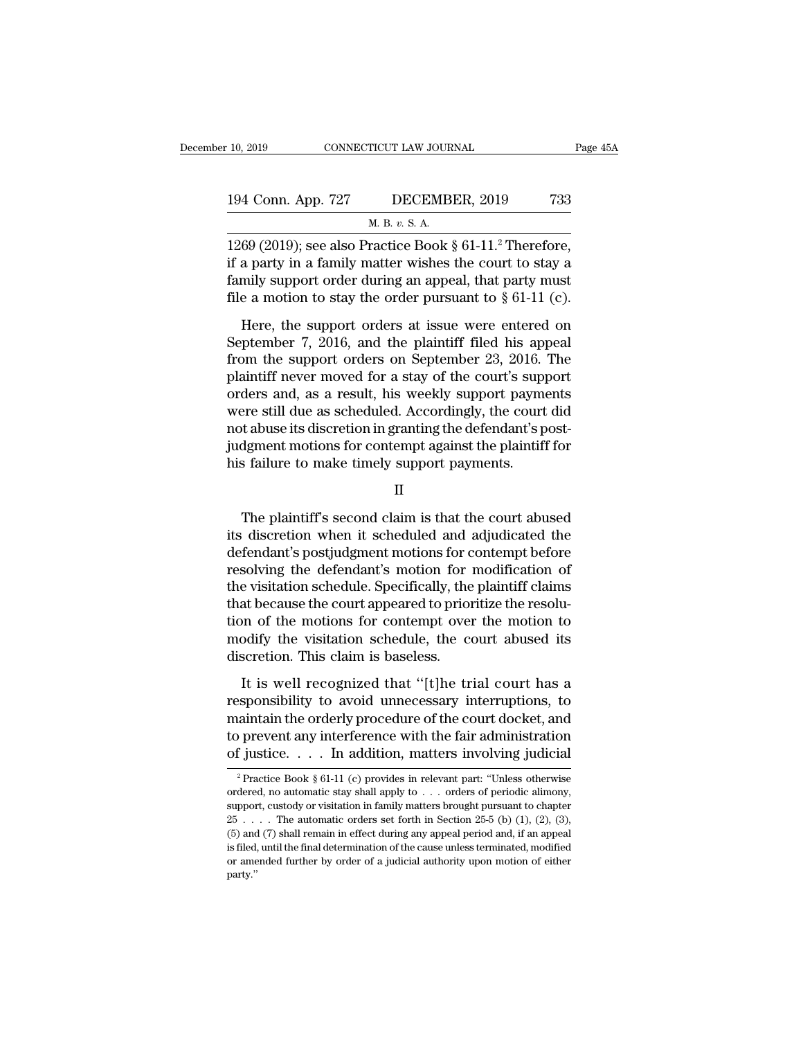| : 10, 2019         | CONNECTICUT LAW JOURNAL                                     |     |
|--------------------|-------------------------------------------------------------|-----|
| 194 Conn. App. 727 | DECEMBER, 2019                                              | 733 |
|                    | M. B. v. S. A.                                              |     |
|                    | 1269 (2019); see also Practice Book $\S 61-11$ . Therefore, |     |

10, 2019 CONNECTICUT LAW JOURNAL Page 4<br>
194 Conn. App. 727 DECEMBER, 2019 733<br>
M. B. v. S. A.<br>
1269 (2019); see also Practice Book § 61-11.<sup>2</sup> Therefore,<br>
if a party in a family matter wishes the court to stay a<br>
family c 194 Conn. App. 727 DECEMBER, 2019 733<br>
M. B. v. S. A.<br>
1269 (2019); see also Practice Book § 61-11.<sup>2</sup> Therefore,<br>
if a party in a family matter wishes the court to stay a<br>
family support order during an appeal, that part 194 Conn. App. 727 DECEMBER, 2019 733<br>
M. B. v. S. A.<br>
1269 (2019); see also Practice Book § 61-11.<sup>2</sup> Therefore,<br>
if a party in a family matter wishes the court to stay a<br>
family support order during an appeal, that part 194 Conn. App. 727 DECEMBER, 2019 733<br>
M. B. v. S. A.<br>
1269 (2019); see also Practice Book § 61-11.<sup>2</sup> Therefore,<br>
if a party in a family matter wishes the court to stay a<br>
family support order during an appeal, that part M. B. v. S. A.<br>
69 (2019); see also Practice Book § 61-11.<sup>2</sup> Therefore,<br>
a party in a family matter wishes the court to stay a<br>
mily support order during an appeal, that party must<br>
e a motion to stay the order pursuant 1269 (2019); see also Practice Book § 61-11.<sup>2</sup> Therefore,<br>if a party in a family matter wishes the court to stay a<br>family support order during an appeal, that party must<br>file a motion to stay the order pursuant to § 61-1

First (Every), see also Fractice Door,  $\hat{y}$  of Fig. Therefore,<br>if a party in a family matter wishes the court to stay a<br>family support order during an appeal, that party must<br>file a motion to stay the order pursuant to Family support order during an appeal, that party must<br>file a motion to stay the order pursuant to  $\S$  61-11 (c).<br>Here, the support orders at issue were entered on<br>September 7, 2016, and the plaintiff filed his appeal<br>fro File a motion to stay the order pursuant to  $\S 61-11$  (c).<br>
Here, the support orders at issue were entered on<br>
September 7, 2016, and the plaintiff filed his appeal<br>
from the support orders on September 23, 2016. The<br>
pla Here, the support orders at issue were entered on<br>September 7, 2016, and the plaintiff filed his appeal<br>from the support orders on September 23, 2016. The<br>plaintiff never moved for a stay of the court's support<br>orders and, Here, the support orders at issue were entered on<br>September 7, 2016, and the plaintiff filed his appeal<br>from the support orders on September 23, 2016. The<br>plaintiff never moved for a stay of the court's support<br>orders and, September 7, 2016, and the plaintiff filed his appeal<br>from the support orders on September 23, 2016. The<br>plaintiff never moved for a stay of the court's support<br>orders and, as a result, his weekly support payments<br>were sti from the support orders on September 23, 2016.<br>plaintiff never moved for a stay of the court's supporters and, as a result, his weekly support paym<br>were still due as scheduled. Accordingly, the court<br>not abuse its discret Pre still due as scheduled. Accordingly, the court did<br>t abuse its discretion in granting the defendant's post-<br>dgment motions for contempt against the plaintiff for<br>s failure to make timely support payments.<br>II<br>The plaint

II

not abuse its discretion in granting the defendant's post-<br>judgment motions for contempt against the plaintiff for<br>his failure to make timely support payments.<br>II<br>The plaintiff's second claim is that the court abused<br>its d % judgment motions for contempt against the plaintiff for<br>his failure to make timely support payments.<br>II<br>The plaintiff's second claim is that the court abused<br>its discretion when it scheduled and adjudicated the<br>defendant II<br>II<br>II<br>The plaintiff's second claim is that the court abused<br>its discretion when it scheduled and adjudicated the<br>defendant's postjudgment motions for contempt before<br>resolving the defendant's motion for modification of<br> II<br>The plaintiff's second claim is that the court abused<br>its discretion when it scheduled and adjudicated the<br>defendant's postjudgment motions for contempt before<br>resolving the defendant's motion for modification of<br>the vi The plaintiff's second claim is that the court abused<br>its discretion when it scheduled and adjudicated the<br>defendant's postjudgment motions for contempt before<br>resolving the defendant's motion for modification of<br>the visit The plaintiff's second claim is that the court abused<br>its discretion when it scheduled and adjudicated the<br>defendant's postjudgment motions for contempt before<br>resolving the defendant's motion for modification of<br>the visit its discretion when it scheduled and adjudicated the<br>defendant's postjudgment motions for contempt before<br>resolving the defendant's motion for modification of<br>the visitation schedule. Specifically, the plaintiff claims<br>tha defendant's postjudgment motions for c<br>resolving the defendant's motion for :<br>the visitation schedule. Specifically, the<br>that because the court appeared to prior<br>tion of the motions for contempt over<br>modify the visitation is existation schedule. Specifically, the plaintiff claims<br>at because the court appeared to prioritize the resolu-<br>on of the motions for contempt over the motion to<br>odify the visitation schedule, the court abused its<br>scret that because the court appeared to prioritize the resolution of the motions for contempt over the motion to<br>modify the visitation schedule, the court abused its<br>discretion. This claim is baseless.<br>It is well recognized tha

tion of the motions for contempt over the motion to<br>modify the visitation schedule, the court abused its<br>discretion. This claim is baseless.<br>It is well recognized that "[t]he trial court has a<br>responsibility to avoid unnec modify the visitation schedule, the court abused its<br>discretion. This claim is baseless.<br>It is well recognized that "[t]he trial court has a<br>responsibility to avoid unnecessary interruptions, to<br>maintain the orderly proce discretion. This claim is baseless.<br>It is well recognized that "[t]he trial court has a<br>responsibility to avoid unnecessary interruptions, to<br>maintain the orderly procedure of the court docket, and<br>to prevent any interfer Exponsibility to avoid unnecessary interruptions, to<br>aintain the orderly procedure of the court docket, and<br>prevent any interference with the fair administration<br>f justice..... In addition, matters involving judicial<br> $\frac{$ maintain the orderly procedure of the court docket, and<br>to prevent any interference with the fair administration<br>of justice. . . . In addition, matters involving judicial<br> $\frac{1}{2}$ Practice Book § 61-11 (c) provides in rel

to prevent any interference with the fair administration<br>of justice. . . . In addition, matters involving judicial<br> $\frac{1}{2}$ Practice Book § 61-11 (c) provides in relevant part: "Unless otherwise<br>ordered, no automatic stay 25 . . . . The automatic orders set forth in Section 25-5 (b) (1), (2), (3), (5) and (7) shall remain in effect during any appeal period and, if an appeal is filed, until the final determination of the cause unless terminated, model is in equal to chapter  $25...$  The automatic orders set forth in Se <sup>2</sup> Practice Book § 61-11 (c) provides in relevant part: "Unless otherwise ordered, no automatic stay shall apply to . . . orders of periodic alimony, support, custody or visitation in family matters brought pursuant to c ordered, no automatic stay shall apply to  $\dots$  orders of periodic alimony, support, custody or visitation in family matters brought pursuant to chapter  $25 \dots$ . The automatic orders set forth in Section  $25\text{-}5$  (b) (1), party.''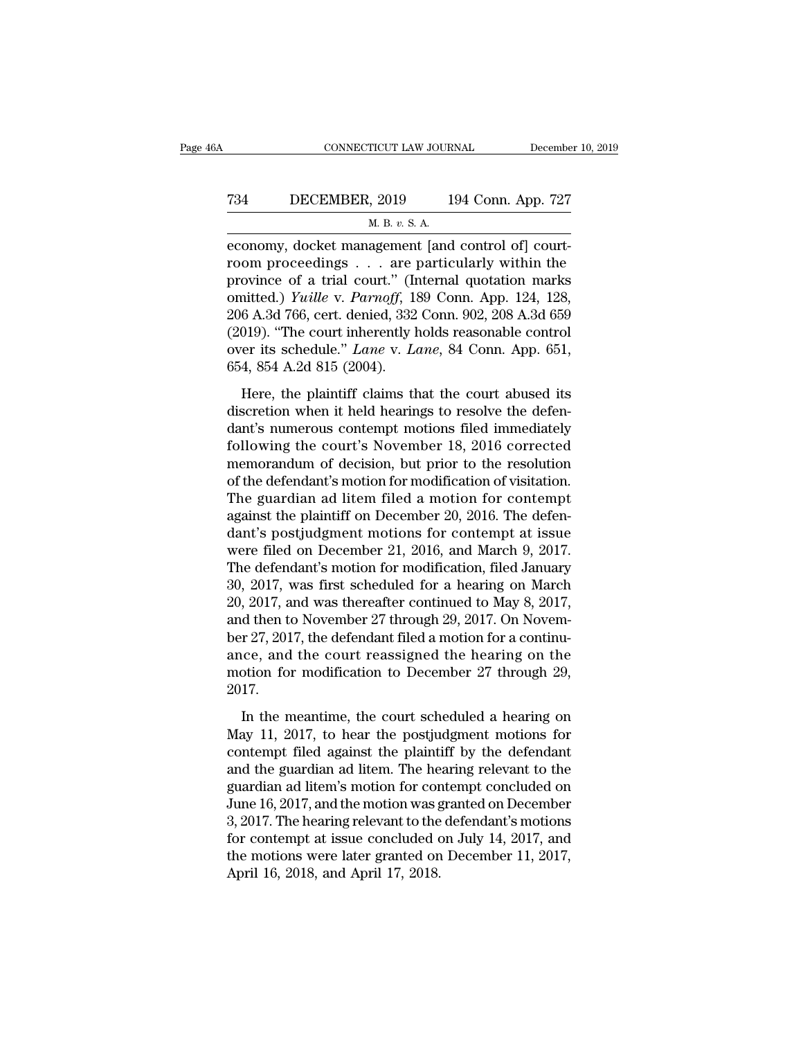## CONNECTICUT LAW JOURNAL December 10, 2019<br>
734 DECEMBER, 2019 194 Conn. App. 727<br>
M. B. v. S. A. <u>TICUT LAW JOUR<br>, 2019 1</u><br><u>М. В. v. S. A.</u><br>аветенt [and

EXERET CONNECTICUT LAW JOURNAL December<br>
T34 DECEMBER, 2019 194 Conn. App. 727<br>
M. B. v. S. A.<br>
economy, docket management [and control of] court-<br>
room proceedings . . . are particularly within the T34 DECEMBER, 2019 194 Conn. App. 727<br>
M. B. v. S. A.<br>
economy, docket management [and control of] court-<br>
room proceedings . . . are particularly within the<br>
province of a trial court." (Internal quotation marks<br>
emitted Province of a trial court.<sup>''</sup> (Internal quotation marks omitted.) *Yuille v. Parnoff*, 189 Conn. App. 124, 128, 206. A 3d 766, ext. doning 332 Conn. 002, 208. A 3d 650 T34 DECEMBER, 2019 194 Conn. App. 727<br> *M. B. v. S. A.*<br>
economy, docket management [and control of] court-<br>
room proceedings . . . are particularly within the<br>
province of a trial court." (Internal quotation marks<br>
omitte M. B. v. S. A.<br>
economy, docket management [and control of] court-<br>
room proceedings . . . are particularly within the<br>
province of a trial court." (Internal quotation marks<br>
omitted.) *Yuille* v. *Parnoff*, 189 Conn. App  $\frac{1}{2}$  and  $\frac{1}{2}$  and  $\frac{1}{2}$  and  $\frac{1}{2}$  and  $\frac{1}{2}$  are particularly within the province of a trial court." (Internal quotation marks omitted.) *Yuille v. Parnoff*, 189 Conn. App. 124, 128, 206 A.3d 766, cer economy, docket management [and control of] court-<br>room proceedings . . . are particularly within the<br>province of a trial court." (Internal quotation marks<br>omitted.) *Yuille* v. *Parnoff*, 189 Conn. App. 124, 128,<br>206 A.3d room proceedings  $\ldots$  are province of a trial court." (In omitted.) *Yuille* v. *Parnoff*, 13<br>206 A.3d 766, cert. denied, 332 (2019). "The court inherently b<br>over its schedule." *Lane* v. *L*<br>654, 854 A.2d 815 (2004).<br>He inted.) *Yuille v. Parnoff*, 189 Conn. App. 124, 128, 6 A.3d 766, cert. denied, 332 Conn. 902, 208 A.3d 659 019). "The court inherently holds reasonable control<br>er its schedule." *Lane v. Lane*, 84 Conn. App. 651, 4, 854 206 A.3d 766, cert. denied, 332 Conn. 902, 208 A.3d 659<br>(2019). "The court inherently holds reasonable control<br>over its schedule." *Lane* v. *Lane*, 84 Conn. App. 651,<br>654, 854 A.2d 815 (2004).<br>Here, the plaintiff claims

(2019). "The court inherently holds reasonable control<br>over its schedule." *Lane* v. *Lane*, 84 Conn. App. 651,<br>654, 854 A.2d 815 (2004).<br>Here, the plaintiff claims that the court abused its<br>discretion when it held hearin (2002). The courting terms constant to come over its schedule." Lane v. Lane, 84 Conn. App. 651, 654, 854 A.2d 815 (2004).<br>
Here, the plaintiff claims that the court abused its discretion when it held hearings to resolve t 654, 854 A.2d 815 (2004).<br>
Here, the plaintiff claims that the court abused its<br>
discretion when it held hearings to resolve the defen-<br>
dant's numerous contempt motions filed immediately<br>
following the court's November 1 Here, the plaintiff claims that the court abused its<br>discretion when it held hearings to resolve the defen-<br>dant's numerous contempt motions filed immediately<br>following the court's November 18, 2016 corrected<br>memorandum of Here, the plaintiff claims that the court abused its<br>discretion when it held hearings to resolve the defen-<br>dant's numerous contempt motions filed immediately<br>following the court's November 18, 2016 corrected<br>memorandum of discretion when it held hearings to resolve the defen-<br>dant's numerous contempt motions filed immediately<br>following the court's November 18, 2016 corrected<br>memorandum of decision, but prior to the resolution<br>of the defenda dant's numerous contempt motions filed immediately<br>following the court's November 18, 2016 corrected<br>memorandum of decision, but prior to the resolution<br>of the defendant's motion for modification of visitation.<br>The guardia following the court's November 18, 2016 corrected<br>memorandum of decision, but prior to the resolution<br>of the defendant's motion for modification of visitation.<br>The guardian ad litem filed a motion for contempt<br>against the memorandum of decision, but prior to the resolution<br>of the defendant's motion for modification of visitation.<br>The guardian ad litem filed a motion for contempt<br>against the plaintiff on December 20, 2016. The defen-<br>dant's of the defendant's motion for modification of visitation.<br>The guardian ad litem filed a motion for contempt<br>against the plaintiff on December 20, 2016. The defen-<br>dant's postjudgment motions for contempt at issue<br>were file The guardian ad litem filed a motion for contempt<br>against the plaintiff on December 20, 2016. The defen-<br>dant's postjudgment motions for contempt at issue<br>were filed on December 21, 2016, and March 9, 2017.<br>The defendant's against the plaintiff on December 20, 2016. The defendant's postjudgment motions for contempt at issue<br>were filed on December 21, 2016, and March 9, 2017.<br>The defendant's motion for modification, filed January<br>30, 2017, wa dant's postjudgment motions for contempt at issue<br>were filed on December 21, 2016, and March 9, 2017.<br>The defendant's motion for modification, filed January<br>30, 2017, was first scheduled for a hearing on March<br>20, 2017, an were filed on December 21, 2016, and March 9, 2017.<br>The defendant's motion for modification, filed January<br>30, 2017, was first scheduled for a hearing on March<br>20, 2017, and was thereafter continued to May 8, 2017,<br>and the The defendant's motion for modification, filed January<br>30, 2017, was first scheduled for a hearing on March<br>20, 2017, and was thereafter continued to May 8, 2017,<br>and then to November 27 through 29, 2017. On Novem-<br>ber 27, 2017. d then to November 27 through 29, 2017. On Novem-<br>  $r$  27, 2017, the defendant filed a motion for a continu-<br>
ice, and the court reassigned the hearing on the<br>
otion for modification to December 27 through 29,<br>
17.<br>
In th ber 27, 2017, the defendant filed a motion for a continuance, and the court reassigned the hearing on the motion for modification to December 27 through 29, 2017.<br>In the meantime, the court scheduled a hearing on May 11, 2

ance, and the court reassigned the hearing on the<br>motion for modification to December 27 through 29,<br>2017.<br>In the meantime, the court scheduled a hearing on<br>May 11, 2017, to hear the postjudgment motions for<br>contempt filed motion for modification to December 27 through 29,<br>2017.<br>In the meantime, the court scheduled a hearing on<br>May 11, 2017, to hear the postjudgment motions for<br>contempt filed against the plaintiff by the defendant<br>and the g 2017.<br>In the meantime, the court scheduled a hearing on<br>May 11, 2017, to hear the postjudgment motions for<br>contempt filed against the plaintiff by the defendant<br>and the guardian ad litem. The hearing relevant to the<br>guard In the meantime, the court scheduled a hearing on<br>May 11, 2017, to hear the postjudgment motions for<br>contempt filed against the plaintiff by the defendant<br>and the guardian ad litem. The hearing relevant to the<br>guardian ad In the meantime, the court scheduled a hearing on<br>May 11, 2017, to hear the postjudgment motions for<br>contempt filed against the plaintiff by the defendant<br>and the guardian ad litem. The hearing relevant to the<br>guardian ad May 11, 2017, to hear the postjudgment motions for<br>contempt filed against the plaintiff by the defendant<br>and the guardian ad litem. The hearing relevant to the<br>guardian ad litem's motion for contempt concluded on<br>June 16, contempt filed against the plaintiff by the defendant<br>and the guardian ad litem. The hearing relevant to the<br>guardian ad litem's motion for contempt concluded on<br>June 16, 2017, and the motion was granted on December<br>3, 201 and the guardian ad litem. The he<br>guardian ad litem's motion for cor<br>June 16, 2017, and the motion was g<br>3, 2017. The hearing relevant to the<br>for contempt at issue concluded of<br>the motions were later granted on<br>April 16, 2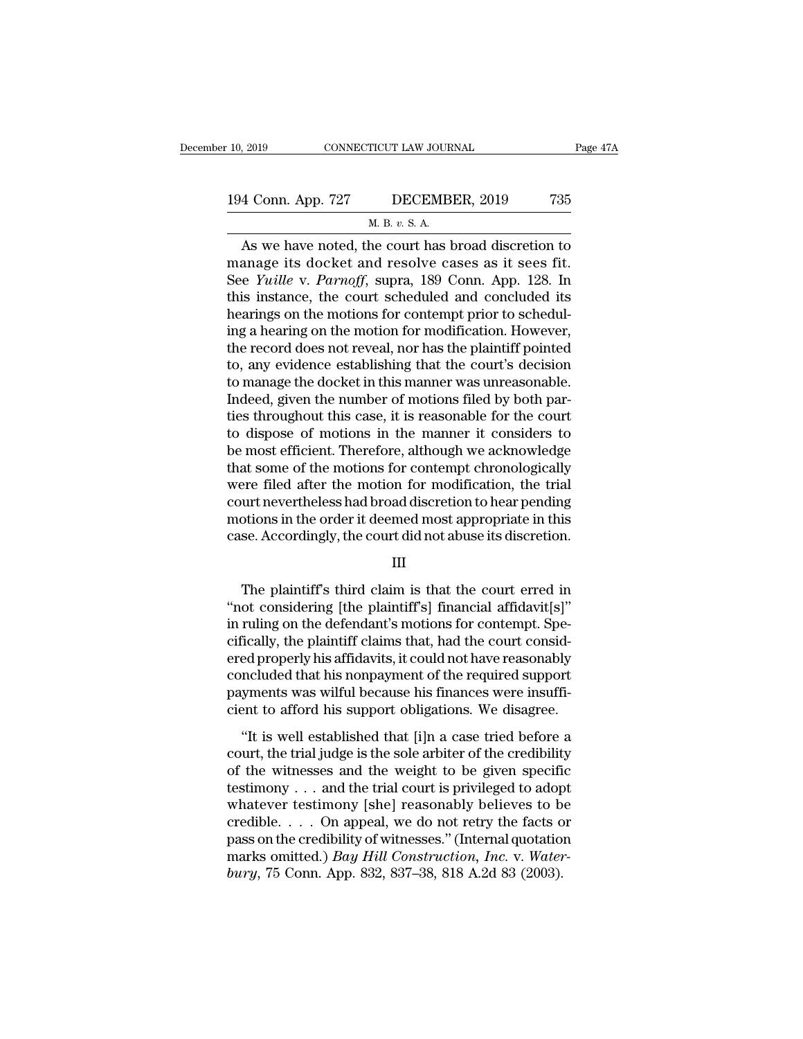| 10, 2019           | CONNECTICUT LAW JOURNAL | Page 47A |
|--------------------|-------------------------|----------|
| 194 Conn. App. 727 | DECEMBER, 2019          | 735      |
|                    | M. B. v. S. A.          |          |

9019 CONNECTICUT LAW JOURNAL<br>
4 Conn. App. 727 DECEMBER, 2019 735<br>
M. B. *v.* S. A.<br>
As we have noted, the court has broad discretion to A CONNECTICUT LAW JOURNAL Page 47A<br>  $\frac{4 \text{ Conn. App. 727}}{4 \text{ L. B. } v. S. A}$ <br>
As we have noted, the court has broad discretion to<br>
anage its docket and resolve cases as it sees fit.<br>
As *We*ille *V*, *Parmoff*, supra 180 Copp. 194 Conn. App. 727 DECEMBER, 2019 735<br>
M. B. v. S. A.<br>
As we have noted, the court has broad discretion to<br>
manage its docket and resolve cases as it sees fit.<br>
See *Yuille* v. *Parnoff*, supra, 189 Conn. App. 128. In<br>
th 194 Conn. App. 727 DECEMBER, 2019 735<br>
<u>M. B. v. S. A.</u><br>
As we have noted, the court has broad discretion to<br>
manage its docket and resolve cases as it sees fit.<br>
See *Yuille* v. *Parnoff*, supra, 189 Conn. App. 128. In<br>
t 194 Conn. App. 727 DECEMBER, 2019 735<br>
M. B. v. S. A.<br>
As we have noted, the court has broad discretion to<br>
manage its docket and resolve cases as it sees fit.<br>
See *Yuille* v. *Parnoff*, supra, 189 Conn. App. 128. In<br>
th M. B. v. S. A.<br>
As we have noted, the court has broad discretion to<br>
manage its docket and resolve cases as it sees fit.<br>
See *Yuille* v. *Parnoff*, supra, 189 Conn. App. 128. In<br>
this instance, the court scheduled and co m. B. v. s. A.<br>
As we have noted, the court has broad discretion to<br>
manage its docket and resolve cases as it sees fit.<br>
See *Yuille* v. *Parnoff*, supra, 189 Conn. App. 128. In<br>
this instance, the court scheduled and co As we have noted, the court has broad discretion to<br>manage its docket and resolve cases as it sees fit.<br>See *Yuille* v. *Parnoff*, supra, 189 Conn. App. 128. In<br>this instance, the court scheduled and concluded its<br>hearings manage its docket and resolve cases as it sees fit.<br>See *Yuille* v. *Parnoff*, supra, 189 Conn. App. 128. In<br>this instance, the court scheduled and concluded its<br>hearings on the motions for contempt prior to schedul-<br>ing a See *Yuille* v. *Parnoff*, supra, 189 Conn. App. 128. In<br>this instance, the court scheduled and concluded its<br>hearings on the motions for contempt prior to schedul-<br>ing a hearing on the motion for modification. However,<br>th this instance, the court scheduled and concluded its<br>hearings on the motions for contempt prior to schedul-<br>ing a hearing on the motion for modification. However,<br>the record does not reveal, nor has the plaintiff pointed<br>t hearings on the motions for contempt prior to scheduling a hearing on the motion for modification. However, the record does not reveal, nor has the plaintiff pointed to, any evidence establishing that the court's decision ing a hearing on the motion for modification. However,<br>the record does not reveal, nor has the plaintiff pointed<br>to, any evidence establishing that the court's decision<br>to manage the docket in this manner was unreasonable. the record does not reveal, nor has the plaintiff pointed<br>to, any evidence establishing that the court's decision<br>to manage the docket in this manner was unreasonable.<br>Indeed, given the number of motions filed by both parto, any evidence establishing that the court's decision<br>to manage the docket in this manner was unreasonable.<br>Indeed, given the number of motions filed by both par-<br>ties throughout this case, it is reasonable for the court to manage the docket in this manner was unreasonable.<br>Indeed, given the number of motions filed by both parties throughout this case, it is reasonable for the court<br>to dispose of motions in the manner it considers to<br>be mo Indeed, given the number of motions filed by both parties throughout this case, it is reasonable for the court<br>to dispose of motions in the manner it considers to<br>be most efficient. Therefore, although we acknowledge<br>that ties throughout this case, it is reasonable for the court<br>to dispose of motions in the manner it considers to<br>be most efficient. Therefore, although we acknowledge<br>that some of the motions for contempt chronologically<br>were to dispose of motions in the manner it considers to<br>be most efficient. Therefore, although we acknowledge<br>that some of the motions for contempt chronologically<br>were filed after the motion for modification, the trial<br>court ere filed after the motion for modification, the trial<br>urt nevertheless had broad discretion to hear pending<br>otions in the order it deemed most appropriate in this<br>se. Accordingly, the court did not abuse its discretion.<br>I

#### III

court nevertheless had broad discretion to hear pending<br>
motions in the order it deemed most appropriate in this<br>
case. Accordingly, the court did not abuse its discretion.<br>
III<br>
The plaintiff's third claim is that the cou motions in the order it deemed most appropriate in this<br>case. Accordingly, the court did not abuse its discretion.<br>III<br>The plaintiff's third claim is that the court erred in<br>"not considering [the plaintiff's] financial aff case. Accordingly, the court did not abuse its discretion.<br>III<br>III<br>The plaintiff's third claim is that the court erred in<br>"not considering [the plaintiff's] financial affidavit[s]"<br>in ruling on the defendant's motions for III<br>The plaintiff's third claim is that the court erred in<br>"not considering [the plaintiff's] financial affidavit[s]"<br>in ruling on the defendant's motions for contempt. Spe-<br>cifically, the plaintiff claims that, had the co The plaintiff's third claim is that the court erred in<br>"not considering [the plaintiff's] financial affidavit[s]"<br>in ruling on the defendant's motions for contempt. Spe-<br>cifically, the plaintiff claims that, had the court The plaintiff's third claim is that the court erred in<br>"not considering [the plaintiff's] financial affidavit[s]"<br>in ruling on the defendant's motions for contempt. Spe-<br>cifically, the plaintiff claims that, had the court "not considering [the plaintiff's] financial affidavit[s]"<br>in ruling on the defendant's motions for contempt. Spe-<br>cifically, the plaintiff claims that, had the court consid-<br>ered properly his affidavits, it could not have Training on the determining in the determining in the determining in the court considered properly his affidavits, it could not have reasonably included that his nonpayment of the required support yments was wilful because cheany, are plantatic clanks and; had are court considered properly his affidavits, it could not have reasonably concluded that his nonpayment of the required support payments was wilful because his finances were insuffici

crea property its attraacties, a coald itselful concluded that his nonpayment of the required support<br>payments was wilful because his finances were insufficient to afford his support obligations. We disagree.<br>"It is well payments was wilful because his finances were insuffi-<br>cient to afford his support obligations. We disagree.<br>"It is well established that [i]n a case tried before a<br>court, the trial judge is the sole arbiter of the credibi Fuguesias was what seedase its mattees were madirimonity client to afford his support obligations. We disagree.<br>
"It is well established that [i]n a case tried before a court, the trial judge is the sole arbiter of the cr "It is well established that [i]n a case tried before a<br>court, the trial judge is the sole arbiter of the credibility<br>of the witnesses and the weight to be given specific<br>testimony . . . and the trial court is privileged "It is well established that [i]n a case tried before a<br>court, the trial judge is the sole arbiter of the credibility<br>of the witnesses and the weight to be given specific<br>testimony . . . and the trial court is privileged court, the trial judge is the sole arbiter of the credibility<br>of the witnesses and the weight to be given specific<br>testimony . . . and the trial court is privileged to adopt<br>whatever testimony [she] reasonably believes to of the witnesses and the weight to be given specification<br>testimony . . . and the trial court is privileged to adop<br>whatever testimony [she] reasonably believes to b<br>credible. . . . On appeal, we do not retry the facts o<br>p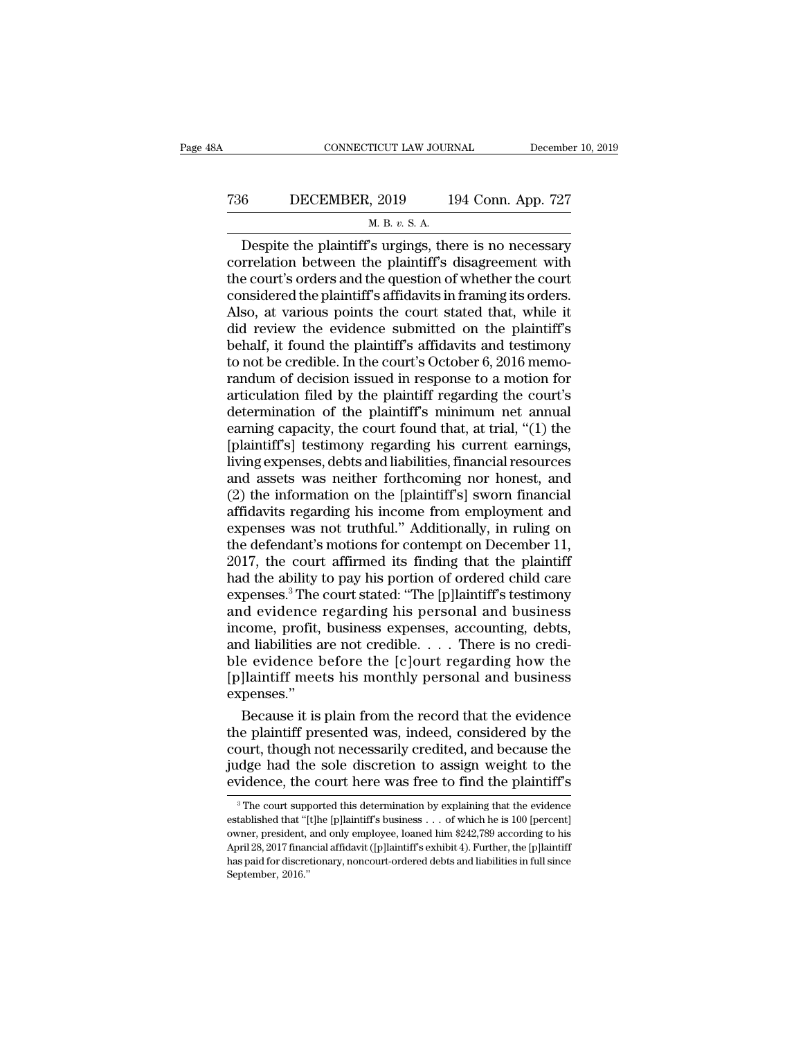## CONNECTICUT LAW JOURNAL December 10, 2019<br>
736 DECEMBER, 2019 194 Conn. App. 727<br>
M. B. v. S. A. TICUT LAW JOUR<br>, 2019 1<br><u>M. B. v. S. A.</u><br>'s urgings the

CONNECTICUT LAW JOURNAL December 10, 2019<br>
6 DECEMBER, 2019 194 Conn. App. 727<br>
M. B. v. S. A.<br>
Despite the plaintiff's urgings, there is no necessary<br>
prelation between the plaintiff's disagreement with<br>
a court's orders The ST and ST and ST and ST and ST and ST and ST and ST and ST and ST and ST and ST and ST and ST and ST and ST and ST and ST and ST and ST and ST and ST and ST and ST and ST and ST and ST and ST and ST and ST and ST and T36 DECEMBER, 2019 194 Conn. App. 727<br>
M. B. v. S. A.<br>
Despite the plaintiff's urgings, there is no necessary<br>
correlation between the plaintiff's disagreement with<br>
the court's orders and the question of whether the cour The ST CONSER, 2019 194 Conn. App. 727<br>
M. B. v. S. A.<br>
Despite the plaintiff's urgings, there is no necessary<br>
correlation between the plaintiff's disagreement with<br>
the court's orders and the question of whether the cou ALSO, ALSO, ALSO, ALSO, ALSO, ALSO, ALSO, ALSO, ALSO, ALSO, ALSO, ALSO, at various points the court stated that, while it<br>did review the evidence stated that, while it<br>did review the evidence submitted on the plaintiff's<br> M. B.  $v$ . S. A.<br>
Despite the plaintiff's urgings, there is no necessary<br>
correlation between the plaintiff's disagreement with<br>
the court's orders and the question of whether the court<br>
considered the plaintiff's affidav Despite the plaintiff's urgings, there is no necessary<br>correlation between the plaintiff's disagreement with<br>the court's orders and the question of whether the court<br>considered the plaintiff's affidavits in framing its ord correlation between the plaintiff's disagreement with<br>the court's orders and the question of whether the court<br>considered the plaintiff's affidavits in framing its orders.<br>Also, at various points the court stated that, whi the court's orders and the question of whether the court<br>considered the plaintiff's affidavits in framing its orders.<br>Also, at various points the court stated that, while it<br>did review the evidence submitted on the plainti considered the plaintiff's affidavits in framing its orders.<br>Also, at various points the court stated that, while it<br>did review the evidence submitted on the plaintiff's<br>behalf, it found the plaintiff's affidavits and test Also, at various points the court stated that, while it<br>did review the evidence submitted on the plaintiff's<br>behalf, it found the plaintiff's affidavits and testimony<br>to not be credible. In the court's October 6, 2016 memo did review the evidence submitted on the plaintiff's<br>behalf, it found the plaintiff's affidavits and testimony<br>to not be credible. In the court's October 6, 2016 memo-<br>randum of decision issued in response to a motion for<br> behalf, it found the plaintiff's affidavits and testimony<br>to not be credible. In the court's October 6, 2016 memo-<br>randum of decision issued in response to a motion for<br>articulation filed by the plaintiff regarding the cou to not be credible. In the court's October 6, 2016 memo-<br>randum of decision issued in response to a motion for<br>articulation filed by the plaintiff regarding the court's<br>determination of the plaintiff's minimum net annual<br>e randum of decision issued in response to a motion for<br>articulation filed by the plaintiff regarding the court's<br>determination of the plaintiff's minimum net annual<br>earning capacity, the court found that, at trial, "(1) the articulation filed by the plaintiff regarding the court's<br>determination of the plaintiff's minimum net annual<br>earning capacity, the court found that, at trial, "(1) the<br>[plaintiff's] testimony regarding his current earning determination of the plaintiff's minimum net annual<br>earning capacity, the court found that, at trial, "(1) the<br>[plaintiff's] testimony regarding his current earnings,<br>living expenses, debts and liabilities, financial resou earning capacity, the court found that, at trial, "(1) the<br>[plaintiff's] testimony regarding his current earnings,<br>living expenses, debts and liabilities, financial resources<br>and assets was neither forthcoming nor honest, [plaintiff's] testimony regarding his current earnings,<br>living expenses, debts and liabilities, financial resources<br>and assets was neither forthcoming nor honest, and<br>(2) the information on the [plaintiff's] sworn financia Iiving expenses, debts and liabilities, financial resources<br>and assets was neither forthcoming nor honest, and<br>(2) the information on the [plaintiff's] sworn financial<br>affidavits regarding his income from employment and<br>ex and assets was neither forthcoming nor honest, and<br>
(2) the information on the [plaintiff's] sworn financial<br>
affidavits regarding his income from employment and<br>
expenses was not truthful." Additionally, in ruling on<br>
the (2) the information on the [plaintiff's] sworn financial<br>affidavits regarding his income from employment and<br>expenses was not truthful." Additionally, in ruling on<br>the defendant's motions for contempt on December 11,<br>2017 affidavits regarding his income from employment and<br>expenses was not truthful." Additionally, in ruling on<br>the defendant's motions for contempt on December 11,<br>2017, the court affirmed its finding that the plaintiff<br>had th expenses was not truthful." Additionally, in ruling on<br>the defendant's motions for contempt on December 11,<br>2017, the court affirmed its finding that the plaintiff<br>had the ability to pay his portion of ordered child care<br>e the defendant's motions for contempt on December 11,<br>2017, the court affirmed its finding that the plaintiff<br>had the ability to pay his portion of ordered child care<br>expenses.<sup>3</sup> The court stated: "The [p]laintiff's testim 2017, the court affirmed its finding that the plaintiff<br>had the ability to pay his portion of ordered child care<br>expenses.<sup>3</sup> The court stated: "The [p]laintiff's testimony<br>and evidence regarding his personal and business<br> had the ability to pay his portion of ordered child care<br>expenses.<sup>3</sup> The court stated: "The [p]laintiff's testimony<br>and evidence regarding his personal and business<br>income, profit, business expenses, accounting, debts,<br>an expenses.'' d evidence regarding his personal and business<br>come, profit, business expenses, accounting, debts,<br>d liabilities are not credible. . . . There is no credi-<br>e evidence before the [c]ourt regarding how the<br>]laintiff meets hi income, profit, business expenses, accounting, debts,<br>and liabilities are not credible.... There is no credi-<br>ble evidence before the [c]ourt regarding how the<br>[p]laintiff meets his monthly personal and business<br>expenses.

and liabilities are not credible. . . . . There is no credible evidence before the [c]ourt regarding how the<br>[p]laintiff meets his monthly personal and business<br>expenses."<br>Because it is plain from the record that the evid ble evidence before the [c]ourt regarding how the<br>[p]laintiff meets his monthly personal and business<br>expenses."<br>Because it is plain from the record that the evidence<br>the plaintiff presented was, indeed, considered by the<br> [p]laintiff meets his monthly personal and business<br>expenses."<br>Because it is plain from the record that the evidence<br>the plaintiff presented was, indeed, considered by the<br>court, though not necessarily credited, and becaus ie plaintiff presented was, indeed, considered by the<br>ourt, though not necessarily credited, and because the<br>dge had the sole discretion to assign weight to the<br>vidence, the court here was free to find the plaintiff's<br><sup>3</sup>T court, though not necessarily credited, and because the judge had the sole discretion to assign weight to the evidence, the court here was free to find the plaintiff's  $\frac{1}{\pi}$ . The court supported this determination by

judge had the sole discretion to assign weight to the evidence, the court here was free to find the plaintiff's  $\frac{3}{\pi}$ The court supported this determination by explaining that the evidence established that "[t]he [p]l pudge riad are sore discretion to assignt weight to the evidence evidence, the court here was free to find the plaintiff's  $\frac{3}{100}$ .<br>The court supported this determination by explaining that the evidence established tha evidence, the Court here was free to find the plaintin s<br>
<sup>3</sup> The court supported this determination by explaining that the evidence<br>
established that "[t]he [p]laintiff's business . . . of which he is 100 [percent]<br>
owner established that "[t]he [p]laintiff's business . . . of which he is  $100$  [percent] owner, president, and only employee, loaned him \$242,789 according to his April 28, 2017 financial affidavit ([p]laintiff's exhibit 4). F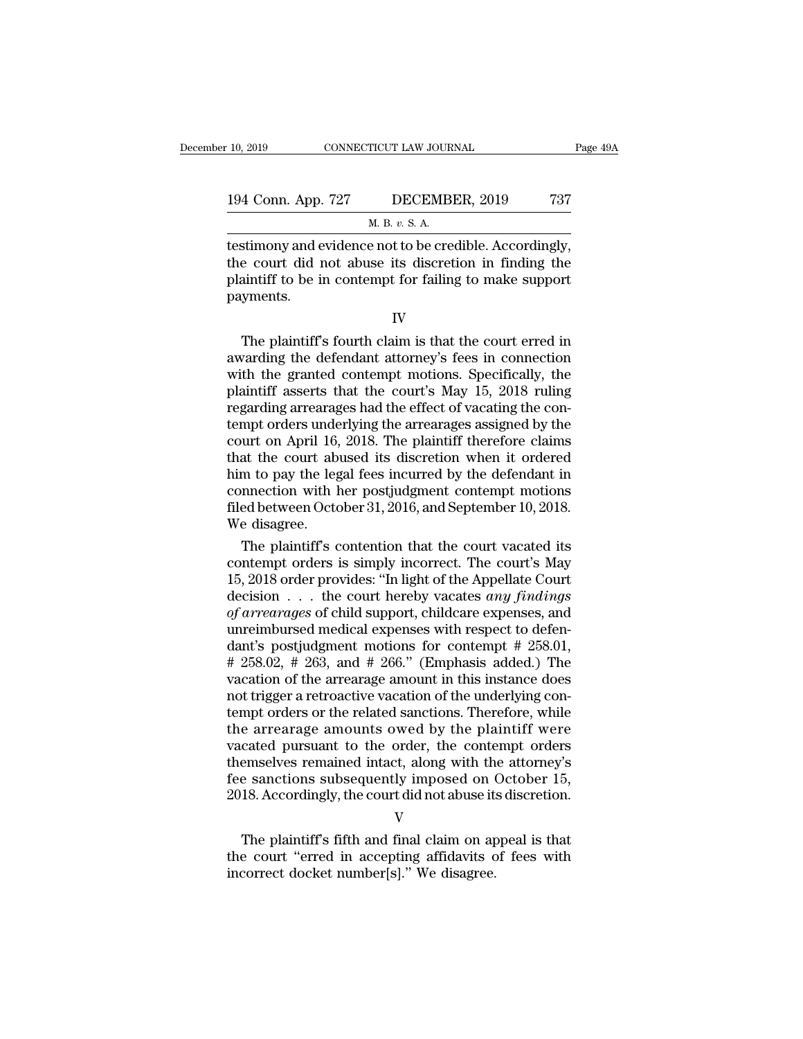| 10, 2019<br>CONNECTICUT LAW JOURNAL |                                                        | Page 49A |  |
|-------------------------------------|--------------------------------------------------------|----------|--|
|                                     |                                                        |          |  |
| 194 Conn. App. 727                  | DECEMBER, 2019                                         | 737      |  |
|                                     | M. B. v. S. A.                                         |          |  |
|                                     | testimony and evidence not to be credible. Accordingly |          |  |

the connection of the material of the material of the connection of the control of the control of the control of the control of the control of the control of the material position in finding the material of the material of 194 Conn. App. 727 DECEMBER, 2019 737<br>
M. B. v. S. A.<br>
testimony and evidence not to be credible. Accordingly,<br>
the court did not abuse its discretion in finding the<br>
plaintiff to be in contempt for failing to make support 194 Conn. App. 727 DECEMBER, 2019 737<br>
M. B. v. S. A.<br>
testimony and evidence not to be credible. Accordingly,<br>
the court did not abuse its discretion in finding the<br>
plaintiff to be in contempt for failing to make suppor payments. stimony and evidence not to be credible. Accordingly,<br>
e court did not abuse its discretion in finding the<br>
aintiff to be in contempt for failing to make support<br>
yments.<br>
IV<br>
The plaintiff's fourth claim is that the court

testantony and evidence not to be eredube. Accordingly,<br>the court did not abuse its discretion in finding the<br>plaintiff to be in contempt for failing to make support<br>payments.<br>IV<br>The plaintiff's fourth claim is that the co motion in many carriers of the grant the contempt for failing to make support<br>payments.<br>IV<br>The plaintiff's fourth claim is that the court erred in<br>awarding the defendant attorney's fees in connection<br>with the granted conte plaintiff to be in contempt for family to make support<br>payments.<br>IV<br>The plaintiff's fourth claim is that the court erred in<br>awarding the defendant attorney's fees in connection<br>with the granted contempt motions. Specifical IV<br>
The plaintiff's fourth claim is that the court erred in<br>
awarding the defendant attorney's fees in connection<br>
with the granted contempt motions. Specifically, the<br>
plaintiff asserts that the court's May 15, 2018 rulin IV<br>The plaintiff's fourth claim is that the court erred in<br>awarding the defendant attorney's fees in connection<br>with the granted contempt motions. Specifically, the<br>plaintiff asserts that the court's May 15, 2018 ruling<br>re The plaintiff's fourth claim is that the court erred in<br>awarding the defendant attorney's fees in connection<br>with the granted contempt motions. Specifically, the<br>plaintiff asserts that the court's May 15, 2018 ruling<br>regar awarding the defendant attorney's fees in connection<br>with the granted contempt motions. Specifically, the<br>plaintiff asserts that the court's May 15, 2018 ruling<br>regarding arrearages had the effect of vacating the con-<br>temp with the granted contempt motions. Specifically, the plaintiff asserts that the court's May 15, 2018 ruling regarding arrearages had the effect of vacating the contempt orders underlying the arrearages assigned by the cour plaintiff asserts that the court's May 15, 2018 ruling<br>regarding arrearages had the effect of vacating the con-<br>tempt orders underlying the arrearages assigned by the<br>court on April 16, 2018. The plaintiff therefore claims regarding arrearages had the effect of vacating the contempt orders underlying the arrearages assigned by the court on April 16, 2018. The plaintiff therefore claims that the court abused its discretion when it ordered him tempt orders under<br>court on April 16,<br>that the court ab<br>him to pay the leg<br>connection with l<br>filed between Octo<br>We disagree.<br>The plaintiff's c urt on April 16, 2018. The plaintiff therefore claims<br>at the court abused its discretion when it ordered<br>m to pay the legal fees incurred by the defendant in<br>nnection with her postjudgment contempt motions<br>ed between Octob that the court abused its discretion when it ordered<br>him to pay the legal fees incurred by the defendant in<br>connection with her postjudgment contempt motions<br>filed between October 31, 2016, and September 10, 2018.<br>We disa

him to pay the legal fees incurred by the defendant in<br>connection with her postjudgment contempt motions<br>filed between October 31, 2016, and September 10, 2018.<br>We disagree.<br>The plaintiff's contention that the court vacate connection with her postjudgment contempt motions<br>filed between October 31, 2016, and September 10, 2018.<br>We disagree.<br>The plaintiff's contention that the court vacated its<br>contempt orders is simply incorrect. The court's filed between October 31, 2016, and September 10, 2018.<br> *We* disagree.<br> *The plaintiff's contention that the court vacated its<br>
contempt orders is simply incorrect. The court's May<br>
15, 2018 order provides: "In light of t* We disagree.<br>
The plaintiff's contention that the court vacated its<br>
contempt orders is simply incorrect. The court's May<br>
15, 2018 order provides: "In light of the Appellate Court<br>
decision . . . the court hereby vacates The plaintiff's contention that the court vacated its<br>contempt orders is simply incorrect. The court's May<br>15, 2018 order provides: "In light of the Appellate Court<br>decision . . . the court hereby vacates *any findings*<br>o contempt orders is simply incorrect. The court's May<br>15, 2018 order provides: "In light of the Appellate Court<br>decision . . . the court hereby vacates *any findings*<br>of arrearages of child support, childcare expenses, and 15, 2018 order provides: "In light of the Appellate Court<br>decision  $\ldots$  the court hereby vacates *any findings*<br>of *arrearages* of child support, childcare expenses, and<br>unreimbursed medical expenses with respect to defe decision . . . . the court hereby vacates *any findings*<br>of arrearages of child support, childcare expenses, and<br>unreimbursed medical expenses with respect to defen-<br>dant's postjudgment motions for contempt # 258.01,<br># 25 of arrearages of child support, childcare expenses, and<br>unreimbursed medical expenses with respect to defen-<br>dant's postjudgment motions for contempt # 258.01,<br># 258.02, # 263, and # 266." (Emphasis added.) The<br>vacation of unreimbursed medical expenses with respect to defendant's postjudgment motions for contempt  $\#$  258.01,  $\#$  258.02,  $\#$  263, and  $\#$  266." (Emphasis added.) The vacation of the arrearage amount in this instance does n dant's postjudgment motions for contempt  $\#$  258.01,  $\#$  258.02,  $\#$  263, and  $\#$  266." (Emphasis added.) The vacation of the arrearage amount in this instance does not trigger a retroactive vacation of the underlying  $# 258.02, # 263, and # 266." (Emphasis added.) The  
vacation of the arrange amount in this instance does  
not trigger a retroactive vacation of the underlying con-  
tempt orders or the related sanctions. Therefore, while  
the arrange amounts owed by the plaintiff were  
vacated pursuit to the order, the content orders  
themselves remained intact, along with the attorney's  
fee sanctions subsequently imposed on October 15,  
2018 Accordingly the court did not abuse its discretion$ vacation of the arrearage amount in this instance does<br>not trigger a retroactive vacation of the underlying con-<br>tempt orders or the related sanctions. Therefore, while<br>the arrearage amounts owed by the plaintiff were<br>vaca not trigger a retroactive vacation of the underlying contempt orders or the related sanctions. Therefore, while the arrearage amounts owed by the plaintiff were vacated pursuant to the order, the contempt orders themselves Example allowing owed by the plaintiff were<br>cated pursuant to the order, the contempt orders<br>emselves remained intact, along with the attorney's<br>e sanctions subsequently imposed on October 15,<br>18. Accordingly, the court di Frankline by the contempt of the state of the state of the state of the state of the state of the state of sections subsequently imposed on October 15, 2018. Accordingly, the court did not abuse its discretion.<br>V<br>The plain

V

France and the same of the sanctions subsequently imposed on (2018. Accordingly, the court did not abuse it:<br>V<br>The plaintiff's fifth and final claim on ap<br>the court "erred in accepting affidavits concerned docket number[s]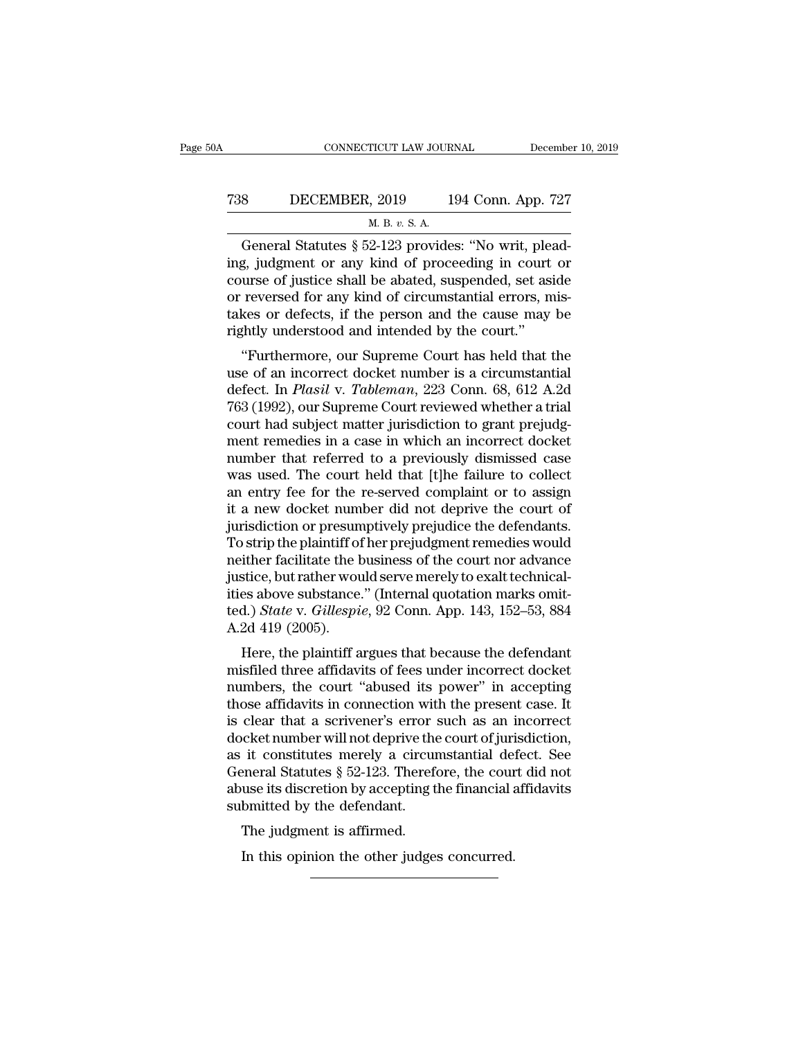## CONNECTICUT LAW JOURNAL December 10, 2019<br>
738 DECEMBER, 2019 194 Conn. App. 727<br>
M. B. v. S. A. <u>TICUT LAW JOUR<br>, 2019 1</u><br><u>м. в.  $v.$  S. A.</u><br>2-123 provide

CONNECTICUT LAW JOURNAL December<br>
SUECEMBER, 2019 194 Conn. App. 727<br>
M. B. v. S. A.<br>
General Statutes § 52-123 provides: "No writ, plead-<br>
g, judgment or any kind of proceeding in court or T38 DECEMBER, 2019 194 Conn. App. 727<br>
M. B. v. S. A.<br>
General Statutes § 52-123 provides: "No writ, plead-<br>
ing, judgment or any kind of proceeding in court or<br>
course of justice shall be abated, suspended, set aside<br>
or T38 DECEMBER, 2019 194 Conn. App. 727<br>
M. B. v. S. A.<br>
General Statutes § 52-123 provides: "No writ, plead-<br>
ing, judgment or any kind of proceeding in court or<br>
course of justice shall be abated, suspended, set aside<br>
or T38 DECEMBER, 2019 194 Conn. App. 727<br>
M. B. v. S. A.<br>
General Statutes § 52-123 provides: "No writ, plead-<br>
ing, judgment or any kind of proceeding in court or<br>
course of justice shall be abated, suspended, set aside<br>
or M. B. v. S. A.<br>
General Statutes § 52-123 provides: "No writ, pleading, judgment or any kind of proceeding in court or course of justice shall be abated, suspended, set aside or reversed for any kind of circumstantial err  $\frac{M. B. v. S. A.}{M. B. v. S. A.}$  General Statutes § 52-123 provides: "No writ, pleading in court course of justice shall be abated, suspended, set as or reversed for any kind of circumstantial errors, m takes or defects, if th  $\frac{1}{2}$  g. judgment or any kind of proceeding in court or<br>
urse of justice shall be abated, suspended, set aside<br>
reversed for any kind of circumstantial errors, mis-<br>
kes or defects, if the person and the cause may be<br> ing, judginent of any kind of proceeding in court of<br>course of justice shall be abated, suspended, set aside<br>or reversed for any kind of circumstantial errors, mis-<br>takes or defects, if the person and the cause may be<br>righ

course of justice shart be abaded, suspended, set aside<br>or reversed for any kind of circumstantial errors, mis-<br>takes or defects, if the person and the cause may be<br>rightly understood and intended by the court."<br>"Furthermo or reversed for any kind or circumstantial errors, mistakes or defects, if the person and the cause may be rightly understood and intended by the court."<br>
"Furthermore, our Supreme Court has held that the use of an incorre rightly understood and intended by the court."<br>
"Furthermore, our Supreme Court has held that the<br>
use of an incorrect docket number is a circumstantial<br>
defect. In *Plasil* v. *Tableman*, 223 Conn. 68, 612 A.2d<br>
763 (1992 "Furthermore, our Supreme Court has held that the<br>use of an incorrect docket number is a circumstantial<br>defect. In *Plasil* v. *Tableman*, 223 Conn. 68, 612 A.2d<br>763 (1992), our Supreme Court reviewed whether a trial<br>court "Furthermore, our Supreme Court has held that the<br>use of an incorrect docket number is a circumstantial<br>defect. In *Plasil* v. *Tableman*, 223 Conn. 68, 612 A.2d<br>763 (1992), our Supreme Court reviewed whether a trial<br>cour use of an incorrect docket number is a circumstantial<br>defect. In *Plasil* v. *Tableman*, 223 Conn. 68, 612 A.2d<br>763 (1992), our Supreme Court reviewed whether a trial<br>court had subject matter jurisdiction to grant prejudgdefect. In *Plasil* v. *Tableman*, 223 Conn. 68, 612 A.2d<br>763 (1992), our Supreme Court reviewed whether a trial<br>court had subject matter jurisdiction to grant prejudg-<br>ment remedies in a case in which an incorrect docket<br> 763 (1992), our Supreme Court reviewed whether a trial<br>court had subject matter jurisdiction to grant prejudg-<br>ment remedies in a case in which an incorrect docket<br>number that referred to a previously dismissed case<br>was us court had subject matter jurisdiction to grant prejudgment remedies in a case in which an incorrect docket<br>number that referred to a previously dismissed case<br>was used. The court held that [t]he failure to collect<br>an entry ment remedies in a case in which an incorrect docket<br>number that referred to a previously dismissed case<br>was used. The court held that [t]he failure to collect<br>an entry fee for the re-served complaint or to assign<br>it a new number that referred to a previously dismissed case<br>was used. The court held that [t]he failure to collect<br>an entry fee for the re-served complaint or to assign<br>it a new docket number did not deprive the court of<br>jurisdict was used. The court held that [t]he failure to collect<br>an entry fee for the re-served complaint or to assign<br>it a new docket number did not deprive the court of<br>jurisdiction or presumptively prejudge the defendants.<br>To str an entry fee for the re-served complaint or to assign<br>it a new docket number did not deprive the court of<br>jurisdiction or presumptively prejudice the defendants.<br>To strip the plaintiff of her prejudgment remedies would<br>ne it a new docket number did not deprive the court of<br>jurisdiction or presumptively prejudice the defendants.<br>To strip the plaintiff of her prejudgment remedies would<br>neither facilitate the business of the court nor advance<br> jurisdiction or presun<br>To strip the plaintiff of<br>neither facilitate the l<br>justice, but rather wou<br>ities above substance<br>ted.) State v. Gillespi<br>A.2d 419 (2005).<br>Here, the plaintiff a Figures in Figures and the prejudgment remedes would<br>tiher facilitate the business of the court nor advance<br>stice, but rather would serve merely to exalt technical-<br>es above substance." (Internal quotation marks omit-<br>d.) metrier racinate the business of the court flor advance<br>justice, but rather would serve merely to exalt technical-<br>ities above substance." (Internal quotation marks omit-<br>ted.) *State* v. *Gillespie*, 92 Conn. App. 143, 15

pustice, but rather would serve interty to exact technical-<br>ities above substance." (Internal quotation marks omit-<br>ted.) *State* v. *Gillespie*, 92 Conn. App. 143, 152–53, 884<br>A.2d 419 (2005).<br>Here, the plaintiff argues t ted.) *State v. Gillespie*, 92 Conn. App. 143, 152–53, 884<br>A.2d 419 (2005).<br>Here, the plaintiff argues that because the defendant<br>misfiled three affidavits of fees under incorrect docket<br>numbers, the court "abused its powe dearly state v. Ottespie, 92 Contr. App. 145, 152–55, 664<br>A.2d 419 (2005).<br>Here, the plaintiff argues that because the defendant<br>misfiled three affidavits of fees under incorrect docket<br>numbers, the court "abused its power Here, the plaintiff argues that because the defendant<br>misfiled three affidavits of fees under incorrect docket<br>numbers, the court "abused its power" in accepting<br>those affidavits in connection with the present case. It<br>is Here, the plaintiff argues that because the defendant<br>misfiled three affidavits of fees under incorrect docket<br>numbers, the court "abused its power" in accepting<br>those affidavits in connection with the present case. It<br>is misfiled three affidavits of fees under incorrect docket<br>numbers, the court "abused its power" in accepting<br>those affidavits in connection with the present case. It<br>is clear that a scrivener's error such as an incorrect<br>do numbers, the court "abused its power" in accepting<br>those affidavits in connection with the present case. It<br>is clear that a scrivener's error such as an incorrect<br>docket number will not deprive the court of jurisdiction,<br>a those affidavits in connection with<br>is clear that a scrivener's error s<br>docket number will not deprive the<br>as it constitutes merely a circu<br>General Statutes  $\S~52-123$ . Therefor<br>abuse its discretion by accepting t<br>submitt Example 12 and a scriber is error serior sector in<br>the it constitutes merely a circure ineral Statutes  $\S~52$ -123. Therefore<br>use its discretion by accepting to<br>b the defendant.<br>The judgment is affirmed.<br>In this opinion th In the constitutes merely a circumstantial defineral Statures  $\S$  52-123. Therefore, the course its discretion by accepting the financial admitted by the defendant.<br>The judgment is affirmed.<br>In this opinion the other judg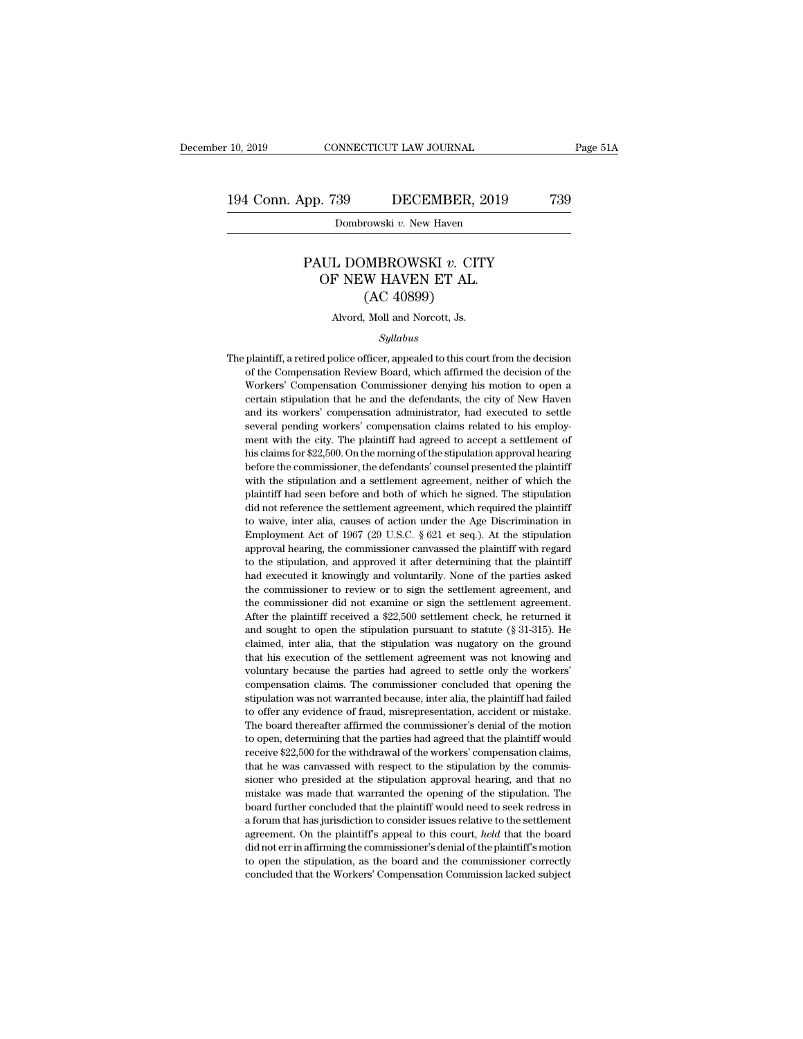#### PP. 739 DECEMBER, 2019 739<br>Dombrowski *v.* New Haven<br>PAUL DOMBROWSKI *v.* CITY<br>OF NEW HAVEN ET AL.  $\begin{array}{lll} \text{n. 739} & \text{DECEMBER, 2019} \\ \hline \text{Dombrowski } v. \text{ New Haven} \\ \text{UL DOMBROWSKI } v. \text{ CITY} \\ \text{OF NEW HAVEEN ET AL.} \\ \text{(AC 40899)} \\ \text{OCE BUMO} \end{array}$ DECEMBER, 2<br>
rowski v. New Haven<br>
MBROWSKI v. CIT<br>
W HAVEN ET AL.<br>
(AC 40899)<br>
Moll and Norcott, Js. PAUL DOMBROWSKI v. CITY<br>OF NEW HAVEN ET AL.<br>(AC 40899)<br>Alvord, Moll and Norcott, Js.

*Syllabus*

OF NEW HAVEN ET AL.<br>
(AC 40899)<br>
Alvord, Moll and Norcott, Js.<br>
Syllabus<br>
The plaintiff, a retired police officer, appealed to this court from the decision<br>
of the Compensation Review Board, which affirmed the decision of (AC 40899)<br>Alvord, Moll and Norcott, Js.<br>Syllabus<br>plaintiff, a retired police officer, appealed to this court from the decision<br>of the Compensation Review Board, which affirmed the decision of the<br>Workers' Compensation Com Alvord, Moll and Norcott, Js.<br>
Syllabus<br>
plaintiff, a retired police officer, appealed to this court from the decision<br>
of the Compensation Review Board, which affirmed the decision of the<br>
Workers' Compensation Commission Syllabus<br>Syllabus<br>plaintiff, a retired police officer, appealed to this court from the decision<br>of the Compensation Review Board, which affirmed the decision of the<br>Workers' Compensation Commissioner denying his motion to Syllabus<br>plaintiff, a retired police officer, appealed to this court from the decision<br>of the Compensation Review Board, which affirmed the decision of the<br>Workers' Compensation Commissioner denying his motion to open a<br>ce The plaintiff, a retired police officer, appealed to this court from the decision of the Compensation Review Board, which affirmed the decision of the Workers' Compensation Commissioner denying his motion to open a certain plantan, a rearcy police officer, appeared to all social front are decision of the Compensation Review Board, which affirmed the decision of the Workers' Compensation Commissioner denying his motion to open a certain stipu or are compensation ferrer *n* board, *mach* annihed are decision of the Workers' Compensation Commissioner denying his motion to open a certain stipulation that he and the defendants, the city of New Haven and its workers before the complements of commissioner deriving instructed to setted contract certain stipulation that he and the defendants, the city of New Haven and its workers' compensation administrator, had executed to settle severa ectain suparation and its workers' compensation administrator, had executed to settle<br>several pending workers' compensation claims related to his employ-<br>ment with the city. The plaintiff had agreed to accept a settlement and as workers compensation diaminisation, had extected to scale<br>several pending workers' compensation claims related to his employ-<br>ment with the city. The plaintiff had agreed to accept a settlement of<br>his claims for \$22 several perhaps workers compensation claims related to this empty<br>ment with the city. The plaintiff had agreed to accept a settlement of<br>his claims for \$22,500. On the morning of the stipulation approval hearing<br>with the s then what are easy. The plantal had ugleed to decept a setatement of<br>his claims for \$22,500. On the morning of the stipulation approval hearing<br>before the commissioner, the defendants' counsel presented the plaintiff<br>with The claim of  $\epsilon$ 2,  $\epsilon$ ,  $\epsilon$ ,  $\epsilon$  are stipulation approximating of the plaintiff with the stipulation and a settlement agreement, neither of which the plaintiff had seen before and both of which he signed. The stipulat before an commissioner, are definants counser presented are plaintiff<br>with the stipulation and a settlement agreement, neither of which the<br>plaintiff had seen before and both of which he signed. The stipulation<br>did not ref mat are superator and a seatenned expectacity, netated of mineral displaintiff had seen before and both of which he signed. The stipulation did not reference the settlement agreement, which required the plaintiff to waive, plantari had seen before and both of which he signed. The supplantary<br>did not reference the settlement agreement, which required the plaintiff<br>to waive, inter alia, causes of action under the Age Discrimination in<br>Employme the commissioner did not examine or sign the settlement agreement in Employment Act of 1967 (29 U.S.C. § 621 et seq.). At the stipulation approval hearing, the commissioner canvassed the plaintiff with regard to the stipul the commissioner did not examine or sign the settlement agreement agreement Act of 1967 (29 U.S.C. § 621 et seq.). At the stipulation approval hearing, the commissioner canvassed the plaintiff with regard to the stipulatio Emproyment Ret of 1001 (20 0.3.0.  $\frac{1}{3}$  or except). The die supplemental approval hearing, the commissioner canvassed the plaintiff with regard to the stipulation, and approved it after determining that the plaintiff approval netaring, are contains solicit can also<br>calculate plaintiff to the stipulation, and approved it after determining that the plaintiff<br>had executed it knowingly and voluntarily. None of the parties asked<br>the commiss had executed it knowingly and voluntarily. None of the parties asked<br>the commissioner to review or to sign the settlement agreement, and<br>the commissioner did not examine or sign the settlement agreement.<br>After the plaintif that executed it knowingly and voluntarily. Fronce of the parties asked<br>the commissioner to review or to sign the settlement agreement, and<br>the commissioner did not examine or sign the settlement agreement.<br>After the plain are commissioner of televisor of to sign are scalender agreement, and<br>the commissioner did not examine or sign the settlement agreement.<br>After the plaintiff received a \$22,500 settlement check, he returned it<br>and sought to commissioner and note channel of sight and social defect the returned it<br>After the plaintiff received a \$22,500 settlement check, he returned it<br>and sought to open the stipulation pursuant to statute (§ 31-315). He<br>claimed stice are plantari received a  $\psi_{22,000}$  searched check, it receives the and sought to open the stipulation pursuant to statute (§ 31-315). He claimed, inter alia, that the stipulation was nugatory on the ground that hi the offer any evidence of fraud, misrepresentation, accident or mistake.<br>The base of fraud, inter alia, that the stipulation was nugatory on the ground that his execution of the settlement agreement was not knowing and vol claimed, meet and, that are supulation was nagatory on the ground<br>that his execution of the settlement agreement was not knowing and<br>voluntary because the parties had agreed to settle only the workers'<br>compensation vas not that the excellent of the extended agreed to settle only the workers' compensation claims. The commissioner concluded that opening the stipulation was not warranted because, inter alia, the plaintiff had failed to offer an receive  $\alpha$  for the multistant and the commissioner concluded that opening the stipulation was not warranted because, inter alia, the plaintiff had failed to offer any evidence of fraud, misrepresentation, accident or mi compensation claims. The commissioner concluded that opening the stipulation was not warranted because, inter alia, the plaintiff had failed to offer any evidence of fraud, misrepresentation, accident or mistake. The board sioner and show when the stipulation, accident or mistake.<br>The board thereafter affirmed the commissioner's denial of the motion<br>to open, determining that the parties had agreed that the plaintiff would<br>receive \$22,500 for metally charge and the commissioner's denial of the motion<br>The board thereafter affirmed the commissioner's denial of the motion<br>to open, determining that the parties had agreed that the plaintiff would<br>receive \$22,500 for The board increaser and that the parties had agreed that the plaintiff would<br>receive \$22,500 for the withdrawal of the workers' compensation claims,<br>that he was canvassed with respect to the stipulation by the commis-<br>sion a forum that has jurisdiction to consider issues relative to the settlement of the workers of the workers' compensation claims, that he was canvassed with respect to the stipulation by the commissioner who presided at the recent exactly and the mandatural of the stipulation by the commissioner who presided at the stipulation approval hearing, and that no mistake was made that warranted the opening of the stipulation. The board further concl did not err in affirming the commissioner's denial of the stipulation. The board further concluded that the plaintiff would need to seek redress in a forum that has jurisdiction to consider issues relative to the settlemen the stipulation and the stipulation of the stipulation. The board further concluded that the plaintiff would need to seek redress in a forum that has jurisdiction to consider issues relative to the settlement agreement. On board further concluded that the plaintiff would need to seek redress in a forum that has jurisdiction to consider issues relative to the settlement agreement. On the plaintiff's appeal to this court, *held* that the boar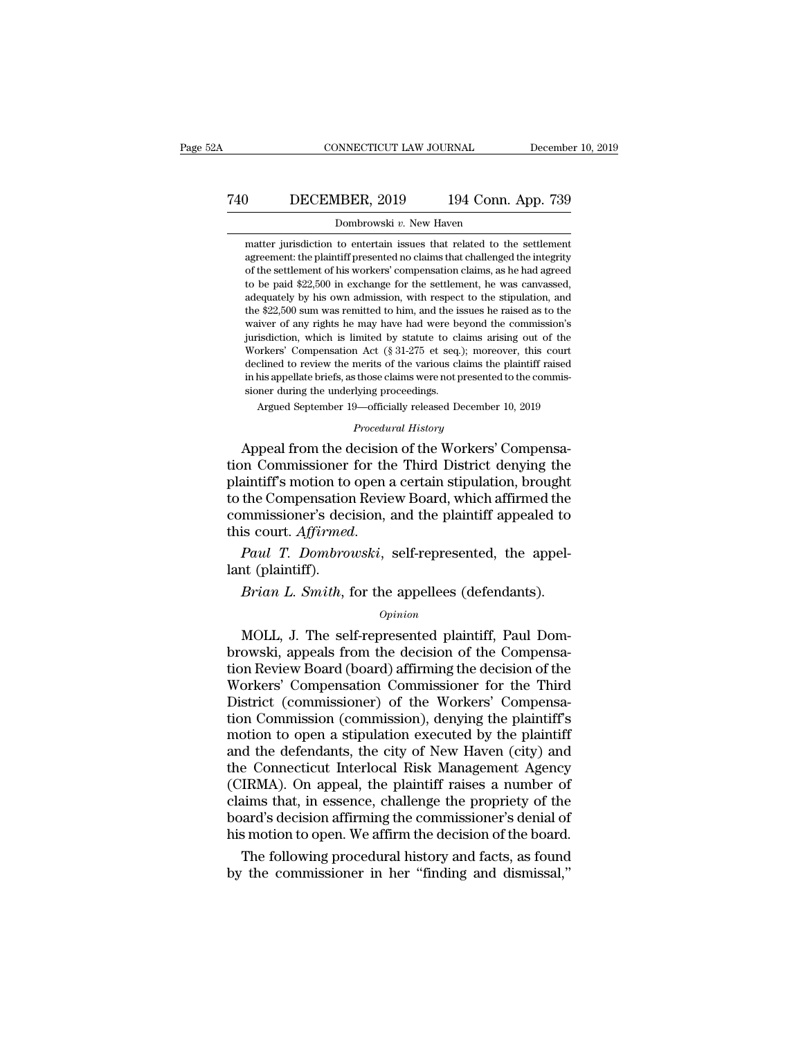## CONNECTICUT LAW JOURNAL December 10, 2019<br>
740 DECEMBER, 2019 194 Conn. App. 739<br>
Dombrowski v. New Haven CONNECTICUT LAW JOURNAL Decembe<br>December 194 Conn. App. 739<br>Dombrowski *v*. New Haven<br>matter jurisdiction to entertain issues that related to the settlement

DECEMBER, 2019 194 Conn. App. 739<br>Dombrowski v. New Haven<br>matter jurisdiction to entertain issues that related to the settlement<br>agreement: the plaintiff presented no claims that challenged the integrity DECEMBER, 2019 194 Conn. App. 739<br>Dombrowski v. New Haven<br>matter jurisdiction to entertain issues that related to the settlement<br>agreement: the plaintiff presented no claims that challenged the integrity<br>of the settlement **DECEMBER, 2019** 194 Conn. App. 739<br>
Dombrowski  $v$ . New Haven<br>
matter jurisdiction to entertain issues that related to the settlement<br>
agreement: the plaintiff presented no claims that challenged the integrity<br>
of the se The sum of the settlement of the settlement of the settlement of the settlement of the settlement of the settlement of his workers' compensation claims, as he had agreed to be paid \$22,500 in exchange for the settlement, Dombrowski  $v$ . New Haven<br>matter jurisdiction to entertain issues that related to the settlement<br>agreement: the plaintiff presented no claims that challenged the integrity<br>of the settlement of his workers' compensation cl matter jurisdiction to entertain issues that related to the settlement agreement: the plaintiff presented no claims that challenged the integrity of the settlement of his workers' compensation claims, as he had agreed to b matter jurisdiction to entertain issues that related to the settlement agreement: the plaintiff presented no claims that challenged the integrity of the settlement of his workers' compensation claims, as he had agreed to b agreement. the plantin presented no claims that channeliged the mitegrity<br>of the settlement of his workers' compensation claims, as he had agreed<br>to be paid \$22,500 in exchange for the settlement, he was canvassed,<br>adequat of the settlement of his workers' compensation claims, as he had agreed<br>to be paid \$22,500 in exchange for the settlement, he was canvassed,<br>adequately by his own admission, with respect to the stipulation, and<br>the \$22,500 to be paat  $322,500$  in exchange for the settlement, he was canvassed, adequately by his own admission, with respect to the stipulation, and the \$22,500 sum was remitted to him, and the issues he raised as to the waiver o atequately by his own at<br>the \$22,500 sum was remitted to him, and the issues he raised as to the<br>waiver of any rights he may have had were beyond the commission's<br>jurisdiction, which is limited by statute to claims arising the *422,500* sunt was rentited to finit, and the is<br>waiver of any rights he may have had were be<br>jurisdiction, which is limited by statute to cl:<br>Workers' Compensation Act (§ 31-275 et seq.<br>declined to review the merits o is distinction, which is limited by statute to claims arising out of the orkers' Compensation Act (§ 31-275 et seq.); moreover, this court clined to review the merits of the various claims the plaintiff raised this appell declined to review the merits of the various claims the plaintiff raised<br>in his appellate briefs, as those claims were not presented to the commis-<br>sioner during the underlying proceedings.<br>Argued September 19—officially r From the methods of the various compensation  $\Delta ct$  (§ 31-275 et seq.); moreover, this court declined to review the merits of the various claims the plaintiff raised in his appellate briefs, as those claims were not presen

declined to review the merits of the various claims the plaintiff raised<br>in his appellate briefs, as those claims were not presented to the commis-<br>sioner during the underlying proceedings.<br>Argued September 19—officially r in his appellate briefs, as those claims were not presented to the commissioner during the underlying proceedings.<br>Argued September 19—officially released December 10, 2019<br>*Procedural History*<br>Appeal from the decision of sioner during the underlying proceedings.<br>
Argued September 19—officially released December 10, 2019<br>
Procedural History<br>
Appeal from the decision of the Workers' Compensa-<br>
tion Commissioner for the Third District denying Argued september 19—onicially released becember 10, 2019<br>
Procedural History<br>
Appeal from the decision of the Workers' Compensa-<br>
tion Commissioner for the Third District denying the<br>
plaintiff's motion to open a certain s *Procedural History*<br>Appeal from the decision of the Workers' Compensa-<br>tion Commissioner for the Third District denying the<br>plaintiff's motion to open a certain stipulation, brought<br>to the Compensation Review Board, which tion Commissioner<br>plaintiff's motion to<br>to the Compensation<br>commissioner's dec<br>this court. Affirmed<br>Paul T. Dombro<br>lant (plaintiff).<br>Brian L. Smith, 1 Finally Smotten Wolfert a certain supulation, brought<br>the Compensation Review Board, which affirmed the<br>mmissioner's decision, and the plaintiff appealed to<br>is court. *Affirmed.*<br>Paul T. Dombrowski, self-represented, the a

#### *Opinion*

is court. Affirmed.<br> *Paul T. Dombrowski*, self-represented, the appel-<br>
at (plaintiff).<br> *Brian L. Smith*, for the appellees (defendants).<br> *Opinion*<br>
MOLL, J. The self-represented plaintiff, Paul Dom-<br>
powski, appeals f Paul T. Dombrowski, self-represented, the appel-<br>
lant (plaintiff).<br> *Brian L. Smith*, for the appellees (defendants).<br> *Opinion*<br>
MOLL, J. The self-represented plaintiff, Paul Dom-<br>
browski, appeals from the decision of t and (plaintiff).<br> *Brian L. Smith*, for the appellees (defendants).<br>  $\frac{opinion}{opinion}$ <br>
MOLL, J. The self-represented plaintiff, Paul Dom-<br>
browski, appeals from the decision of the Compensa-<br>
tion Review Board (board) affirmin Brian L. Smith, for the appellees (defendants).<br>  $\omega$  opinion<br>
MOLL, J. The self-represented plaintiff, Paul Dom-<br>
browski, appeals from the decision of the Compensa-<br>
tion Review Board (board) affirming the decision of t *Opinion*<br>
MOLL, J. The self-represented plaintiff, Paul Dom-<br>
browski, appeals from the decision of the Compensa-<br>
tion Review Board (board) affirming the decision of the<br>
Workers' Compensation Commissioner for the Third<br> Opinion<br>
MOLL, J. The self-represented plaintiff, Paul Dom-<br>
browski, appeals from the decision of the Compensa-<br>
tion Review Board (board) affirming the decision of the<br>
Workers' Compensation Commissioner for the Third<br>
D MOLL, J. The self-represented plaintiff, Paul Dom-<br>browski, appeals from the decision of the Compensa-<br>tion Review Board (board) affirming the decision of the<br>Workers' Compensation Commissioner) of the Workers' Compensa-<br>t browski, appeals from the decision of the Compensa-<br>tion Review Board (board) affirming the decision of the<br>Workers' Compensation Commissioner for the Third<br>District (commissioner) of the Workers' Compensa-<br>tion Commission tion Review Board (board) affirming the decision of the<br>Workers' Compensation Commissioner for the Third<br>District (commissioner) of the Workers' Compensa-<br>tion Commission (commission), denying the plaintiff's<br>motion to ope Workers' Compensation Commissioner for the Third<br>District (commissioner) of the Workers' Compensa-<br>tion Commission (commission), denying the plaintiff's<br>motion to open a stipulation executed by the plaintiff<br>and the defend District (commissioner) of the Workers' Compensa-<br>tion Commission (commission), denying the plaintiff's<br>motion to open a stipulation executed by the plaintiff<br>and the defendants, the city of New Haven (city) and<br>the Connec tion Commission (commission), denying the plaintiff's<br>motion to open a stipulation executed by the plaintiff<br>and the defendants, the city of New Haven (city) and<br>the Connecticut Interlocal Risk Management Agency<br>(CIRMA). O motion to open a stipulation executed by the plaintiff<br>and the defendants, the city of New Haven (city) and<br>the Connecticut Interlocal Risk Management Agency<br>(CIRMA). On appeal, the plaintiff raises a number of<br>claims that d the defendants, the city of New Haven (city) and<br>e Connecticut Interlocal Risk Management Agency<br>IRMA). On appeal, the plaintiff raises a number of<br>aims that, in essence, challenge the propriety of the<br>aard's decision af the Connecticut Interlocal Risk Management Agency<br>(CIRMA). On appeal, the plaintiff raises a number of<br>claims that, in essence, challenge the propriety of the<br>board's decision affirming the commissioner's denial of<br>his mot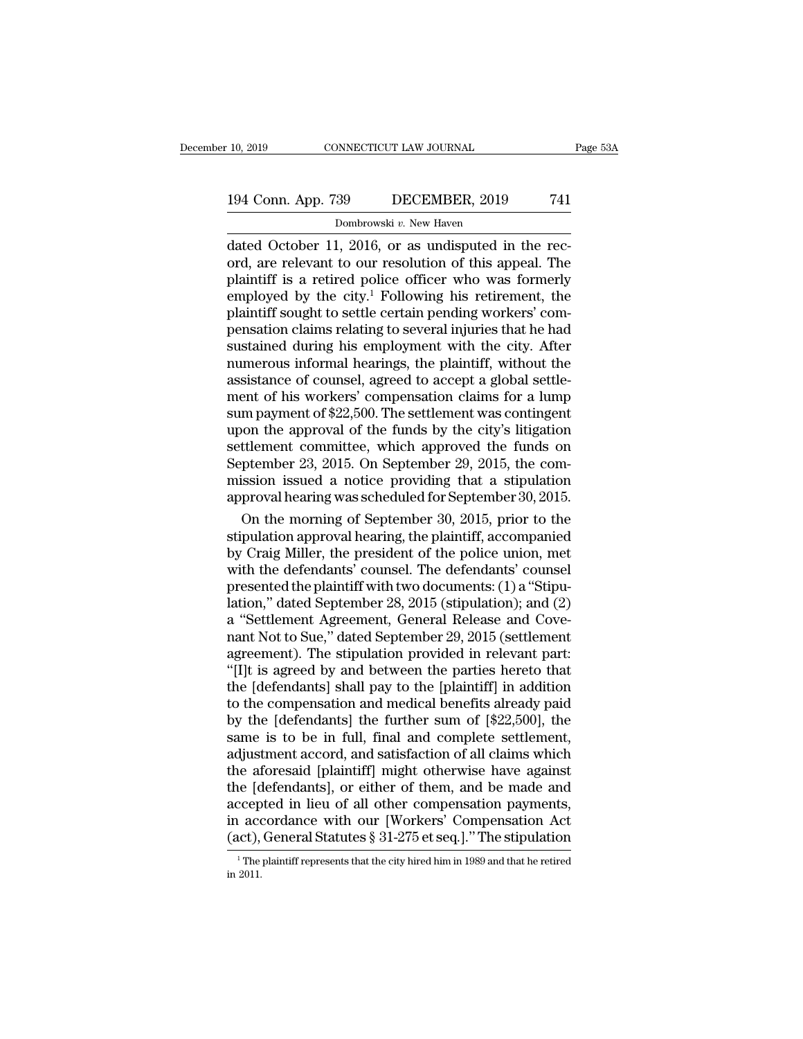## 10, 2019 CONNECTICUT LAW JOURNAL Page 53A<br>194 Conn. App. 739 DECEMBER, 2019 741<br>Dombrowski v. New Haven 99 DECEMBER, 2019<br>29 DECEMBER, 2019<br><sup>Dombrowski</sup> v. New Haven<br><sup>1 2016</sup> or as undisputed in

10, 2019 CONNECTICUT LAW JOURNAL<br>
194 Conn. App. 739 DECEMBER, 2019 741<br>
Dombrowski v. New Haven<br>
dated October 11, 2016, or as undisputed in the rec-<br>
ord, are relevant to our resolution of this appeal. The<br>
polyintiff is 194 Conn. App. 739 DECEMBER, 2019 741<br>Dombrowski v. New Haven<br>dated October 11, 2016, or as undisputed in the rec-<br>ord, are relevant to our resolution of this appeal. The<br>plaintiff is a retired police officer who was form 194 Conn. App. 739 DECEMBER, 2019 741<br>
Dombrowski v. New Haven<br>
dated October 11, 2016, or as undisputed in the rec-<br>
ord, are relevant to our resolution of this appeal. The<br>
plaintiff is a retired police officer who was 194 Conn. App. 739 DECEMBER, 2019 741<br>
Dombrowski v. New Haven<br>
dated October 11, 2016, or as undisputed in the rec-<br>
ord, are relevant to our resolution of this appeal. The<br>
plaintiff is a retired police officer who was **Processor CECERTERT, 2018**<br>
Dombrowski v. New Haven<br>
dated October 11, 2016, or as undisputed in the rec-<br>
ord, are relevant to our resolution of this appeal. The<br>
plaintiff is a retired police officer who was formerly<br> Dombrowski v. New Haven<br>
dated October 11, 2016, or as undisputed in the rec-<br>
ord, are relevant to our resolution of this appeal. The<br>
plaintiff is a retired police officer who was formerly<br>
employed by the city.<sup>1</sup> Follo dated October 11, 2016, or as undisputed in the rec-<br>ord, are relevant to our resolution of this appeal. The<br>plaintiff is a retired police officer who was formerly<br>employed by the city.<sup>1</sup> Following his retirement, the<br>pla ord, are relevant to our resolution of this appeal. The<br>plaintiff is a retired police officer who was formerly<br>employed by the city.<sup>1</sup> Following his retirement, the<br>plaintiff sought to settle certain pending workers' complaintiff is a retired police officer who was formerly<br>employed by the city.<sup>1</sup> Following his retirement, the<br>plaintiff sought to settle certain pending workers' com-<br>pensation claims relating to several injuries that he h employed by the city.<sup>1</sup> Following his retirement, the plaintiff sought to settle certain pending workers' compensation claims relating to several injuries that he had sustained during his employment with the city. After n plaintiff sought to settle certain pending workers' compensation claims relating to several injuries that he had<br>sustained during his employment with the city. After<br>numerous informal hearings, the plaintiff, without the<br>a pensation claims relating to several injuries that he had<br>sustained during his employment with the city. After<br>numerous informal hearings, the plaintiff, without the<br>assistance of counsel, agreed to accept a global settlesustained during his employment with the city. After<br>numerous informal hearings, the plaintiff, without the<br>assistance of counsel, agreed to accept a global settle-<br>ment of his workers' compensation claims for a lump<br>sum p numerous informal hearings, the plaintiff, without the assistance of counsel, agreed to accept a global settlement of his workers' compensation claims for a lump sum payment of \$22,500. The settlement was contingent upon t assistance of counsel, agreed to accept a global settlement of his workers' compensation claims for a lump<br>sum payment of \$22,500. The settlement was contingent<br>upon the approval of the funds by the city's litigation<br>settl ment of his workers' compensation claims for a lump<br>sum payment of \$22,500. The settlement was contingent<br>upon the approval of the funds by the city's litigation<br>settlement committee, which approved the funds on<br>September m payment of \$22,500. The settlement was contingent<br>oon the approval of the funds by the city's litigation<br>ttlement committee, which approved the funds on<br>prember 23, 2015. On September 29, 2015, the com-<br>ission issued a n upon the approval of the funds by the city's litigation<br>settlement committee, which approved the funds on<br>September 23, 2015. On September 29, 2015, the com-<br>mission issued a notice providing that a stipulation<br>approval he

settlement committee, which approved the funds on<br>September 23, 2015. On September 29, 2015, the com-<br>mission issued a notice providing that a stipulation<br>approval hearing was scheduled for September 30, 2015.<br>On the morni September 23, 2015. On September 29, 2015, the com-<br>mission issued a notice providing that a stipulation<br>approval hearing was scheduled for September 30, 2015.<br>On the morning of September 30, 2015, prior to the<br>stipulatio mission issued a notice providing that a stipulation<br>approval hearing was scheduled for September 30, 2015.<br>On the morning of September 30, 2015, prior to the<br>stipulation approval hearing, the plaintiff, accompanied<br>by Cra approval hearing was scheduled for September 30, 2015.<br>
On the morning of September 30, 2015, prior to the<br>
stipulation approval hearing, the plaintiff, accompanied<br>
by Craig Miller, the president of the police union, met<br> On the morning of September 30, 2015, prior to the<br>stipulation approval hearing, the plaintiff, accompanied<br>by Craig Miller, the president of the police union, met<br>with the defendants' counsel. The defendants' counsel<br>pres stipulation approval hearing, the plaintiff, accompanied<br>by Craig Miller, the president of the police union, met<br>with the defendants' counsel. The defendants' counsel<br>presented the plaintiff with two documents: (1) a "Stip by Craig Miller, the president of the police union, met<br>with the defendants' counsel. The defendants' counsel<br>presented the plaintiff with two documents: (1) a "Stipu-<br>lation," dated September 28, 2015 (stipulation); and ( with the defendants' counsel. The defendants' counsel<br>presented the plaintiff with two documents: (1) a "Stipu-<br>lation," dated September 28, 2015 (stipulation); and (2)<br>a "Settlement Agreement, General Release and Cove-<br>na presented the plaintiff with two documents: (1) a "Stipu-<br>lation," dated September 28, 2015 (stipulation); and (2)<br>a "Settlement Agreement, General Release and Cove-<br>nant Not to Sue," dated September 29, 2015 (settlement<br>a lation," dated September 28, 2015 (stipulation); and (2)<br>a "Settlement Agreement, General Release and Cove-<br>nant Not to Sue," dated September 29, 2015 (settlement<br>agreement). The stipulation provided in relevant part:<br>"[I] a "Settlement Agreement, General Release and Cove-<br>nant Not to Sue," dated September 29, 2015 (settlement<br>agreement). The stipulation provided in relevant part:<br>"[I]t is agreed by and between the parties hereto that<br>the [d nant Not to Sue," dated September 29, 2015 (settlement<br>agreement). The stipulation provided in relevant part:<br>"[I]t is agreed by and between the parties hereto that<br>the [defendants] shall pay to the [plaintiff] in addition agreement). The stipulation provided in relevant part:<br>"[I]t is agreed by and between the parties hereto that<br>the [defendants] shall pay to the [plaintiff] in addition<br>to the compensation and medical benefits already paid<br> "[I]t is agreed by and between the parties hereto that<br>the [defendants] shall pay to the [plaintiff] in addition<br>to the compensation and medical benefits already paid<br>by the [defendants] the further sum of [\$22,500], the<br> the [defendants] shall pay to the [plaintiff] in addition<br>to the compensation and medical benefits already paid<br>by the [defendants] the further sum of [\$22,500], the<br>same is to be in full, final and complete settlement,<br>ad to the compensation and medical benefits already paid<br>by the [defendants] the further sum of [\$22,500], the<br>same is to be in full, final and complete settlement,<br>adjustment accord, and satisfaction of all claims which<br>the by the [defendants] the further sum of [\$22,500], the same is to be in full, final and complete settlement, adjustment accord, and satisfaction of all claims which the aforesaid [plaintiff] might otherwise have against th same is to be in full, final and complete settlement,<br>adjustment accord, and satisfaction of all claims which<br>the aforesaid [plaintiff] might otherwise have against<br>the [defendants], or either of them, and be made and<br>acc 1 Interpreted in lieu of all other compensation payments, accordance with our [Workers' Compensation Act act), General Statutes § 31-275 et seq.]." The stipulation  $\frac{1}{1}$  The plaintiff represents that the city hired hi  $\begin{array}{c} \text{accept} \ \text{in } \text{accep} \ \text{(act)}, \ \frac{}{\text{1 The}} \ \text{in } 2011. \end{array}$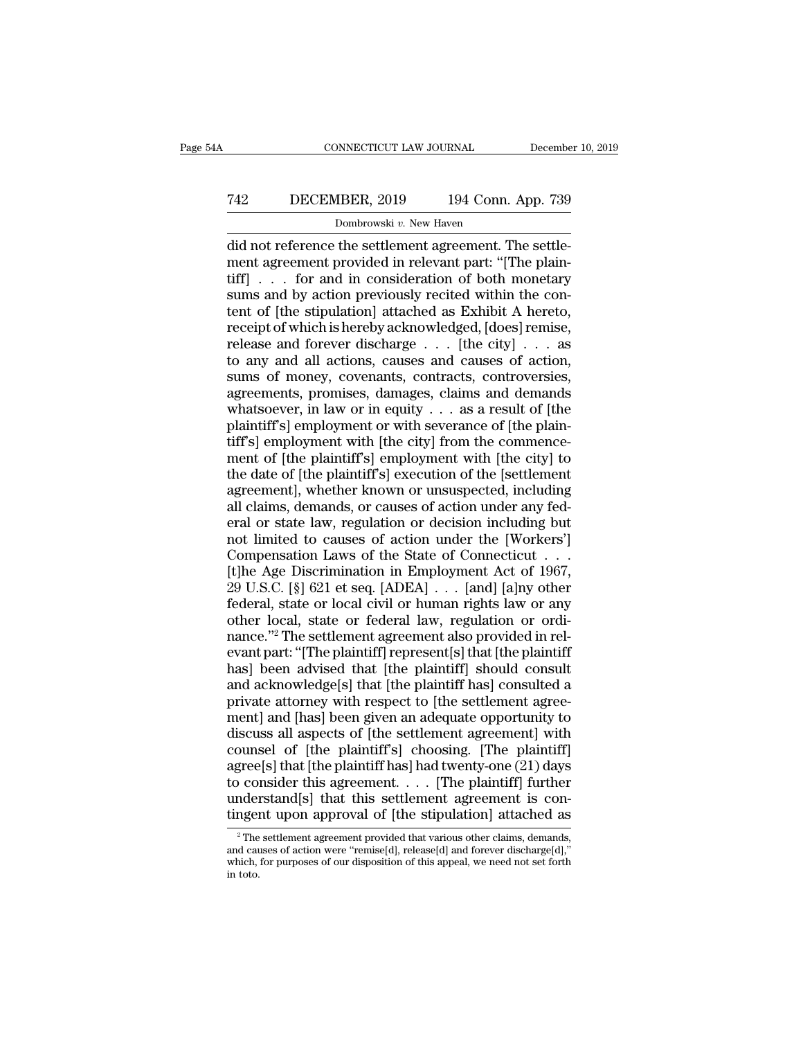## CONNECTICUT LAW JOURNAL December 10, 2019<br>
742 DECEMBER, 2019 194 Conn. App. 739<br>
Dombrowski v. New Haven NNECTICUT LAW JOURNAL<br>18ER, 2019 194 Conn.<br>Dombrowski v. New Haven<br>the settlement agreement T

CONNECTICUT LAW JOURNAL December<br>
T42 DECEMBER, 2019 194 Conn. App. 739<br>
Dombrowski v. New Haven<br>
Dombrowski v. New Haven<br>
Dombrowski v. New Haven<br>
did not reference the settlement agreement. The settle-<br>
ment agreement pr T42 DECEMBER, 2019 194 Conn. App. 739<br>Dombrowski v. New Haven<br>did not reference the settlement agreement. The settle-<br>ment agreement provided in relevant part: "[The plain-<br>tiff] . . . for and in consideration of both mon T42 DECEMBER, 2019 194 Conn. App. 739<br>
Dombrowski v. New Haven<br>
did not reference the settlement agreement. The settle-<br>
ment agreement provided in relevant part: "[The plain-<br>
tiff] . . . for and in consideration of both Text Transaction 194 Conn. App. 739<br>
Dombrowski v. New Haven<br>
did not reference the settlement agreement. The settle-<br>
ment agreement provided in relevant part: "[The plain-<br>
tiff] . . . for and in consideration of both m **EXEMBER, 2019** 194 COM. App. 199<br>
Dombrowski v. New Haven<br>
did not reference the settlement agreement. The settle-<br>
ment agreement provided in relevant part: "[The plain-<br>
tiff] . . . for and in consideration of both mon Dombrowski v. New Haven<br>
did not reference the settlement agreement. The settle-<br>
ment agreement provided in relevant part: "[The plain-<br>
tiff] . . . for and in consideration of both monetary<br>
sums and by action previousl did not reference the settlement agreement. The settlement agreement provided in relevant part: "[The plaintiff] . . . for and in consideration of both monetary sums and by action previously recited within the content of [ ment agreement provided in relevant part: "[The plaintiff] . . . for and in consideration of both monetary<br>sums and by action previously recited within the con-<br>tent of [the stipulation] attached as Exhibit A hereto,<br>recei tiff] . . . for and in consideration of both monetary<br>sums and by action previously recited within the con-<br>tent of [the stipulation] attached as Exhibit A hereto,<br>receipt of which is hereby acknowledged, [does] remise,<br>r sums and by action previously recited within the content of [the stipulation] attached as Exhibit A hereto, receipt of which is hereby acknowledged, [does] remise, release and forever discharge  $\dots$  [the city]  $\dots$  as to tent of [the stipulation] attached as Exhibit A hereto,<br>receipt of which is hereby acknowledged, [does] remise,<br>release and forever discharge . . . [the city] . . . as<br>to any and all actions, causes and causes of action,<br>s receipt of which is hereby acknowledged, [does] remise,<br>release and forever discharge  $\dots$  [the city]  $\dots$  as<br>to any and all actions, causes and causes of action,<br>sums of money, covenants, contracts, controversies,<br>agreem The case and forever discharge  $\ldots$  [the city]  $\ldots$  as<br>to any and all actions, causes and causes of action,<br>sums of money, covenants, contracts, controversies,<br>agreements, promises, damages, claims and demands<br>whatsoeve to any and all actions, causes and causes of action,<br>sums of money, covenants, contracts, controversies,<br>agreements, promises, damages, claims and demands<br>whatsoever, in law or in equity  $\ldots$  as a result of [the<br>plaintif sums of money, covenants, contracts, controversies,<br>sums of money, covenants, contracts, controversies,<br>agreements, promises, damages, claims and demands<br>whatsoever, in law or in equity  $\ldots$  as a result of [the<br>plaintiff agreements, promises, damages, claims and demands<br>whatsoever, in law or in equity  $\dots$  as a result of [the<br>plaintiff's] employment or with severance of [the plain-<br>tiff's] employment with [the city] from the commence-<br>men whatsoever, in law or in equity  $\ldots$  as a result of [the plaintiff's] employment or with severance of [the plaintiff's] employment with [the city] from the commence-<br>ment of [the plaintiff's] employment with [the city] t maintiff's] employment or with severance of [the plain-<br>tiff's] employment with [the city] from the commence-<br>ment of [the plaintiff's] employment with [the city] to<br>the date of [the plaintiff's] execution of the [settlem plance of care propries that is the city] from the commence-<br>tiff's] employment with [the city] to<br>the date of [the plaintiff's] execution of the [settlement<br>agreement], whether known or unsuspected, including<br>all claims, and of the plaintiff's employment with the city of the date of the plaintiff's execution of the tsettlement agreement], whether known or unsuspected, including all claims, demands, or causes of action under any federal or the date of [the plaintiff's] execution of the [settlement agreement], whether known or unsuspected, including all claims, demands, or causes of action under any federal or state law, regulation or decision including but are and of the parametry are dated of the pointline<br>agreement], whether known or unsuspected, including<br>all claims, demands, or causes of action under any fed-<br>eral or state law, regulation or decision including but<br>not li all claims, demands, or causes of action under any federal or state law, regulation or decision including but<br>not limited to causes of action under the [Workers']<br>Compensation Laws of the State of Connecticut . . .<br>[t]he A and or state law, regulation or decision including but<br>not limited to causes of action under the [Workers']<br>Compensation Laws of the State of Connecticut . . .<br>[t]he Age Discrimination in Employment Act of 1967,<br>29 U.S.C. not limited to causes of action under the [Workers']<br>Compensation Laws of the State of Connecticut . . .<br>[t]he Age Discrimination in Employment Act of 1967,<br>29 U.S.C. [§] 621 et seq. [ADEA] . . . [and] [a]ny other<br>federal Compensation Laws of the State of Connecticut  $\dots$  [t]he Age Discrimination in Employment Act of 1967, 29 U.S.C. [§] 621 et seq. [ADEA]  $\dots$  [and] [a]ny other federal, state or local civil or human rights law or any other [t]he Age Discrimination in Employment Act of 1967,<br>29 U.S.C. [§] 621 et seq. [ADEA]  $\ldots$  [and] [a]ny other<br>federal, state or local civil or human rights law or any<br>other local, state or federal law, regulation or ordi-<br> 29 U.S.C. [§] 621 et seq. [ADEA]  $\ldots$  [and] [a]ny other<br>federal, state or local civil or human rights law or any<br>other local, state or federal law, regulation or ordi-<br>nance."<sup>2</sup> The settlement agreement also provided in private attorney in the settlement agreement) and [the settlement agreement as provided in relevant part: "[The plaintiff] represent also provided in relevant part: "[The plaintiff] represent as provided in relevant part: reaction, state or federal law, regulation or ordinance."<sup>2</sup> The settlement agreement also provided in relevant part: "[The plaintiff] represent[s] that [the plaintiff] has] been advised that [the plaintiff] should consult Figure 22. The settlement agreement also provided in relevant part: "[The plaintiff] represent[s] that [the plaintiff] has] been advised that [the plaintiff] should consult and acknowledge[s] that [the plaintiff] has] cons rance.<br>
evant part: "[The plaintiff] represent[s] that [the plaintiff<br>
has] been advised that [the plaintiff] should consult<br>
and acknowledge[s] that [the plaintiff has] consulted a<br>
private attorney with respect to [the s has] been advised that [the plaintiff] should consult<br>and acknowledge[s] that [the plaintiff] should consult<br>and acknowledge[s] that [the plaintiff has] consulted a<br>private attorney with respect to [the settlement agree-<br> and acknowledge[s] that [the plaintiff has] consulted a<br>private attorney with respect to [the settlement agreement] and [has] been given an adequate opportunity to<br>discuss all aspects of [the settlement agreement] with<br>co and actube metageptry that provide a private attorney with respect to [the settlement agreement] and [has] been given an adequate opportunity to discuss all aspects of [the settlement agreement] with counsel of [the plaint ment] and [has] been given an adequate opportunity to<br>discuss all aspects of [the settlement agreement] with<br>counsel of [the plaintiff's] choosing. [The plaintiff]<br>agree[s] that [the plaintiff has] had twenty-one (21) day gree[s] that [the plaintiff has] had twenty-one (21) days<br>  $\alpha$  consider this agreement  $\dots$  [The plaintiff] further<br>
inderstand[s] that this settlement agreement is con-<br>
ingent upon approval of [the stipulation] attache and causes of action were ''remisely and causes of action were expected to consider this agreement.... [The plaintiff] further understand[s] that this settlement agreement is contingent upon approval of [the stipulation]

which, for purposes of our disposition of this appeal, we need not set forth in toto. under<br>tinger<br><sup>2</sup> The<br>and cau<br>which,<br>in toto.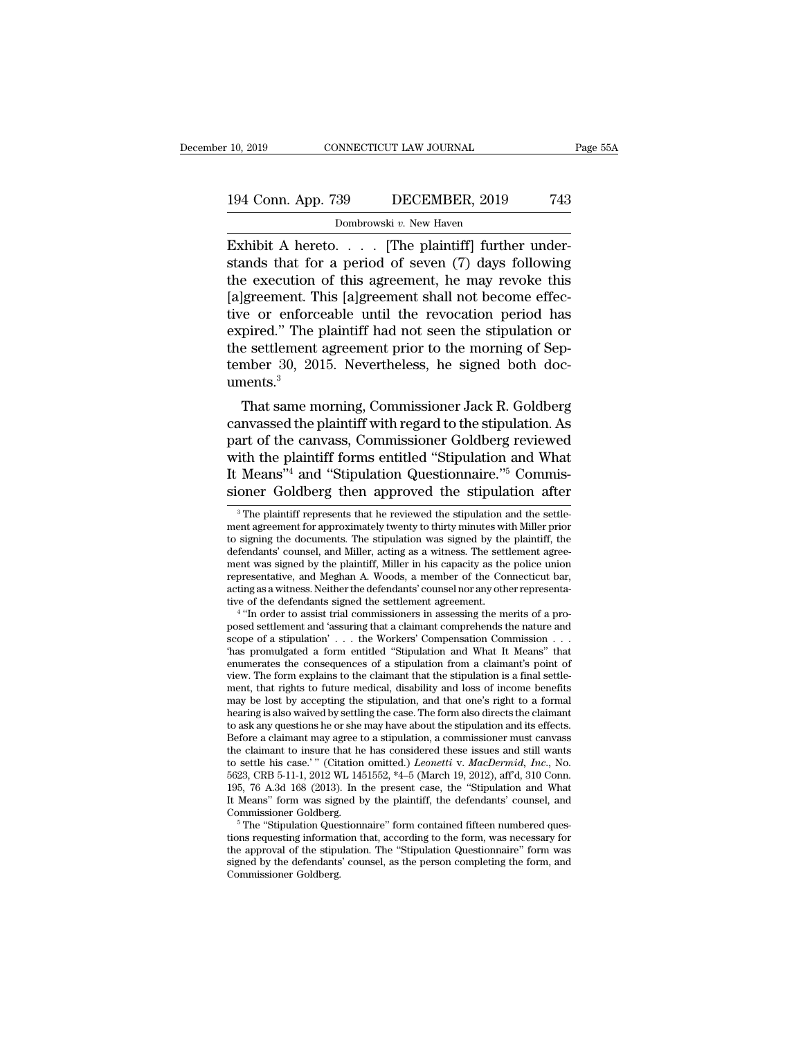## 10, 2019 CONNECTICUT LAW JOURNAL Page 55A<br>194 Conn. App. 739 DECEMBER, 2019 743<br>Dombrowski v. New Haven 99 DECEMBER, 2019<br>29 DECEMBER, 2019<br><sup>Dombrowski</sup> v. New Haven<br>The plaintiffl furthe

10, 2019 CONNECTICUT LAW JOURNAL<br>
194 Conn. App. 739 DECEMBER, 2019 743<br>
Dombrowski v. New Haven<br>
Exhibit A hereto. . . . [The plaintiff] further under-<br>
stands that for a period of seven (7) days following<br>
the execution 194 Conn. App. 739 DECEMBER, 2019 743<br>Dombrowski v. New Haven<br>Exhibit A hereto.... [The plaintiff] further understands that for a period of seven (7) days following<br>the execution of this agreement, he may revoke this<br>Jaka 194 Conn. App. 739 DECEMBER, 2019 743<br>
Dombrowski v. New Haven<br>
Exhibit A hereto. . . . . [The plaintiff] further understands that for a period of seven (7) days following<br>
the execution of this agreement, he may revoke t 194 Conn. App. 739 DECEMBER, 2019 743<br>
Dombrowski v. New Haven<br>
Exhibit A hereto. . . . [The plaintiff] further under-<br>
stands that for a period of seven (7) days following<br>
the execution of this agreement, he may revoke Dombrowski v. New Haven<br>
Exhibit A hereto. . . . [The plaintiff] further under-<br>
stands that for a period of seven (7) days following<br>
the execution of this agreement, he may revoke this<br>
[a]greement. This [a]greement sha Dombrowski v. New Haven<br>
Exhibit A hereto.... [The plaintiff] further under-<br>
stands that for a period of seven (7) days following<br>
the execution of this agreement, he may revoke this<br>
[a]greement. This [a]greement shall Exhibit A hereto. . . . . [The plaintiff] further understands that for a period of seven  $(7)$  days following the execution of this agreement, he may revoke this [a]greement. This [a]greement shall not become effective or stands that for a period of seven  $(7)$  days following<br>the execution of this agreement, he may revoke this<br>[a]greement. This [a]greement shall not become effec-<br>tive or enforceable until the revocation period has<br>expired. uments.<sup>3</sup> greement. This [a]greement shan not become enec-<br>re or enforceable until the revocation period has<br>pired." The plaintiff had not seen the stipulation or<br>e settlement agreement prior to the morning of Sep-<br>mber 30, 2015. Ne tive of emorecable until the revocation period has<br>expired." The plaintiff had not seen the stipulation or<br>the settlement agreement prior to the morning of Sep-<br>tember 30, 2015. Nevertheless, he signed both doc-<br>uments.<sup>3</sup>

expred. The plantificant radius seen the supulation of<br>the settlement agreement prior to the morning of Sep-<br>tember 30, 2015. Nevertheless, he signed both doc-<br>uments.<sup>3</sup><br>That same morning, Commissioner Jack R. Goldberg<br>ca the settlement agreement prior to the morning of sep-<br>tember 30, 2015. Nevertheless, he signed both doc-<br>uments.<sup>3</sup><br>That same morning, Commissioner Jack R. Goldberg<br>canvassed the plaintiff with regard to the stipulation. A That same morning, Commissioner Jack R. Goldberg<br>
That same morning, Commissioner Jack R. Goldberg<br>
canvassed the plaintiff with regard to the stipulation. As<br>
part of the canvass, Commissioner Goldberg reviewed<br>
with the That same morning, Commissioner Jack R. Goldberg<br>canvassed the plaintiff with regard to the stipulation. As<br>part of the canvass, Commissioner Goldberg reviewed<br>with the plaintiff forms entitled "Stipulation and What<br>It Me art of the canvass, Commissioner Goldberg reviewed<br>ith the plaintiff forms entitled "Stipulation and What<br>Means"<sup>4</sup> and "Stipulation Questionnaire."<sup>5</sup> Commis-<br>oner Goldberg then approved the stipulation after<br><sup>3</sup> The pla with the plaintiff forms entitled "Stipulation and What<br>It Means"<sup>4</sup> and "Stipulation Questionnaire."<sup>5</sup> Commis-<br>sioner Goldberg then approved the stipulation after<br> $\frac{3}{10}$  The plaintiff represents that he reviewed the

It Means<sup>374</sup> and "Stipulation Questionnaire."<sup>5</sup> Commissioner Goldberg then approved the stipulation after  $\overline{\ }$ <sup>3</sup> The plaintiff represents that he reviewed the stipulation and the settlement agreement for approximate It Means<sup>-3</sup> and "Stipulation Questionnaire." Commissioner Goldberg then approved the stipulation after  $\frac{3}{10}$  The plaintiff represents that he reviewed the stipulation and the settlement agreement for approximately t sioner Goldberg then approved the stipulation after  $\frac{3}{10}$  The plaintiff represents that he reviewed the stipulation and the settlement agreement for approximately twenty to thirty minutes with Miller prior to signing <sup>3</sup> The plaintiff represents that he reviewed the stipulation and the settlement agreement for approximately twenty to thirty minutes with Miller prior to signing the documents. The stipulation was signed by the plaintiff <sup>3</sup> The plaintiff represents that he reviewed the stipulation and the settlement agreement for approximately twenty to thirty minutes with Miller prior to signing the documents. The stipulation was signed by the plaintiff ment agreement for approximately twenty to thirty minutes wi<br>to signing the documents. The stipulation was signed by the<br>defendants' counsel, and Miller, acting as a witness. The sett<br>ment was signed by the plaintiff, Mill signing the documents. The stipulation was signed by the plaintiff, the<br>endants' counsel, and Miller, acting as a witness. The settlement agree-<br>the was signed by the plaintiff, Miller in his capacity as the police union<br>r defendants' counsel, and Miller, acting as a witness. The settlement agreement was signed by the plaintiff, Miller in his capacity as the police union representative, and Meghan A. Woods, a member of the Connecticut bar, a

ment was signed by the plaintiff, Miller in his capacity as the police union representative, and Meghan A. Woods, a member of the Connecticut bar, acting as a witness. Neither the defendants' counsel nor any other represen representative, and Meghan A. Woods, a member of the Connecticut bar,<br>acting as a witness. Neither the defendants' counsel nor any other representa-<br>tive of the defendants signed the settlement agreement.<br>
<sup>4</sup> "In order to acting as a witness. Neither the defendants' counsel nor any other representative of the defendants signed the settlement agreement.<br>  $^4$  "In order to assist trial commissioners in assessing the merits of a proposed sett tive of the defendants signed the settlement agreement.<br>
"In order to assist trial commissioners in assessing the merits of a proposed settlement and 'assuring that a claimant comprehends the nature and<br>
scope of a stipul <sup>4</sup> "In order to assist trial commissioners in assessing the merits of a proposed settlement and 'assuring that a claimant comprehends the nature and scope of a stipulation'... the Workers' Compensation Commission ... tha posed settlement and 'assuring that a claimant comprehends the nature and scope of a stipulation' . . . the Workers' Compensation Commission . . . Thas promulgated a form entitled "Stipulation and What It Means" that enum scope of a stipulation'  $\ldots$  the Workers' Compensation Commission  $\ldots$  thas promulgated a form entitled "Stipulation and What It Means" that enumerates the consequences of a stipulation from a claimant's point of view. The fast promulgated a form entitled "Stipulation and What It Means" that enumerates the consequences of a stipulation from a claimant's point of view. The form explains to the claimant that the stipulation is a final sett enumerates the consequences of a stipulation from a claimant's point of<br>view. The form explains to the claimant that the stipulation is a final settle-<br>ment, that rights to future medical, disability and loss of income be view. The form explains to the claimant that the stipulation is a final settlement, that rights to future medical, disability and loss of income benefits may be lost by accepting the stipulation, and that one's right to a ment, that rights to future medical, disability and loss of income benefits<br>may be lost by accepting the stipulation, and that one's right to a formal<br>hearing is also waived by settling the case. The form also directs the may be lost by accepting the stipulation, and that one's right to a formal hearing is also waived by settling the case. The form also directs the claimant to ask any questions he or she may have about the stipulation and hearing is also waived by settling the case. The form also directs the claimant to ask any questions he or she may have about the stipulation and its effects. Before a claimant may agree to a stipulation, a commissioner m to ask any questions he or she may have about the stipulation and its effects.<br>Before a claimant may agree to a stipulation, a commissioner must canvass<br>the claimant to insure that he has considered these issues and still Before a claimant may agree to a stipulation, a commissioner must canvass<br>the claimant to insure that he has considered these issues and still wants<br>to settle his case.'" (Citation omitted.) *Leonetti* v. MacDermid, Inc., to settle his case.'" (Citation omitted.) *Leonetti* v. *MacDermid, Inc.*, No. 5623, CRB 5-11-1, 2012 WL 1451552, \*4-5 (March 19, 2012), affd, 310 Conn. 195, 76 A.3d 168 (2013). In the present case, the "Stipulation and W

<sup>5623,</sup> CRB 5-11-1, 2012 WL 1451552, \*4-5 (March 19, 2012), aff'd, 310 Conn.<br>195, 76 A.3d 168 (2013). In the present case, the "Stipulation and What<br>It Means" form was signed by the plaintiff, the defendants' counsel, and<br>Co 195, 76 A.3d 168 (2013). In the present case, the "Stipulation and What It Means" form was signed by the plaintiff, the defendants' counsel, and Commissioner Goldberg.<br>
<sup>5</sup> The "Stipulation Questionnaire" form contained f It Means" form was signed by the plaintiff, the defendants' counsel, and Commissioner Goldberg.<br>  $\,^5$ The "Stipulation Questionnaire" form contained fifteen numbered questions requesting information that, according to th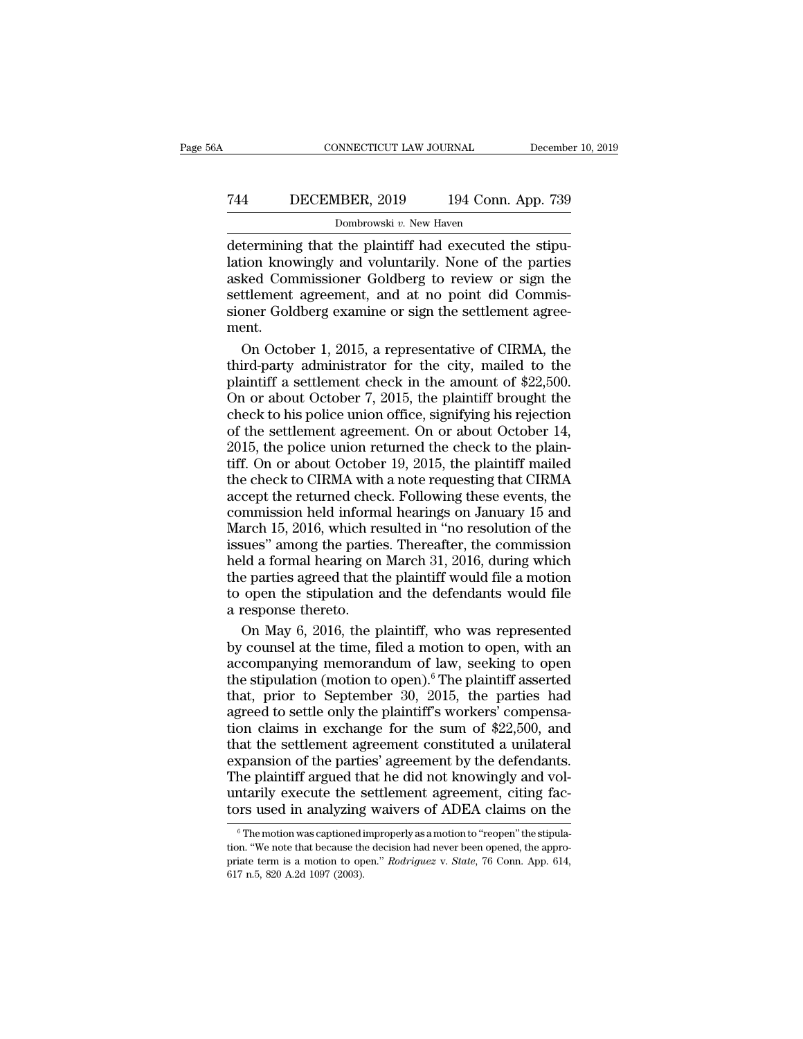## CONNECTICUT LAW JOURNAL December 10, 2019<br>
744 DECEMBER, 2019 194 Conn. App. 739<br>
Dombrowski v. New Haven NNECTICUT LAW JOURNAL<br>18ER, 2019 194 Conn.<br>Dombrowski v. New Haven<br>the plaintiff had executed t

CONNECTICUT LAW JOURNAL December<br>
T44 DECEMBER, 2019 194 Conn. App. 739<br>
Dombrowski v. New Haven<br>
determining that the plaintiff had executed the stipu-<br>
lation knowingly and voluntarily. None of the parties<br>
asked Commiss The Station Commission CD and voluntarily. New Haven<br>
Dombrowski v. New Haven<br>
determining that the plaintiff had executed the stipulation knowingly and voluntarily. None of the parties<br>
asked Commissioner Goldberg to rev Text Transaction Commissioner Goldberg examine or sign the settlement agreement, and at no point did Commissioner Goldberg examine or sign the settlement agreement, and at no point did Commissioner Goldberg examine or sig Text Transform of the SECEN DECEMBER, 2019<br>
Superior and the Marian Dombrowski v. New Haven<br>
Dombrowski v. New Haven<br>
Dombrowski v. New Haven<br>
determining that the plaintiff had executed the stipulation knowingly and volun For BECEMBER, 2019 194 COMP. App. 109<br>
Dombrowski v. New Haven<br>
determining that the plaintiff had executed the stipu-<br>
lation knowingly and voluntarily. None of the parties<br>
asked Commissioner Goldberg to review or sign ment. termining that the plaintiff had executed the stipu-<br>ion knowingly and voluntarily. None of the parties<br>ked Commissioner Goldberg to review or sign the<br>ttlement agreement, and at no point did Commis-<br>point Goldberg examine lation knowingly and voluntarily. None of the parties<br>asked Commissioner Goldberg to review or sign the<br>settlement agreement, and at no point did Commis-<br>sioner Goldberg examine or sign the settlement agree-<br>ment.<br>On Octob

asked Commissioner Goldberg to review or sign the<br>settlement agreement, and at no point did Commis-<br>sioner Goldberg examine or sign the settlement agree-<br>ment.<br>On October 1, 2015, a representative of CIRMA, the<br>third-party settlement agreement, and at no point did Commissioner Goldberg examine or sign the settlement agreement.<br>On October 1, 2015, a representative of CIRMA, the third-party administrator for the city, mailed to the plaintiff a sioner Goldberg examine or sign the settlement agreement.<br>
On October 1, 2015, a representative of CIRMA, the<br>
third-party administrator for the city, mailed to the<br>
plaintiff a settlement check in the amount of \$22,500.<br> ment.<br>
On October 1, 2015, a representative of CIRMA, the<br>
third-party administrator for the city, mailed to the<br>
plaintiff a settlement check in the amount of \$22,500.<br>
On or about October 7, 2015, the plaintiff brought t On October 1, 2015, a representative of CIRMA, the<br>third-party administrator for the city, mailed to the<br>plaintiff a settlement check in the amount of \$22,500.<br>On or about October 7, 2015, the plaintiff brought the<br>check t third-party administrator for the city, mailed to the plaintiff a settlement check in the amount of \$22,500.<br>On or about October 7, 2015, the plaintiff brought the check to his police union office, signifying his rejection plaintiff a settlement check in the amount of \$22,500.<br>On or about October 7, 2015, the plaintiff brought the<br>check to his police union office, signifying his rejection<br>of the settlement agreement. On or about October 14,<br> On or about October 7, 2015, the plaintiff brought the check to his police union office, signifying his rejection of the settlement agreement. On or about October 14, 2015, the police union returned the check to the plain check to his police union office, signifying his rejection<br>of the settlement agreement. On or about October 14,<br>2015, the police union returned the check to the plain-<br>tiff. On or about October 19, 2015, the plaintiff mail of the settlement agreement. On or about October 14,<br>2015, the police union returned the check to the plain-<br>tiff. On or about October 19, 2015, the plaintiff mailed<br>the check to CIRMA with a note requesting that CIRMA<br>acc 2015, the police union returned the check to the plain-<br>tiff. On or about October 19, 2015, the plaintiff mailed<br>the check to CIRMA with a note requesting that CIRMA<br>accept the returned check. Following these events, the<br>c Fiff. On or about October 19, 2015, the plaintiff mailed<br>the check to CIRMA with a note requesting that CIRMA<br>accept the returned check. Following these events, the<br>commission held informal hearings on January 15 and<br>March the check to CIRMA with a note requesting that CIRMA<br>accept the returned check. Following these events, the<br>commission held informal hearings on January 15 and<br>March 15, 2016, which resulted in "no resolution of the<br>issues are enotries channel mated reduced and accept the returned check. Following these events, the commission held informal hearings on January 15 and March 15, 2016, which resulted in "no resolution of the issues" among the p commission held inform<br>commission held inform<br>March 15, 2016, which re<br>issues" among the partie<br>held a formal hearing on<br>the parties agreed that the<br>a response thereto.<br>On May 6, 2016, the p arch 15, 2016, which resulted in "no resolution of the<br>sues" among the parties. Thereafter, the commission<br>ld a formal hearing on March 31, 2016, during which<br>e parties agreed that the plaintiff would file a motion<br>open th issues" among the parties. Thereafter, the commission<br>held a formal hearing on March 31, 2016, during which<br>the parties agreed that the plaintiff would file a motion<br>to open the stipulation and the defendants would file<br>a

held a formal hearing on March 31, 2016, during which<br>the parties agreed that the plaintiff would file a motion<br>to open the stipulation and the defendants would file<br>a response thereto.<br>On May 6, 2016, the plaintiff, who w the parties agreed that the plaintiff would file a motion<br>to open the stipulation and the defendants would file<br>a response thereto.<br>On May 6, 2016, the plaintiff, who was represented<br>by counsel at the time, filed a motion to open the stipulation and the defendants would file<br>a response thereto.<br>On May 6, 2016, the plaintiff, who was represented<br>by counsel at the time, filed a motion to open, with an<br>accompanying memorandum of law, seeking a response thereto.<br>
On May 6, 2016, the plaintiff, who was represented<br>
by counsel at the time, filed a motion to open, with an<br>
accompanying memorandum of law, seeking to open<br>
the stipulation (motion to open).<sup>6</sup> The pl On May 6, 2016, the plaintiff, who was represented<br>by counsel at the time, filed a motion to open, with an<br>accompanying memorandum of law, seeking to open<br>the stipulation (motion to open).<sup>6</sup> The plaintiff asserted<br>that, by counsel at the time, filed a motion to open, with an accompanying memorandum of law, seeking to open the stipulation (motion to open).<sup>6</sup> The plaintiff asserted that, prior to September 30, 2015, the parties had agreed expansion of law, seeking to open<br>accompanying memorandum of law, seeking to open<br>the stipulation (motion to open).<sup>6</sup> The plaintiff asserted<br>that, prior to September 30, 2015, the parties had<br>agreed to settle only the pla The stipulation (motion to open).<sup>6</sup> The plaintiff asserted that, prior to September 30, 2015, the parties had agreed to settle only the plaintiff's workers' compensation claims in exchange for the sum of \$22,500, and that that, prior to September 30, 2015, the parties had agreed to settle only the plaintiff's workers' compensation claims in exchange for the sum of \$22,500, and that the settlement agreement constituted a unilateral expansion and the settle only the plaintiff's workers' compensation claims in exchange for the sum of \$22,500, and that the settlement agreement constituted a unilateral expansion of the parties' agreement by the defendants. The pla xpansion of the parties' agreement by the defendants.<br>he plaintiff argued that he did not knowingly and vol-<br>ntarily execute the settlement agreement, citing fac-<br>prs used in analyzing waivers of ADEA claims on the<br><sup>6</sup>The The plaintiff argued that he did not knowingly and voluntarily execute the settlement agreement, citing factors used in analyzing waivers of ADEA claims on the  $\frac{1}{\pi}$  The motion was captioned improperly as a motion to

**EXECUTE THE SET CONFIDENT IS a more interesting factors** used in analyzing waivers of ADEA claims on the <br>
<sup>6</sup> The motion was captioned improperly as a motion to "reopen" the stipulation. "We note that because the decisio tors used in analyzing waivers of ADEA claims on the  $\frac{6}{100}$  The motion was captioned improperly as a motion to "reopen" the stipulation. "We note that because the decision had never been opened, the appropriate term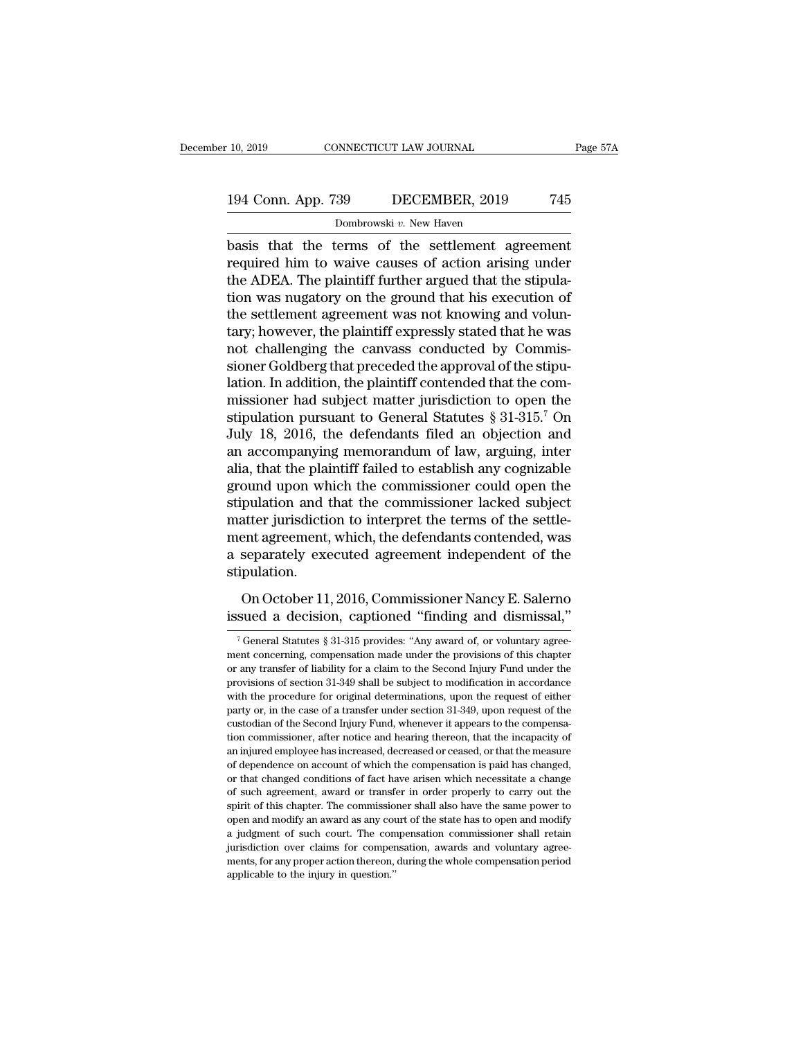## 10, 2019 CONNECTICUT LAW JOURNAL Page 57A<br>194 Conn. App. 739 DECEMBER, 2019 745<br>Dombrowski v. New Haven NNECTICUT LAW JOURNAL<br>39 DECEMBER, 2019<br>Dombrowski *v.* New Haven<br>rerms of the settlement as

basis that the terms of the settlement agreement 194 Conn. App. 739 DECEMBER, 2019 745<br>
Dombrowski v. New Haven<br>
basis that the terms of the settlement agreement<br>
required him to waive causes of action arising under<br>
the ADEA. The plaintiff further argued that the stipu 194 Conn. App. 739 DECEMBER, 2019 745<br>
Dombrowski v. New Haven<br>
basis that the terms of the settlement agreement<br>
required him to waive causes of action arising under<br>
the ADEA. The plaintiff further argued that the stipu 194 Conn. App. 739 DECEMBER, 2019 745<br>
Dombrowski v. New Haven<br>
basis that the terms of the settlement agreement<br>
required him to waive causes of action arising under<br>
the ADEA. The plaintiff further argued that the stipu Dombrowski *v*. New Haven<br>
basis that the terms of the settlement agreement<br>
required him to waive causes of action arising under<br>
the ADEA. The plaintiff further argued that the stipula-<br>
tion was nugatory on the ground Dombrowski v. New Haven<br>basis that the terms of the settlement agreement<br>required him to waive causes of action arising under<br>the ADEA. The plaintiff further argued that the stipula-<br>tion was nugatory on the ground that hi basis that the terms of the settlement agreement<br>required him to waive causes of action arising under<br>the ADEA. The plaintiff further argued that the stipula-<br>tion was nugatory on the ground that his execution of<br>the settl required him to waive causes of action arising under<br>the ADEA. The plaintiff further argued that the stipula-<br>tion was nugatory on the ground that his execution of<br>the settlement agreement was not knowing and volun-<br>tary; the ADEA. The plaintiff further argued that the stipulation was nugatory on the ground that his execution of the settlement agreement was not knowing and voluntary; however, the plaintiff expressly stated that he was not tion was nugatory on the ground that his execution of<br>the settlement agreement was not knowing and volun-<br>tary; however, the plaintiff expressly stated that he was<br>not challenging the canvass conducted by Commis-<br>sioner G the settlement agreement was not knowing and volun-<br>tary; however, the plaintiff expressly stated that he was<br>not challenging the canvass conducted by Commis-<br>sioner Goldberg that preceded the approval of the stipu-<br>lation tary; however, the plaintiff expressly stated that he was<br>not challenging the canvass conducted by Commis-<br>sioner Goldberg that preceded the approval of the stipu-<br>lation. In addition, the plaintiff contended that the comnot challenging the canvass conducted by Commissioner Goldberg that preceded the approval of the stipulation. In addition, the plaintiff contended that the commissioner had subject matter jurisdiction to open the stipulat sioner Goldberg that preceded the approval of the stipulation. In addition, the plaintiff contended that the commissioner had subject matter jurisdiction to open the stipulation pursuant to General Statutes  $\S 31-315.^7$  O lation. In addition, the plaintiff contended that the commissioner had subject matter jurisdiction to open the<br>stipulation pursuant to General Statutes § 31-315.<sup>7</sup> On<br>July 18, 2016, the defendants filed an objection and<br>a missioner had subject matter jurisdiction to open the<br>stipulation pursuant to General Statutes § 31-315.<sup>7</sup> On<br>July 18, 2016, the defendants filed an objection and<br>an accompanying memorandum of law, arguing, inter<br>alia, th stipulation pursuant to General Statutes § 31-315.<sup>7</sup> On<br>July 18, 2016, the defendants filed an objection and<br>an accompanying memorandum of law, arguing, inter<br>alia, that the plaintiff failed to establish any cognizable<br>gr July 18, 2016, the defendants filed an objection and<br>an accompanying memorandum of law, arguing, inter<br>alia, that the plaintiff failed to establish any cognizable<br>ground upon which the commissioner could open the<br>stipulati an accompanying memorandum of law, arguing, inter<br>alia, that the plaintiff failed to establish any cognizable<br>ground upon which the commissioner could open the<br>stipulation and that the commissioner lacked subject<br>matter ju stipulation. France and that the commissioner lacked subject<br>pulation and that the commissioner lacked subject<br>atter jurisdiction to interpret the terms of the settle-<br>ent agreement, which, the defendants contended, was<br>separately exec Exapmination and that the continuessioner native bases of the settlement agreement, which, the defendants contended, was<br>a separately executed agreement independent of the<br>stipulation.<br>On October 11, 2016, Commissioner Nan

ipulation.<br>
On October 11, 2016, Commissioner Nancy E. Salerno<br>
sued a decision, captioned "finding and dismissal,"<br>
Teneral Statutes § 31-315 provides: "Any award of, or voluntary agree-<br>
ent concerning, compensation made On October 11, 2016, Commissioner Nancy E. Salerno<br>issued a decision, captioned "finding and dismissal,"<br> $\frac{1}{7}$  General Statutes § 31-315 provides: "Any award of, or voluntary agreement concerning, compensation made un On October 11, 2016, Commissioner Nancy E. Salerno<br>issued a decision, captioned "finding and dismissal,"<br> $\frac{1}{1}$  (General Statutes § 31-315 provides: "Any award of, or voluntary agreement concerning, compensation made u issued a decision, captioned "finding and dismissal,"<br>
<sup>7</sup> General Statutes § 31-315 provides: "Any award of, or voluntary agreement concerning, compensation made under the provisions of this chapter or any transfer of li SSUEU a UCLISION, Caputoneur Intuitig antu ULSITESSAI,<br>
<sup>7</sup> General Statutes § 31-315 provides: "Any award of, or voluntary agreement concerning, compensation made under the provisions of this chapter or any transfer of l <sup>7</sup> General Statutes § 31-315 provides: "Any award of, or voluntary agreement concerning, compensation made under the provisions of this chapter or any transfer of liability for a claim to the Second Injury Fund under the ment concerning, compensation made under the provisions of this chapter<br>or any transfer of liability for a claim to the Second Injury Fund under the<br>provisions of section 31-349 shall be subject to modification in accordan for any transfer of liability for a claim to the Second Injury Fund under the provisions of section 31-349 shall be subject to modification in accordance with the procedure for original determinations, upon the request of any transference of section 31-349 shall be subject to modification in accordance with the procedure for original determinations, upon the request of either party or, in the case of a transfer under section 31-349, upon re with the procedure for original determinations, upon the request of either party or, in the case of a transfer under section 31-349, upon request of the custodian of the Second Injury Fund, whenever it appears to the comp party or, in the case of a transfer under section 31-349, upon request of the custodian of the Second Injury Fund, whenever it appears to the compensation commissioner, after notice and hearing thereon, that the incapacity custodian of the Second Injury Fund, whenever it appears to the compensation commissioner, after notice and hearing thereon, that the incapacity of an injured employee has increased, decreased or ceased, or that the measur spirit of this chapter. The commissioner is and hearing thereon, that the incapacity of an injured employee has increased, decreased or ceased, or that the measure of dependence on account of which the compensation is paid an injured employee has increased, decreased or ceased, or that the measure of dependence on account of which the compensation is paid has changed, or that changed conditions of fact have arisen which necessitate a change an injurisdiction of dependence on account of which the compensation is paid has changed, or that changed conditions of fact have arisen which necessitate a change of such agreement, award or transfer in order properly to of dependence on account of which the compensation is paid has changed, or that changed conditions of fact have arisen which necessitate a change of such agreement, award or transfer in order properly to carry out the spir of such agreement, award or transfer in order properly to carry out the spirit of this chapter. The commissioner shall also have the same power to open and modify an award as any court of the state has to open and modify a spirit of this chapter. The commissioner shall also have the same power to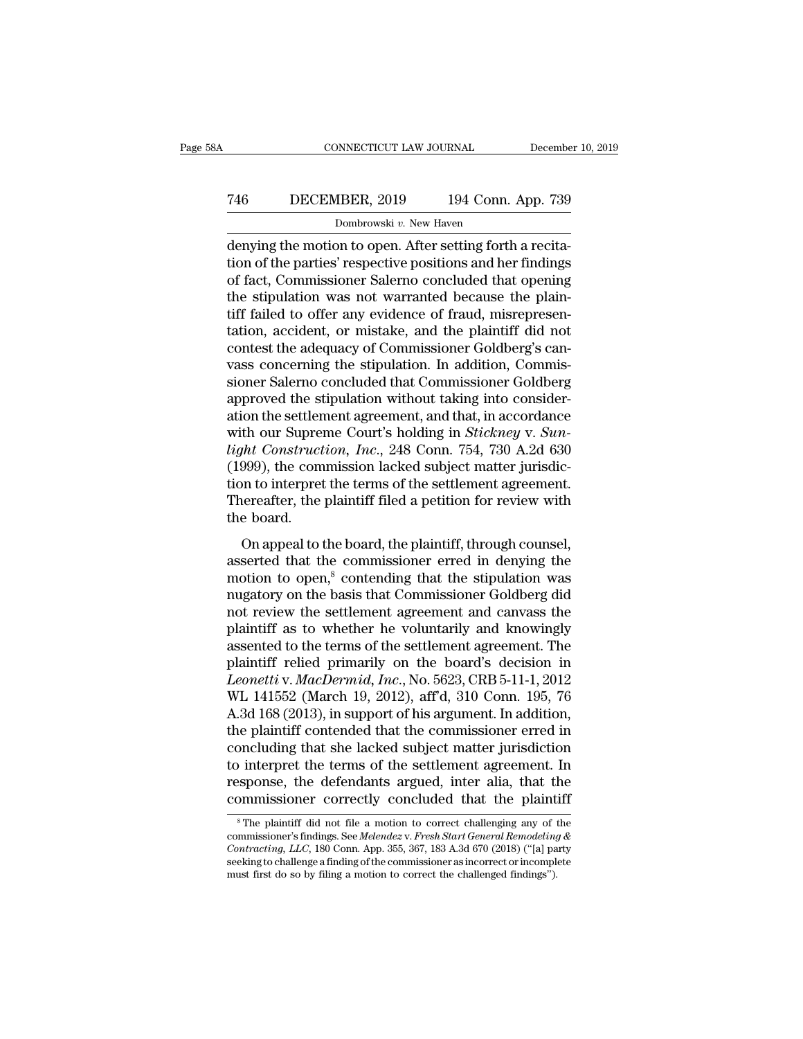## CONNECTICUT LAW JOURNAL December 10, 2019<br>
746 DECEMBER, 2019 194 Conn. App. 739<br>
Dombrowski v. New Haven Dombrowski *v.* New Haven

CONNECTICUT LAW JOURNAL December<br>
T46 DECEMBER, 2019 194 Conn. App. 739<br>
Dombrowski v. New Haven<br>
denying the motion to open. After setting forth a recita-<br>
tion of the parties' respective positions and her findings<br>
of fo The Technomics of the parties of the parties of the parties' respective positions and her findings of fact, Commissioner Salerno concluded that opening the stinulation was not warranted because the plain The Saler Commissioner Salerman of fraud misronroom (194 Commissioner Salerman denying the motion to open. After setting forth a recitation of the parties' respective positions and her findings of fact, Commissioner Saler The State State State State State State State State State State State State State State State State State State State State State State State State State State State State State State State State State State State State S Dombrowski v. New Haven<br>
denying the motion to open. After setting forth a recita-<br>
tion of the parties' respective positions and her findings<br>
of fact, Commissioner Salerno concluded that opening<br>
the stipulation was not Dombrowski v. New Haven<br>denying the motion to open. After setting forth a recita-<br>tion of the parties' respective positions and her findings<br>of fact, Commissioner Salerno concluded that opening<br>the stipulation was not warr denying the motion to open. After setting forth a recitation of the parties' respective positions and her findings of fact, Commissioner Salerno concluded that opening the stipulation was not warranted because the plaintif tion of the parties' respective positions and her findings<br>of fact, Commissioner Salerno concluded that opening<br>the stipulation was not warranted because the plain-<br>tiff failed to offer any evidence of fraud, misrepresen-<br> of fact, Commissioner Salerno concluded that opening<br>the stipulation was not warranted because the plain-<br>tiff failed to offer any evidence of fraud, misrepresen-<br>tation, accident, or mistake, and the plaintiff did not<br>con the stipulation was not warranted because the plaintiff failed to offer any evidence of fraud, misrepresentation, accident, or mistake, and the plaintiff did not contest the adequacy of Commissioner Goldberg's canvass conc tiff failed to offer any evidence of fraud, misrepresentation, accident, or mistake, and the plaintiff did not<br>contest the adequacy of Commissioner Goldberg's can-<br>vass concerning the stipulation. In addition, Commis-<br>sion tation, accident, or mistake, and the plaintiff did not<br>contest the adequacy of Commissioner Goldberg's can-<br>vass concerning the stipulation. In addition, Commis-<br>sioner Salerno concluded that Commissioner Goldberg<br>approve contest the adequacy of Commissioner Goldberg's can-<br>vass concerning the stipulation. In addition, Commis-<br>sioner Salerno concluded that Commissioner Goldberg<br>approved the stipulation without taking into consider-<br>ation th vass concerning the stipulation. In addition, Commissioner Salerno concluded that Commissioner Goldberg<br>approved the stipulation without taking into consider-<br>ation the settlement agreement, and that, in accordance<br>with ou sioner Salerno concluded that Commissioner Goldberg<br>approved the stipulation without taking into consider-<br>ation the settlement agreement, and that, in accordance<br>with our Supreme Court's holding in *Stickney* v. *Sun-<br>lig* approved the stipulation without taking into consideration the settlement agreement, and that, in accordance with our Supreme Court's holding in *Stickney v. Sunlight Construction, Inc.*, 248 Conn. 754, 730 A.2d 630 (1999) ation the settler<br>with our Supre<br>light Construct<br>(1999), the com<br>tion to interpret<br>Thereafter, the<br>the board.<br>On appeal to t In the board, Inc., 248 Conn. 754, 730 A.2d 630<br>999), the commission lacked subject matter jurisdic-<br>on to interpret the terms of the settlement agreement.<br>tereafter, the plaintiff filed a petition for review with<br>e board right construction, The., 240 Colli. 194, 190 A.2d 696<br>(1999), the commission lacked subject matter jurisdic-<br>tion to interpret the terms of the settlement agreement.<br>Thereafter, the plaintiff filed a petition for review

(1999), the commission lacked subject matter juristic-<br>tion to interpret the terms of the settlement agreement.<br>Thereafter, the plaintiff filed a petition for review with<br>the board.<br>On appeal to the board, the plaintiff, Thereafter, the plaintiff filed a petition for review with<br>the board.<br>On appeal to the board, the plaintiff, through counsel,<br>asserted that the commissioner erred in denying the<br>motion to open,<sup>8</sup> contending that the stipu notezare, the plant and a petrior for review with<br>the board.<br>On appeal to the board, the plaintiff, through counsel,<br>asserted that the commissioner erred in denying the<br>motion to open,<sup>8</sup> contending that the stipulation wa On appeal to the board, the plaintiff, through counsel,<br>asserted that the commissioner erred in denying the<br>motion to open,<sup>8</sup> contending that the stipulation was<br>nugatory on the basis that Commissioner Goldberg did<br>not r On appeal to the board, the plaintiff, through counsel,<br>asserted that the commissioner erred in denying the<br>motion to open,<sup>8</sup> contending that the stipulation was<br>nugatory on the basis that Commissioner Goldberg did<br>not r asserted that the commissioner erred in denying the<br>motion to open,<sup>8</sup> contending that the stipulation was<br>nugatory on the basis that Commissioner Goldberg did<br>not review the settlement agreement and canvass the<br>plaintiff motion to open,<sup>8</sup> contending that the stipulation was<br>
nugatory on the basis that Commissioner Goldberg did<br>
not review the settlement agreement and canvass the<br>
plaintiff as to whether he voluntarily and knowingly<br>
assen nugatory on the basis that Commissioner Goldberg did<br>not review the settlement agreement and canvass the<br>plaintiff as to whether he voluntarily and knowingly<br>assented to the terms of the settlement agreement. The<br>plaintiff not review the settlement agreement and canvass the<br>plaintiff as to whether he voluntarily and knowingly<br>assented to the terms of the settlement agreement. The<br>plaintiff relied primarily on the board's decision in<br>*Leonett* plaintiff as to whether he voluntarily and knowingly<br>assented to the terms of the settlement agreement. The<br>plaintiff relied primarily on the board's decision in<br>*Leonetti* v. *MacDermid*, *Inc.*, No. 5623, CRB 5-11-1, 201 assented to the terms of the settlement agreement. The<br>plaintiff relied primarily on the board's decision in<br>*Leonetti* v. *MacDermid*, *Inc.*, No. 5623, CRB 5-11-1, 2012<br>WL 141552 (March 19, 2012), aff'd, 310 Conn. 195, 7 plaintiff relied primarily on the board's decision in<br>Leonetti v. MacDermid, Inc., No. 5623, CRB 5-11-1, 2012<br>WL 141552 (March 19, 2012), aff'd, 310 Conn. 195, 76<br>A.3d 168 (2013), in support of his argument. In addition,<br>t Leonetti v. MacDermid, Inc., No. 5623, CRB 5-11-1, 2012<br>WL 141552 (March 19, 2012), aff'd, 310 Conn. 195, 76<br>A.3d 168 (2013), in support of his argument. In addition,<br>the plaintiff contended that the commissioner erred in<br> WL 141552 (March 19, 2012), aff'd, 310 Conn. 195, 76<br>A.3d 168 (2013), in support of his argument. In addition,<br>the plaintiff contended that the commissioner erred in<br>concluding that she lacked subject matter jurisdiction<br>t be positive to the settlement agreement. In the plaintiff did not file a motion to correct allenging any of the plaintiff did not file a motion to correct challenging any of the settlement is finding any of the set  $\frac{1}{$ to interpret the terms of the settlement agreement. In response, the defendants argued, inter alia, that the commissioner correctly concluded that the plaintiff  $^s$ The plaintiff did not file a motion to correct challengin

**Contraction Contract in the defendants argued, inter alia, that the commissioner correctly concluded that the plaintiff**  $\degree$  **The plaintiff did not file a motion to correct challenging any of the commissioner's findings.** response, the derendants argued, inter and, that the commissioner correctly concluded that the plaintiff  $^8$ The plaintiff did not file a motion to correct challenging any of the commissioner's findings. See *Melendez* v. <sup>8</sup> The plaintiff did not file a motion to correct challenging any of the commissioner's findings. See *Melendez v. Fresh Start General Remodeling* & *Contracting, LLC*, 180 Conn. App. 355, 367, 183 A.3d 670 (2018) ("[a]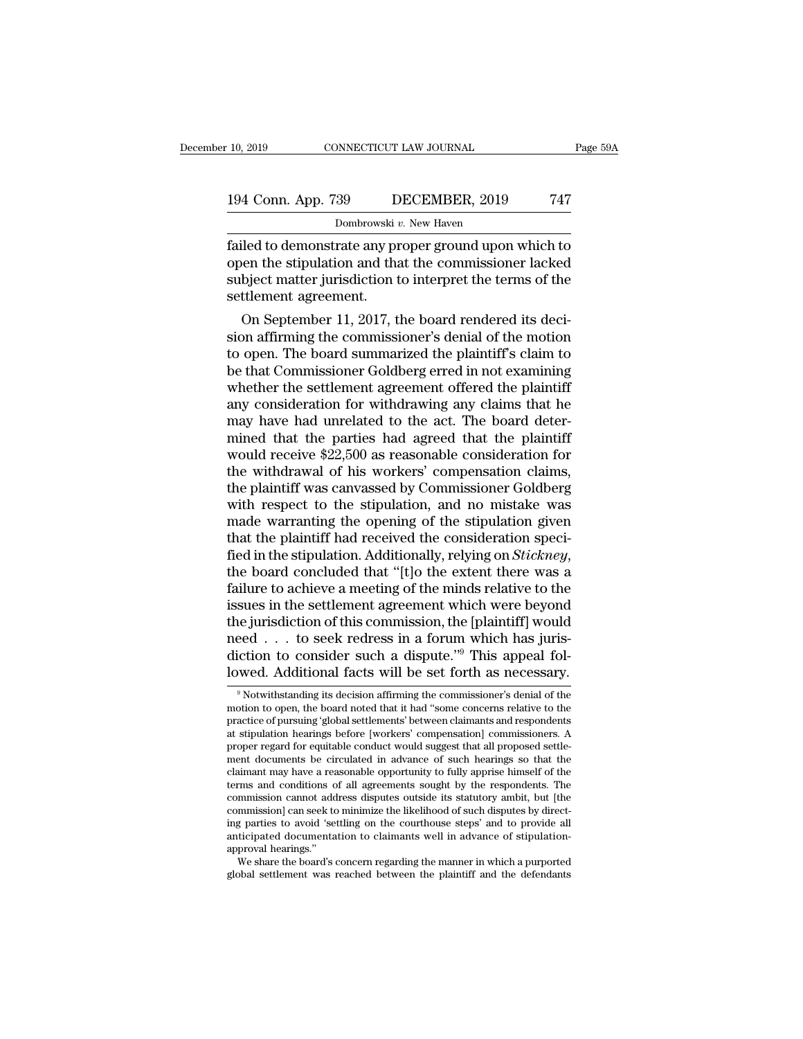Fage 59A<br>194 Conn. App. 739 DECEMBER, 2019 747<br>Dombrowski v. New Haven<br>failed to demonstrate any proper ground upon which to<br>open the stipulation and that the commissioner lacked<br>subject matter iurisdiction to interpret th 194 Conn. App. 739 DECEMBER, 2019 747<br>
Dombrowski v. New Haven<br>
failed to demonstrate any proper ground upon which to<br>
open the stipulation and that the commissioner lacked<br>
subject matter jurisdiction to interpret the ter 194 Conn. App. 739 DECEMBER, 2019 747<br>Dombrowski  $v$ . New Haven<br>failed to demonstrate any proper ground upon which to<br>open the stipulation and that the commissioner lacked<br>subject matter jurisdiction to interpret the term 194 Conn. App. 739 D<br>Dombrowski<br>failed to demonstrate any propen the stipulation and that<br>subject matter jurisdiction t<br>settlement agreement.<br>On September 11, 2017, t Dombrowski v. New Haven<br>
iled to demonstrate any proper ground upon which to<br>
ben the stipulation and that the commissioner lacked<br>
bject matter jurisdiction to interpret the terms of the<br>
ttlement agreement.<br>
On September failed to demonstrate any proper ground upon which to<br>open the stipulation and that the commissioner lacked<br>subject matter jurisdiction to interpret the terms of the<br>settlement agreement.<br>On September 11, 2017, the board r

railed to demonstrate any proper ground upon which to<br>open the stipulation and that the commissioner lacked<br>subject matter jurisdiction to interpret the terms of the<br>settlement agreement.<br>On September 11, 2017, the board r open the supulation and that the commissioner lacked<br>subject matter jurisdiction to interpret the terms of the<br>settlement agreement.<br>On September 11, 2017, the board rendered its deci-<br>sion affirming the commissioner's den subject matter jurisdiction to interpret the terms of the<br>settlement agreement.<br>On September 11, 2017, the board rendered its deci-<br>sion affirming the commissioner's denial of the motion<br>to open. The board summarized the p settlement agreement.<br>
On September 11, 2017, the board rendered its deci-<br>
sion affirming the commissioner's denial of the motion<br>
to open. The board summarized the plaintiff's claim to<br>
be that Commissioner Goldberg erre On September 11, 2017, the board rendered its decision affirming the commissioner's denial of the motion<br>to open. The board summarized the plaintiff's claim to<br>be that Commissioner Goldberg erred in not examining<br>whether sion affirming the commissioner's denial of the motion<br>to open. The board summarized the plaintiff's claim to<br>be that Commissioner Goldberg erred in not examining<br>whether the settlement agreement offered the plaintiff<br>any to open. The board summarized the plaintiff's claim to<br>be that Commissioner Goldberg erred in not examining<br>whether the settlement agreement offered the plaintiff<br>any consideration for withdrawing any claims that he<br>may ha be that Commissioner Goldberg erred in not examining<br>whether the settlement agreement offered the plaintiff<br>any consideration for withdrawing any claims that he<br>may have had unrelated to the act. The board deter-<br>mined tha whether the settlement agreement offered the plaintiff<br>any consideration for withdrawing any claims that he<br>may have had unrelated to the act. The board deter-<br>mined that the parties had agreed that the plaintiff<br>would rec any consideration for withdrawing any claims that he<br>may have had unrelated to the act. The board deter-<br>mined that the parties had agreed that the plaintiff<br>would receive \$22,500 as reasonable consideration for<br>the withdr may have had unrelated to the act. The board deter-<br>mined that the parties had agreed that the plaintiff<br>would receive \$22,500 as reasonable consideration for<br>the withdrawal of his workers' compensation claims,<br>the plainti mined that the parties had agreed that the plaintiff<br>would receive \$22,500 as reasonable consideration for<br>the withdrawal of his workers' compensation claims,<br>the plaintiff was canvassed by Commissioner Goldberg<br>with respe would receive \$22,500 as reasonable consideration for<br>the withdrawal of his workers' compensation claims,<br>the plaintiff was canvassed by Commissioner Goldberg<br>with respect to the stipulation, and no mistake was<br>made warran the plaintiff was canvassed by Commissioner Goldberg<br>with respect to the stipulation, and no mistake was<br>made warranting the opening of the stipulation given<br>that the plaintiff had received the consideration speci-<br>fied in with respect to the stipulation, and no mistake was<br>made warranting the opening of the stipulation given<br>that the plaintiff had received the consideration speci-<br>fied in the stipulation. Additionally, relying on *Stickney* made warranting the opening of the stipulation given<br>that the plaintiff had received the consideration speci-<br>fied in the stipulation. Additionally, relying on *Stickney*,<br>the board concluded that "[t]o the extent there w that the plaintiff had received the consideration specified in the stipulation. Additionally, relying on *Stickney*, the board concluded that "[t]o the extent there was a failure to achieve a meeting of the minds relative fied in the stipulation. Additionally, relying on *Stickney*, the board concluded that "[t]o the extent there was a failure to achieve a meeting of the minds relative to the issues in the settlement agreement which were b the board concluded that "[t]o the extent there was a failure to achieve a meeting of the minds relative to the issues in the settlement agreement which were beyond the jurisdiction of this commission, the [plaintiff] wou e jurisdiction of this commission, the [plaintiff] would<br>eed . . . to seek redress in a forum which has juris-<br>iction to consider such a dispute."<sup>9</sup> This appeal fol-<br>wed. Additional facts will be set forth as necessary.<br> motion to consider such a dispute."<sup>9</sup> This appeal followed. Additional facts will be set forth as necessary.<br><sup>9</sup> Notwithstanding its decision affirming the commissioner's denial of the motion to open, the board noted tha

metrice of pursuing 's and the settlements' of pursuing 's appear followed. Additional facts will be set forth as necessary.<br>
<sup>9</sup> Notwithstanding its decision affirming the commissioner's denial of the motion to open, the Iowed. Additional facts will be set forth as necessary.<br>
<sup>9</sup> Notwithstanding its decision affirming the commissioner's denial of the motion to open, the board noted that it had "some concerns relative to the practice of pu motion to open, the board noted that it had "some concerns relative to the practice of pursuing 'global settlements' between claimants and respondents at stipulation hearings before [workers' compensation] commissioners. A  $^{\circ}$  Notwithstanding its decision affirming the commissioner's denial of the motion to open, the board noted that it had "some concerns relative to the practice of pursuing 'global settlements' between claimants and res " Notwithstanding its decision affirming the commissioner's denial of the motion to open, the board noted that it had "some concerns relative to the practice of pursuing 'global settlements' between claimants and responde motion to open, the board noted that it had "some concerns relative to the practice of pursuing 'global settlements' between claimants and respondents at stipulation hearings before [workers' compensation] commissioners. A practice of pursuing 'global settlements' between claimants and respondents<br>at stipulation hearings before [workers' compensation] commissioners. A<br>proper regard for equitable conduct would suggest that all proposed settle at stipulation hearings before [workers' compensation] commissioners. A<br>proper regard for equitable conduct would suggest that all proposed settle-<br>ment documents be circulated in advance of such hearings so that the<br>claim proper regard for equitable conduct would suggest that all proposed settlement documents be circulated in advance of such hearings so that the claimant may have a reasonable opportunity to fully apprise himself of the term ment documents be circulated in advance of such hearings so that the claimant may have a reasonable opportunity to fully apprise himself of the terms and conditions of all agreements sought by the respondents. The commissi claimant may have a rea<br>terms and conditions of<br>commission cannot add<br>commission] can seek to<br>ting parties to avoid 'sel<br>anticipated documenta<br>approval hearings.'<br>We share the board's of rms and conditions of all agreements sought by the respondents. The<br>mmission cannot address disputes outside its statutory ambit, but [the<br>mmission] can seek to minimize the likelihood of such disputes by direct-<br>g parties commission] can seek to minimize the likelihood of such disputes by directing parties to avoid 'settling on the courthouse steps' and to provide all anticipated documentation to claimants well in advance of stipulation-app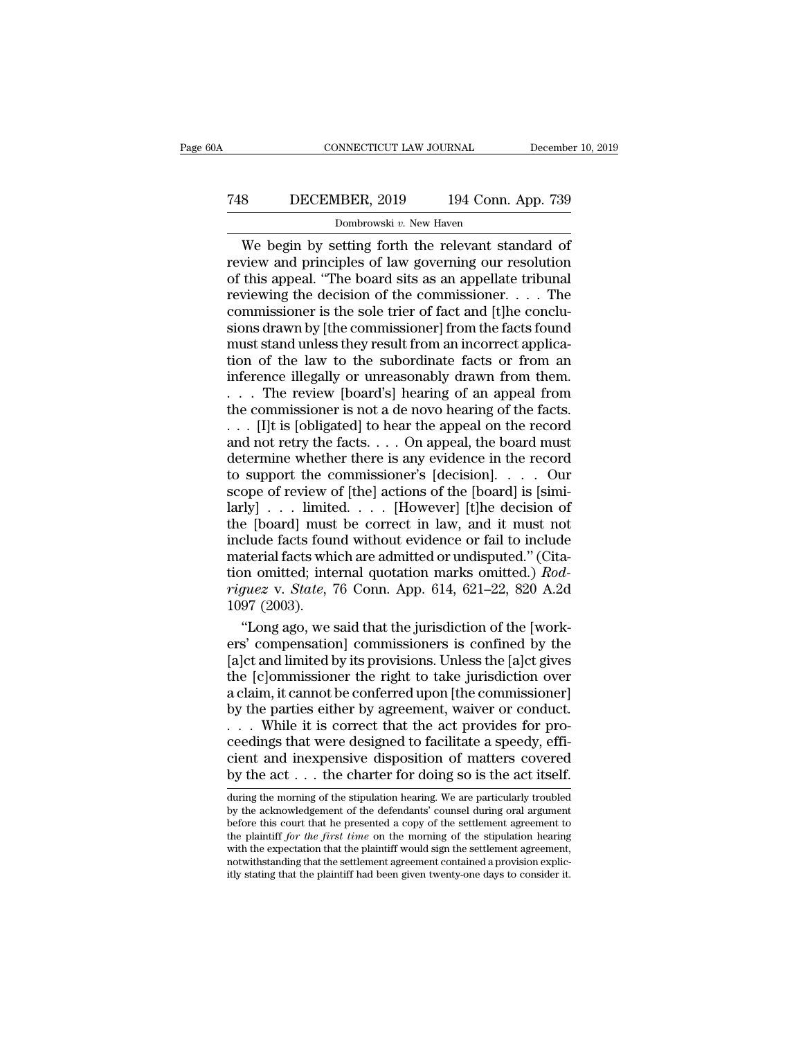## CONNECTICUT LAW JOURNAL December 10, 2019<br>
748 DECEMBER, 2019 194 Conn. App. 739<br>
Dombrowski v. New Haven NNECTICUT LAW JOURNAL<br>18ER, 2019 194 Conn.<br><sub>Dombrowski v. New Haven</sub><br>etting forth the relevant sta

CONNECTICUT LAW JOURNAL December 10, 2019<br>
BECEMBER, 2019 194 Conn. App. 739<br>
Dombrowski v. New Haven<br>
We begin by setting forth the relevant standard of<br>
view and principles of law governing our resolution<br>
this anneal "T The State of the commissioner and principles of the commissioner.<br>The distribution of this appeal. "The board sits as an appellate tribunal<br>reviewing the decision of the commissioner. The This appear of this appellate tribunal controller the site of this appeal.<br>
"The board sits as an appellate tribunal reviewing the decision of the commissioner. . . . The commissioner is the sole trier of fact and Itle co The Tau of the decision of the commissioner of the facts found<br>
The decision of this appeal. "The board sits as an appellate tribunal<br>
reviewing the decision of the commissioner. . . . The<br>
commissioner is the sole trier **EXEMBER, 2019** 154 CONT. App. 155<br>Dombrowski v. New Haven<br>We begin by setting forth the relevant standard of<br>review and principles of law governing our resolution<br>of this appeal. "The board sits as an appellate tribunal<br> Dombrowski v. New Haven<br>We begin by setting forth the relevant standard of<br>review and principles of law governing our resolution<br>of this appeal. "The board sits as an appellate tribunal<br>reviewing the decision of the commi We begin by setting forth the relevant standard of<br>review and principles of law governing our resolution<br>of this appeal. "The board sits as an appellate tribunal<br>reviewing the decision of the commissioner.... The<br>commissi review and principles of law governing our resolution<br>of this appeal. "The board sits as an appellate tribunal<br>reviewing the decision of the commissioner.... The<br>commissioner is the sole trier of fact and [t]he conclu-<br>sio of this appeal. "The board sits as an appellate tribunal<br>reviewing the decision of the commissioner..... The<br>commissioner is the sole trier of fact and [t]he conclu-<br>sions drawn by [the commissioner] from the facts found<br> reviewing the decision of the commissioner. . . . The<br>commissioner is the sole trier of fact and [t]he conclu-<br>sions drawn by [the commissioner] from the facts found<br>must stand unless they result from an incorrect applica commissioner is the sole trier of fact and [t]he conclusions drawn by [the commissioner] from the facts found<br>must stand unless they result from an incorrect applica-<br>tion of the law to the subordinate facts or from an<br>inf sions drawn by [the commissioner] from the facts found<br>must stand unless they result from an incorrect applica-<br>tion of the law to the subordinate facts or from an<br>inference illegally or unreasonably drawn from them.<br>. . must stand unless they result from an incorrect application of the law to the subordinate facts or from an inference illegally or unreasonably drawn from them.<br>
. . . The review [board's] hearing of an appeal from the com tion of the law to the subordinate facts or from an inference illegally or unreasonably drawn from them.<br>  $\dots$  The review [board's] hearing of an appeal from the commissioner is not a de novo hearing of the facts.<br>  $\dots$  [ inference illegally or unreasonably drawn from them.<br>
. . . The review [board's] hearing of an appeal from<br>
the commissioner is not a de novo hearing of the facts.<br>
. . . [I]t is [obligated] to hear the appeal on the recor ... The review [board's] hearing of an appeal from<br>the commissioner is not a de novo hearing of the facts.<br>... [I]t is [obligated] to hear the appeal on the record<br>and not retry the facts.... On appeal, the board must<br>det the commissioner is not a de novo hearing of the facts.<br>
. . . [I]t is [obligated] to hear the appeal on the record<br>
and not retry the facts. . . . On appeal, the board must<br>
determine whether there is any evidence in the ... [I]t is [obligated] to hear the appeal on the record<br>and not retry the facts.... On appeal, the board must<br>determine whether there is any evidence in the record<br>to support the commissioner's [decision].... Our<br>scope o and not retry the facts. . . . On appeal, the board must<br>determine whether there is any evidence in the record<br>to support the commissioner's [decision]. . . . Our<br>scope of review of [the] actions of the [board] is [simi-<br> determine whether there is any evidence in the record<br>to support the commissioner's [decision].... Our<br>scope of review of [the] actions of the [board] is [simi-<br>larly] ... limited.... [However] [t]he decision of<br>the [boar to support the commissioner's [decision]. . . . . Our<br>scope of review of [the] actions of the [board] is [simi-<br>larly] . . . limited. . . . [However] [t]he decision of<br>the [board] must be correct in law, and it must not<br>in *riguez* v. *State*, 76 Conn. App. 614, 621–22, 820 A.2d 1097 (2003). | larly<br>| . . . limite<br>| the [board] must<br>| include facts four<br>| material facts whi<br>| tion omitted; interiguez v. *State*, 7<br>| 1097 (2003).<br>| "Long ago, we s Exercise (board) must be correct in law, and it must not<br>
clude facts found without evidence or fail to include<br>
aterial facts which are admitted or undisputed." (Cita-<br>
momitted; internal quotation marks omitted.) Rod-<br> include facts found without evidence or fail to include<br>
material facts which are admitted or undisputed." (Cita-<br>
tion omitted; internal quotation marks omitted.)  $Rod$ -<br>
riguez v. State, 76 Conn. App. 614, 621–22, 820 A.2

material facts which are admitted or undisputed." (Citation omitted; internal quotation marks omitted.)  $Rod-riguez$  v.  $State$ , 76 Conn. App. 614, 621–22, 820 A.2d 1097 (2003).<br>"Long ago, we said that the jurisdiction of the [work tion omitted; internal quotation marks omitted.)  $Rod-  
riguez v. State, 76 Conn. App. 614, 621–22, 820 A.2d  
1097 (2003).  
 "Long ago, we said that the jurisdiction of the [work-  
ers' compensation] commissions is confined by the  
[a]ct and limited by its provisions. Unless the [a]ct gives  
the [c]ommissioner the right to take jurisdiction over  
a claim, it cannot be conferred upon [the commissioner]  
by the parties either by agreement, wavier or conduct$ riguez v. State, 76 Conn. App. 614, 621–22, 820 A.2d<br>1097 (2003).<br>"Long ago, we said that the jurisdiction of the [work-<br>ers' compensation] commissioners is confined by the<br>[a]ct and limited by its provisions. Unless the [ 1097 (2003).<br>
"Long ago, we said that the jurisdiction of the [work-<br>
ers' compensation] commissioners is confined by the<br>
[a]ct and limited by its provisions. Unless the [a]ct gives<br>
the [c]ommissioner the right to take "Long ago, we said that the jurisdiction of the [work-<br>ers' compensation] commissioners is confined by the<br>[a]ct and limited by its provisions. Unless the [a]ct gives<br>the [c]ommissioner the right to take jurisdiction over ers' compensation] commissioners is confined by the<br>[a]ct and limited by its provisions. Unless the [a]ct gives<br>the [c]ommissioner the right to take jurisdiction over<br>a claim, it cannot be conferred upon [the commissioner [a]ct and limited by its provisions. Unless the [a]ct gives<br>the [c]ommissioner the right to take jurisdiction over<br>a claim, it cannot be conferred upon [the commissioner]<br>by the parties either by agreement, waiver or cond the [c]ommissioner the right to take jurisdiction over a claim, it cannot be conferred upon [the commissioner]<br>by the parties either by agreement, waiver or conduct.<br>... While it is correct that the act provides for pro-<br> . . . While it is correct that the act provides for proceedings that were designed to facilitate a speedy, efficient and inexpensive disposition of matters covered by the act . . . the charter for doing so is the act itse ceedings that were designed to facilitate a speedy, efficient and inexpensive disposition of matters covered<br>by the act . . . the charter for doing so is the act itself.<br>during the morning of the stipulation hearing. We ar

cient and inexpensive disposition of matters covered<br>by the act  $\dots$  the charter for doing so is the act itself.<br>during the morning of the stipulation hearing. We are particularly troubled<br>by the acknowledgement of the de cient and inexpensive disposition of matters covered<br>by the act  $\dots$  the charter for doing so is the act itself.<br>during the morning of the stipulation hearing. We are particularly troubled<br>by the acknowledgement of the de by the  $act \dots$  the charter for doing so is the act itself.<br>during the morning of the stipulation hearing. We are particularly troubled<br>by the acknowledgement of the defendants' counsel during oral argument<br>before this court during the morning of the stipulation hearing. We are particularly troubled<br>by the acknowledgement of the defendants' counsel during oral argument<br>before this court that he presented a copy of the settlement agreement to<br> by the acknowledgement of the defendants' counsel during oral argument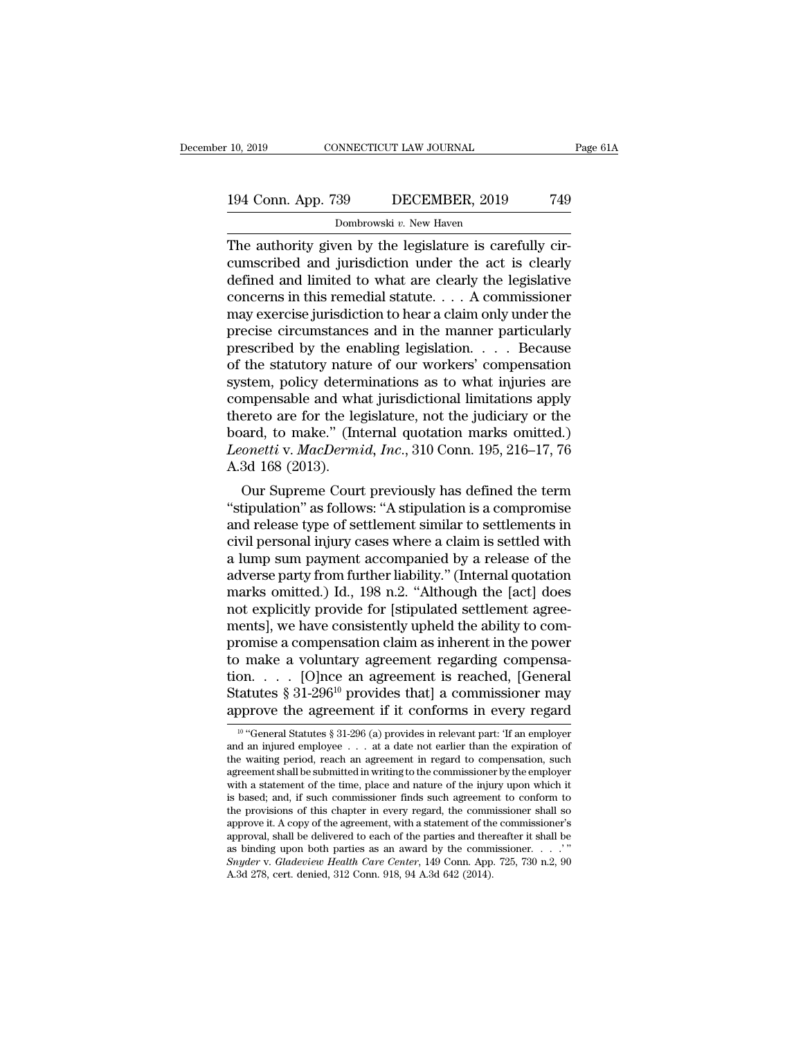## 10, 2019 CONNECTICUT LAW JOURNAL Page 61A<br>194 Conn. App. 739 DECEMBER, 2019 749<br>Dombrowski v. New Haven 99 DECEMBER, 2019<br>29 DECEMBER, 2019<br><sup>Dombrowski</sup> <sup>*v*. New Haven<br>79 by the legislature is care</sup>

The authority given by the legislature is carefully cir-<br>The authority given by the legislature is carefully cir-<br>cumscribed and jurisdiction under the act is clearly<br>defined and limited to what are clearly the legislature 194 Conn. App. 739 DECEMBER, 2019 749<br>
Dombrowski v. New Haven<br>
The authority given by the legislature is carefully cir-<br>
cumscribed and jurisdiction under the act is clearly<br>
defined and limited to what are clearly the l 194 Conn. App. 739 DECEMBER, 2019 749<br>
Dombrowski v. New Haven<br>
The authority given by the legislature is carefully cir-<br>
cumscribed and jurisdiction under the act is clearly<br>
defined and limited to what are clearly the l 194 Conn. App. 739 DECEMBER, 2019 749<br>
Dombrowski v. New Haven<br>
The authority given by the legislature is carefully circumscribed and jurisdiction under the act is clearly<br>
defined and limited to what are clearly the legi Dombrowski v. New Haven<br>
The authority given by the legislature is carefully cir-<br>
cumscribed and jurisdiction under the act is clearly<br>
defined and limited to what are clearly the legislative<br>
concerns in this remedial s Dombrowski v. New Haven<br>
The authority given by the legislature is carefully cir-<br>
cumscribed and jurisdiction under the act is clearly<br>
defined and limited to what are clearly the legislative<br>
concerns in this remedial s The authority given by the legislature is carefully circumscribed and jurisdiction under the act is clearly<br>defined and limited to what are clearly the legislative<br>concerns in this remedial statute.... A commissioner<br>may cumscribed and jurisdiction under the act is clearly<br>defined and limited to what are clearly the legislative<br>concerns in this remedial statute.... A commissioner<br>may exercise jurisdiction to hear a claim only under the<br>pre defined and limited to what are clearly the legislative<br>concerns in this remedial statute.... A commissioner<br>may exercise jurisdiction to hear a claim only under the<br>precise circumstances and in the manner particularly<br>pr concerns in this remedial statute. . . . A commissioner<br>may exercise jurisdiction to hear a claim only under the<br>precise circumstances and in the manner particularly<br>prescribed by the enabling legislation. . . . Because<br>o may exercise jurisdiction to hear a claim only under the<br>precise circumstances and in the manner particularly<br>prescribed by the enabling legislation. . . . Because<br>of the statutory nature of our workers' compensation<br>syst precise circumstances and in the manner particularly<br>prescribed by the enabling legislation. . . . Because<br>of the statutory nature of our workers' compensation<br>system, policy determinations as to what injuries are<br>compens prescribed by the enabling legislation. . . . Because<br>of the statutory nature of our workers' compensation<br>system, policy determinations as to what injuries are<br>compensable and what jurisdictional limitations apply<br>thereto of the statutory natus<br>system, policy detern<br>compensable and wh<br>thereto are for the le<sub>:</sub><br>board, to make." (Int<br>Leonetti v. MacDerma<br>A.3d 168 (2013).<br>Our Supreme Cour Suem, poincy determinations as to what injuries are<br>mpensable and what jurisdictional limitations apply<br>ereto are for the legislature, not the judiciary or the<br>aard, to make." (Internal quotation marks omitted.)<br>onetti v. compensable and what jurisdictional initiations apply<br>thereto are for the legislature, not the judiciary or the<br>board, to make." (Internal quotation marks omitted.)<br>Leonetti v. MacDermid, Inc., 310 Conn. 195, 216–17, 76<br>A.

thereto are for the legislature, not the judiciary or the<br>board, to make." (Internal quotation marks omitted.)<br>Leonetti v. MacDermid, Inc., 310 Conn. 195, 216–17, 76<br>A.3d 168 (2013).<br>Our Supreme Court previously has define board, to make. (miernal quotation marks omitted.)<br>Leonetti v. MacDermid, Inc., 310 Conn. 195, 216–17, 76<br>A.3d 168 (2013).<br>Our Supreme Court previously has defined the term<br>"stipulation" as follows: "A stipulation is a com Leonett v. *MacDermaa*, *rnc.*, 310 Conn. 195, 210–17, 70<br>A.3d 168 (2013).<br>Our Supreme Court previously has defined the term<br>"stipulation" as follows: "A stipulation is a compromise<br>and release type of settlement similar A.3d 108 (2013).<br>
Our Supreme Court previously has defined the term<br>
"stipulation" as follows: "A stipulation is a compromise<br>
and release type of settlement similar to settlements in<br>
civil personal injury cases where a c Our Supreme Court previously has defined the term<br>
"stipulation" as follows: "A stipulation is a compromise<br>
and release type of settlement similar to settlements in<br>
civil personal injury cases where a claim is settled wi "stipulation" as follows: "A stipulation is a compromise<br>and release type of settlement similar to settlements in<br>civil personal injury cases where a claim is settled with<br>a lump sum payment accompanied by a release of the and release type of settlement similar to settlements in<br>civil personal injury cases where a claim is settled with<br>a lump sum payment accompanied by a release of the<br>adverse party from further liability." (Internal quotati civil personal injury cases where a claim is settled with<br>a lump sum payment accompanied by a release of the<br>adverse party from further liability." (Internal quotation<br>marks omitted.) Id., 198 n.2. "Although the [act] does a lump sum payment accompanied by a release of the<br>adverse party from further liability." (Internal quotation<br>marks omitted.) Id., 198 n.2. "Although the [act] does<br>not explicitly provide for [stipulated settlement agreeadverse party from further liability." (Internal quotation<br>marks omitted.) Id., 198 n.2. "Although the [act] does<br>not explicitly provide for [stipulated settlement agree-<br>ments], we have consistently upheld the ability to marks omitted.) Id., 198 n.2. "Although the [act] does<br>not explicitly provide for [stipulated settlement agree-<br>ments], we have consistently upheld the ability to com-<br>promise a compensation claim as inherent in the power not explicitly provide for [stipulated settlement agreements], we have consistently upheld the ability to compromise a compensation claim as inherent in the power<br>to make a voluntary agreement regarding compensation. . . 10 make a voluntary agreement regarding compensation. . . . [O]nce an agreement is reached, [General atuties  $§ 31-296^{10}$  provides that] a commissioner may opprove the agreement if it conforms in every regard  $\frac{10}{10}$ tion. . . . . [O]nce an agreement is reached, [General Statutes § 31-296<sup>10</sup> provides that] a commissioner may approve the agreement if it conforms in every regard  $\frac{10 \text{ °General Status § } 31-296 \text{ (a) provides in relevant part: 'If an employer and an injured employee . . . at a date not earlier than the expiration of the waiting period,$ 

Statutes § 31-296<sup>10</sup> provides that] a commissioner may<br>substitutes § 31-296<sup>10</sup> provides that] a commissioner may<br>approve the agreement if it conforms in every regard<br> $\frac{10^{-10}}{10^{-10}}$  "General Statutes § 31-296 (a) pro approve the agreement if it conforms in every regard<br>
<sup>10</sup> "General Statutes § 31-296 (a) provides in relevant part: 'If an employer<br>
and an injured employee  $\dots$  at a date not earlier than the expiration of<br>
the waiting approve the agreement if it conforms in every regard<br>
<sup>10</sup> "General Statutes § 31-296 (a) provides in relevant part: 'If an employer<br>
and an injured employee . . . at a date not earlier than the expiration of<br>
the waiting <sup>10</sup> "General Statutes § 31-296 (a) provides in relevant part: 'If an employer and an injured employee  $\dots$  at a date not earlier than the expiration of the waiting period, reach an agreement in regard to compensation, su Foreign the provisions  $\frac{1}{2}$  to  $\frac{1}{2}$  (a) provides in relevant part: The amployer and an injured employee  $\ldots$  at a date not earlier than the expiration of the waiting period, reach an agreement in regard to comp and an injured employee  $\ldots$  at a date not earlier than the expiration of the waiting period, reach an agreement in regard to compensation, such agreement shall be submitted in writing to the commissioner by the employer the waiting period, reach an agreement in regard to compensation, such agreement shall be submitted in writing to the commissioner by the employer with a statement of the time, place and nature of the injury upon which it agreement shall be submitted in writing to the commissioner by the employer with a statement of the time, place and nature of the injury upon which it is based; and, if such commissioner finds such agreement to conform to with a statement of the time, place and nature of the injury upon which it<br>is based; and, if such commissioner finds such agreement to conform to<br>the provisions of this chapter in every regard, the commissioner shall so<br>ap is based; and, if such commissioner finds such agreement<br>the provisions of this chapter in every regard, the comm<br>approve it. A copy of the agreement, with a statement of the<br>approval, shall be delivered to each of the pa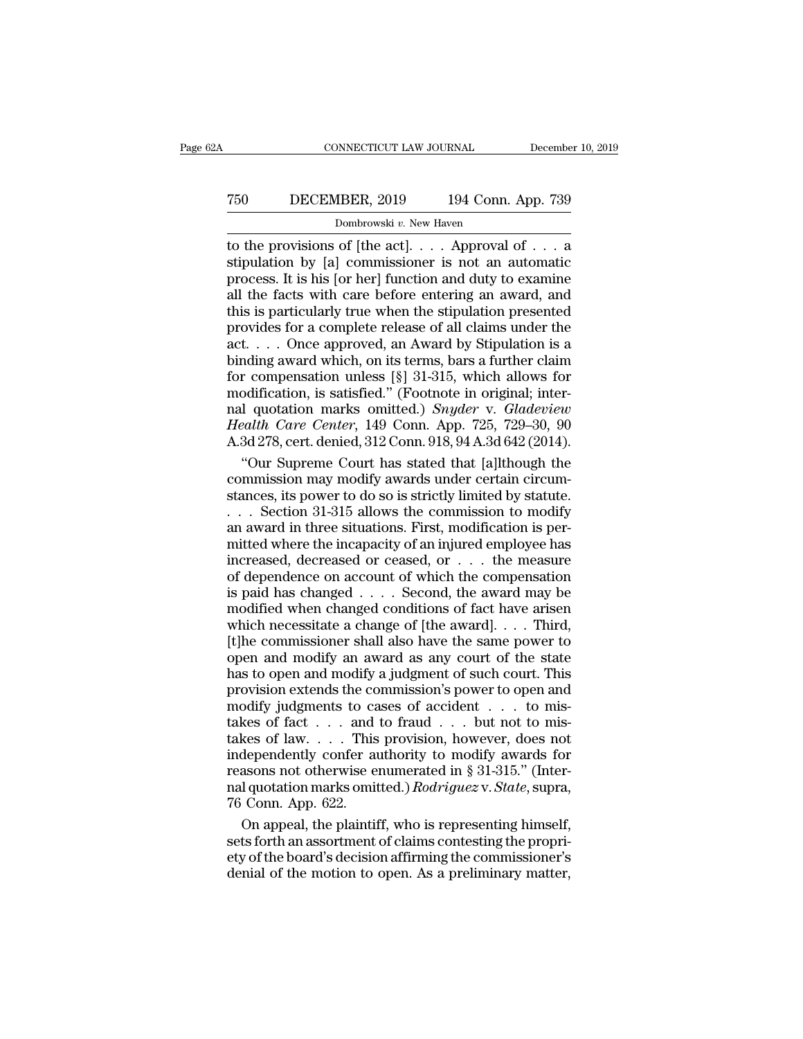# CONNECTICUT LAW JOURNAL December 10, 2019<br>
750 DECEMBER, 2019 194 Conn. App. 739<br>
Dombrowski v. New Haven CONNECTICUT LAW JOURNAL Decembe<br>
TO DECEMBER, 2019 194 Conn. App. 739<br>
Dombrowski *v*. New Haven<br>
to the provisions of [the act].... Approval of ... a

CONNECTICUT LAW JOURNAL December 10, 2019<br>
T50 DECEMBER, 2019 194 Conn. App. 739<br>
Dombrowski v. New Haven<br>
to the provisions of [the act].... Approval of ... a<br>
stipulation by [a] commissioner is not an automatic<br>
process. T50 DECEMBER, 2019 194 Conn. App. 739<br>Dombrowski v. New Haven<br>to the provisions of [the act]... Approval of ... a<br>stipulation by [a] commissioner is not an automatic<br>process. It is his [or her] function and duty to examin Process. It is his [or her] function and duty to examine this is narticularly true when the stipulation process. It is his [or her] function and duty to examine all the facts with care before entering an award, and this i Table The Facts With Connection and the provisions of [the act].  $\ldots$  Approval of  $\ldots$  and astipulation by [a] commissioner is not an automatic process. It is his [or her] function and duty to examine all the facts with **EXEMBER, 2019** 194 COMI. App. 199<br> **IDENTIFY ONE COMIC APP.** 199<br> **IDENTIFY ONE ADDED**<br> **IDENTIFY ONE ADDED**<br> **IDENTIFY ONE ADDED**<br> **IDENTIFY ONE ADDED**<br> **IDENTIFY STIPULATE ASSEMBLY**<br> **IDENTIFY STIPULARED**<br> **IDENTIFY TH** Dombrowski *v.* New Haven<br>to the provisions of [the act]. . . . Approval of . . . a<br>stipulation by [a] commissioner is not an automatic<br>process. It is his [or her] function and duty to examine<br>all the facts with care befo to the provisions of [the act]. . . . Approval of . . . a<br>stipulation by [a] commissioner is not an automatic<br>process. It is his [or her] function and duty to examine<br>all the facts with care before entering an award, and<br> stipulation by [a] commissioner is not an automatic<br>process. It is his [or her] function and duty to examine<br>all the facts with care before entering an award, and<br>this is particularly true when the stipulation presented<br>p process. It is his [or her] function and duty to examine<br>all the facts with care before entering an award, and<br>this is particularly true when the stipulation presented<br>provides for a complete release of all claims under t all the facts with care before entering an award, and<br>this is particularly true when the stipulation presented<br>provides for a complete release of all claims under the<br>act.... Once approved, an Award by Stipulation is a<br>bi this is particularly true when the stipulation presented<br>provides for a complete release of all claims under the<br>act.... Once approved, an Award by Stipulation is a<br>binding award which, on its terms, bars a further claim<br> *Health Care Center,* 149 Conn. App. 725, 729–30, 90<br>A.3d 278, err. denied and approved, an Award by Stipulation is a<br>binding award which, on its terms, bars a further claim<br>for compensation unless [§] 31-315, which allows act. . . . Once approved, an Award by Stipulation is a<br>binding award which, on its terms, bars a further claim<br>for compensation unless [§] 31-315, which allows for<br>modification, is satisfied." (Footnote in original; internding award which, on its terms, bars a further claim<br>
r compensation unless [§] 31-315, which allows for<br>
odification, is satisfied." (Footnote in original; inter-<br>
l quotation marks omitted.) *Snyder* v. *Gladeview*<br> *ea* for compensation unless [§] 31-315, which allows for modification, is satisfied." (Footnote in original; internal quotation marks omitted.) *Snyder* v. *Gladeview* Health Care Center, 149 Conn. App. 725, 729–30, 90 A.3d 2

modification, is satisfied." (Footnote in original; inter-<br>nal quotation marks omitted.) *Snyder* v. *Gladeview*<br>*Health Care Center*, 149 Conn. App. 725, 729–30, 90<br>A.3d 278, cert. denied, 312 Conn. 918, 94 A.3d 642 (201 nal quotation marks omitted.) Snyder v. Gladeview<br>Health Care Center, 149 Conn. App. 725, 729–30, 90<br>A.3d 278, cert. denied, 312 Conn. 918, 94 A.3d 642 (2014).<br>"Our Supreme Court has stated that [a]lthough the<br>commission Health Care Center, 149 Conn. App. 725, 729–30, 90<br>A.3d 278, cert. denied, 312 Conn. 918, 94 A.3d 642 (2014).<br>"Our Supreme Court has stated that [a]lthough the<br>commission may modify awards under certain circum-<br>stances, it A.3d 278, cert. denied, 312 Conn. 918, 94 A.3d 642 (2014).<br>
"Our Supreme Court has stated that [a]lthough the<br>
commission may modify awards under certain circum-<br>
stances, its power to do so is strictly limited by statute "Our Supreme Court has stated that [a]lthough the commission may modify awards under certain circumstances, its power to do so is strictly limited by statute.<br>
. . . Section 31-315 allows the commission to modify an award commission may modify awards under certain circum-<br>stances, its power to do so is strictly limited by statute.<br>... Section 31-315 allows the commission to modify<br>an award in three situations. First, modification is per-<br>m stances, its power to do so is strictly limited by statute.<br>
. . . . Section 31-315 allows the commission to modify<br>
an award in three situations. First, modification is per-<br>
mitted where the incapacity of an injured emp  $\dots$  Section 31-315 allows the commission to modify<br>an award in three situations. First, modification is per-<br>mitted where the incapacity of an injured employee has<br>increased, decreased or ceased, or  $\dots$  the measure<br>of d an award in three situations. First, modification is permitted where the incapacity of an injured employee has<br>increased, decreased or ceased, or  $\dots$  the measure<br>of dependence on account of which the compensation<br>is paid mitted where the incapacity of an injured employee has<br>increased, decreased or ceased, or  $\dots$  the measure<br>of dependence on account of which the compensation<br>is paid has changed  $\dots$ . Second, the award may be<br>modified whe increased, decreased or ceased, or  $\dots$  the measure<br>of dependence on account of which the compensation<br>is paid has changed  $\dots$ . Second, the award may be<br>modified when changed conditions of fact have arisen<br>which necessit of dependence on account of which the compensation<br>is paid has changed  $\ldots$ . Second, the award may be<br>modified when changed conditions of fact have arisen<br>which necessitate a change of [the award].  $\ldots$  Third,<br>[t]he com is paid has changed  $\ldots$  Second, the award may be modified when changed conditions of fact have arisen which necessitate a change of [the award].  $\ldots$  Third, [t]he commissioner shall also have the same power to open and modified when changed conditions of fact have arisen<br>modified when changed conditions of fact have arisen<br>which necessitate a change of [the award].... Third,<br>[t]he commissioner shall also have the same power to<br>open and which necessitate a change of [the award].... Third,<br>[t]he commissioner shall also have the same power to<br>open and modify an award as any court of the state<br>has to open and modify a judgment of such court. This<br>provision (t) the commissioner shall also have the same power to open and modify an award as any court of the state has to open and modify a judgment of such court. This provision extends the commission's power to open and modify j open and modify an award as any court of the state<br>phendent of such court. This<br>provision extends the commission's power to open and<br>modify judgments to cases of accident . . . to mis-<br>takes of fact . . . and to fraud . . has to open and modify a judgment of such court. This<br>provision extends the commission's power to open and<br>modify judgments to cases of accident  $\dots$  to mis-<br>takes of fact  $\dots$  and to fraud  $\dots$  but not to mis-<br>takes of l nal and modify interact of state of the commission's power to open and<br>modify judgments to cases of accident . . . to mis-<br>takes of fact . . . and to fraud . . . but not to mis-<br>takes of law. . . . This provision, however, From the means are compainty judgments to call<br>takes of fact . . . and<br>takes of law. . . . This<br>independently confer at<br>reasons not otherwise enal quotation marks omit<br>76 Conn. App. 622.<br>On appeal, the plaintif kes of fact . . . . and to fraud . . . but not to mis-<br>kes of law. . . . This provision, however, does not<br>dependently confer authority to modify awards for<br>asons not otherwise enumerated in § 31-315." (Inter-<br>l quotation takes of law. . . . . This provision, however, does not independently confer authority to modify awards for reasons not otherwise enumerated in § 31-315." (Internal quotation marks omitted.)  $Rodriguez v. State$ , supra, 76 Conn. App. independently confer authority to modify awards for<br>reasons not otherwise enumerated in § 31-315." (Inter-<br>nal quotation marks omitted.)  $Rodriguez v. State$ , supra,<br>76 Conn. App. 622.<br>On appeal, the plaintiff, who is representing hi

reasons not otherwise enumerated in § 31-315." (Internal quotation marks omitted.)  $Rodriguez$  v.  $State$ , supra, 76 Conn. App. 622.<br>On appeal, the plaintiff, who is representing himself, sets forth an assortment of claims contesti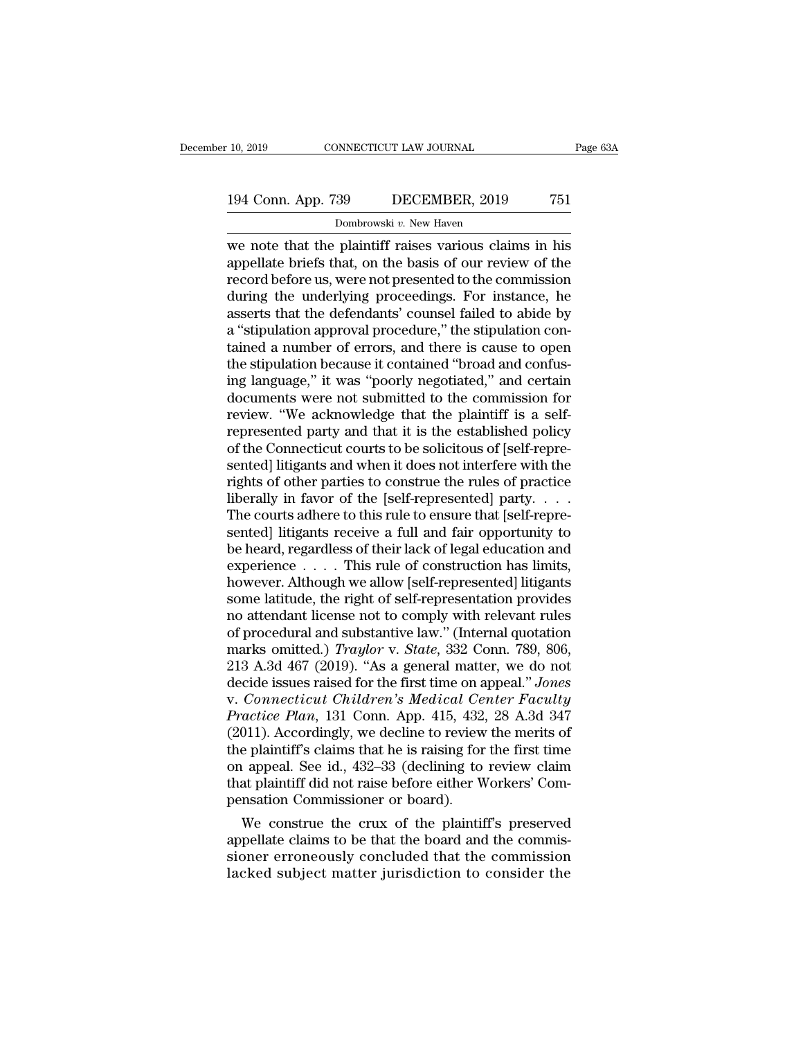## 10, 2019 CONNECTICUT LAW JOURNAL Page 63A<br>194 Conn. App. 739 DECEMBER, 2019 751<br>Dombrowski v. New Haven 99 DECEMBER, 2019<br>29 DECEMBER, 2019<br><sup>Dombrowski v. New Haven</sup><br>plaintiff raises various clain

10, 2019 CONNECTICUT LAW JOURNAL Page 63A<br>
194 Conn. App. 739 DECEMBER, 2019 751<br>
Dombrowski v. New Haven<br>
we note that the plaintiff raises various claims in his<br>
appellate briefs that, on the basis of our review of the<br> 194 Conn. App. 739 DECEMBER, 2019 751<br>Dombrowski v. New Haven<br>we note that the plaintiff raises various claims in his<br>appellate briefs that, on the basis of our review of the<br>record before us, were not presented to the co 194 Conn. App. 739 DECEMBER, 2019 751<br>
Dombrowski v. New Haven<br>
we note that the plaintiff raises various claims in his<br>
appellate briefs that, on the basis of our review of the<br>
record before us, were not presented to th 194 Conn. App. 739 DECEMBER, 2019 751<br>
Dombrowski v. New Haven<br>
we note that the plaintiff raises various claims in his<br>
appellate briefs that, on the basis of our review of the<br>
record before us, were not presented to th Dombrowski v. New Haven<br>we note that the plaintiff raises various claims in his<br>appellate briefs that, on the basis of our review of the<br>record before us, were not presented to the commission<br>during the underlying proceed Dombrowski  $v$ . New Haven<br>we note that the plaintiff raises various claims in his<br>appellate briefs that, on the basis of our review of the<br>record before us, were not presented to the commission<br>during the underlying proce we note that the plaintiff raises various claims in his<br>appellate briefs that, on the basis of our review of the<br>record before us, were not presented to the commission<br>during the underlying proceedings. For instance, he<br>as appellate briefs that, on the basis of our review of the record before us, were not presented to the commission<br>during the underlying proceedings. For instance, he<br>asserts that the defendants' counsel failed to abide by<br>a record before us, were not presented to the commission<br>during the underlying proceedings. For instance, he<br>asserts that the defendants' counsel failed to abide by<br>a "stipulation approval procedure," the stipulation con-<br>ta during the underlying proceedings. For instance, he<br>asserts that the defendants' counsel failed to abide by<br>a "stipulation approval procedure," the stipulation con-<br>tained a number of errors, and there is cause to open<br>the asserts that the defendants' counsel failed to abide by<br>a "stipulation approval procedure," the stipulation con-<br>tained a number of errors, and there is cause to open<br>the stipulation because it contained "broad and confusa "stipulation approval procedure," the stipulation con-<br>tained a number of errors, and there is cause to open<br>the stipulation because it contained "broad and confus-<br>ing language," it was "poorly negotiated," and certain<br> tained a number of errors, and there is cause to open<br>the stipulation because it contained "broad and confus-<br>ing language," it was "poorly negotiated," and certain<br>documents were not submitted to the commission for<br>review the stipulation because it contained "broad and confus-<br>ing language," it was "poorly negotiated," and certain<br>documents were not submitted to the commission for<br>review. "We acknowledge that the plaintiff is a self-<br>repres ing language," it was "poorly negotiated," and certain<br>documents were not submitted to the commission for<br>review. "We acknowledge that the plaintiff is a self-<br>represented party and that it is the established policy<br>of the documents were not submitted to the commission for<br>review. "We acknowledge that the plaintiff is a self-<br>represented party and that it is the established policy<br>of the Connecticut courts to be solicitous of [self-repre-<br>se review. "We acknowledge that the plaintiff is a self-<br>represented party and that it is the established policy<br>of the Connecticut courts to be solicitous of [self-repre-<br>sented] litigants and when it does not interfere with represented party and that it is the established policy<br>of the Connecticut courts to be solicitous of [self-repre-<br>sented] litigants and when it does not interfere with the<br>rights of other parties to construe the rules of of the Connecticut courts to be solicitous of [self-repre-<br>sented] litigants and when it does not interfere with the<br>rights of other parties to construe the rules of practice<br>liberally in favor of the [self-represented] pa sented] litigants and when it does not interfere with the rights of other parties to construe the rules of practice liberally in favor of the [self-represented] party. . . . . The courts adhere to this rule to ensure that rights of other parties to construe the rules of practice<br>liberally in favor of the [self-represented] party. . . .<br>The courts adhere to this rule to ensure that [self-repre-<br>sented] litigants receive a full and fair oppo liberally in favor of the [self-represented] party. . . . The courts adhere to this rule to ensure that [self-represented] litigants receive a full and fair opportunity to be heard, regardless of their lack of legal educat The courts adhere to this rule to ensure that [self-represented] litigants receive a full and fair opportunity to<br>be heard, regardless of their lack of legal education and<br>experience  $\dots$  . This rule of construction has l sented] litigants receive a full and fair opportunity to<br>be heard, regardless of their lack of legal education and<br>experience . . . . This rule of construction has limits,<br>however. Although we allow [self-representation p be heard, regardless of their lack of legal education and<br>experience . . . . This rule of construction has limits,<br>however. Although we allow [self-represented] litigants<br>some latitude, the right of self-representation pro experience . . . . . This rule of construction has limits,<br>however. Although we allow [self-represented] litigants<br>some latitude, the right of self-representation provides<br>no attendant license not to comply with relevant r however. Although we allow [self-represented] litigants<br>some latitude, the right of self-representation provides<br>no attendant license not to comply with relevant rules<br>of procedural and substantive law." (Internal quotatio some latitude, the right of self-representation provides<br>no attendant license not to comply with relevant rules<br>of procedural and substantive law." (Internal quotation<br>marks omitted.) *Traylor* v. *State*, 332 Conn. 789, 8 reader and substantive law." (Internal quotation<br>
procedural and substantive law." (Internal quotation<br>
marks omitted.) *Traylor* v. *State*, 332 Conn. 789, 806,<br>
213 A.3d 467 (2019). "As a general matter, we do not<br>
decid of procedural and substantive law." (Internal quotation<br>marks omitted.) *Traylor* v. *State*, 332 Conn. 789, 806,<br>213 A.3d 467 (2019). "As a general matter, we do not<br>decide issues raised for the first time on appeal." *Jo* marks omitted.) *Traylor* v. *State*, 332 Conn. 789, 806, 213 A.3d 467 (2019). "As a general matter, we do not decide issues raised for the first time on appeal." *Jones* v. *Connecticut Children's Medical Center Faculty P* 213 A.3d 467 (2019). "As a general matter, we do not<br>decide issues raised for the first time on appeal." Jones<br>v. Connecticut Children's Medical Center Faculty<br>Practice Plan, 131 Conn. App. 415, 432, 28 A.3d 347<br>(2011). Ac decide issues raised for the first time on appeal." Jones<br>v. Connecticut Children's Medical Center Faculty<br>Practice Plan, 131 Conn. App. 415, 432, 28 A.3d 347<br>(2011). Accordingly, we decline to review the merits of<br>the pla v. Connecticut Children's Medical Ce<br>Practice Plan, 131 Conn. App. 415, 432<br>(2011). Accordingly, we decline to review<br>the plaintiff's claims that he is raising for<br>on appeal. See id., 432–33 (declining to<br>that plaintiff di Mactice Plan, 131 Conn. App. 415, 432, 28 A.3d 347<br>011). Accordingly, we decline to review the merits of<br>e plaintiff's claims that he is raising for the first time<br>appeal. See id., 432–33 (declining to review claim<br>at plai (2011). Accordingly, we decline to review the merits of<br>the plaintiff's claims that he is raising for the first time<br>on appeal. See id., 432–33 (declining to review claim<br>that plaintiff did not raise before either Workers'

the plaintiff sclaims that he is raising for the first time<br>on appeal. See id., 432–33 (declining to review claim<br>that plaintiff did not raise before either Workers' Com-<br>pensation Commissioner or board).<br>We construe the c on appeal. See 1d., 432–33 (declining to review claim<br>that plaintiff did not raise before either Workers' Com-<br>pensation Commissioner or board).<br>We construe the crux of the plaintiff's preserved<br>appellate claims to be that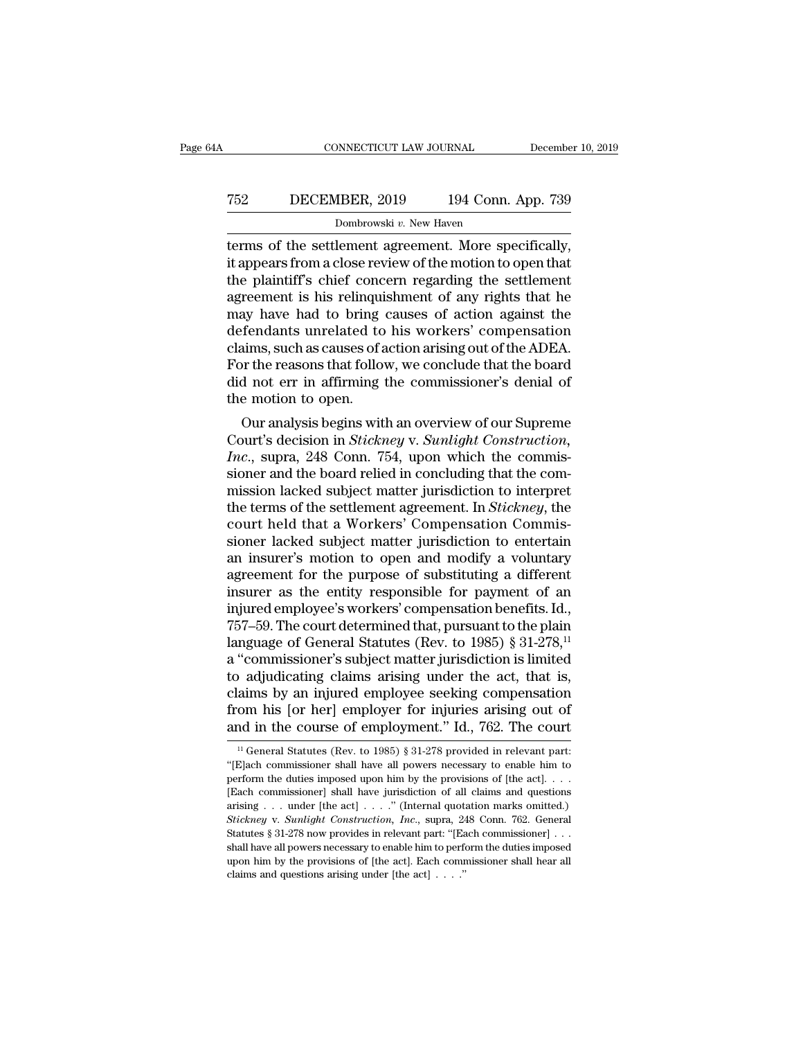## CONNECTICUT LAW JOURNAL December 10, 2019<br>
752 DECEMBER, 2019 194 Conn. App. 739<br>
Dombrowski v. New Haven Dombrowski *v.* New Haven

CONNECTICUT LAW JOURNAL December 10, 2<br>
T52 DECEMBER, 2019 194 Conn. App. 739<br>
Dombrowski v. New Haven<br>
terms of the settlement agreement. More specifically,<br>
it appears from a close review of the motion to open that<br>
the T52 DECEMBER, 2019 194 Conn. App. 739<br>Dombrowski v. New Haven<br>terms of the settlement agreement. More specifically,<br>it appears from a close review of the motion to open that<br>the plaintiff's chief concern regarding the set T52 DECEMBER, 2019 194 Conn. App. 739<br>
Dombrowski v. New Haven<br>
terms of the settlement agreement. More specifically,<br>
it appears from a close review of the motion to open that<br>
the plaintiff's chief concern regarding the T52 DECEMBER, 2019 194 Conn. App. 739<br>
Dombrowski v. New Haven<br>
terms of the settlement agreement. More specifically,<br>
it appears from a close review of the motion to open that<br>
the plaintiff's chief concern regarding the Dombrowski v. New Haven<br>terms of the settlement agreement. More specifically,<br>it appears from a close review of the motion to open that<br>the plaintiff's chief concern regarding the settlement<br>agreement is his relinquishmen Dombrowski  $v$ . New Haven<br>terms of the settlement agreement. More specifically,<br>it appears from a close review of the motion to open that<br>the plaintiff's chief concern regarding the settlement<br>agreement is his relinquishm terms of the settlement agreement. More specifically,<br>it appears from a close review of the motion to open that<br>the plaintiff's chief concern regarding the settlement<br>agreement is his relinquishment of any rights that he<br>m it appears from a close review of the motion to open that<br>the plaintiff's chief concern regarding the settlement<br>agreement is his relinquishment of any rights that he<br>may have had to bring causes of action against the<br>defe the plaintiff's chief concern regarding the settlement<br>agreement is his relinquishment of any rights that he<br>may have had to bring causes of action against the<br>defendants unrelated to his workers' compensation<br>claims, such agreement is his relinqui<br>may have had to bring<br>defendants unrelated to<br>claims, such as causes of a<br>For the reasons that follo<br>did not err in affirming<br>the motion to open.<br>Our analysis begins wit ay have had to bring causes of action against the<br>fendants unrelated to his workers' compensation<br>aims, such as causes of action arising out of the ADEA.<br>or the reasons that follow, we conclude that the board<br>d not err in defendants unrelated to fils workers compensation<br>claims, such as causes of action arising out of the ADEA.<br>For the reasons that follow, we conclude that the board<br>did not err in affirming the commissioner's denial of<br>the

*Increases Solution* and an increase of action and and order that the board did not err in affirming the commissioner's denial of the motion to open.<br>Our analysis begins with an overview of our Supreme Court's decision in For the reasons that follow, we conclude that the board<br>did not err in affirming the commissioner's denial of<br>the motion to open.<br>Our analysis begins with an overview of our Supreme<br>Court's decision in *Stickney* v. *Sunli* dud not err in animally the commissioner's denial of<br>the motion to open.<br>Our analysis begins with an overview of our Supreme<br>Court's decision in *Stickney* v. *Sunlight Construction*,<br>*Inc.*, supra, 248 Conn. 754, upon whi the motion to open.<br>
Our analysis begins with an overview of our Supreme<br>
Court's decision in *Stickney* v. *Sunlight Construction*,<br> *Inc.*, supra, 248 Conn. 754, upon which the commis-<br>
sioner and the board relied in con Our analysis begins with an overview of our Supreme<br>Court's decision in *Stickney v. Sunlight Construction*,<br>*Inc.*, supra, 248 Conn. 754, upon which the commis-<br>sioner and the board relied in concluding that the com-<br>miss Court's decision in *Stickney* v. *Sunlight Construction*,<br>*Inc.*, supra, 248 Conn. 754, upon which the commissioner and the board relied in concluding that the com-<br>mission lacked subject matter jurisdiction to interpret<br> Inc., supra, 248 Conn. 754, upon which the commissioner and the board relied in concluding that the commission lacked subject matter jurisdiction to interpret<br>the terms of the settlement agreement. In *Stickney*, the court sioner and the board relied in concluding that the commission lacked subject matter jurisdiction to interpret<br>the terms of the settlement agreement. In *Stickney*, the<br>court held that a Workers' Compensation Commis-<br>sioner mission lacked subject matter jurisdiction to interpret<br>the terms of the settlement agreement. In *Stickney*, the<br>court held that a Workers' Compensation Commis-<br>sioner lacked subject matter jurisdiction to entertain<br>an in the terms of the settlement agreement. In *Stickney*, the court held that a Workers' Compensation Commissioner lacked subject matter jurisdiction to entertain an insurer's motion to open and modify a voluntary agreement fo court held that a Workers' Compensation Commis-<br>sioner lacked subject matter jurisdiction to entertain<br>an insurer's motion to open and modify a voluntary<br>agreement for the purpose of substituting a different<br>insurer as the sioner lacked subject matter jurisdiction to entertain<br>an insurer's motion to open and modify a voluntary<br>agreement for the purpose of substituting a different<br>insurer as the entity responsible for payment of an<br>injured e an insurer's motion to open and modify a voluntary<br>agreement for the purpose of substituting a different<br>insurer as the entity responsible for payment of an<br>injured employee's workers' compensation benefits. Id.,<br>757–59. agreement for the purpose of substituting a different<br>insurer as the entity responsible for payment of an<br>injured employee's workers' compensation benefits. Id.,<br>757–59. The court determined that, pursuant to the plain<br>lan insurer as the entity responsible for payment of an<br>injured employee's workers' compensation benefits. Id.,<br>757–59. The court determined that, pursuant to the plain<br>language of General Statutes (Rev. to 1985) § 31-278,<sup>11</sup> injured employee's workers' compensation benefits. Id.,<br>757–59. The court determined that, pursuant to the plain<br>language of General Statutes (Rev. to 1985) § 31-278,<sup>11</sup><br>a "commissioner's subject matter jurisdiction is li 757–59. The court determined that, pursuant to the plain<br>language of General Statutes (Rev. to 1985) § 31-278,<sup>11</sup><br>a "commissioner's subject matter jurisdiction is limited<br>to adjudicating claims arising under the act, tha aly adjudicating claims arising under the act, that is, aims by an injured employee seeking compensation om his [or her] employer for injuries arising out of nd in the course of employment." Id., 762. The court  $\frac{11}{11}$ claims by an injured employee seeking compensation<br>from his [or her] employer for injuries arising out of<br>and in the course of employment." Id., 762. The court<br> $\frac{11 \text{ General Statistics (Rev. to 1985) § 31-278 provided in relevant part:}}{\frac{11 \text{[Each commissioner shall have all powers necessary to enable him to}}{\frac{1$ 

from his [or her] employer for injuries arising out of and in the course of employment." Id., 762. The court  $\frac{1}{1}$  General Statutes (Rev. to 1985) § 31-278 provided in relevant part: "[E]ach commissioner shall have al and in the course of employment." Id., 762. The court<br>
<sup>11</sup> General Statutes (Rev. to 1985) § 31-278 provided in relevant part:<br>
"[E]ach commissioner shall have all powers necessary to enable him to<br>
perform the duties im and III the COUISE Of EINPOYMENT. Id., 102. The COUIT<br>
<sup>11</sup> General Statutes (Rev. to 1985) § 31-278 provided in relevant part:<br>
"[E]ach commissioner shall have all powers necessary to enable him to<br>
perform the duties im <sup>11</sup> General Statutes (Rev. to 1985) § 31-278 provided in relevant part:<br>"[E]ach commissioner shall have all powers necessary to enable him to<br>perform the duties imposed upon him by the provisions of [the act]...<br>[Each com "[E]ach commissioner shall have all powers necessary to enable him to perform the duties imposed upon him by the provisions of [the act]. . . . . [Each commissioner] shall have jurisdiction of all claims and questions ari perform the duties imposed upon him by the provisions of [the act]. . . . . [Each commissioner] shall have jurisdiction of all claims and questions arising . . . under [the act] . . . . " (Internal quotation marks omitted Each commissioner] shall have jurisdiction of all claims and questions arising . . . under [the act] . . . ." (Internal quotation marks omitted.) Stickney v. Sunlight Construction, Inc., supra, 248 Conn. 762. General Stat [Each commissioner] shall have jurisdiction of all claims and questions arising . . . under [the act] . . . ." (Internal quotation marks omitted.) Stickney v. Sunlight Construction, Inc., supra, 248 Conn. 762. General Sta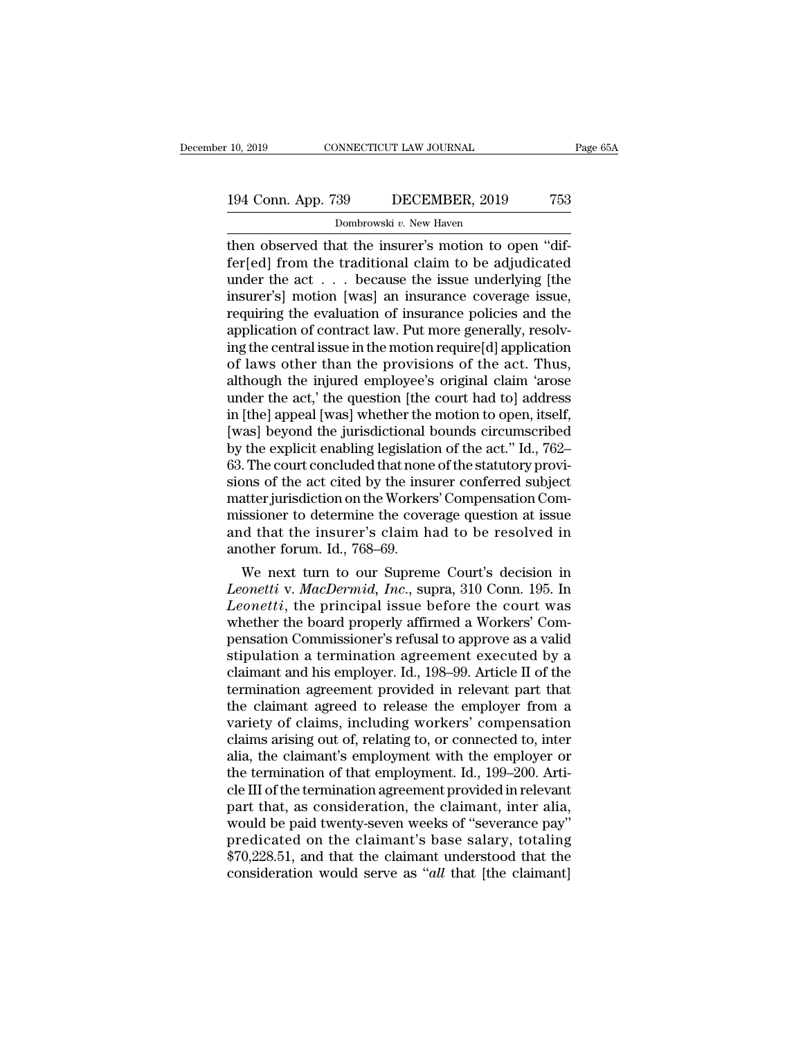## 10, 2019 CONNECTICUT LAW JOURNAL Page 65A<br>194 Conn. App. 739 DECEMBER, 2019 753<br>Dombrowski v. New Haven 99 DECEMBER, 2019<br>29 DECEMBER, 2019<br><sup>Dombrowski v. New Haven</sup><br>21 the insurer's motion to o

then observed that the insurer's motion to open ''differ[ed] from the traditional claim to be adjudicated<br>
under the act is because the issue underlying the<br>
under the act is because the issue underlying [the 194 Conn. App. 739 DECEMBER, 2019 753<br>
Dombrowski v. New Haven<br>
then observed that the insurer's motion to open "dif-<br>
fer[ed] from the traditional claim to be adjudicated<br>
under the act... because the issue underlying [th 194 Conn. App. 739 DECEMBER, 2019 753<br>
Dombrowski v. New Haven<br>
then observed that the insurer's motion to open "dif-<br>
fer[ed] from the traditional claim to be adjudicated<br>
under the act . . . because the issue underlying 194 Conn. App. 739 DECEMBER, 2019 753<br>
Dombrowski v. New Haven<br>
then observed that the insurer's motion to open "dif-<br>
fer[ed] from the traditional claim to be adjudicated<br>
under the act . . . because the issue underlying **EXECUTE AND THE CONSUMED ASSEMBLE AND THE CONSUMERED CONSUMERED ASSEMBLE THE EXECUTE:**<br> **CONSUMED A** ferrical characteristic and the evaluational claim to be adjudicated<br>
under the act . . . because the issue underlying Dombrowski v. New Haven<br>then observed that the insurer's motion to open "dif-<br>fer[ed] from the traditional claim to be adjudicated<br>under the act  $\ldots$  because the issue underlying [the<br>insurer's] motion [was] an insurance then observed that the insurer's motion to open "dif-<br>fer[ed] from the traditional claim to be adjudicated<br>under the act  $\ldots$  because the issue underlying [the<br>insurer's] motion [was] an insurance coverage issue,<br>requiri fer[ed] from the traditional claim to be adjudicated<br>under the act... because the issue underlying [the<br>insurer's] motion [was] an insurance coverage issue,<br>requiring the evaluation of insurance policies and the<br>applicati under the act  $\ldots$  because the issue underlying [the<br>insurer's] motion [was] an insurance coverage issue,<br>requiring the evaluation of insurance policies and the<br>application of contract law. Put more generally, resolv-<br>in insurer's] motion [was] an insurance coverage issue,<br>requiring the evaluation of insurance policies and the<br>application of contract law. Put more generally, resolv-<br>ing the central issue in the motion require[d] applicatio requiring the evaluation of insurance policies and the<br>application of contract law. Put more generally, resolv-<br>ing the central issue in the motion require[d] application<br>of laws other than the provisions of the act. Thus, application of contract law. Put more generally, resolving the central issue in the motion require[d] application<br>of laws other than the provisions of the act. Thus,<br>although the injured employee's original claim 'arose<br>un ing the central issue in the motion require[d] application<br>of laws other than the provisions of the act. Thus,<br>although the injured employee's original claim 'arose<br>under the act,' the question [the court had to] address<br>i of laws other than the provisions of the act. Thus,<br>although the injured employee's original claim 'arose<br>under the act,' the question [the court had to] address<br>in [the] appeal [was] whether the motion to open, itself,<br>[w although the injured employee's original claim 'arose<br>under the act,' the question [the court had to] address<br>in [the] appeal [was] whether the motion to open, itself,<br>[was] beyond the jurisdictional bounds circumscribed<br>b under the act,' the question [the court had to] address<br>in [the] appeal [was] whether the motion to open, itself,<br>[was] beyond the jurisdictional bounds circumscribed<br>by the explicit enabling legislation of the act.'' Id., in [the] appeal [was] whether the motion to open, itself,<br>[was] beyond the jurisdictional bounds circumscribed<br>by the explicit enabling legislation of the act." Id., 762–<br>63. The court concluded that none of the statutory [was] beyond the jurisdictional bounds circumscribed<br>by the explicit enabling legislation of the act." Id., 762–<br>63. The court concluded that none of the statutory provi-<br>sions of the act cited by the insurer conferred sub by the explicit enabling legislation<br>63. The court concluded that none<br>sions of the act cited by the insu<br>matter jurisdiction on the Worker<br>missioner to determine the cove<br>and that the insurer's claim h<br>another forum. Id., . The court concluded that none of the statutory provi-<br>ons of the act cited by the insurer conferred subject<br>atter jurisdiction on the Workers' Compensation Com-<br>issioner to determine the coverage question at issue<br>in dt sions of the act cited by the insurer conferred subject<br>
matter jurisdiction on the Workers' Compensation Com-<br>
missioner to determine the coverage question at issue<br>
and that the insurer's claim had to be resolved in<br>
ano

matter jurisdiction on the Workers' Compensation Com-<br>missioner to determine the coverage question at issue<br>and that the insurer's claim had to be resolved in<br>another forum. Id., 768–69.<br>We next turn to our Supreme Court's missioner to determine the coverage question at issue<br>and that the insurer's claim had to be resolved in<br>another forum. Id., 768–69.<br>We next turn to our Supreme Court's decision in<br>*Leonetti* v. *MacDermid*, *Inc.*, supra, and that the insurer's claim had to be resolved in<br>another forum. Id., 768–69.<br>We next turn to our Supreme Court's decision in<br>*Leonetti* v. *MacDermid*, *Inc.*, supra, 310 Conn. 195. In<br>*Leonetti*, the principal issue be another forum. Id., 768–69.<br>We next turn to our Supreme Court's decision in<br>*Leonetti* v. *MacDermid*, *Inc.*, supra, 310 Conn. 195. In<br>*Leonetti*, the principal issue before the court was<br>whether the board properly affir We next turn to our Supreme Court's decision in<br>Leonetti v. MacDermid, Inc., supra, 310 Conn. 195. In<br>Leonetti, the principal issue before the court was<br>whether the board properly affirmed a Workers' Com-<br>pensation Commiss Leonetti v. MacDermid, Inc., supra, 310 Conn. 195. In<br>Leonetti, the principal issue before the court was<br>whether the board properly affirmed a Workers' Com-<br>pensation Commissioner's refusal to approve as a valid<br>stipulatio Leonetti, the principal issue before the court was<br>whether the board properly affirmed a Workers' Com-<br>pensation Commissioner's refusal to approve as a valid<br>stipulation a termination agreement executed by a<br>claimant and h whether the board properly affirmed a Workers' Compensation Commissioner's refusal to approve as a valid<br>stipulation a termination agreement executed by a<br>claimant and his employer. Id., 198–99. Article II of the<br>terminati pensation Commissioner's refusal to approve as a valid<br>stipulation a termination agreement executed by a<br>claimant and his employer. Id., 198–99. Article II of the<br>termination agreement provided in relevant part that<br>the cl stipulation a termination agreement executed by a<br>claimant and his employer. Id., 198–99. Article II of the<br>termination agreement provided in relevant part that<br>the claimant agreed to release the employer from a<br>variety of claimant and his employer. Id., 198–99. Article II of the<br>termination agreement provided in relevant part that<br>the claimant agreed to release the employer from a<br>variety of claims, including workers' compensation<br>claims ar termination agreement provided in relevant part that<br>the claimant agreed to release the employer from a<br>variety of claims, including workers' compensation<br>claims arising out of, relating to, or connected to, inter<br>alia, th the claimant agreed to release the employer from a<br>variety of claims, including workers' compensation<br>claims arising out of, relating to, or connected to, inter<br>alia, the claimant's employment with the employer or<br>the term variety of claims, including workers' compensation<br>claims arising out of, relating to, or connected to, inter<br>alia, the claimant's employment with the employer or<br>the termination of that employment. Id., 199–200. Arti-<br>cle claims arising out of, relating to, or connected to, inter<br>alia, the claimant's employment with the employer or<br>the termination of that employment. Id., 199–200. Arti-<br>cle III of the termination agreement provided in relev alia, the claimant's employment with the employer or<br>the termination of that employment. Id., 199–200. Arti-<br>cle III of the termination agreement provided in relevant<br>part that, as consideration, the claimant, inter alia,<br> the termination of that employment. Id., 199–200. Article III of the termination agreement provided in relevant<br>part that, as consideration, the claimant, inter alia,<br>would be paid twenty-seven weeks of "severance pay"<br>pre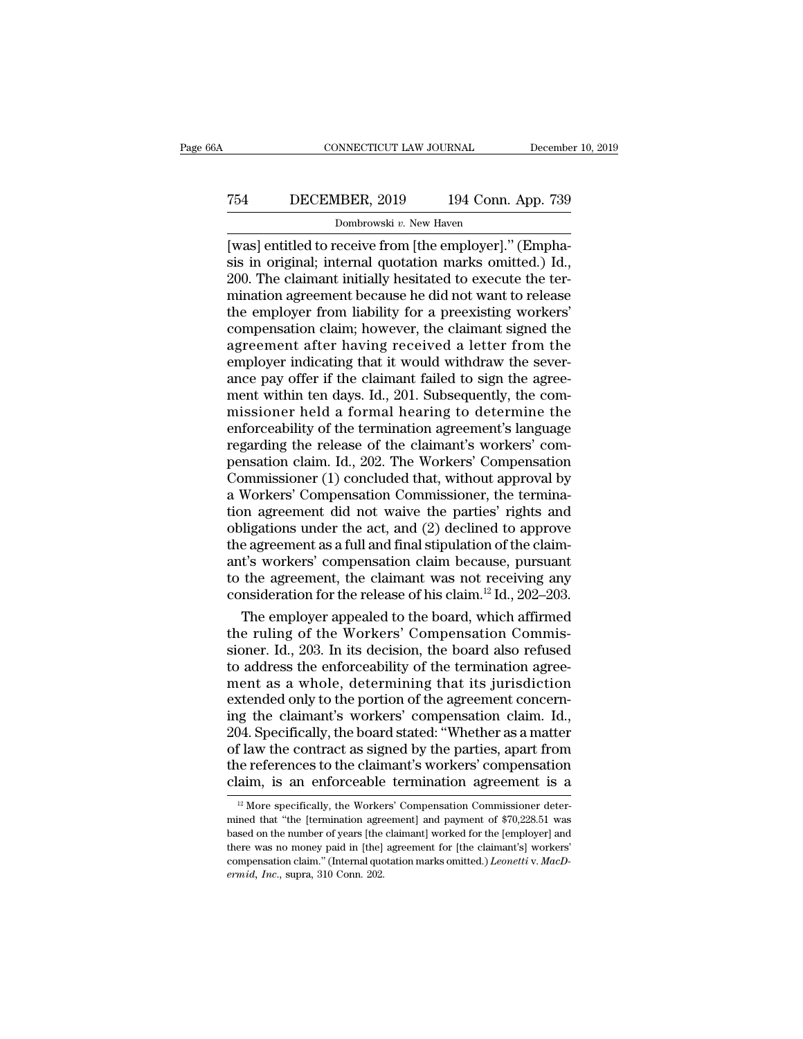## CONNECTICUT LAW JOURNAL December 10, 2019<br>
754 DECEMBER, 2019 194 Conn. App. 739<br>
Dombrowski v. New Haven Dombrowski *v.* New Haven

CONNECTICUT LAW JOURNAL December<br>
T54 DECEMBER, 2019 194 Conn. App. 739<br>
Dombrowski v. New Haven<br>
[was] entitled to receive from [the employer].'' (Empha-<br>
sis in original; internal quotation marks omitted.) Id.,<br>
200 The TE4 DECEMBER, 2019 194 Conn. App. 739<br>Dombrowski v. New Haven<br>[was] entitled to receive from [the employer]." (Emphasis in original; internal quotation marks omitted.) Id.,<br>200. The claimant initially hesitated to execute 2019 194 Conn. App. 739<br>
200. The claimant initially hesitated to execute the ter-<br>
200. The claimant initially hesitated to execute the ter-<br>
200. The claimant initially hesitated to execute the ter-<br>
200. The claimant i T54 DECEMBER, 2019 194 Conn. App. 739<br>
Dombrowski v. New Haven<br>
[was] entitled to receive from [the employer]." (Emphasis in original; internal quotation marks omitted.) Id.,<br>
200. The claimant initially hesitated to exec DECEMBER, 2019 101 COME Typp. 100<br>
Dombrowski v. New Haven<br>
[was] entitled to receive from [the employer]." (Emphasis in original; internal quotation marks omitted.) Id.,<br>
200. The claimant initially hesitated to execute Dombrowski v. New Haven<br>[was] entitled to receive from [the employer]." (Emphasis in original; internal quotation marks omitted.) Id.,<br>200. The claimant initially hesitated to execute the ter-<br>mination agreement because h [was] entitled to receive from [the employer]." (Emphasis in original; internal quotation marks omitted.) Id., 200. The claimant initially hesitated to execute the termination agreement because he did not want to release t is in original; internal quotation marks omitted.) Id., 200. The claimant initially hesitated to execute the termination agreement because he did not want to release the employer from liability for a preexisting workers' 200. The claimant initially hesitated to execute the termination agreement because he did not want to release<br>the employer from liability for a preexisting workers'<br>compensation claim; however, the claimant signed the<br>agre mination agreement because he did not want to release<br>the employer from liability for a preexisting workers'<br>compensation claim; however, the claimant signed the<br>agreement after having received a letter from the<br>employer i the employer from liability for a preexisting workers'<br>compensation claim; however, the claimant signed the<br>agreement after having received a letter from the<br>employer indicating that it would withdraw the sever-<br>ance pay o compensation claim; however, the claimant signed the<br>agreement after having received a letter from the<br>employer indicating that it would withdraw the sever-<br>ance pay offer if the claimant failed to sign the agree-<br>ment wit agreement after having received a letter from the<br>employer indicating that it would withdraw the sever-<br>ance pay offer if the claimant failed to sign the agree-<br>ment within ten days. Id., 201. Subsequently, the com-<br>missio employer indicating that it would withdraw the sever-<br>ance pay offer if the claimant failed to sign the agree-<br>ment within ten days. Id., 201. Subsequently, the com-<br>missioner held a formal hearing to determine the<br>enforce ance pay offer if the claimant failed to sign the agreement within ten days. Id., 201. Subsequently, the commissioner held a formal hearing to determine the enforceability of the termination agreement's language regarding ment within ten days. Id., 201. Subsequently, the commissioner held a formal hearing to determine the enforceability of the termination agreement's language regarding the release of the claimant's workers' compensation cla missioner held a formal hearing to determine the<br>enforceability of the termination agreement's language<br>regarding the release of the claimant's workers' com-<br>pensation claim. Id., 202. The Workers' Compensation<br>Commissione enforceability of the termination agreement's language<br>regarding the release of the claimant's workers' com-<br>pensation claim. Id., 202. The Workers' Compensation<br>Commissioner (1) concluded that, without approval by<br>a Worke regarding the release of the claimant's workers' compensation claim. Id., 202. The Workers' Compensation Commissioner (1) concluded that, without approval by a Workers' Compensation Commissioner, the termination agreement pensation claim. Id., 202. The Workers' Compensation<br>Commissioner (1) concluded that, without approval by<br>a Workers' Compensation Commissioner, the termina-<br>tion agreement did not waive the parties' rights and<br>obligations Commissioner (1) concluded that, without approval by<br>a Workers' Compensation Commissioner, the termina-<br>tion agreement did not waive the parties' rights and<br>obligations under the act, and (2) declined to approve<br>the agree a Workers' Compensation Commissioner, the termination agreement did not waive the parties' rights and obligations under the act, and (2) declined to approve the agreement as a full and final stipulation of the claimant's In agreement did not waive the parties' rights and<br>iligations under the act, and (2) declined to approve<br>e agreement as a full and final stipulation of the claim-<br>t's workers' compensation claim because, pursuant<br>the agre obligations under the act, and  $(2)$  declined to approve<br>the agreement as a full and final stipulation of the claim-<br>ant's workers' compensation claim because, pursuant<br>to the agreement, the claimant was not receiving any

the agreement as a full and final stipulation of the claim-<br>ant's workers' compensation claim because, pursuant<br>to the agreement, the claimant was not receiving any<br>consideration for the release of his claim.<sup>12</sup> Id., 202– ant's workers' compensation claim because, pursuant<br>to the agreement, the claimant was not receiving any<br>consideration for the release of his claim.<sup>12</sup> Id., 202–203.<br>The employer appealed to the board, which affirmed<br>the to the agreement, the claimant was not receiving any<br>consideration for the release of his claim.<sup>12</sup> Id., 202–203.<br>The employer appealed to the board, which affirmed<br>the ruling of the Workers' Compensation Commis-<br>sioner. consideration for the release of his claim.<sup>12</sup> Id., 202–203.<br>The employer appealed to the board, which affirmed<br>the ruling of the Workers' Compensation Commis-<br>sioner. Id., 203. In its decision, the board also refused<br>to The employer appealed to the board, which affirmed<br>the ruling of the Workers' Compensation Commis-<br>sioner. Id., 203. In its decision, the board also refused<br>to address the enforceability of the termination agree-<br>ment as a the ruling of the Workers' Compensation Commissioner. Id., 203. In its decision, the board also refused to address the enforceability of the termination agreement as a whole, determining that its jurisdiction extended only sioner. Id., 203. In its decision, the board also refused<br>to address the enforceability of the termination agree-<br>ment as a whole, determining that its jurisdiction<br>extended only to the portion of the agreement concern-<br>in to address the enforceability of the termination agreement as a whole, determining that its jurisdiction extended only to the portion of the agreement concerning the claimant's workers' compensation claim. Id., 204. Specif ment as a whole, determining that its jurisdiction<br>extended only to the portion of the agreement concerning the claimant's workers' compensation claim. Id.,<br>204. Specifically, the board stated: "Whether as a matter<br>of law )4. Specifically, the board stated: "Whether as a matter f law the contract as signed by the parties, apart from the references to the claimant's workers' compensation aim, is an enforceable termination agreement is a  $n^$ of law the contract as signed by the parties, apart from<br>the references to the claimant's workers' compensation<br>claim, is an enforceable termination agreement is a<br> $\frac{12}{12}$  More specifically, the Workers' Compensation

the references to the claimant's workers' compensation<br>claim, is an enforceable termination agreement is a<br> $\frac{12}{12}$  More specifically, the Workers' Compensation Commissioner deter-<br>mined that "the [termination agreemen claim, is an enforceable termination agreement is a<br>
<sup>12</sup> More specifically, the Workers' Compensation Commissioner deter-<br>
mined that "the [termination agreement] and payment of \$70,228.51 was<br>
based on the number of yea ciantity. Its art ention ceaple termination agreement is a<br><sup>12</sup> More specifically, the Workers' Compensation Commissioner deter-<br>mined that "the [termination agreement] and payment of \$70,228.51 was<br>based on the number of <sup>12</sup> More specifically, the Worke<br>mined that "the [termination agre<br>based on the number of years [the<br>there was no money paid in [the]<br>compensation claim." (Internal quo<br>*ermid, Inc.*, supra, 310 Conn. 202.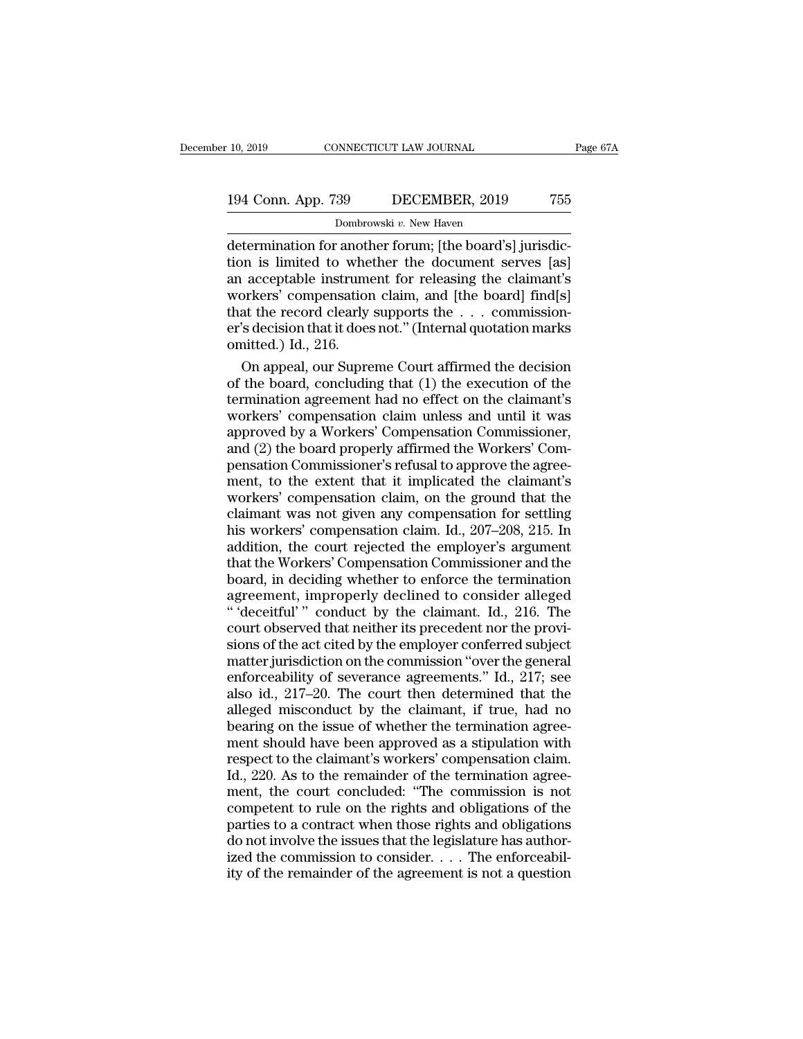# 10, 2019 CONNECTICUT LAW JOURNAL Page 67A<br>194 Conn. App. 739 DECEMBER, 2019 755<br>Dombrowski v. New Haven

10, 2019 CONNECTICUT LAW JOURNAL<br>
194 Conn. App. 739 DECEMBER, 2019 755<br>
Dombrowski *v*. New Haven<br>
determination for another forum; [the board's] jurisdic-<br>
tion is limited to whether the document serves [as]<br>
an accentab 194 Conn. App. 739 DECEMBER, 2019 755<br>
Dombrowski v. New Haven<br>
determination for another forum; [the board's] jurisdic-<br>
tion is limited to whether the document serves [as]<br>
an acceptable instrument for releasing the clai 194 Conn. App. 739 DECEMBER, 2019 755<br>
Dombrowski v. New Haven<br>
determination for another forum; [the board's] jurisdic-<br>
tion is limited to whether the document serves [as]<br>
an acceptable instrument for releasing the cla 194 Conn. App. 739 DECEMBER, 2019 755<br>
Dombrowski v. New Haven<br>
determination for another forum; [the board's] jurisdic-<br>
tion is limited to whether the document serves [as]<br>
an acceptable instrument for releasing the cla **EXECUTE THE RECORDING CONDUCT THE RECORDING ASSESSMENT AND DOMOTOWSKI** *v***. New Haven<br>determination for another forum; [the board's] jurisdic-<br>tion is limited to whether the document serves [as]<br>an acceptable instrument f** Dombrowski v. New Haven<br>
determination for another forum; [the board's] jurisdic-<br>
tion is limited to whether the document serves [as]<br>
an acceptable instrument for releasing the claimant's<br>
workers' compensation claim, an determination for anothion<br>tion is limited to whe<br>an acceptable instrume<br>workers' compensation<br>that the record clearly<br>er's decision that it does<br>omitted.) Id., 216.<br>On appeal, our Supre on is limited to whether the document serves [as]<br>acceptable instrument for releasing the claimant's<br>orkers' compensation claim, and [the board] find[s]<br>at the record clearly supports the . . . commission-<br>'s decision tha an acceptable instrument for releasing the claimant's<br>workers' compensation claim, and [the board] find[s]<br>that the record clearly supports the  $\ldots$  commission-<br>er's decision that it does not." (Internal quotation marks<br>

workers' compensation claim, and [the board] find[s]<br>that the record clearly supports the  $\ldots$  commission-<br>er's decision that it does not." (Internal quotation marks<br>omitted.) Id., 216.<br>On appeal, our Supreme Court affir that the record clearly supports the  $\ldots$  commission-<br>er's decision that it does not." (Internal quotation marks<br>omitted.) Id., 216.<br>On appeal, our Supreme Court affirmed the decision<br>of the board, concluding that (1) th er's decision that it does not." (Internal quotation marks<br>omitted.) Id., 216.<br>On appeal, our Supreme Court affirmed the decision<br>of the board, concluding that (1) the execution of the<br>termination agreement had no effect o omitted.) Id., 216.<br>
On appeal, our Supreme Court affirmed the decision<br>
of the board, concluding that (1) the execution of the<br>
termination agreement had no effect on the claimant's<br>
workers' compensation claim unless and On appeal, our Supreme Court affirmed the decision<br>of the board, concluding that (1) the execution of the<br>termination agreement had no effect on the claimant's<br>workers' compensation claim unless and until it was<br>approved b of the board, concluding that (1) the execution of the<br>termination agreement had no effect on the claimant's<br>workers' compensation claim unless and until it was<br>approved by a Workers' Compensation Commissioner,<br>and (2) the termination agreement had no effect on the claimant's<br>workers' compensation claim unless and until it was<br>approved by a Workers' Compensation Commissioner,<br>and (2) the board properly affirmed the Workers' Com-<br>pensation Co workers' compensation claim unless and until it was<br>approved by a Workers' Compensation Commissioner,<br>and (2) the board properly affirmed the Workers' Com-<br>pensation Commissioner's refusal to approve the agree-<br>ment, to th approved by a Workers' Compensation Commissioner,<br>and (2) the board properly affirmed the Workers' Com-<br>pensation Commissioner's refusal to approve the agree-<br>ment, to the extent that it implicated the claimant's<br>workers' and (2) the board properly affirmed the Workers' Compensation Commissioner's refusal to approve the agreement, to the extent that it implicated the claimant's workers' compensation claim, on the ground that the claimant wa pensation Commissioner's refusal to approve the agreement, to the extent that it implicated the claimant's workers' compensation claim, on the ground that the claimant was not given any compensation for settling his worker ment, to the extent that it implicated the claimant's<br>workers' compensation claim, on the ground that the<br>claimant was not given any compensation for settling<br>his workers' compensation claim. Id., 207–208, 215. In<br>addition workers' compensation claim, on the ground that the<br>claimant was not given any compensation for settling<br>his workers' compensation claim. Id., 207–208, 215. In<br>addition, the court rejected the employer's argument<br>that the claimant was not given any compensation for settling<br>his workers' compensation claim. Id., 207–208, 215. In<br>addition, the court rejected the employer's argument<br>that the Workers' Compensation Commissioner and the<br>board, in his workers' compensation claim. Id., 207–208, 215. In<br>addition, the court rejected the employer's argument<br>that the Workers' Compensation Commissioner and the<br>board, in deciding whether to enforce the termination<br>agreemen addition, the court rejected the employer's argument<br>that the Workers' Compensation Commissioner and the<br>board, in deciding whether to enforce the termination<br>agreement, improperly declined to consider alleged<br>"'deceitful' that the Workers' Compensation Commissioner and the<br>board, in deciding whether to enforce the termination<br>agreement, improperly declined to consider alleged<br>"'deceitful'" conduct by the claimant. Id., 216. The<br>court obser board, in deciding whether to enforce the termination<br>agreement, improperly declined to consider alleged<br>"'deceitful'" conduct by the claimant. Id., 216. The<br>court observed that neither its precedent nor the provi-<br>sions o agreement, improperly declined to consider alleged<br>
"'deceitful'" conduct by the claimant. Id., 216. The<br>
court observed that neither its precedent nor the provi-<br>
sions of the act cited by the employer conferred subject<br> "'deceitful'" conduct by the claimant. Id., 216. The<br>court observed that neither its precedent nor the provi-<br>sions of the act cited by the employer conferred subject<br>matter jurisdiction on the commission "over the genera court observed that neither its precedent nor the provisions of the act cited by the employer conferred subject<br>matter jurisdiction on the commission "over the general<br>enforceability of severance agreements." Id., 217; see sions of the act cited by the employer conferred subject<br>matter jurisdiction on the commission "over the general<br>enforceability of severance agreements." Id., 217; see<br>also id., 217–20. The court then determined that the<br>a matter jurisdiction on the commission "over the general<br>enforceability of severance agreements." Id., 217; see<br>also id., 217–20. The court then determined that the<br>alleged misconduct by the claimant, if true, had no<br>bearin enforceability of severance agreements." Id., 217; see<br>also id., 217–20. The court then determined that the<br>alleged misconduct by the claimant, if true, had no<br>bearing on the issue of whether the termination agree-<br>ment sh also id., 217–20. The court then determined that the alleged misconduct by the claimant, if true, had no bearing on the issue of whether the termination agreement should have been approved as a stipulation with respect to alleged misconduct by the claimant, if true, had no<br>bearing on the issue of whether the termination agree-<br>ment should have been approved as a stipulation with<br>respect to the claimant's workers' compensation claim.<br>Id., 22 bearing on the issue of whether the termination agreement should have been approved as a stipulation with<br>respect to the claimant's workers' compensation claim.<br>Id., 220. As to the remainder of the termination agreement, t ment should have been approved as a stipulation with<br>respect to the claimant's workers' compensation claim.<br>Id., 220. As to the remainder of the termination agree-<br>ment, the court concluded: "The commission is not<br>compete respect to the claimant's workers' compensation claim.<br>Id., 220. As to the remainder of the termination agreement, the court concluded: "The commission is not competent to rule on the rights and obligations of the parties Id., 220. As to the remainder of the termination agreement, the court concluded: "The commission is not competent to rule on the rights and obligations of the parties to a contract when those rights and obligations do not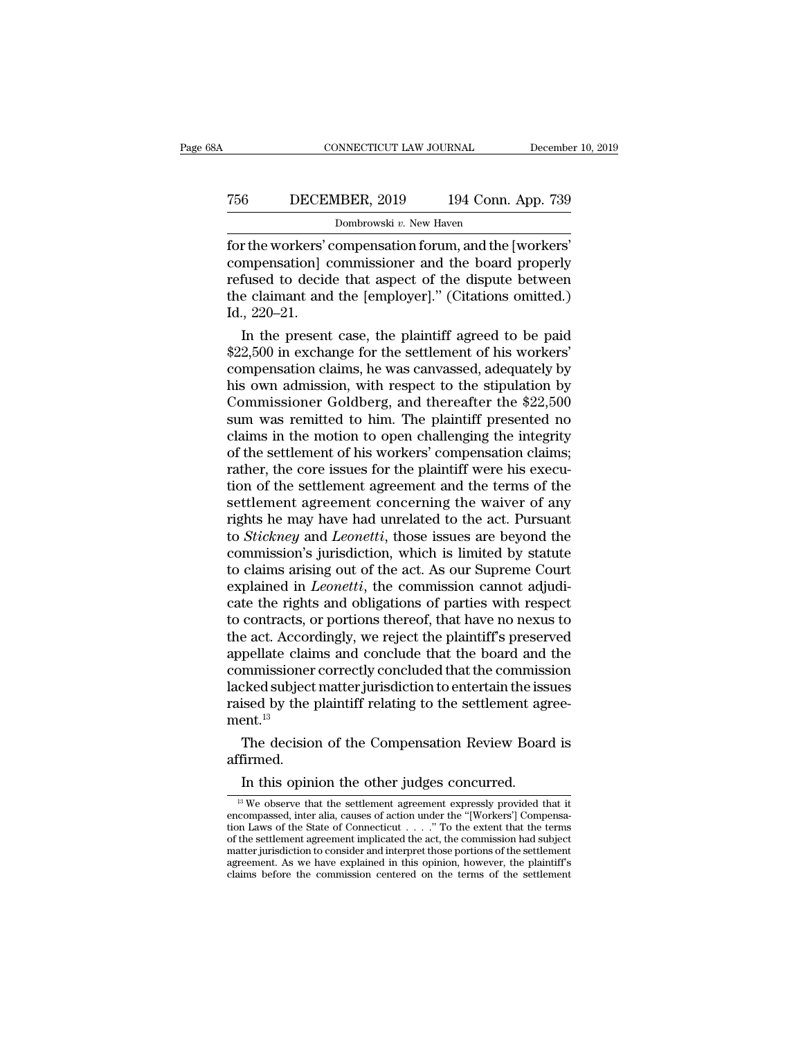## CONNECTICUT LAW JOURNAL December 10, 2019<br>
756 DECEMBER, 2019 194 Conn. App. 739<br>
Dombrowski v. New Haven NNECTICUT LAW JOURNAL<br>18ER, 2019 194 Conn.<br>Dombrowski v. New Haven<br>0mnensation forum\_and the [

For the workers' compensation forum, and the [workers]<br>
Tombrowski v. New Haven<br>
for the workers' compensation forum, and the [workers]<br>
compensation forum, and the [workers]<br>
compensation commissioner and the board proper T56 DECEMBER, 2019 194 Conn. App. 739<br>Dombrowski v. New Haven<br>for the workers' compensation forum, and the [workers'<br>compensation] commissioner and the board properly<br>refused to decide that aspect of the dispute between<br>th T56 DECEMBER, 2019 194 Conn. App. 739<br>
Dombrowski v. New Haven<br>
for the workers' compensation forum, and the [workers'<br>
compensation] commissioner and the board properly<br>
refused to decide that aspect of the dispute betwe The complement and the claimant and the functions of the workers' compensation for and the [workers' compensation] commissioner and the board properly refused to decide that aspect of the dispute between the claimant and 756 DECEMBER, 2019 194 Conn. App. 739<br>
Dombrowski v. New Haven<br>
for the workers' compensation forum, and the [workers'<br>
compensation] commissioner and the board properly<br>
refused to decide that aspect of the dispute betwe Francesonal case, the material and the [workers]<br>
In the workers' compensation forum, and the [workers]<br>
In the dispute between<br>
the claimant and the [employer]." (Citations omitted.)<br>
1, 220–21.<br>
In the present case, the for the workers' compensation forum, and the [workers'<br>compensation] commissioner and the board properly<br>refused to decide that aspect of the dispute between<br>the claimant and the [employer]." (Citations omitted.)<br>Id., 220–

compensation] commissioner and the board properly<br>refused to decide that aspect of the dispute between<br>the claimant and the [employer]." (Citations omitted.)<br>Id., 220–21.<br>In the present case, the plaintiff agreed to be pai refused to decide that aspect of the dispute between<br>the claimant and the [employer]." (Citations omitted.)<br>Id., 220–21.<br>In the present case, the plaintiff agreed to be paid<br>\$22,500 in exchange for the settlement of his wo the claimant and the [employer]." (Citations omitted.)<br>Id., 220–21.<br>In the present case, the plaintiff agreed to be paid<br>\$22,500 in exchange for the settlement of his workers'<br>compensation claims, he was canvassed, adequat 1d., 220–21.<br>In the present case, the plaintiff agreed to be paid<br> $$22,500$  in exchange for the settlement of his workers'<br>compensation claims, he was canvassed, adequately by<br>his own admission, with respect to the stipul In the present case, the plaintiff agreed to be paid<br>\$22,500 in exchange for the settlement of his workers'<br>compensation claims, he was canvassed, adequately by<br>his own admission, with respect to the stipulation by<br>Commiss \$22,500 in exchange for the settlement of his workers'<br>compensation claims, he was canvassed, adequately by<br>his own admission, with respect to the stipulation by<br>Commissioner Goldberg, and thereafter the \$22,500<br>sum was re compensation claims, he was canvassed, adequately by<br>his own admission, with respect to the stipulation by<br>Commissioner Goldberg, and thereafter the \$22,500<br>sum was remitted to him. The plaintiff presented no<br>claims in the his own admission, with respect to the stipulation by<br>Commissioner Goldberg, and thereafter the \$22,500<br>sum was remitted to him. The plaintiff presented no<br>claims in the motion to open challenging the integrity<br>of the sett Commissioner Goldberg, and thereafter the \$22,500<br>sum was remitted to him. The plaintiff presented no<br>claims in the motion to open challenging the integrity<br>of the settlement of his workers' compensation claims;<br>rather, th sum was remitted to him. The plaintiff presented no<br>claims in the motion to open challenging the integrity<br>of the settlement of his workers' compensation claims;<br>rather, the core issues for the plaintiff were his execu-<br>ti claims in the motion to open challenging the integrity<br>of the settlement of his workers' compensation claims;<br>rather, the core issues for the plaintiff were his execu-<br>tion of the settlement agreement and the terms of the<br> of the settlement of his workers' compensation claims;<br>rather, the core issues for the plaintiff were his execu-<br>tion of the settlement agreement and the terms of the<br>settlement agreement concerning the waiver of any<br>right rather, the core issues for the plaintiff were his execution of the settlement agreement and the terms of the settlement agreement concerning the waiver of any rights he may have had unrelated to the act. Pursuant to *Stic* tion of the settlement agreement and the terms of the settlement agreement concerning the waiver of any rights he may have had unrelated to the act. Pursuant to *Stickney* and *Leonetti*, those issues are beyond the commis settlement agreement concerning the waiver of any<br>rights he may have had unrelated to the act. Pursuant<br>to *Stickney* and *Leonetti*, those issues are beyond the<br>commission's jurisdiction, which is limited by statute<br>to cl rights he may have had unrelated to the act. Pursuant<br>to *Stickney* and *Leonetti*, those issues are beyond the<br>commission's jurisdiction, which is limited by statute<br>to claims arising out of the act. As our Supreme Court<br> to *Stickney* and *Leonetti*, those issues are beyond the commission's jurisdiction, which is limited by statute to claims arising out of the act. As our Supreme Court explained in *Leonetti*, the commission cannot adjudic commission's jurisdiction, which is limited by statute<br>to claims arising out of the act. As our Supreme Court<br>explained in *Leonetti*, the commission cannot adjudi-<br>cate the rights and obligations of parties with respect<br>t to claims arising out of the act. As our Supreme Court<br>explained in *Leonetti*, the commission cannot adjudi-<br>cate the rights and obligations of parties with respect<br>to contracts, or portions thereof, that have no nexus to explained in *Leonetti*, the commission cannot adjudicate the rights and obligations of parties with respect to contracts, or portions thereof, that have no nexus to the act. Accordingly, we reject the plaintiff's preserve cate the rights and obligations of parties with respect<br>to contracts, or portions thereof, that have no nexus to<br>the act. Accordingly, we reject the plaintiff's preserved<br>appellate claims and conclude that the board and th  $ment.<sup>13</sup>$ e act. Accordingly, we reject the plaintiff's preserved<br>pellate claims and conclude that the board and the<br>mmissioner correctly concluded that the commission<br>cked subject matter jurisdiction to entertain the issues<br>ised by  $\alpha$ <br>  $\beta$  ised subject matter jurisdiction to entertain the issed by the plaintiff relating to the settlement agent.<br>
The decision of the Compensation Review Boar<br>
firmed.<br>
In this opinion the other judges concurred.<br>  $\$ 

affirmed. The decision of the Compensation Review Board is<br>
firmed.<br>
In this opinion the other judges concurred.<br>
<sup>13</sup> We observe that the settlement agreement expressly provided that it<br>
<sup>13</sup> We observe that the settlement agreemen

The decision of the Compensation Review Board is<br>affirmed.<br>In this opinion the other judges concurred.<br> $\frac{13}{10}$  We observe that the settlement agreement expressly provided that it<br>tenompassed, inter alia, causes of act affirmed.<br>
In this opinion the other judges concurred.<br>
<sup>13</sup> We observe that the settlement agreement expressly provided that it<br>
encompassed, inter alia, causes of action under the "[Workers'] Compensa-<br>
tion Laws of the In this opinion the other judges concurred.<br>
<sup>13</sup> We observe that the settlement agreement expressly provided that it<br>
encompassed, inter alia, causes of action under the "[Workers'] Compensa-<br>
tion Laws of the State of C In this opinion the other judges concurred.<br>
<sup>13</sup> We observe that the settlement agreement expressly provided that it<br>
encompassed, inter alia, causes of action under the "[Workers'] Compensa-<br>
tion Laws of the State of C <sup>13</sup> We observe that the settlement agreement expressly provided that it encompassed, inter alia, causes of action under the "[Workers'] Compensation Laws of the State of Connecticut  $\ldots$ ." To the extent that the terms o <sup>13</sup> We observe that the settlement agreement expressly provided that it encompassed, inter alia, causes of action under the "[Workers'] Compensation Laws of the State of Connecticut . . . . " To the extent that the terms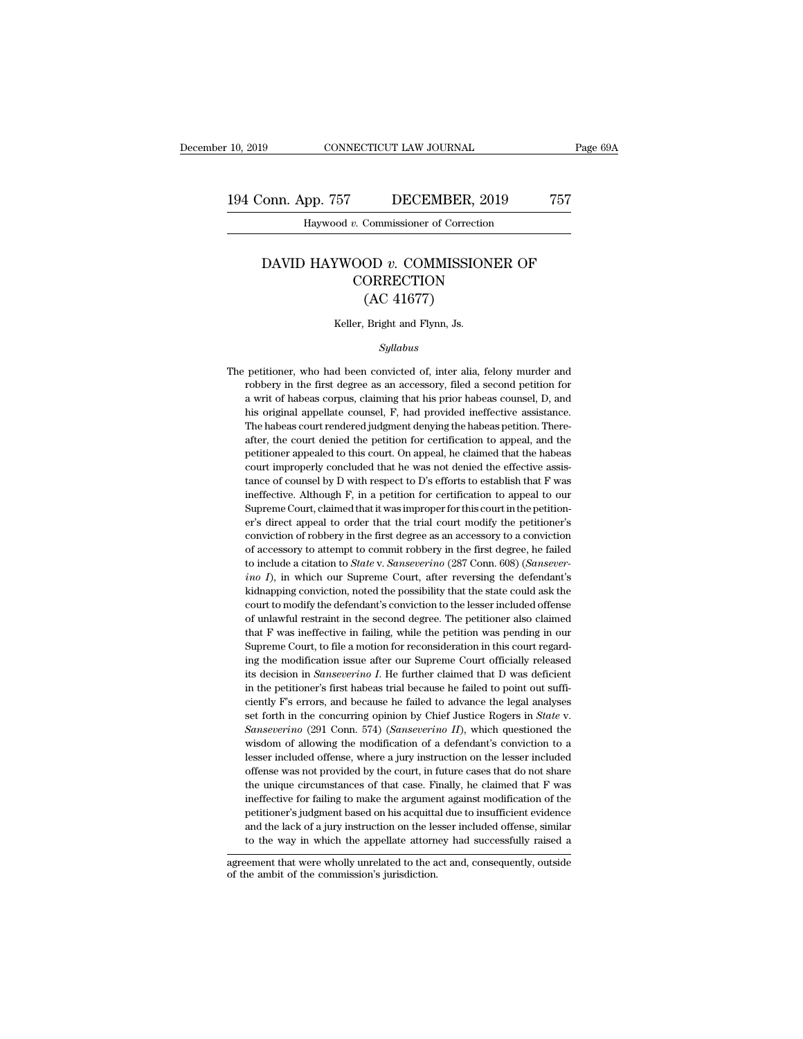## 10, 2019 CONNECTICUT LAW JOURNAL Page 69A<br>194 Conn. App. 757 DECEMBER, 2019 757<br>Haywood v. Commissioner of Correction CONNECTICUT LAW JOURNAL<br>PD. 757 DECEMBER, 2019<br>Haywood *v*. Commissioner of Correction

#### Franch Commissioner of Correction<br>
Haywood *v.* Commissioner of Correction<br>
DAVID HAYWOOD *v.* COMMISSIONER OF<br>
CORRECTION **CORRECTION** DECEMBER, 2<br>Commissioner of Correction<br>OD v. COMMISSIO<br>ORRECTION<br>(AC 41677)<br>Bright and Flynn, Js. DAVID HAYWOOD  $v$ . COMMISSIONER OF<br>CORRECTION<br>(AC 41677)<br>Keller, Bright and Flynn, Js.

#### *Syllabus*

(AC 41677)<br>
Keller, Bright and Flynn, Js.<br>
Syllabus<br>
The petitioner, who had been convicted of, inter alia, felony murder and<br>
robbery in the first degree as an accessory, filed a second petition for Keller, Bright and Flynn, Js.<br>
Syllabus<br>
petitioner, who had been convicted of, inter alia, felony murder and<br>
robbery in the first degree as an accessory, filed a second petition for<br>
a writ of habeas corpus, claiming tha Keller, Bright and Flynn, Js.<br>
Syllabus<br>
petitioner, who had been convicted of, inter alia, felony murder and<br>
robbery in the first degree as an accessory, filed a second petition for<br>
a writ of habeas corpus, claiming tha Syllabus<br>
petitioner, who had been convicted of, inter alia, felony murder and<br>
robbery in the first degree as an accessory, filed a second petition for<br>
a writ of habeas corpus, claiming that his prior habeas counsel, D, The petitioner, who had been convicted of, inter alia, felony murder and robbery in the first degree as an accessory, filed a second petition for a writ of habeas corpus, claiming that his prior habeas counsel, D, and his petitioner, who had been convicted of, inter alia, felony murder and robbery in the first degree as an accessory, filed a second petition for a writ of habeas corpus, claiming that his prior habeas counsel, D, and his orig probbery in the first degree as an accessory, filed a second petition for a writ of habeas corpus, claiming that his prior habeas counsel, D, and his original appellate counsel, F, had provided ineffective assistance. The a writ of habeas corpus, claiming that his prior habeas counsel, D, and his original appellate counsel, F, had provided ineffective assistance. The habeas court rendered judgment denying the habeas petition. Thereafter, t are original appellate counsel, F, had provided ineffective assistance.<br>The habeas court rendered judgment denying the habeas petition. Thereafter, the court denied the petition for certification to appeal, and the petitio The habeas court rendered judgment denying the habeas petition. Thereafter, the court denied the petition for certification to appeal, and the petitioner appealed to this court. On appeal, he claimed that the habeas court after, the court denied the petition for certification to appeal, and the petitioner appealed to this court. On appeal, he claimed that the habeas court improperly concluded that he was not denied the effective assistance petitioner appealed to this court. On appeal, he claimed that the habeas court improperly concluded that he was not denied the effective assistance of counsel by D with respect to D's efforts to establish that F was ineffe court improperly concluded that he was not denied the effective assistance of counsel by D with respect to D's efforts to establish that F was ineffective. Although F, in a petition for certification to appeal to our Supre stance of counsel by D with respect to D's efforts to establish that F was ineffective. Although F, in a petition for certification to appeal to our Supreme Court, claimed that it was improper for this court in the petiti ineffective. Although F, in a petition for certification to appeal to our Supreme Court, claimed that it was improper for this court in the petitioner's direct appeal to order that the trial court modify the petitioner's c *Supreme Court, claimed that it was improper for this court in the petition-*<br>*in in in the court, claimed that it was improper for this court in the petition-*<br>*in in incressory to attempt to commit robbery in the* er's direct appeal to order that the trial court modify the petitioner's conviction of robbery in the first degree as an accessory to a conviction of accessory to attempt to commit robbery in the first degree, he failed to conviction of robbery in the first degree as an accessory to a conviction<br>of accessory to attempt to commit robbery in the first degree, he failed<br>to include a citation to *State* v. *Sanseverino* (287 Conn. 608) (*Sansev* of accessory to attempt to commit robbery in the first degree, he failed to include a citation to *State* v. *Sanseverino* (287 Conn. 608) (*Sanseverino*  $I$ ), in which our Supreme Court, after reversing the defendant's k to include a citation to *State* v. *Sanseverino* (287 Conn. 608) (*Sanseverino*  $I$ ), in which our Supreme Court, after reversing the defendant's kidnapping conviction, noted the possibility that the state could ask the *ino I*), in which our Supreme Court, after reversing the defendant's kidnapping conviction, noted the possibility that the state could ask the court to modify the defendant's conviction to the lesser included offense of kidnapping conviction, noted the possibility that the state could ask the court to modify the defendant's conviction to the lesser included offense of unlawful restraint in the second degree. The petitioner also claimed t court to modify the defendant's conviction to the lesser included offense of unlawful restraint in the second degree. The petitioner also claimed that F was ineffective in failing, while the petition was pending in our Sup of unlawful restraint in the second degree. The petitioner also claimed that  $F$  was ineffective in failing, while the petition was pending in our Supreme Court, to file a motion for reconsideration in this court regardin that F was ineffective in failing, while the petition was pending in our Supreme Court, to file a motion for reconsideration in this court regarding the modification issue after our Supreme Court officially released its d Supreme Court, to file a motion for reconsideration in this court regarding the modification issue after our Supreme Court officially released its decision in *Sanseverino I*. He further claimed that D was deficient in t its decision in *Sanseverino I*. He further claimed that D was deficient<br>in the petitioner's first habeas trial because he failed to point out suffi-<br>ciently F's errors, and because he failed to advance the legal analyses in the petitioner's first habeas trial because he failed to point out sufficiently F's errors, and because he failed to advance the legal analyses set forth in the concurring opinion by Chief Justice Rogers in *State* v. ciently F's errors, and because he failed to advance the legal analyses<br>set forth in the concurring opinion by Chief Justice Rogers in *State* v.<br>*Sanseverino* (291 Conn. 574) (*Sanseverino II*), which questioned the<br>wisd set forth in the concurring opinion by Chief Justice Rogers in *State* v.<br>Sanseverino (291 Conn. 574) (Sanseverino II), which questioned the<br>wisdom of allowing the modification of a defendant's conviction to a<br>lesser inclu *Sanseverino* (291 Conn. 574) (*Sanseverino II*), which questioned the wisdom of allowing the modification of a defendant's conviction to a lesser included offense, where a jury instruction on the lesser included offense wisdom of allowing the modification of a defendant's conviction to a lesser included offense, where a jury instruction on the lesser included offense was not provided by the court, in future cases that do not share the uni wisdom of allowing the modification of a defendant's conviction to a lesser included offense, where a jury instruction on the lesser included offense was not provided by the court, in future cases that do not share the un offense was not provided by the court, in future cases that do not share<br>the unique circumstances of that case. Finally, he claimed that F was<br>ineffective for failing to make the argument against modification of the<br>petiti the unique circumstances of that case. Finally, he claimed that F was<br>ineffective for failing to make the argument against modification of the<br>petitioner's judgment based on his acquittal due to insufficient evidence<br>and t petitioner's judgment based on his acquittal due to insufficient evidence<br>and the lack of a jury instruction on the lesser included offense, similar<br>to the way in which the appellate attorney had successfully raised a<br>agre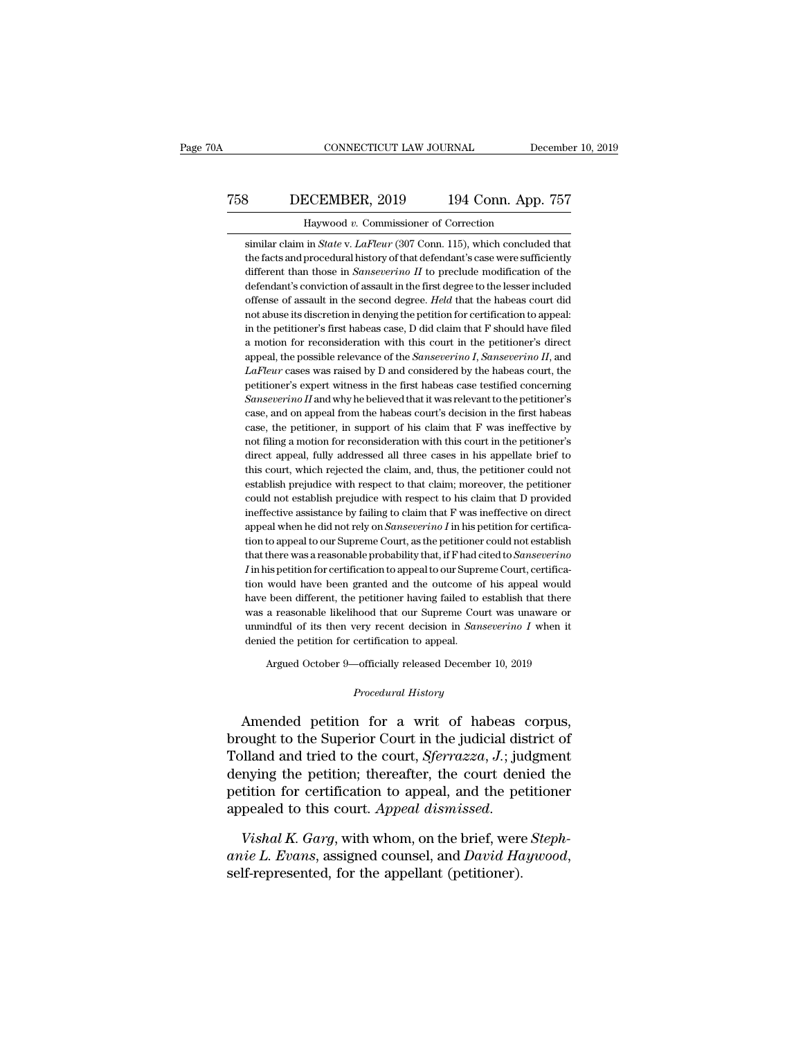## CONNECTICUT LAW JOURNAL December 10, 2019<br>
758 DECEMBER, 2019 194 Conn. App. 757<br>
Haywood v. Commissioner of Correction CONNECTICUT LAW JOURNAL Dec<br>
CCEMBER, 2019 194 Conn. App.<br>
Haywood *v.* Commissioner of Correction<br>
in *State* v. *LaFleur* (307 Conn. 115), which concludes

**Similar claim in** *State* **v.** *LaFleur* **(307 Conn. 115), which concluded that the facts and procedural history of that defendant's case were sufficiently** the facts and procedural history of that defendant's case were sufficiently<br>the facts and procedural history of that defendant's case were sufficiently<br>different than those in *Sanseverino II* to preclude modification of t different than those in *Sanseverino* II<sup>94</sup> Conn. App. 757<br>similar claim in *State v. LaFleur* (307 Conn. 115), which concluded that<br>the facts and procedural history of that defendant's case were sufficiently<br>different th Haywood v. Commissioner of Correction<br>
similar claim in *State* v. *LaFleur* (307 Conn. 115), which concluded that<br>
the facts and procedural history of that defendant's case were sufficiently<br>
different than those in *Sans* Haywood v. Commissioner of Correction<br>similar claim in *State* v. *LaFleur* (307 Conn. 115), which concluded that<br>the facts and procedural history of that defendant's case were sufficiently<br>different than those in *Sanseve* similar claim in *State v. LaFleur* (307 Conn. 115), which concluded that<br>the facts and procedural history of that defendant's case were sufficiently<br>different than those in *Sanseverino II* to preclude modification of th the facts and procedural history of that defendant's case were sufficiently<br>different than those in *Sanseverino II* to preclude modification of the<br>defendant's conviction of assault in the first degree to the lesser incl the facts and procedural history of that defendant's case were sufficiently different than those in *Sanseverino II* to preclude modification of the defendant's conviction of assault in the first degree to the lesser incl defendant's conviction of assault in the first degree to the lesser included<br>offense of assault in the second degree. *Held* that the habeas court did<br>not abuse its discretion in denying the petition for certification to a offense of assault in the second degree. *Held* that the habeas court did<br>not abuse its discretion in denying the petition for certification to appeal:<br>in the petitioner's first habeas case, D did claim that F should have not abuse its discretion in denying the petition for certification to appeal:<br>in the petitioner's first habeas case, D did claim that F should have filed<br>a motion for reconsideration with this court in the petitioner's di in the petitioner's first habeas case, D did claim that F should have filed<br>a motion for reconsideration with this court in the petitioner's direct<br>appeal, the possible relevance of the *Sanseverino I*, *Sanseverino II*, a a motion for reconsideration with this court in the petitioner's direct appeal, the possible relevance of the *Sanseverino I*, *Sanseverino II*, and *LaFleur* cases was raised by D and considered by the habeas court, the p appeal, the possible relevance of the *Sanseverino I*, *Sanseverino II*, and *LaFleur* cases was raised by D and considered by the habeas court, the petitioner's expert witness in the first habeas case testified concernin LaFleur cases was raised by D and considered by the habeas court, the petitioner's expert witness in the first habeas case testified concerning *Sanseverino II* and why he believed that it was relevant to the petitioner's petitioner's expert witness in the first habeas case testified concerning Sanseverino II and why he believed that it was relevant to the petitioner's case, and on appeal from the habeas court's decision in the first habeas Sanseverino  $II$  and why he believed that it was relevant to the petitioner's case, and on appeal from the habeas court's decision in the first habeas case, the petitioner, in support of his claim that  $F$  was ineffective case, and on appeal from the habeas court's decision in the first habeas case, the petitioner, in support of his claim that F was ineffective by not filing a motion for reconsideration with this court in the petitioner's d case, the petitioner, in support of his claim that F was ineffective by<br>not filing a motion for reconsideration with this court in the petitioner's<br>direct appeal, fully addressed all three cases in his appellate brief to<br>t not filing a motion for reconsideration with this court in the petitioner's direct appeal, fully addressed all three cases in his appellate brief to this court, which rejected the claim, and, thus, the petitioner could not direct appeal, fully addressed all three cases in his appellate brief to this court, which rejected the claim, and, thus, the petitioner could not establish prejudice with respect to that claim; moreover, the petitioner co this court, which rejected the claim, and, thus, the petitioner could not establish prejudice with respect to that claim; moreover, the petitioner could not establish prejudice with respect to his claim that D provided ine establish prejudice with respect to that claim; moreover, the petitioner could not establish prejudice with respect to his claim that D provided ineffective assistance by failing to claim that F was ineffective on direct a could not establish prejudice with respect to his claim that D provided ineffective assistance by failing to claim that F was ineffective on direct appeal when he did not rely on *Sanseverino*  $I$  in his petition for cert ineffective assistance by failing to claim that  $F$  was ineffective on direct appeal when he did not rely on  $Sanseverino I$  in his petition for certification to appeal to our Supreme Court, as the petitioner could not establish appeal when he did not rely on *Sanseverino I* in his petition for certification to appeal to our Supreme Court, as the petitioner could not establish that there was a reasonable probability that, if F had cited to *Sansev* tion to appeal to our Supreme Court, as the petitioner could not establish that there was a reasonable probability that, if  $F$  had cited to *Sanseverino*  $I$  in his petition for certification to appeal to our Supreme Cou that there was a reasonable probability that, if F had cited to *Sanseverino I* in his petition for certification to appeal to our Supreme Court, certification would have been granted and the outcome of his appeal would I in his petition for certification to appeal to our Supreme Court, certification would have been granted and the outcome of his appeal would have been different, the petitioner having failed to establish that there was a have been different, the petitioner having failed to establish that there was a reasonable likelihood that our Supreme Court was unaware or unmindful of its then very recent decision in *Sanseverino I* when it denied the

Argued October 9—officially released December 10, 2019<br>*Procedural History*<br>Amended petition for a writ of habeas corpus, was a reasonable intentiood that our supreme Court was unaware or<br>
unmindful of its then very recent decision in *Sanseverino I* when it<br>
denied the petition for certification to appeal.<br>
Argued October 9—officially releas brought to the Superior Court in the judicial district of<br>The superior of the Superior Court in the judicial district of<br>Tolland and tried to the court, *Sferrazza*, J.; judgment<br>dopping the petition, thereofter the court Argued October 9—officially released December 10, 2019<br> *Procedural History*<br> **Amended petition for a writ of habeas corpus,<br>
brought to the Superior Court in the judicial district of<br>
Tolland and tried to the court,** *Sfer Procedural History*<br>*Procedural History*<br>Amended petition for a writ of habeas corpus,<br>brought to the Superior Court in the judicial district of<br>Tolland and tried to the court, *Sferrazza*, J.; judgment<br>denying the petiti *Procedural History*<br>Amended petition for a writ of habeas corpus,<br>brought to the Superior Court in the judicial district of<br>Tolland and tried to the court, *Sferrazza*, *J*.; judgment<br>denying the petition; thereafter, the Amended petition for a writ of habeas corpus,<br>brought to the Superior Court in the judicial district of<br>Tolland and tried to the court, *Sferrazza*, *J*.; judgment<br>denying the petition; thereafter, the court denied the<br>pet *and tried to the court, Sferrazza, J.*; judgment denying the petition; thereafter, the court denied the petition for certification to appeal, and the petitioner appealed to this court. *Appeal dismissed.*<br>Vishal K. Garg,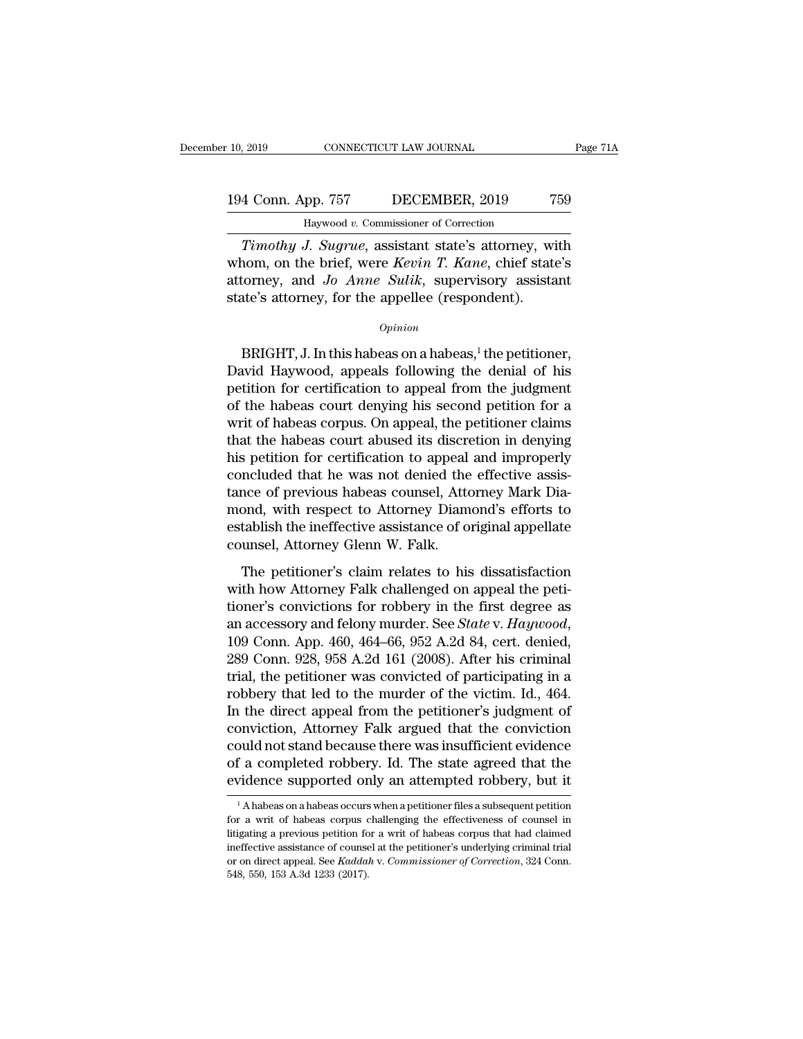*Timothy J. Sugrue*, assistant state's attorney, with<br> *Timothy J. Sugrue*, assistant state's attorney, with<br> *Timothy J. Sugrue*, assistant state's attorney, with<br> **Timothy J. Sugrue**, assistant state's attorney, with<br> **T** 194 Conn. App. 757 DECEMBER, 2019 759<br>
Haywood v. Commissioner of Correction<br> *Timothy J. Sugrue*, assistant state's attorney, with<br>
whom, on the brief, were *Kevin T. Kane*, chief state's<br>
attorney, and *Jo Anne Sulik*, s 194 Conn. App. 757 DECEMBER, 2019 759<br>
Haywood *v.* Commissioner of Correction<br> *Timothy J. Sugrue*, assistant state's attorney, with<br>
whom, on the brief, were *Kevin T. Kane*, chief state's<br>
attorney, and *Jo Anne Sulik*, 194 Conn. App. 757 DECEMBER, 2019 7<br>
Haywood v. Commissioner of Correction<br>
Timothy J. Sugrue, assistant state's attorney, wi<br>
whom, on the brief, were *Kevin T. Kane*, chief state<br>
attorney, and Jo Anne Sulik, supervisory Timothy J. Sugrue, assistant state's attorney, with<br>nom, on the brief, were *Kevin T. Kane*, chief state's<br>torney, and *Jo Anne Sulik*, supervisory assistant<br>the's attorney, for the appellee (respondent).<br> $opinion$ <br>BRIGHT, J.

#### *Opinion*

whom, on the brief, were *Kevin T. Kane*, chier state's<br>attorney, and *Jo Anne Sulik*, supervisory assistant<br>state's attorney, for the appellee (respondent).<br> $o_{pinion}$ <br>BRIGHT, J. In this habeas on a habeas,<sup>1</sup> the petitione attorney, and *Jo Anne Suuk*, supervisory assistant<br>state's attorney, for the appellee (respondent).<br> $opinion$ <br> $BrIGHT, J. In this habeas on a habeas<sup>1</sup>, the pettioner, David Haywood, appeals following the denial of his pettion for certification to appeal from the judgment of the habeas court denying his second pettition for a writ of habeas corpus. On annoel, the notification or claims$ state's attorney, for the appellee (respondent).<br>  $\phi_{pinion}$ <br>
BRIGHT, J. In this habeas on a habeas,<sup>1</sup> the petitioner,<br>
David Haywood, appeals following the denial of his<br>
petition for certification to appeal from the judg  $\Omega$ <br>BRIGHT, J. In this habeas on a habeas,<sup>1</sup> the petitioner,<br>David Haywood, appeals following the denial of his<br>petition for certification to appeal from the judgment<br>of the habeas court denying his second petition for BRIGHT, J. In this habeas on a habeas,<sup>1</sup> the petitioner,<br>David Haywood, appeals following the denial of his<br>petition for certification to appeal from the judgment<br>of the habeas court denying his second petition for a<br>wri BRIGHT, J. In this habeas on a habeas,<sup>1</sup> the petitioner,<br>David Haywood, appeals following the denial of his<br>petition for certification to appeal from the judgment<br>of the habeas court denying his second petition for a<br>writ David Haywood, appeals following the denial of his<br>petition for certification to appeal from the judgment<br>of the habeas court denying his second petition for a<br>writ of habeas corpus. On appeal, the petitioner claims<br>that t petition for certification to appeal from the judgment<br>of the habeas court denying his second petition for a<br>writ of habeas corpus. On appeal, the petitioner claims<br>that the habeas court abused its discretion in denying<br>hi of the habeas court denying his second petition for a<br>writ of habeas corpus. On appeal, the petitioner claims<br>that the habeas court abused its discretion in denying<br>his petition for certification to appeal and improperly<br>c writ of habeas corpus. On appeal, the petitioner claims<br>that the habeas court abused its discretion in denying<br>his petition for certification to appeal and improperly<br>concluded that he was not denied the effective assis-<br>t that the habeas court abused its discre<br>his petition for certification to appeal<br>concluded that he was not denied the<br>tance of previous habeas counsel, Atto<br>mond, with respect to Attorney Diam<br>establish the ineffective ass ncluded that he was not denied the effective assis-<br>nce of previous habeas counsel, Attorney Mark Dia-<br>ond, with respect to Attorney Diamond's efforts to<br>tablish the ineffective assistance of original appellate<br>unsel, Atto tance of previous habeas counsel, Attorney Mark Dia-<br>mond, with respect to Attorney Diamond's efforts to<br>establish the ineffective assistance of original appellate<br>counsel, Attorney Glenn W. Falk.<br>The petitioner's claim re

mond, with respect to Attorney Diamond's efforts to<br>establish the ineffective assistance of original appellate<br>counsel, Attorney Glenn W. Falk.<br>The petitioner's claim relates to his dissatisfaction<br>with how Attorney Falk c establish the ineffective assistance of original appellate<br>counsel, Attorney Glenn W. Falk.<br>The petitioner's claim relates to his dissatisfaction<br>with how Attorney Falk challenged on appeal the peti-<br>tioner's convictions f The petitioner's claim relates to his dissatisfaction<br>with how Attorney Falk challenged on appeal the peti-<br>tioner's convictions for robbery in the first degree as<br>an accessory and felony murder. See *State* v. *Haywood*,<br> The petitioner's claim relates to his dissatisfaction<br>with how Attorney Falk challenged on appeal the peti-<br>tioner's convictions for robbery in the first degree as<br>an accessory and felony murder. See *State* v. *Haywood*,<br> with how Attorney Falk challenged on appeal the petitioner's convictions for robbery in the first degree as<br>an accessory and felony murder. See *State* v. *Haywood*,<br>109 Conn. App. 460, 464–66, 952 A.2d 84, cert. denied,<br>2 tioner's convictions for robbery in the first degree as<br>an accessory and felony murder. See *State* v. Haywood,<br>109 Conn. App. 460, 464–66, 952 A.2d 84, cert. denied,<br>289 Conn. 928, 958 A.2d 161 (2008). After his criminal<br> an accessory and felony murder. See *State* v. Haywood,<br>109 Conn. App. 460, 464–66, 952 A.2d 84, cert. denied,<br>289 Conn. 928, 958 A.2d 161 (2008). After his criminal<br>trial, the petitioner was convicted of participating in 109 Conn. App. 460, 464–66, 952 A.2d 84, cert. denied, 289 Conn. 928, 958 A.2d 161 (2008). After his criminal trial, the petitioner was convicted of participating in a robbery that led to the murder of the victim. Id., 46 289 Conn. 928, 958 A.2d 161 (2008). After his criminal<br>trial, the petitioner was convicted of participating in a<br>robbery that led to the murder of the victim. Id., 464.<br>In the direct appeal from the petitioner's judgment o trial, the petitioner was convicted of participating in a<br>robbery that led to the murder of the victim. Id., 464.<br>In the direct appeal from the petitioner's judgment of<br>conviction, Attorney Falk argued that the conviction conviction, Attorney Falk argued that the conviction<br>could not stand because there was insufficient evidence<br>of a completed robbery. Id. The state agreed that the<br>evidence supported only an attempted robbery, but it<br> $\frac{1$ could not stand because there was insufficient evidence<br>of a completed robbery. Id. The state agreed that the<br>evidence supported only an attempted robbery, but it<br> $\frac{1}{4}$  A habeas on a habeas occurs when a petitioner fil

of a completed robbery. Id. The state agreed that the evidence supported only an attempted robbery, but it  $\frac{1}{1}$  A habeas on a habeas occurs when a petitioner files a subsequent petition for a writ of habeas corpus ch evidence supported only an attempted robbery, but it  $\overline{a}$  a habeas on a habeas occurs when a petitioner files a subsequent petition for a writ of habeas corpus challenging the effectiveness of counsel in litigating a <sup>1</sup> A habeas on a habeas occurs when a petitioner files a subsequent petition<br>for a writ of habeas corpus challenging the effectiveness of counsel in<br>litigating a previous petition for a writ of habeas corpus that had clai <sup>1</sup> A habeas on a habeas occurs<br>for a writ of habeas corpus of<br>litigating a previous petition fo<br>ineffective assistance of counse<br>or on direct appeal. See *Kaddai*<br>548, 550, 153 A.3d 1233 (2017).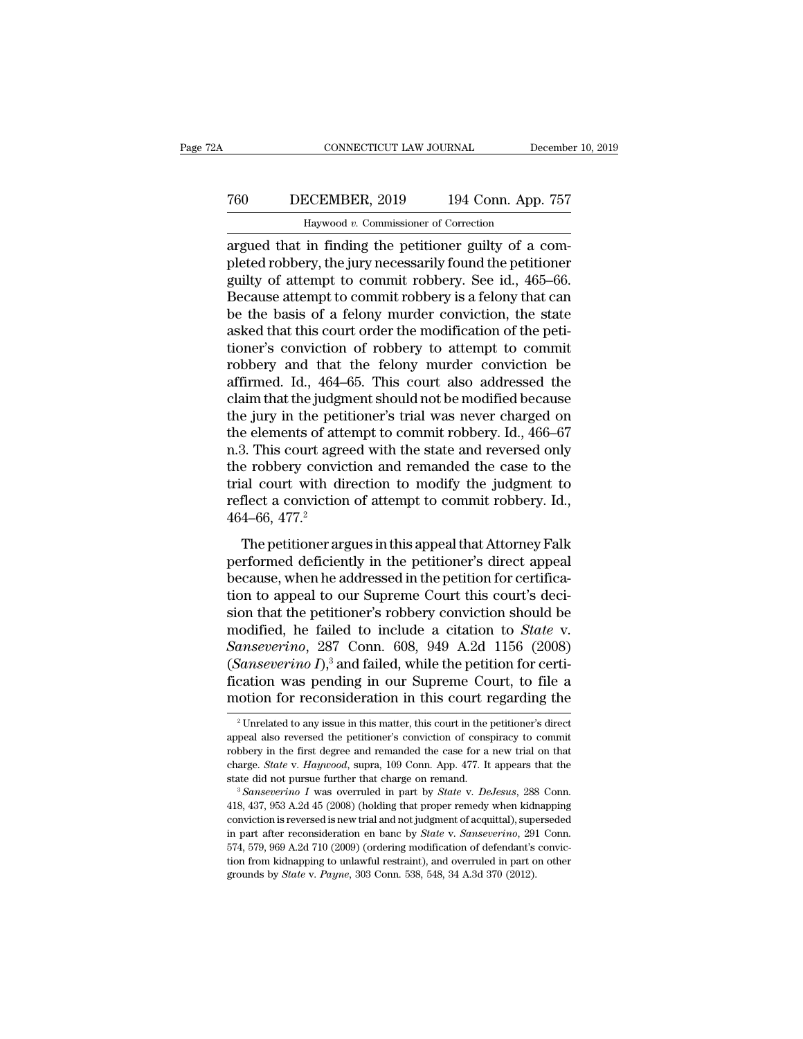## CONNECTICUT LAW JOURNAL December 10, 2019<br>
760 DECEMBER, 2019 194 Conn. App. 757<br>
Haywood v. Commissioner of Correction CONNECTICUT LAW JOURNAL DeceMBER, 2019 194 Conn. App.<br>Haywood *v.* Commissioner of Correction<br>in finding the petitioner guilty of a c

CONNECTICUT LAW JOURNAL December<br>
T60 DECEMBER, 2019 194 Conn. App. 757<br>
Haywood v. Commissioner of Correction<br>
argued that in finding the petitioner guilty of a com-<br>
pleted robbery, the jury necessarily found the petitio pleted robbery, 194 Conn. App. 757<br>
Haywood v. Commissioner of Correction<br>
argued that in finding the petitioner guilty of a com-<br>
pleted robbery, the jury necessarily found the petitioner<br>
guilty of attempt to commit robb For a set of a commissioner of Correction<br>argued that in finding the petitioner guilty of a completed robbery, the jury necessarily found the petitioner<br>guilty of attempt to commit robbery. See id., 465–66.<br>Because attemp The Secret Referred Commissioner of Cornection<br>
Because at that in finding the petitioner guilty of a completed robbery, the jury necessarily found the petitioner<br>
guilty of attempt to commit robbery. See id., 465–66.<br>
Be Be the basis of a felomic murder of Correction<br>argued that in finding the petitioner guilty of a com-<br>pleted robbery, the jury necessarily found the petitioner<br>guilty of attempt to commit robbery. See id., 465–66.<br>Because Haywood v. Commissioner of Correction<br>argued that in finding the petitioner guilty of a com-<br>pleted robbery, the jury necessarily found the petitioner<br>guilty of attempt to commit robbery. See id., 465–66.<br>Because attempt t argued that in finding the petitioner guilty of a com-<br>pleted robbery, the jury necessarily found the petitioner<br>guilty of attempt to commit robbery. See id., 465–66.<br>Because attempt to commit robbery is a felony that can<br> pleted robbery, the jury necessarily found the petitioner<br>guilty of attempt to commit robbery. See id., 465–66.<br>Because attempt to commit robbery is a felony that can<br>be the basis of a felony murder conviction, the state<br>a guilty of attempt to commit robbery. See id., 465–66.<br>Because attempt to commit robbery is a felony that can<br>be the basis of a felony murder conviction, the state<br>asked that this court order the modification of the peti-<br>t Because attempt to commit robbery is a felony that can<br>be the basis of a felony murder conviction, the state<br>asked that this court order the modification of the peti-<br>tioner's conviction of robbery to attempt to commit<br>rob be the basis of a felony murder conviction, the state<br>asked that this court order the modification of the peti-<br>tioner's conviction of robbery to attempt to commit<br>robbery and that the felony murder conviction be<br>affirmed. asked that this court order the modification of the petitioner's conviction of robbery to attempt to commit<br>robbery and that the felony murder conviction be<br>affirmed. Id., 464–65. This court also addressed the<br>claim that t tioner's conviction of robbery to attempt to commit<br>robbery and that the felony murder conviction be<br>affirmed. Id., 464–65. This court also addressed the<br>claim that the judgment should not be modified because<br>the jury in t robbery and that the felony murder conviction be affirmed. Id., 464–65. This court also addressed the claim that the judgment should not be modified because the jury in the petitioner's trial was never charged on the eleme affirmed. Id., 464–65. This court also addressed the<br>claim that the judgment should not be modified because<br>the jury in the petitioner's trial was never charged on<br>the elements of attempt to commit robbery. Id., 466–67<br>n. claim that the judgment should not be modified because<br>the jury in the petitioner's trial was never charged on<br>the elements of attempt to commit robbery. Id., 466–67<br>n.3. This court agreed with the state and reversed only<br> the jury in the petite<br>the elements of atta<br>n.3. This court agre<br>the robbery convic<br>trial court with different a conviction<br>464–66, 477.<sup>2</sup><br>The petitioner arg 3. This court agreed with the state and reversed only<br>are robbery conviction and remanded the case to the<br>al court with direction to modify the judgment to<br>flect a conviction of attempt to commit robbery. Id.,<br> $4-66$ ,  $47$ red the robbery conviction and remanded the case to the<br>trial court with direction to modify the judgment to<br>reflect a conviction of attempt to commit robbery. Id.,<br>464–66, 477.<sup>2</sup><br>The petitioner argues in this appeal that

the Fobbery conviction and remainded the case to the<br>trial court with direction to modify the judgment to<br>reflect a conviction of attempt to commit robbery. Id.,<br>464–66, 477.<sup>2</sup><br>The petitioner argues in this appeal that At reflect a conviction of attempt to commit robbery. Id.,<br>  $464-66, 477.<sup>2</sup>$ <br>
The petitioner argues in this appeal that Attorney Falk<br>
performed deficiently in the petitioner's direct appeal<br>
because, when he addressed i Francet a conviction of attempt to comman rootery. Tal.,<br>464–66, 477.<sup>2</sup><br>The petitioner argues in this appeal that Attorney Falk<br>performed deficiently in the petitioner's direct appeal<br>because, when he addressed in the pe The petitioner argues in this appeal that Attorney Falk<br>performed deficiently in the petitioner's direct appeal<br>because, when he addressed in the petition for certifica-<br>tion to appeal to our Supreme Court this court's dec The petitioner argues in this appeal that Attorney Falk<br>performed deficiently in the petitioner's direct appeal<br>because, when he addressed in the petition for certifica-<br>tion to appeal to our Supreme Court this court's dec performed deficiently in the petitioner's direct appeal<br>because, when he addressed in the petition for certifica-<br>tion to appeal to our Supreme Court this court's deci-<br>sion that the petitioner's robbery conviction should because, when he addressed in the petition for certification to appeal to our Supreme Court this court's decision that the petitioner's robbery conviction should be modified, he failed to include a citation to *State* v. tion to appeal to our Supreme Court this court's decision that the petitioner's robbery conviction should be modified, he failed to include a citation to *State* v. Sanseverino, 287 Conn. 608, 949 A.2d 1156 (2008) (*Sanse* anseverino, 287 Conn. 608, 949 A.2d 1156 (2008)<br>Sanseverino I),<sup>3</sup> and failed, while the petition for certic-<br>cation was pending in our Supreme Court, to file a<br>otion for reconsideration in this court regarding the<br> $\frac{1}{$ (*Sanseverino I*),<sup>3</sup> and failed, while the petition for certification was pending in our Supreme Court, to file a motion for reconsideration in this court regarding the  $\frac{2}{\pi}$ Unrelated to any issue in this matter, th

fication was pending in our Supreme Court, to file a<br>motion for reconsideration in this court regarding the<br> $\frac{1}{2}$ Unrelated to any issue in this matter, this court in the petitioner's direct<br>appeal also reversed the pe motion for reconsideration in this court regarding the<br><sup>2</sup> Unrelated to any issue in this matter, this court in the petitioner's direct<br>appeal also reversed the petitioner's conviction of conspiracy to commit<br>robbery in th Frother for Feconsideration in this court regarding the<br>
<sup>2</sup> Unrelated to any issue in this matter, this court in the petitioner's direct<br>
appeal also reversed the petitioner's conviction of conspiracy to commit<br>
robbery i appeal also reversed the petitioner's conviction of conspiracy to commit<br>robbery in the first degree and remanded the case for a new trial on that<br>charge. *State* v. *Haywood*, supra, 109 Conn. App. 477. It appears that th

complete the first degree and remanded the case for a new trial on that charge. *State* v. *Haywood*, supra, 109 Conn. App. 477. It appears that the state did not pursue further that charge on remand.<br><sup>3</sup> *Sanseverino I* robbery in the first degree and remanded the case for a new trial on that charge. *State* v. *Haywood*, supra, 109 Conn. App. 477. It appears that the state did not pursue further that charge on remand.<br><sup>3</sup> *Sanseverino* state did not pursue further that charge on remand.<br>
<sup>3</sup> Sanseverino I was overruled in part by *State* v. *DeJesus*, 288 Conn.<br>
<sup>3</sup> Sanseverino I was overruled in part by *State* v. *DeJesus*, 288 Conn.<br>
118, 437, 953 A.2 <sup>3</sup> Sanseverino I was overruled in part by *State v. DeJesus*, 288 Conn.<br><sup>3</sup> Sanseverino I was overruled in part by *State v. DeJesus*, 288 Conn.<br>418, 437, 953 A.2d 45 (2008) (holding that proper remedy when kidnapping<br>co 418, 437, 953 A.2d 45 (2008) (holding that proper remedy when kided is new trial and not judgment of acquittal), superino part after reconsideration en banc by *State* v. *Sanseverino*, 291574, 579, 969 A.2d 710 (2009) (or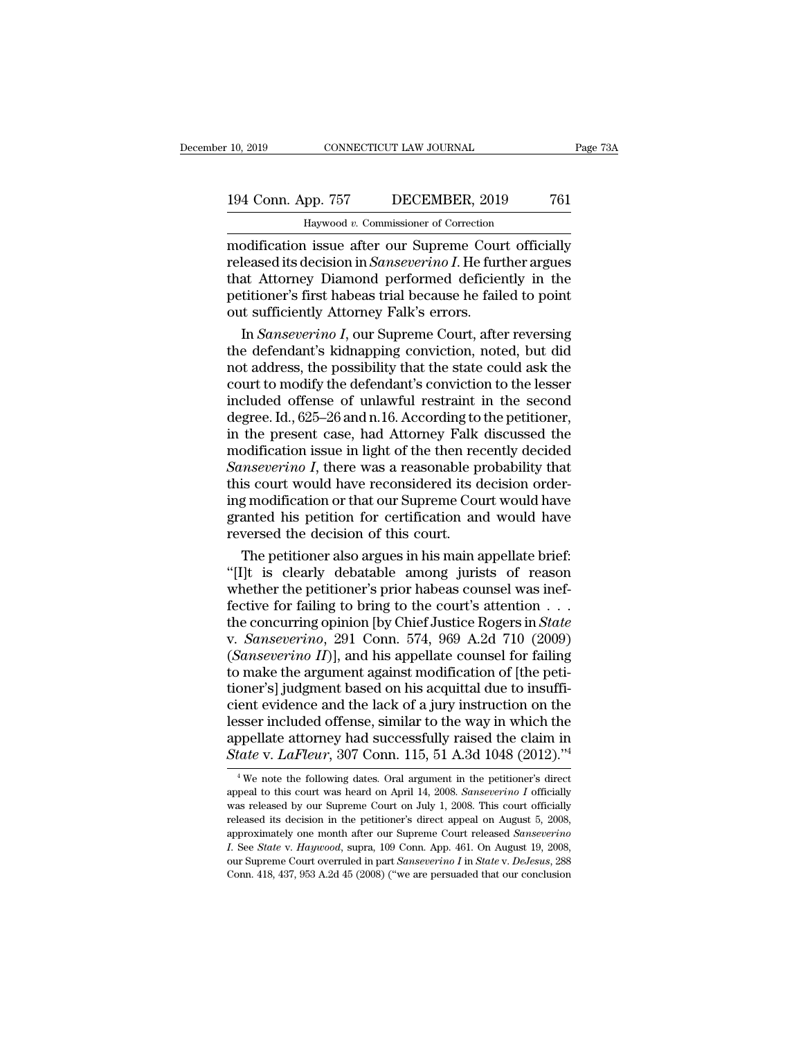## 10, 2019 CONNECTICUT LAW JOURNAL Page 73A<br>194 Conn. App. 757 DECEMBER, 2019 761<br>Haywood v. Commissioner of Correction CONNECTICUT LAW JOURNAL<br>PD. 757 DECEMBER, 2019<br>Haywood *v.* Commissioner of Correction<br>Lissue after our Supreme Court offici

10, 2019 CONNECTICUT LAW JOURNAL Page 73A<br>
194 Conn. App. 757 DECEMBER, 2019 761<br>
Haywood v. Commissioner of Correction<br>
modification issue after our Supreme Court officially<br>
released its decision in *Sanseverino I*. He f 194 Conn. App. 757 DECEMBER, 2019 761<br>
Haywood v. Commissioner of Correction<br>
modification issue after our Supreme Court officially<br>
released its decision in *Sanseverino I*. He further argues<br>
that Attorney Diamond perfor 194 Conn. App. 757 DECEMBER, 2019 761<br>
Haywood v. Commissioner of Correction<br>
modification issue after our Supreme Court officially<br>
released its decision in *Sanseverino I*. He further argues<br>
that Attorney Diamond perfo 194 Conn. App. 757 DECEMBER, 2019 761<br>
Haywood v. Commissioner of Correction<br>
modification issue after our Supreme Court officially<br>
released its decision in *Sanseverino I*. He further argues<br>
that Attorney Diamond perfor Haywood v. Commissioner of Correction<br>
modification issue after our Supreme Cour<br>
released its decision in *Sanseverino I*. He furt<br>
that Attorney Diamond performed deficien<br>
petitioner's first habeas trial because he fail Inaywood *i*. Commissioner of Conection<br>
Dodification issue after our Supreme Court officially<br>
leased its decision in *Sanseverino I*. He further argues<br>
at Attorney Diamond performed deficiently in the<br>
titioner's first modification issue after our Supreme Court officially<br>released its decision in *Sanseverino I*. He further argues<br>that Attorney Diamond performed deficiently in the<br>petitioner's first habeas trial because he failed to poi

released its decision in *Sanseverino I*. He further argues<br>that Attorney Diamond performed deficiently in the<br>petitioner's first habeas trial because he failed to point<br>out sufficiently Attorney Falk's errors.<br>In *Sanseve* that Attorney Diamond performed deficiently in the<br>petitioner's first habeas trial because he failed to point<br>out sufficiently Attorney Falk's errors.<br>In *Sanseverino I*, our Supreme Court, after reversing<br>the defendant's petitioner's first habeas trial because he failed to point<br>out sufficiently Attorney Falk's errors.<br>In *Sanseverino I*, our Supreme Court, after reversing<br>the defendant's kidnapping conviction, noted, but did<br>not address, out sufficiently Attorney Falk's errors.<br>
In *Sanseverino I*, our Supreme Court, after reversing<br>
the defendant's kidnapping conviction, noted, but did<br>
not address, the possibility that the state could ask the<br>
court to m In *Sanseverino I*, our Supreme Court, after reversing<br>the defendant's kidnapping conviction, noted, but did<br>not address, the possibility that the state could ask the<br>court to modify the defendant's conviction to the less the defendant's kidnapping conviction, noted, but did<br>not address, the possibility that the state could ask the<br>court to modify the defendant's conviction to the lesser<br>included offense of unlawful restraint in the second<br> not address, the possibility that the state could ask the<br>court to modify the defendant's conviction to the lesser<br>included offense of unlawful restraint in the second<br>degree. Id., 625–26 and n.16. According to the petitio court to modify the defendant's conviction to the lesser<br>included offense of unlawful restraint in the second<br>degree. Id., 625–26 and n.16. According to the petitioner,<br>in the present case, had Attorney Falk discussed the<br> included offense of unlawful restraint in the second<br>degree. Id., 625–26 and n.16. According to the petitioner,<br>in the present case, had Attorney Falk discussed the<br>modification issue in light of the then recently decided<br> degree. Id., 625–26 and n.16. According to the petitioner,<br>in the present case, had Attorney Falk discussed the<br>modification issue in light of the then recently decided<br>*Sanseverino I*, there was a reasonable probability t in the present case, had Attorney Falk<br>modification issue in light of the then rec<br>*Sanseverino I*, there was a reasonable p:<br>this court would have reconsidered its d<br>ing modification or that our Supreme Cour<br>granted his p odification issue in light of the then recently decided<br> *mseverino I*, there was a reasonable probability that<br>
is court would have reconsidered its decision order-<br>
g modification or that our Supreme Court would have<br>
an Sanseverino I, there was a reasonable probability that<br>this court would have reconsidered its decision order-<br>ing modification or that our Supreme Court would have<br>granted his petition for certification and would have<br>reve

this court would have reconsidered its decision order-<br>ing modification or that our Supreme Court would have<br>granted his petition for certification and would have<br>reversed the decision of this court.<br>The petitioner also ar ing modification or that our Supreme Court would have<br>granted his petition for certification and would have<br>reversed the decision of this court.<br>The petitioner also argues in his main appellate brief:<br>"[I]t is clearly deb granted his petition for certification and would have<br>reversed the decision of this court.<br>The petitioner also argues in his main appellate brief:<br>"[I]t is clearly debatable among jurists of reason<br>whether the petitioner's reversed the decision of this court.<br>
The petitioner also argues in his main appellate brief:<br>
"[I]t is clearly debatable among jurists of reason<br>
whether the petitioner's prior habeas counsel was inef-<br>
fective for failin The petitioner also argues in his main appellate brief:<br>
"[I]t is clearly debatable among jurists of reason<br>
whether the petitioner's prior habeas counsel was inef-<br>
fective for failing to bring to the court's attention . "[I]t is clearly debatable among jurists of reason<br>whether the petitioner's prior habeas counsel was inef-<br>fective for failing to bring to the court's attention . . .<br>the concurring opinion [by Chief Justice Rogers in *St* whether the petitioner's prior habeas counsel was ineffective for failing to bring to the court's attention . . . . the concurring opinion [by Chief Justice Rogers in *State* v. *Sanseverino*, 291 Conn. 574, 969 A.2d 710 fective for failing to bring to the court's attention  $\dots$ <br>the concurring opinion [by Chief Justice Rogers in *State*<br>v. *Sanseverino*, 291 Conn. 574, 969 A.2d 710 (2009)<br>(*Sanseverino II*)], and his appellate counsel for the concurring opinion [by Chief Justice Rogers in *State* v. *Sanseverino*, 291 Conn. 574, 969 A.2d 710 (2009) (*Sanseverino II*)], and his appellate counsel for failing to make the argument against modification of [the v. *Sanseverino*, 291 Conn. 574, 969 A.2d 710 (2009) (*Sanseverino II*)], and his appellate counsel for failing to make the argument against modification of [the petitioner's] judgment based on his acquittal due to insuff *(Sanseverino II)*], and his appellate counsel for failing to make the argument against modification of [the petitioner's] judgment based on his acquittal due to insufficient evidence and the lack of a jury instruction on ent evidence and the lack of a jury instruction on the sser included offense, similar to the way in which the oppellate attorney had successfully raised the claim in tate v.  $LaFleur$ , 307 Conn. 115, 51 A.3d 1048 (2012)."<sup>4</sup><br> lesser included offense, similar to the way in which the appellate attorney had successfully raised the claim in *State v. LaFleur*, 307 Conn. 115, 51 A.3d 1048 (2012).<sup>74</sup><br><sup>4</sup> We note the following dates. Oral argument in

appellate attorney had successfully raised the claim in State v. LaFleur, 307 Conn. 115, 51 A.3d 1048 (2012)."<sup>4</sup><br><sup>4</sup>We note the following dates. Oral argument in the petitioner's direct appeal to this court was heard on *State v. LaFleur*, 307 Conn. 115, 51 A.3d 1048 (2012).<sup>74</sup><br>
<sup>4</sup> We note the following dates. Oral argument in the petitioner's direct appeal to this court was heard on April 14, 2008. *Sanseverino I* officially was relea State V. Lar teur, 501 COIII. 115, 51 A.5d 1046 (2012).<br>
<sup>4</sup> We note the following dates. Oral argument in the petitioner's direct<br>
appeal to this court was heard on April 14, 2008. *Sanseverino* I officially<br>
was released <sup>4</sup> We note the following dates. Oral argument in the petitioner's direct appeal to this court was heard on April 14, 2008. *Sanseverino I* officially was released by our Supreme Court on July 1, 2008. This court official appeal to this court was heard on April 14, 2008. *Sanseverino I* officially was released by our Supreme Court on July 1, 2008. This court officially released its decision in the petitioner's direct appeal on August 5, 200 was released by our Supreme Court on July 1, 2008. This court officially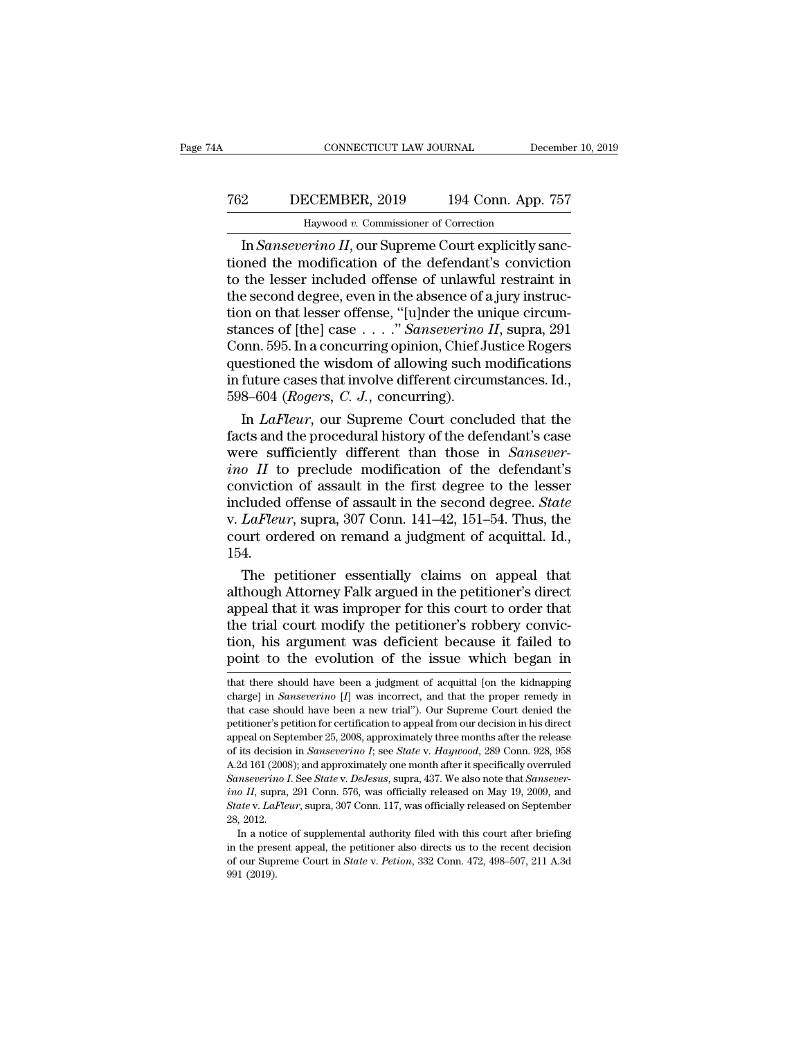# CONNECTICUT LAW JOURNAL December 10, 2019<br>
762 DECEMBER, 2019 194 Conn. App. 757<br>
Haywood v. Commissioner of Correction CONNECTICUT LAW JOURNAL December 10, 2019<br>2 DECEMBER, 2019 194 Conn. App. 757<br>Haywood *v.* Commissioner of Correction<br>In *Sanseverino II*, our Supreme Court explicitly sanc-

CONNECTICUT LAW JOURNAL December<br>
<u>DECEMBER, 2019</u> 194 Conn. App. 757<br>
Haywood v. Commissioner of Correction<br>
In *Sanseverino II*, our Supreme Court explicitly sanc-<br>
anned the modification of the defendant's conviction<br>
t T62 DECEMBER, 2019 194 Conn. App. 757<br>
Haywood v. Commissioner of Correction<br>
In Sanseverino II, our Supreme Court explicitly sanc-<br>
tioned the modification of the defendant's conviction<br>
to the lesser included offense of T62 DECEMBER, 2019 194 Conn. App. 757<br>
Haywood v. Commissioner of Correction<br>
In Sanseverino II, our Supreme Court explicitly sanc-<br>
tioned the modification of the defendant's conviction<br>
to the lesser included offense of T62 DECEMBER, 2019 194 Conn. App. 757<br>
Haywood v. Commissioner of Correction<br>
In Sanseverino II, our Supreme Court explicitly sanc-<br>
tioned the modification of the defendant's conviction<br>
to the lesser included offense of Haywood v. Commissioner of Correction<br>
In Sanseverino II, our Supreme Court explicitly sanc-<br>
tioned the modification of the defendant's conviction<br>
to the lesser included offense of unlawful restraint in<br>
the second degr Haywood *v*. Commissioner of Correction<br>In *Sanseverino II*, our Supreme Court explicitly sanc-<br>tioned the modification of the defendant's conviction<br>to the lesser included offense of unlawful restraint in<br>the second degre In *Sanseverino II*, our Supreme Court explicitly sanctioned the modification of the defendant's conviction<br>to the lesser included offense of unlawful restraint in<br>the second degree, even in the absence of a jury instructioned the modification of the defendant's conviction<br>to the lesser included offense of unlawful restraint in<br>the second degree, even in the absence of a jury instruc-<br>tion on that lesser offense, "[u]nder the unique circ to the lesser included offense of unlawful restraint in<br>the second degree, even in the absence of a jury instruc-<br>tion on that lesser offense, "[u]nder the unique circum-<br>stances of [the] case  $\ldots$ ." *Sanseverino II*, su the second degree, even in the absence of *s*<br>tion on that lesser offense, "[u]nder the un<br>stances of [the] case . . . ." *Sanseverino*<br>Conn. 595. In a concurring opinion, Chief J<br>questioned the wisdom of allowing such in<br> In on that lesser offense, "[u]nder the unique circumances of [the] case . . . ." *Sanseverino II*, supra, 291<br>phm. 595. In a concurring opinion, Chief Justice Rogers<br>estioned the wisdom of allowing such modifications<br>futu stances of [the] case  $\ldots$  " *Sansevertho II*, supra, 291<br>Conn. 595. In a concurring opinion, Chief Justice Rogers<br>questioned the wisdom of allowing such modifications<br>in future cases that involve different circumstances

Conn. 595. In a concurring opinion, Chief Justice Rogers<br>questioned the wisdom of allowing such modifications<br>in future cases that involve different circumstances. Id.,<br>598–604 (*Rogers, C. J.*, concurring).<br>In *LaFleur*, questioned the wisdom of allowing such modifications<br>in future cases that involve different circumstances. Id.,<br>598–604 (*Rogers*, *C. J.*, concurring).<br>In *LaFleur*, our Supreme Court concluded that the<br>facts and the proc in future cases that involve different circumstances. Id.,<br>598–604 (*Rogers, C. J.*, concurring).<br>In *LaFleur*, our Supreme Court concluded that the<br>facts and the procedural history of the defendant's case<br>were sufficient 598–604 (*Rogers*, *C. J.*, concurring).<br>
In *LaFleur*, our Supreme Court concluded that the<br>
facts and the procedural history of the defendant's case<br>
were sufficiently different than those in *Sansever-*<br> *ino II* to pre In *LaFleur*, our Supreme Court concluded that the<br>facts and the procedural history of the defendant's case<br>were sufficiently different than those in *Sansever-*<br>*ino II* to preclude modification of the defendant's<br>convict facts and the procedural history of the defendant's case<br>were sufficiently different than those in *Sansever-*<br>*ino II* to preclude modification of the defendant's<br>conviction of assault in the first degree to the lesser<br>i 154. o  $II$  to preclude modification of the defendant's<br>nviction of assault in the first degree to the lesser<br>cluded offense of assault in the second degree. *State*<br> $LaFleur$ , supra, 307 Conn. 141–42, 151–54. Thus, the<br>urt ordered conviction of assault in the first degree to the lesser<br>included offense of assault in the second degree. State<br>v. LaFleur, supra, 307 Conn. 141–42, 151–54. Thus, the<br>court ordered on remand a judgment of acquittal. Id.,<br>

included offense of assault in the second degree. *State* v.  $LaFleur$ , supra, 307 Conn. 141–42, 151–54. Thus, the court ordered on remand a judgment of acquittal. Id., 154.<br>The petitioner essentially claims on appeal that al v. *LaFleur*, supra, 307 Conn. 141–42, 151–54. Thus, the<br>court ordered on remand a judgment of acquittal. Id.,<br>154.<br>The petitioner's robbers on appeal that<br>although Attorney Falk argued in the petitioner's direct<br>appeal th court ordered on remand a judgment of acquittal. Id.,<br>154.<br>The petitioner essentially claims on appeal that<br>although Attorney Falk argued in the petitioner's direct<br>appeal that it was improper for this court to order that<br> 154.<br>The petitioner essentially claims on appeal that<br>although Attorney Falk argued in the petitioner's direct<br>appeal that it was improper for this court to order that<br>the trial court modify the petitioner's robbery convic appeal that it was improper for this court to order that<br>the trial court modify the petitioner's robbery convic-<br>tion, his argument was deficient because it failed to<br>point to the evolution of the issue which began in<br>that the trial court modify the petitioner's robbery conviction, his argument was deficient because it failed to point to the evolution of the issue which began in that there should have been a judgment of acquittal [on the kid

tion, his argument was deficient because it failed to<br>point to the evolution of the issue which began in<br>that there should have been a judgment of acquittal [on the kidnapping<br>charge] in *Sanseverino* [*I*] was incorrect, point to the evolution of the issue which began in that there should have been a judgment of acquittal [on the kidnapping charge] in *Sanseverino* [*I*] was incorrect, and that the proper remedy in that case should have b point to the evolution of the issue which began in<br>that there should have been a judgment of acquittal [on the kidnapping<br>charge] in *Sanseverino* [*I*] was incorrect, and that the proper remedy in<br>that case should have be In the should have been a judgment of acquittal [on the kidnapping<br>charge] in *Sanseverino* [*I*] was incorrect, and that the proper remedy in<br>that case should have been a new trial"). Our Supreme Court denied the<br>petition charge] in *Sanseverino* [*I*] was incorrect, and that the proper remedy in that case should have been a new trial"). Our Supreme Court denied the petitioner's petition for certification to appeal from our decision in his *Sansey A. Sansey in We been a new trial").* Our Supreme Court denied the petitioner's petition for certification to appeal from our decision in his direct appeal on September 25, 2008, approximately three months after the petitioner's petition for certification to appeal from our decision in his direct<br>appeal on September 25, 2008, approximately three months after the release<br>of its decision in *Sanseverino I*; see *State* v. *Haywood*, 289 appeal on September 25, 2008, approximately three months after the release<br>appeal on September 25, 2008, approximately three months after the release<br>of its decision in *Sanseverino I*; see *State* v. *Haywood*, 289 Conn. % of its decision in *Sanseverino I*; see *State* v. *Haywood*, 289 Conn. 928, 958<br>A.2d 161 (2008); and approximately one month after it specifically overruled<br>*Sanseverino I*. See *State* v. *DeJesus*, supra, 437. We als 2d 161 (2008); and approximately one month after it specifically overruled<br> *mseverino I*. See *State* v. *DeJesus*, supra, 437. We also note that *Sansever-*<br> *o II*, supra, 291 Conn. 576, was officially released on May France (i.e., Sanseverino I. See State v. DeJesus, supra, 437. We also note that Sanseverino II, supra, 291 Conn. 576, was officially released on May 19, 2009, and State v. LaFleur, supra, 307 Conn. 117, was officially re

ino II, supra, 291 Conn. 576, was officially released on May 19, 2009, and *State* v. *LaFleur*, supra, 307 Conn. 117, was officially released on September 28, 2012.<br>The a notice of supplemental authority filed with this c State v. LaFleur, supra, 307 Conn. 117, was officially released on September 28, 2012.<br>In a notice of supplemental authority filed with this court after briefing<br>in the present appeal, the petitioner also directs us to th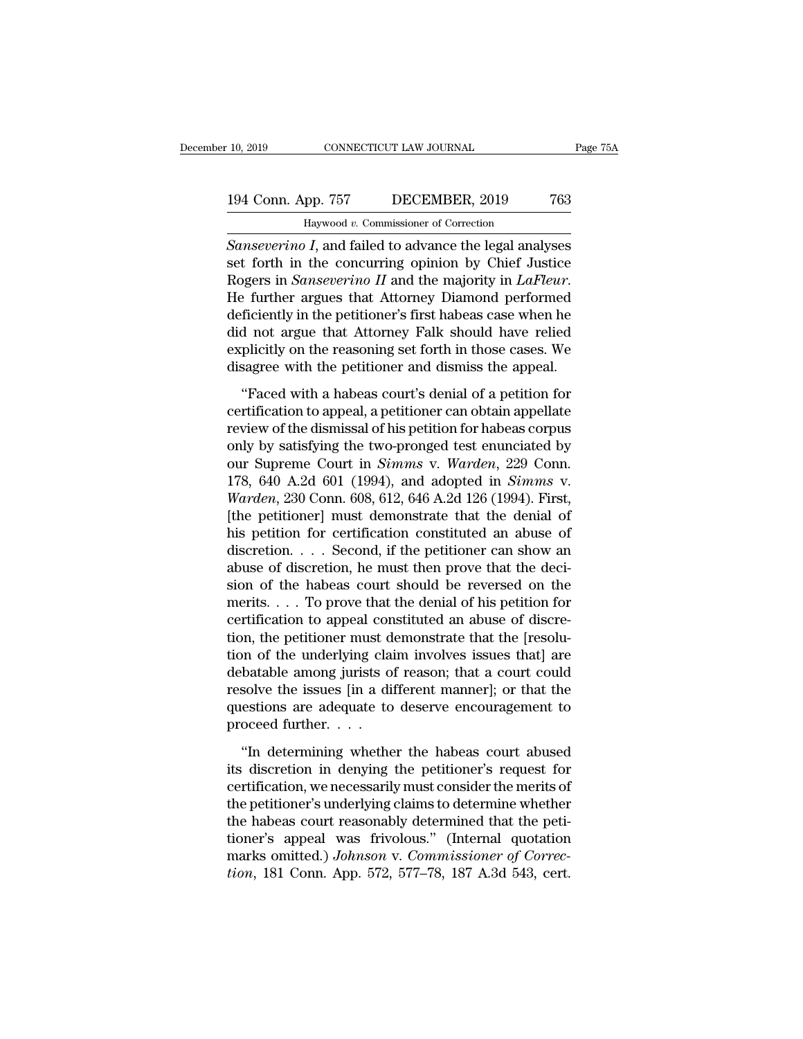## 10, 2019 CONNECTICUT LAW JOURNAL Page 75A<br>194 Conn. App. 757 DECEMBER, 2019 763<br>Haywood v. Commissioner of Correction CONNECTICUT LAW JOURNAL<br>PD. 757 DECEMBER, 2019<br>Haywood *v.* Commissioner of Correction<br>Land failed to advance the legal analy

<sup>10, 2019</sup> CONNECTICUT LAW JOURNAL Page 75A<br>
194 Conn. App. 757 DECEMBER, 2019 763<br>
Haywood *v*. Commissioner of Correction<br> *Sanseverino I*, and failed to advance the legal analyses<br>
set forth in the concurring opinion by 194 Conn. App. 757 DECEMBER, 2019 763<br>
Haywood v. Commissioner of Correction<br>
Sanseverino I, and failed to advance the legal analyses<br>
set forth in the concurring opinion by Chief Justice<br>
Rogers in Sanseverino II and the 194 Conn. App. 757 DECEMBER, 2019 763<br>
Haywood *v*. Commissioner of Correction<br>
Sanseverino I, and failed to advance the legal analyses<br>
set forth in the concurring opinion by Chief Justice<br>
Rogers in *Sanseverino II* and Haywood v. Commissioner of Correction<br>
Sanseverino I, and failed to advance the legal analyses<br>
set forth in the concurring opinion by Chief Justice<br>
Rogers in Sanseverino II and the majority in LaFleur.<br>
He further argue Haywood v. Commissioner of Correction<br>
Sanseverino I, and failed to advance the legal analyses<br>
set forth in the concurring opinion by Chief Justice<br>
Rogers in Sanseverino II and the majority in LaFleur.<br>
He further argue Sanseverino I, and failed to advance the legal analyses<br>set forth in the concurring opinion by Chief Justice<br>Rogers in Sanseverino II and the majority in  $LaFleur$ .<br>He further argues that Attorney Diamond performed<br>deficientl set forth in the concurring opinion by Chief Justice<br>Rogers in *Sanseverino II* and the majority in *LaFleur*.<br>He further argues that Attorney Diamond performed<br>deficiently in the petitioner's first habeas case when he<br>did The further argues that Attorney Diamond performed<br>
ficiently in the petitioner's first habeas case when he<br>
d not argue that Attorney Falk should have relied<br>
plicitly on the reasoning set forth in those cases. We<br>
sagree The further argues and fusions, but have performed deficiently in the petitioner's first habeas case when he<br>did not argue that Attorney Falk should have relied<br>explicitly on the reasoning set forth in those cases. We<br>disa

review, which the petitioner Falk should have relied<br>explicitly on the reasoning set forth in those cases. We<br>disagree with the petitioner and dismiss the appeal.<br>"Faced with a habeas court's denial of a petition for<br>certi explicitly on the reasoning set forth in those cases. We<br>disagree with the petitioner and dismiss the appeal.<br>"Faced with a habeas court's denial of a petition for<br>certification to appeal, a petitioner can obtain appellat disagree with the petitioner and dismiss the appeal.<br>
"Faced with a habeas court's denial of a petition for<br>
certification to appeal, a petitioner can obtain appellate<br>
review of the dismissal of his petition for habeas co "Faced with a habeas court's denial of a petition for<br>certification to appeal, a petitioner can obtain appellate<br>review of the dismissal of his petition for habeas corpus<br>only by satisfying the two-pronged test enunciated "Faced with a habeas court's denial of a petition for<br>certification to appeal, a petitioner can obtain appellate<br>review of the dismissal of his petition for habeas corpus<br>only by satisfying the two-pronged test enunciated certification to appeal, a petitioner can obtain appellate<br>review of the dismissal of his petition for habeas corpus<br>only by satisfying the two-pronged test enunciated by<br>our Supreme Court in *Simms* v. *Warden*, 229 Conn review of the dismissal of his petition for habeas corpus<br>only by satisfying the two-pronged test enunciated by<br>our Supreme Court in *Simms* v. *Warden*, 229 Conn.<br>178, 640 A.2d 601 (1994), and adopted in *Simms* v.<br>*Warde* only by satisfying the two-pronged test enunciated by<br>our Supreme Court in *Simms* v. *Warden*, 229 Conn.<br>178, 640 A.2d 601 (1994), and adopted in *Simms* v.<br>*Warden*, 230 Conn. 608, 612, 646 A.2d 126 (1994). First,<br>[the p our Supreme Court in *Simms* v. Warden, 229 Conn.<br>178, 640 A.2d 601 (1994), and adopted in *Simms* v.<br>Warden, 230 Conn. 608, 612, 646 A.2d 126 (1994). First,<br>[the petitioner] must demonstrate that the denial of<br>his petiti 178, 640 A.2d 601 (1994), and adopted in *Simms* v.<br>Warden, 230 Conn. 608, 612, 646 A.2d 126 (1994). First,<br>[the petitioner] must demonstrate that the denial of<br>his petition for certification constituted an abuse of<br>discr *Warden*, 230 Conn. 608, 612, 646 A.2d 126 (1994). First,<br>[the petitioner] must demonstrate that the denial of<br>his petition for certification constituted an abuse of<br>discretion. . . . Second, if the petitioner can show an [the petitioner] must demonstrate that the denial of<br>his petition for certification constituted an abuse of<br>discretion. . . . Second, if the petitioner can show an<br>abuse of discretion, he must then prove that the deci-<br>si his petition for certification constituted an abuse of discretion. . . . Second, if the petitioner can show an abuse of discretion, he must then prove that the decision of the habeas court should be reversed on the merits discretion. . . . Second, if the petitioner can show an abuse of discretion, he must then prove that the decision of the habeas court should be reversed on the merits. . . . To prove that the denial of his petition for cer abuse of discretion, he must then prove that the decision of the habeas court should be reversed on the merits. . . . To prove that the denial of his petition for certification to appeal constituted an abuse of discretion sion of the habeas court should be reversed on the<br>merits.... To prove that the denial of his petition for<br>certification to appeal constituted an abuse of discre-<br>tion, the petitioner must demonstrate that the [resolu-<br>ti merits. . . . To prove that the denial of his petition for certification to appeal constituted an abuse of discretion, the petitioner must demonstrate that the [resolution of the underlying claim involves issues that] are certification to appeal con<br>tion, the petitioner must d<br>tion of the underlying clai<br>debatable among jurists of<br>resolve the issues [in a dii<br>questions are adequate to<br>proceed further. . . . .<br>"In determining whethe or of the underlying claim involves issues that] are batable among jurists of reason; that a court could solve the issues [in a different manner]; or that the estions are adequate to deserve encouragement to occed further debatable among jurists of reason; that a court could<br>resolve the issues [in a different manner]; or that the<br>questions are adequate to deserve encouragement to<br>proceed further. . . .<br>"In determining whether the habeas cou

resolve the issues [in a different manner]; or that the<br>questions are adequate to deserve encouragement to<br>proceed further.  $\dots$ <br>"In determining whether the habeas court abused<br>its discretion in denying the petitioner's r questions are adequate to deserve encouragement to<br>proceed further.  $\dots$ <br>"In determining whether the habeas court abused<br>its discretion in denying the petitioner's request for<br>certification, we necessarily must consider t proceed further.  $\dots$ <br>"In determining whether the habeas court abused<br>its discretion in denying the petitioner's request for<br>certification, we necessarily must consider the merits of<br>the petitioner's underlying claims to "In determining whether the habeas court abused<br>its discretion in denying the petitioner's request for<br>certification, we necessarily must consider the merits of<br>the petitioner's underlying claims to determine whether<br>the "In determining whether the habeas court abused<br>its discretion in denying the petitioner's request for<br>certification, we necessarily must consider the merits of<br>the petitioner's underlying claims to determine whether<br>the h its discretion in denying the petitioner's request for<br>certification, we necessarily must consider the merits of<br>the petitioner's underlying claims to determine whether<br>the habeas court reasonably determined that the peti-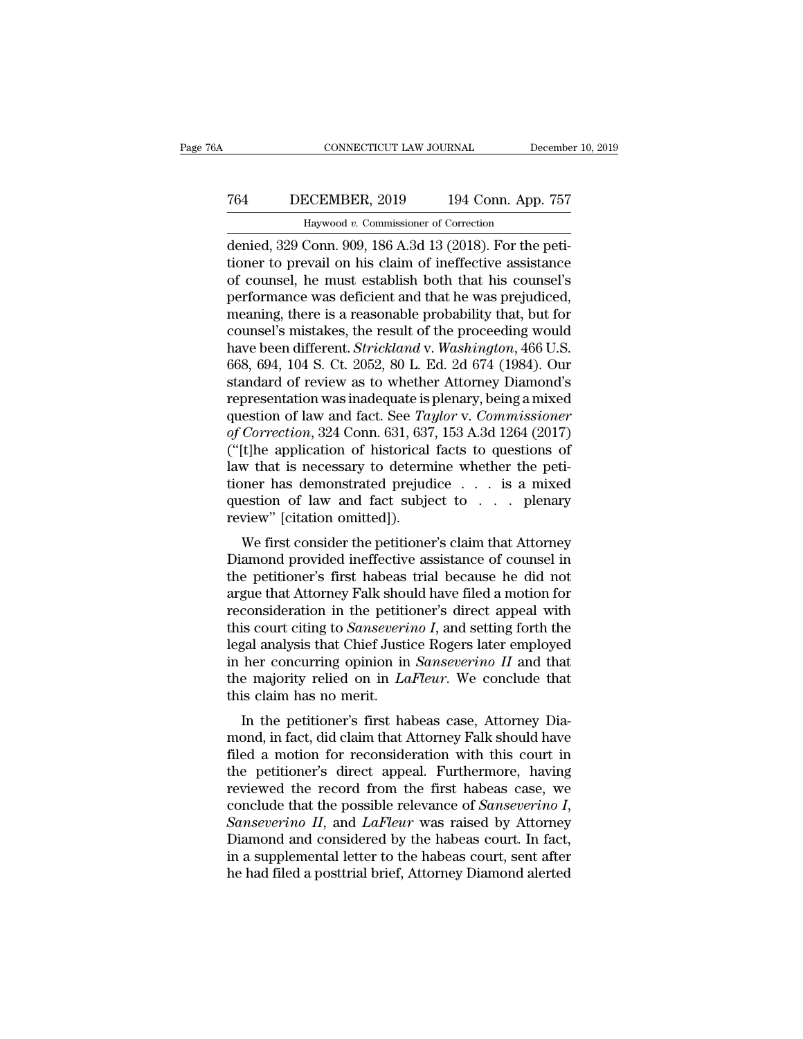## CONNECTICUT LAW JOURNAL December 10, 2019<br>
764 DECEMBER, 2019 194 Conn. App. 757<br>
Haywood v. Commissioner of Correction ECEMBER, 2019 194 Conn. App.<br>Haywood v. Commissioner of Correction<br>Conn. 909–186 A 3d 13 (2018). For the r

CONNECTICUT LAW JOURNAL December<br>
764 DECEMBER, 2019 194 Conn. App. 757<br>
Haywood v. Commissioner of Correction<br>
denied, 329 Conn. 909, 186 A.3d 13 (2018). For the peti-<br>
tioner to prevail on his claim of ineffective assist T64 DECEMBER, 2019 194 Conn. App. 757<br>
Haywood v. Commissioner of Correction<br>
denied, 329 Conn. 909, 186 A.3d 13 (2018). For the peti-<br>
tioner to prevail on his claim of ineffective assistance<br>
of counsel, he must establis T64 DECEMBER, 2019 194 Conn. App. 757<br>
Haywood v. Commissioner of Correction<br>
denied, 329 Conn. 909, 186 A.3d 13 (2018). For the peti-<br>
tioner to prevail on his claim of ineffective assistance<br>
of counsel, he must establi Performance Was deficient and that he was prejudiced, and the was prejudiced, and that his counsel, he must establish both that his counsel's performance was deficient and that he was prejudiced, meaning, there is a reaso Haywood v. Commissioner of Correction<br>denied, 329 Conn. 909, 186 A.3d 13 (2018). For the peti-<br>tioner to prevail on his claim of ineffective assistance<br>of counsel, he must establish both that his counsel's<br>performance was Haywood v. Commissioner of Correction<br>denied, 329 Conn. 909, 186 A.3d 13 (2018). For the peti-<br>tioner to prevail on his claim of ineffective assistance<br>of counsel, he must establish both that his counsel's<br>performance was denied, 329 Conn. 909, 186 A.3d 13 (2018). For the petitioner to prevail on his claim of ineffective assistance<br>of counsel, he must establish both that his counsel's<br>performance was deficient and that he was prejudiced,<br>me tioner to prevail on his claim of ineffective assistance<br>of counsel, he must establish both that his counsel's<br>performance was deficient and that he was prejudiced,<br>meaning, there is a reasonable probability that, but for<br> of counsel, he must establish both that his counsel's<br>performance was deficient and that he was prejudiced,<br>meaning, there is a reasonable probability that, but for<br>counsel's mistakes, the result of the proceeding would<br>ha performance was deficient and that he was prejudiced,<br>meaning, there is a reasonable probability that, but for<br>counsel's mistakes, the result of the proceeding would<br>have been different. *Strickland* v. *Washington*, 466 U meaning, there is a reasonable probability that, but for<br>counsel's mistakes, the result of the proceeding would<br>have been different. *Strickland* v. *Washington*, 466 U.S.<br>668, 694, 104 S. Ct. 2052, 80 L. Ed. 2d 674 (1984) *counsel's mistakes, the result of the proceeding would have been different. Strickland v. Washington, 466 U.S.* 668, 694, 104 S. Ct. 2052, 80 L. Ed. 2d 674 (1984). Our standard of review as to whether Attorney Diamond's r have been different. *Strickland* v. *Washington*, 466 U.S.<br>668, 694, 104 S. Ct. 2052, 80 L. Ed. 2d 674 (1984). Our<br>standard of review as to whether Attorney Diamond's<br>representation was inadequate is plenary, being a mixe 668, 694, 104 S. Ct. 2052, 80 L. Ed. 2d 674 (1984). Our standard of review as to whether Attorney Diamond's representation was inadequate is plenary, being a mixed question of law and fact. See *Taylor* v. *Commissioner* standard of review as to whether Attorney Diamond's<br>representation was inadequate is plenary, being a mixed<br>question of law and fact. See *Taylor* v. *Commissioner*<br>of *Correction*, 324 Conn. 631, 637, 153 A.3d 1264 (2017) representation was inadequate is plenary, being a mixed<br>question of law and fact. See *Taylor* v. *Commissioner*<br>of *Correction*, 324 Conn. 631, 637, 153 A.3d 1264 (2017)<br>("[t]he application of historical facts to questio question of law and fact. See  $Ta$ <br>of Correction, 324 Conn. 631, 637<br>("[t]he application of historical<br>law that is necessary to determ<br>tioner has demonstrated prejud<br>question of law and fact subje<br>review" [citation omitted Correction, 524 Confi. 051, 057, 155 A.50 1204 (2017)<br>
(t]he application of historical facts to questions of<br>
w that is necessary to determine whether the peti-<br>
oner has demonstrated prejudice . . . is a mixed<br>
estion of (Fire application of instorted racts to questions of<br>law that is necessary to determine whether the peti-<br>tioner has demonstrated prejudice  $\ldots$  is a mixed<br>question of law and fact subject to  $\ldots$  plenary<br>review" [citat

Figure 1 as demonstrated prejudice . . . is a mixed<br>question of law and fact subject to . . . plenary<br>review" [citation omitted]).<br>We first consider the petitioner's claim that Attorney<br>Diamond provided ineffective assista provided in a sum and fact subject to  $\ldots$  is a mixed question of law and fact subject to  $\ldots$  plenary review" [citation omitted]).<br>We first consider the petitioner's claim that Attorney Diamond provided ineffective ass review" [citation omitted]).<br>
We first consider the petitioner's claim that Attorney<br>
Diamond provided ineffective assistance of counsel in<br>
the petitioner's first habeas trial because he did not<br>
argue that Attorney Falk The first consider the petitioner's claim that Attorney<br>Diamond provided ineffective assistance of counsel in<br>the petitioner's first habeas trial because he did not<br>argue that Attorney Falk should have filed a motion for<br>r We first consider the petitioner's claim that Attorney<br>Diamond provided ineffective assistance of counsel in<br>the petitioner's first habeas trial because he did not<br>argue that Attorney Falk should have filed a motion for<br>r Diamond provided ineffective assistance of counsel in<br>the petitioner's first habeas trial because he did not<br>argue that Attorney Falk should have filed a motion for<br>reconsideration in the petitioner's direct appeal with<br>th the petitioner's first habeas trial because he did not<br>argue that Attorney Falk should have filed a motion for<br>reconsideration in the petitioner's direct appeal with<br>this court citing to *Sanseverino I*, and setting forth argue that Attorney Falk shoure<br>consideration in the petitic<br>this court citing to *Sanseveri*<br>legal analysis that Chief Justi<br>in her concurring opinion in<br>the majority relied on in *La*<br>this claim has no merit.<br>In the peti In the petitioner's direct appear with<br>
is court citing to *Sanseverino I*, and setting forth the<br>
gal analysis that Chief Justice Rogers later employed<br>
her concurring opinion in *Sanseverino II* and that<br>
is claim has n this court clung to *sanseverino i*, and setting forth the legal analysis that Chief Justice Rogers later employed<br>in her concurring opinion in *Sanseverino II* and that<br>the majority relied on in *LaFleur*. We conclude

filed a motion for reconsideration with the first habens case.<br>The majority relied on in *LaFleur*. We conclude that<br>this claim has no merit.<br>In the petitioner's first habeas case, Attorney Dia-<br>mond, in fact, did claim th In her concurring opinion in *Sansevertho Tr* and that<br>the majority relied on in *LaFleur*. We conclude that<br>this claim has no merit.<br>In the petitioner's first habeas case, Attorney Dia-<br>mond, in fact, did claim that Atto the majority reneu on in *Lartear*. We conclude that<br>this claim has no merit.<br>In the petitioner's first habeas case, Attorney Dia-<br>mond, in fact, did claim that Attorney Falk should have<br>filed a motion for reconsideration In the petitioner's first habeas case, Attorney Dia-<br>mond, in fact, did claim that Attorney Falk should have<br>filed a motion for reconsideration with this court in<br>the petitioner's direct appeal. Furthermore, having<br>reviewe mond, in fact, did claim that Attorney Falk should have<br>filed a motion for reconsideration with this court in<br>the petitioner's direct appeal. Furthermore, having<br>reviewed the record from the first habeas case, we<br>conclude filed a motion for reconsideration with this court in<br>the petitioner's direct appeal. Furthermore, having<br>reviewed the record from the first habeas case, we<br>conclude that the possible relevance of *Sanseverino I*,<br>*Sanseve* the petitioner's direct appeal. Furthermore, having<br>reviewed the record from the first habeas case, we<br>conclude that the possible relevance of *Sanseverino I*,<br>*Sanseverino II*, and *LaFleur* was raised by Attorney<br>Diamond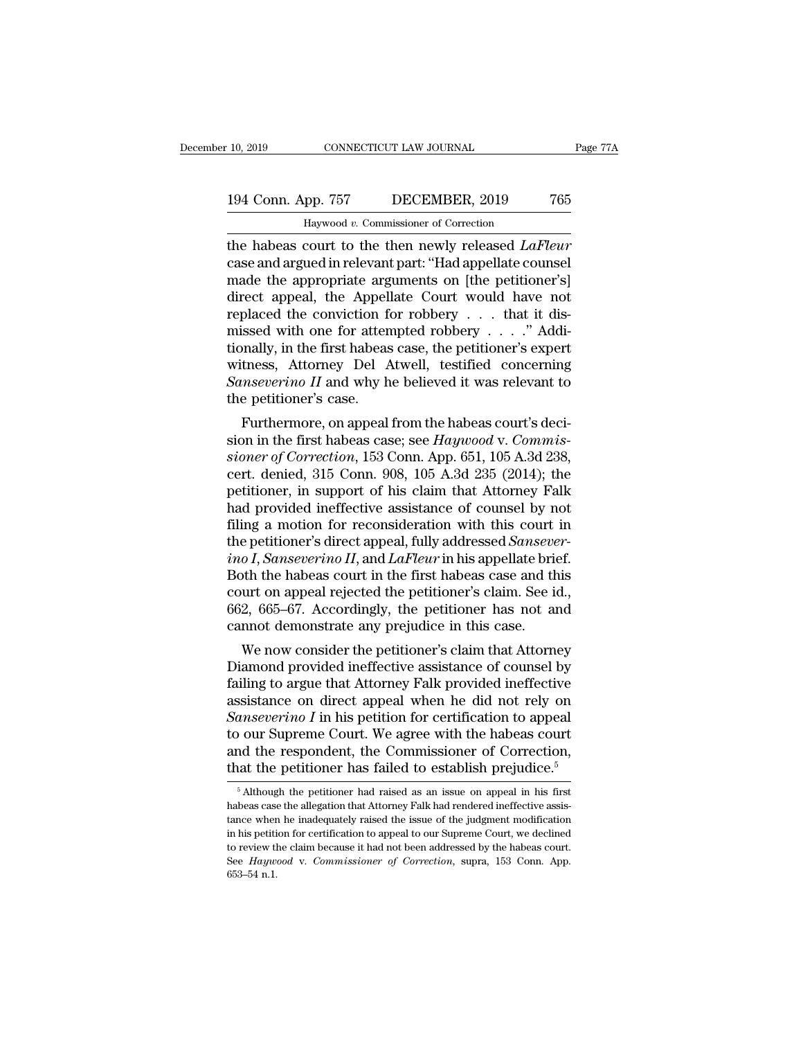## 10, 2019 CONNECTICUT LAW JOURNAL Page 77A<br>194 Conn. App. 757 DECEMBER, 2019 765<br>Haywood v. Commissioner of Correction CONNECTICUT LAW JOURNAL<br>PD. 757 DECEMBER, 2019<br>Haywood *v.* Commissioner of Correction<br>COUT to the then newly released LaF

the 10, 2019 CONNECTICUT LAW JOURNAL Page 77A<br>
194 Conn. App. 757 DECEMBER, 2019 765<br>
Haywood v. Commissioner of Correction<br>
the habeas court to the then newly released *LaFleur*<br>
case and argued in relevant part: "Had app 194 Conn. App. 757 DECEMBER, 2019 765<br>
Haywood v. Commissioner of Correction<br>
the habeas court to the then newly released *LaFleur*<br>
case and argued in relevant part: "Had appellate counsel<br>
made the appropriate arguments 194 Conn. App. 757 DECEMBER, 2019 765<br>
Haywood v. Commissioner of Correction<br>
the habeas court to the then newly released *LaFleur*<br>
case and argued in relevant part: "Had appellate counsel<br>
made the appropriate arguments 194 Conn. App. 757 DECEMBER, 2019 765<br>
Haywood v. Commissioner of Correction<br>
the habeas court to the then newly released *LaFleur*<br>
case and argued in relevant part: "Had appellate counsel<br>
made the appropriate arguments Haywood v. Commissioner of Correction<br>the habeas court to the then newly released *LaFleur*<br>case and argued in relevant part: "Had appellate counsel<br>made the appropriate arguments on [the petitioner's]<br>direct appeal, the Haywood v. Commissioner of Correction<br>the habeas court to the then newly released *LaFleur*<br>case and argued in relevant part: "Had appellate counsel<br>made the appropriate arguments on [the petitioner's]<br>direct appeal, the the habeas court to the then newly released *LaFleur*<br>case and argued in relevant part: "Had appellate counsel<br>made the appropriate arguments on [the petitioner's]<br>direct appeal, the Appellate Court would have not<br>replace case and argued in relevant part: "Had appellate counsel<br>made the appropriate arguments on [the petitioner's]<br>direct appeal, the Appellate Court would have not<br>replaced the conviction for robbery . . . . ." Addi-<br>missed w made the appropriate arguments on [the petitioner's]<br>direct appeal, the Appellate Court would have not<br>replaced the conviction for robbery  $\dots$  that it dis-<br>missed with one for attempted robbery  $\dots$ ." Addi-<br>tionally, in direct appeal, the Appell<br>replaced the conviction for missed with one for attentionally, in the first habeas<br>witness, Attorney Del A<br>Sanseverino II and why h<br>the petitioner's case.<br>Furthermore, on appeal placed the conviction for robbery  $\ldots$  and it dississed with one for attempted robbery  $\ldots$ ." Addi-<br>mally, in the first habeas case, the petitioner's expert<br>tness, Attorney Del Atwell, testified concerning<br>mseverino II sionally, in the first habeas case, the petitioner's expert<br>witness, Attorney Del Atwell, testified concerning<br>Sanseverino II and why he believed it was relevant to<br>the petitioner's case.<br>Furthermore, on appeal from the ha

*show to the first nabeas case, the petitioner's experimentss, Attorney Del Atwell, testified concerning Sanseverino II and why he believed it was relevant to the petitioner's case.<br>Furthermore, on appeal from the habeas c* sanseverino II and why he believed it was relevant to<br>the petitioner's case.<br>Furthermore, on appeal from the habeas court's deci-<br>sion in the first habeas case; see  $Haywood$  v.  $Commis-  
sioner of Correction$ , 153 Conn. App. 651, 105 A.3d 238,<br> sunsevertho II and why he beneved it was relevant to<br>the petitioner's case.<br>Furthermore, on appeal from the habeas court's deci-<br>sion in the first habeas case; see *Haywood* v. *Commis-<br>sioner of Correction*, 153 Conn. Ap the petitioner's case.<br>
Furthermore, on appeal from the habeas court's decision in the first habeas case; see *Haywood v. Commissioner of Correction*, 153 Conn. App. 651, 105 A.3d 238, cert. denied, 315 Conn. 908, 105 A.3d Furthermore, on appeal from the habeas court's decision in the first habeas case; see *Haywood* v. *Commissioner of Correction*, 153 Conn. App. 651, 105 A.3d 238, cert. denied, 315 Conn. 908, 105 A.3d 235 (2014); the peti sion in the first habeas case; see *Haywood* v. Commissioner of Correction, 153 Conn. App. 651, 105 A.3d 238, cert. denied, 315 Conn. 908, 105 A.3d 235 (2014); the petitioner, in support of his claim that Attorney Falk ha *sioner of Correction*, 153 Conn. App. 651, 105 A.3d 238, cert. denied, 315 Conn. 908, 105 A.3d 235 (2014); the petitioner, in support of his claim that Attorney Falk had provided ineffective assistance of counsel by not f cert. denied, 315 Conn. 908, 105 A.3d 235 (2014); the petitioner, in support of his claim that Attorney Falk had provided ineffective assistance of counsel by not filing a motion for reconsideration with this court in the petitioner, in support of his claim that Attorney Falk<br>had provided ineffective assistance of counsel by not<br>filing a motion for reconsideration with this court in<br>the petitioner's direct appeal, fully addressed *Sansever*had provided ineffective assistance of counsel by not<br>filing a motion for reconsideration with this court in<br>the petitioner's direct appeal, fully addressed *Sansever-*<br>ino I, Sanseverino II, and LaFleur in his appellate b filing a motion for reconsideration with this court<br>the petitioner's direct appeal, fully addressed *Sanseve*<br>ino I, *Sanseverino II*, and *LaFleur* in his appellate brie<br>Both the habeas court in the first habeas case and e petutoner's direct appear, rully addressed *sansever-*<br>  $oI$ , *Sanseverino II*, and *LaFleur* in his appellate brief.<br>
oth the habeas court in the first habeas case and this<br>
urt on appeal rejected the petitioner's clai *Tho 1*, *Sansevertho 11*, and *Larteur* in his appenate brief.<br>Both the habeas court in the first habeas case and this<br>court on appeal rejected the petitioner's claim. See id.,<br>662, 665–67. Accordingly, the petitioner ha

fracture in the first habeas case and this<br>court on appeal rejected the petitioner's claim. See id.,<br>662, 665–67. Accordingly, the petitioner has not and<br>cannot demonstrate any prejudice in this case.<br>We now consider the p court on appeal rejected the petitioner s claim. See 1d.,<br>662, 665–67. Accordingly, the petitioner has not and<br>cannot demonstrate any prejudice in this case.<br>We now consider the petitioner's claim that Attorney<br>Diamond pr <sup>602</sup>, <sup>605–67</sup>. Accordingly, the petitioner has not and cannot demonstrate any prejudice in this case.<br>
We now consider the petitioner's claim that Attorney<br>
Diamond provided ineffective assistance of counsel by<br>
failing Examble demonstrate any prejudice in this case.<br>
We now consider the petitioner's claim that Attorney<br>
Diamond provided ineffective assistance of counsel by<br>
failing to argue that Attorney Falk provided ineffective<br>
assis We now consider the petitioner's claim that Attorney<br>Diamond provided ineffective assistance of counsel by<br>failing to argue that Attorney Falk provided ineffective<br>assistance on direct appeal when he did not rely on<br>*Sans* Diamond provided ineffective assistance of counsel by<br>failing to argue that Attorney Falk provided ineffective<br>assistance on direct appeal when he did not rely on<br>*Sanseverino I* in his petition for certification to appea anseverino I in his petition for certification to appeal<br>o our Supreme Court. We agree with the habeas court<br>nd the respondent, the Commissioner of Correction,<br>at the petitioner has failed to establish prejudice.<sup>5</sup><br> $\frac{5$ to our Supreme Court. We agree with the habeas court<br>and the respondent, the Commissioner of Correction,<br>that the petitioner has failed to establish prejudice.<sup>5</sup><br> $\frac{1}{5}$ Although the petitioner had raised as an issue on

and the respondent, the Commissioner of Correction,<br>that the petitioner has failed to establish prejudice.<sup>5</sup><br> $\frac{1}{5}$ Although the petitioner had raised as an issue on appeal in his first<br>habeas case the allegation that that the petitioner has failed to establish prejudice.<sup>5</sup><br>
<sup>5</sup> Although the petitioner had raised as an issue on appeal in his first habeas case the allegation that Attorney Falk had rendered ineffective assistance when h The cluster of scheme that stated to establish prejudice.<br>
<sup>5</sup> Although the petitioner had raised as an issue on appeal in his first habeas case the allegation that Attorney Falk had rendered ineffective assistance when h  $\overline{\phantom{a}}$  Shifthough the petitioner had raised as an issue on appeal in his first habeas case the allegation that Attorney Falk had rendered ineffective assistance when he inadequately raised the issue of the judgment m habeas case the allegation that Attorney Falk had rendered ineffective assistance when he inadequately raised the issue of the judgment modification in his petition for certification to appeal to our Supreme Court, we dec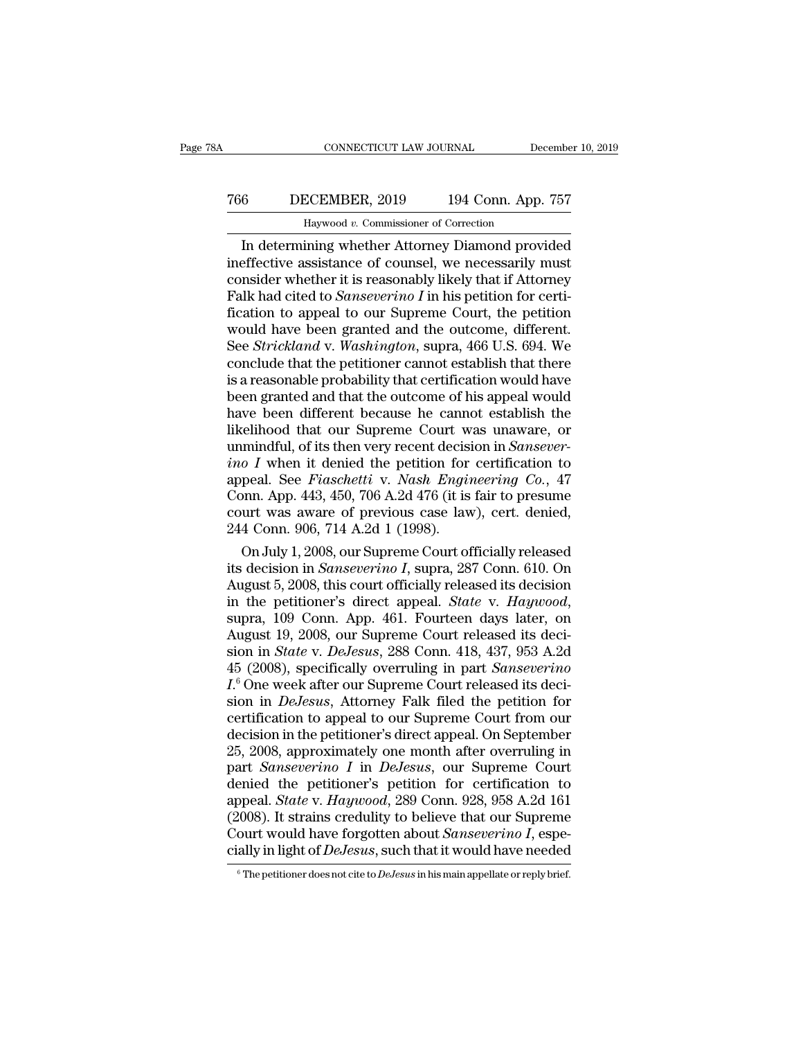## CONNECTICUT LAW JOURNAL December 10, 2019<br>
766 DECEMBER, 2019 194 Conn. App. 757<br>
Haywood v. Commissioner of Correction ECEMBER, 2019 194 Conn. App.<br>ECEMBER, 2019 194 Conn. App.<br><sup>Haywood v. Commissioner of Correction</sup><br>ining whether Attorney Diamond provi

CONNECTICUT LAW JOURNAL December 10, 2019<br>
6 DECEMBER, 2019 194 Conn. App. 757<br>
Haywood v. Commissioner of Correction<br>
In determining whether Attorney Diamond provided<br>
effective assistance of counsel, we necessarily must<br> T66 DECEMBER, 2019 194 Conn. App. 757<br>
Haywood v. Commissioner of Correction<br>
In determining whether Attorney Diamond provided<br>
ineffective assistance of counsel, we necessarily must<br>
consider whether it is reasonably like The CDECEMBER, 2019 194 Conn. App. 757<br>
Haywood v. Commissioner of Correction<br>
In determining whether Attorney Diamond provided<br>
ineffective assistance of counsel, we necessarily must<br>
consider whether it is reasonably li Falk had cited to *Sanseverino I* in his petition for certi-For the commissioner of Correction<br>In determining whether Attorney Diamond provided<br>ineffective assistance of counsel, we necessarily must<br>consider whether it is reasonably likely that if Attorney<br>Falk had cited to *Sanse* Haywood v. Commissioner of Correction<br>In determining whether Attorney Diamond provided<br>ineffective assistance of counsel, we necessarily must<br>consider whether it is reasonably likely that if Attorney<br>Falk had cited to *San* In determining whether Attorney Diamond provided<br>ineffective assistance of counsel, we necessarily must<br>consider whether it is reasonably likely that if Attorney<br>Falk had cited to *Sanseverino I* in his petition for certiineffective assistance of counsel, we necessarily must<br>consider whether it is reasonably likely that if Attorney<br>Falk had cited to *Sanseverino I* in his petition for certi-<br>fication to appeal to our Supreme Court, the pe consider whether it is reasonably likely that if Attorney<br>Falk had cited to *Sanseverino I* in his petition for certi-<br>fication to appeal to our Supreme Court, the petition<br>would have been granted and the outcome, differe Falk had cited to *Sanseverino I* in his petition for certification to appeal to our Supreme Court, the petition would have been granted and the outcome, different.<br>See *Strickland* v. *Washington*, supra, 466 U.S. 694. W fication to appeal to our Supreme Court, the petition<br>would have been granted and the outcome, different.<br>See *Strickland* v. Washington, supra, 466 U.S. 694. We<br>conclude that the petitioner cannot establish that there<br>is would have been granted and the outcome, different.<br>See *Strickland* v. Washington, supra, 466 U.S. 694. We<br>conclude that the petitioner cannot establish that there<br>is a reasonable probability that certification would have See *Strickland* v. *Washington*, supra, 466 U.S. 694. We conclude that the petitioner cannot establish that there is a reasonable probability that certification would have been granted and that the outcome of his appeal w conclude that the petitioner cannot establish that there is a reasonable probability that certification would have been granted and that the outcome of his appeal would have been different because he cannot establish the l is a reasonable probability that certification would have<br>been granted and that the outcome of his appeal would<br>have been different because he cannot establish the<br>likelihood that our Supreme Court was unaware, or<br>unmindfu been granted and that the outcome of his appeal would<br>have been different because he cannot establish the<br>likelihood that our Supreme Court was unaware, or<br>unmindful, of its then very recent decision in *Sansever-*<br>ino I w have been different because he cannot establish the likelihood that our Supreme Court was unaware, or unmindful, of its then very recent decision in *Sanseverino I* when it denied the petition for certification to appeal. likelihood that our Supreme Court w<br>unmindful, of its then very recent decisi<br>ino I when it denied the petition for<br>appeal. See Fiaschetti v. Nash Engir<br>Conn. App. 443, 450, 706 A.2d 476 (it is<br>court was aware of previous mindful, of its then very recent decision in *Sansever*-<br>  $o I$  when it denied the petition for certification to<br>
peal. See *Fiaschetti* v. *Nash Engineering Co.*, 47<br>
pnn. App. 443, 450, 706 A.2d 476 (it is fair to presum ino I when it denied the petition for certification to<br>appeal. See *Fiaschetti* v. *Nash Engineering Co.*, 47<br>Conn. App. 443, 450, 706 A.2d 476 (it is fair to presume<br>court was aware of previous case law), cert. denied,<br>24

appeal. See *Fiaschetti* v. *Nash Engineering Co.*, 47<br>Conn. App. 443, 450, 706 A.2d 476 (it is fair to presume<br>court was aware of previous case law), cert. denied,<br>244 Conn. 906, 714 A.2d 1 (1998).<br>On July 1, 2008, our S Conn. App. 443, 450, 706 A.2d 476 (it is fair to presume<br>court was aware of previous case law), cert. denied,<br>244 Conn. 906, 714 A.2d 1 (1998).<br>On July 1, 2008, our Supreme Court officially released<br>its decision in *Sansev* 244 Conn. 906, 714 A.2d 1 (1998).<br>
On July 1, 2008, our Supreme Court officially released<br>
its decision in *Sanseverino I*, supra, 287 Conn. 610. On<br>
August 5, 2008, this court officially released its decision<br>
in the pet On July 1, 2008, our Supreme Court officially released<br>its decision in *Sanseverino I*, supra, 287 Conn. 610. On<br>August 5, 2008, this court officially released its decision<br>in the petitioner's direct appeal. *State* v. *Ha* its decision in *Sanseverino I*, supra, 287 Conn. 610. On<br>August 5, 2008, this court officially released its decision<br>in the petitioner's direct appeal. *State* v. *Haywood*,<br>supra, 109 Conn. App. 461. Fourteen days later, August 5, 2008, this court officially released its decision<br>in the petitioner's direct appeal. *State* v. *Haywood*,<br>supra, 109 Conn. App. 461. Fourteen days later, on<br>August 19, 2008, our Supreme Court released its deci-<br> in the petitioner's direct appeal. *State v. Haywood*, supra, 109 Conn. App. 461. Fourteen days later, on August 19, 2008, our Supreme Court released its decision in *State v. DeJesus*, 288 Conn. 418, 437, 953 A.2d 45 (200 supra,  $\overline{109}$  Conn. App. 461. Fourteen days later, on<br>August 19, 2008, our Supreme Court released its deci-<br>sion in *State* v. *DeJesus*, 288 Conn. 418, 437, 953 A.2d<br>45 (2008), specifically overruling in part *Sansev* August 19, 2008, our Supreme Court released its decision in *State v. DeJesus*, 288 Conn. 418, 437, 953 A.2d 45 (2008), specifically overruling in part *Sanseverino*  $I^6$  One week after our Supreme Court released its dec sion in *State v. DeJesus*, 288 Conn. 418, 437, 953 A.2d<br>45 (2008), specifically overruling in part *Sanseverino*<br>*I*.<sup>6</sup> One week after our Supreme Court released its deci-<br>sion in *DeJesus*, Attorney Falk filed the petit 45 (2008), specifically overruling in part *Sanseverino*<br>*I*.<sup>6</sup> One week after our Supreme Court released its decision in *DeJesus*, Attorney Falk filed the petition for<br>certification to appeal to our Supreme Court from o  $L^6$  One week after our Supreme Court released its decision in *DeJesus*, Attorney Falk filed the petition for certification to appeal to our Supreme Court from our decision in the petitioner's direct appeal. On Septembe sion in *DeJesus*, Attorney Falk filed the petition for<br>certification to appeal to our Supreme Court from our<br>decision in the petitioner's direct appeal. On September<br>25, 2008, approximately one month after overruling in<br>p certification to appeal to our Supreme Court from our<br>decision in the petitioner's direct appeal. On September<br>25, 2008, approximately one month after overruling in<br>part *Sanseverino I* in *DeJesus*, our Supreme Court<br>deni certification to appeal to our Supreme Court from our<br>decision in the petitioner's direct appeal. On September<br>25, 2008, approximately one month after overruling in<br>part *Sanseverino I* in *DeJesus*, our Supreme Court<br>deni 25, 2008, approximately one month after overruling in part *Sanseverino I* in *DeJesus*, our Supreme Court denied the petitioner's petition for certification to appeal. *State v. Haywood*, 289 Conn. 928, 958 A.2d 161 (200 (2008). It strains credulity to believe that our Supreme<br>Court would have forgotten about *Sanseverino I*, espe-<br>cially in light of *DeJesus*, such that it would have needed<br> $\frac{1}{\epsilon}$  The petitioner does not cite to *DeJ*